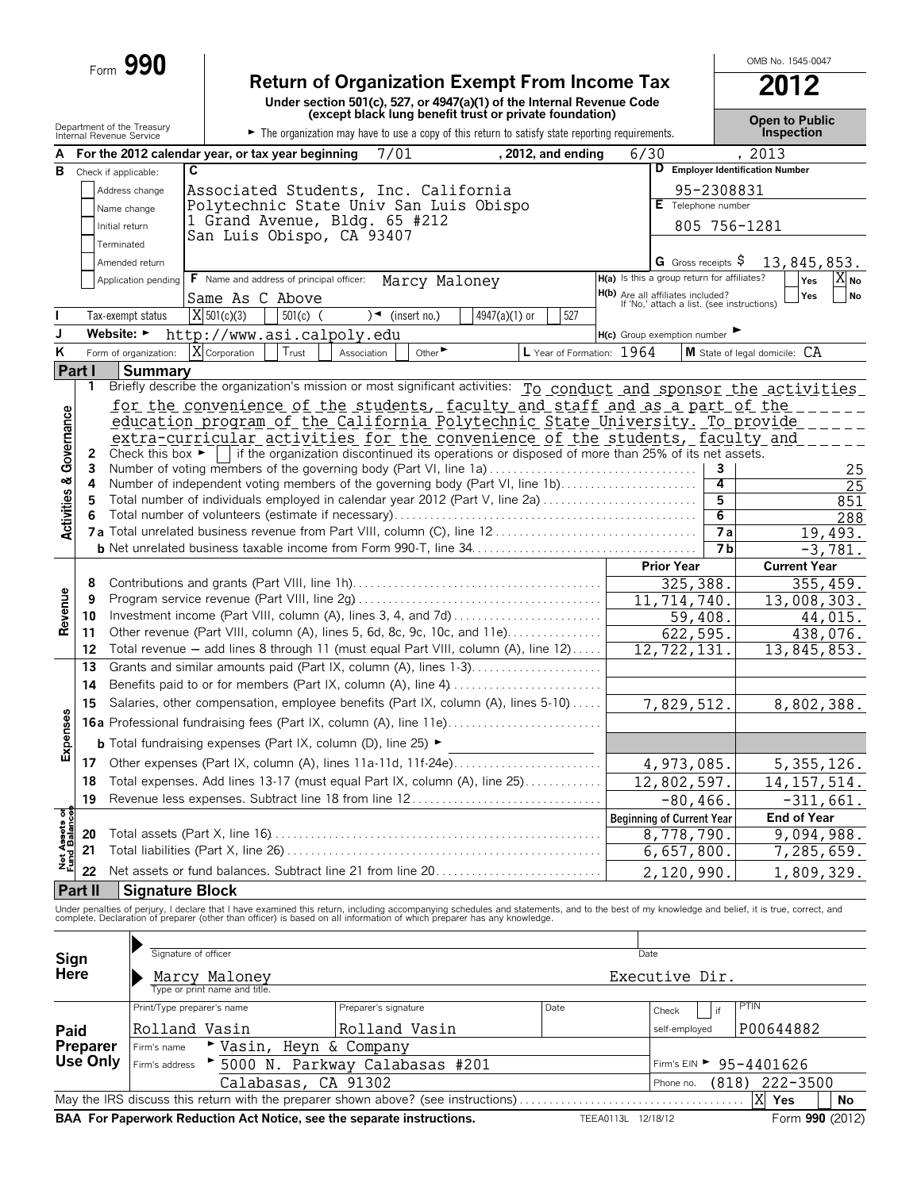| Form $990$ |                                                                       | OMB No. 1545-00 |
|------------|-----------------------------------------------------------------------|-----------------|
|            | <b>Return of Organization Exempt From Income Tax</b>                  | 2012            |
|            | Under section 501(c), 527, or 4947(a)(1) of the Internal Revenue Code |                 |

OMB No. 1545-0047

|                           |                                                        |                            |                                                                                                                                                                                                                                   |             | (except black lung benefit trust or private foundation)                                         |               |                           |      |                                                                                        |                                   | <b>Open to Public</b>                                           |                   |
|---------------------------|--------------------------------------------------------|----------------------------|-----------------------------------------------------------------------------------------------------------------------------------------------------------------------------------------------------------------------------------|-------------|-------------------------------------------------------------------------------------------------|---------------|---------------------------|------|----------------------------------------------------------------------------------------|-----------------------------------|-----------------------------------------------------------------|-------------------|
|                           | Department of the Treasury<br>Internal Revenue Service |                            |                                                                                                                                                                                                                                   |             | The organization may have to use a copy of this return to satisfy state reporting requirements. |               |                           |      |                                                                                        |                                   | Inspection                                                      |                   |
| A                         |                                                        |                            | For the 2012 calendar year, or tax year beginning                                                                                                                                                                                 |             | 7/01                                                                                            |               | $, 2012,$ and ending      | 6/30 |                                                                                        |                                   | , 2013                                                          |                   |
|                           | <b>B</b> Check if applicable:                          | C                          |                                                                                                                                                                                                                                   |             |                                                                                                 |               |                           |      |                                                                                        |                                   | D Employer Identification Number                                |                   |
|                           |                                                        | Address change             | Associated Students, Inc. California                                                                                                                                                                                              |             |                                                                                                 |               |                           |      |                                                                                        | 95-2308831                        |                                                                 |                   |
|                           |                                                        | Name change                | Polytechnic State Univ San Luis Obispo                                                                                                                                                                                            |             |                                                                                                 |               |                           |      | E Telephone number                                                                     |                                   |                                                                 |                   |
|                           | Initial return                                         |                            | 1 Grand Avenue, Bldg. 65 #212                                                                                                                                                                                                     |             |                                                                                                 |               |                           |      |                                                                                        | 805 756-1281                      |                                                                 |                   |
|                           |                                                        |                            | San Luis Obispo, CA 93407                                                                                                                                                                                                         |             |                                                                                                 |               |                           |      |                                                                                        |                                   |                                                                 |                   |
|                           | Terminated                                             |                            |                                                                                                                                                                                                                                   |             |                                                                                                 |               |                           |      |                                                                                        |                                   |                                                                 |                   |
|                           |                                                        | Amended return             |                                                                                                                                                                                                                                   |             |                                                                                                 |               |                           |      | G Gross receipts $\$$<br>H(a) Is this a group return for affiliates?                   |                                   | 13,845,853.                                                     |                   |
|                           |                                                        | Application pending        | <b>F</b> Name and address of principal officer:                                                                                                                                                                                   |             | Marcy Maloney                                                                                   |               |                           |      |                                                                                        |                                   | Yes                                                             | $X_{\mathsf{No}}$ |
|                           |                                                        |                            | Same As C Above                                                                                                                                                                                                                   |             |                                                                                                 |               |                           |      | <b>H(b)</b> Are all affiliates included?<br>If 'No,' attach a list. (see instructions) |                                   | Yes                                                             | No                |
|                           |                                                        | Tax-exempt status          | X 501(c)(3)<br>$501(c)$ (                                                                                                                                                                                                         |             | $\rightarrow$ (insert no.)                                                                      | 4947(a)(1) or | 527                       |      |                                                                                        |                                   |                                                                 |                   |
| J                         |                                                        |                            | Website: http://www.asi.calpoly.edu                                                                                                                                                                                               |             |                                                                                                 |               |                           |      | H(c) Group exemption number                                                            |                                   |                                                                 |                   |
| ĸ                         |                                                        | Form of organization:      | X Corporation<br>Trust                                                                                                                                                                                                            | Association | Other $\blacktriangleright$                                                                     |               | L Year of Formation: 1964 |      |                                                                                        |                                   | M State of legal domicile: CA                                   |                   |
|                           | Part I                                                 | <b>Summary</b>             |                                                                                                                                                                                                                                   |             |                                                                                                 |               |                           |      |                                                                                        |                                   |                                                                 |                   |
|                           | 1                                                      |                            | Briefly describe the organization's mission or most significant activities: To conduct and sponsor the activities                                                                                                                 |             |                                                                                                 |               |                           |      |                                                                                        |                                   |                                                                 |                   |
|                           |                                                        |                            | for the convenience of the students, faculty and staff and as a part of the                                                                                                                                                       |             |                                                                                                 |               |                           |      |                                                                                        |                                   |                                                                 |                   |
|                           |                                                        |                            | education program of the California Polytechnic State University. To provide                                                                                                                                                      |             |                                                                                                 |               |                           |      |                                                                                        |                                   |                                                                 |                   |
| Governance                |                                                        |                            | extra-curricular activities for the convenience of the students, faculty and                                                                                                                                                      |             |                                                                                                 |               |                           |      |                                                                                        |                                   |                                                                 |                   |
|                           | 2                                                      |                            | Check this box $\blacktriangleright$   if the organization discontinued its operations or disposed of more than 25% of its net assets.                                                                                            |             |                                                                                                 |               |                           |      |                                                                                        |                                   |                                                                 |                   |
|                           | 3                                                      |                            | Number of voting members of the governing body (Part VI, line 1a)                                                                                                                                                                 |             |                                                                                                 |               |                           |      |                                                                                        | 3                                 |                                                                 | 25                |
|                           | 4                                                      |                            | Number of independent voting members of the governing body (Part VI, line 1b)                                                                                                                                                     |             |                                                                                                 |               |                           |      |                                                                                        | 4                                 |                                                                 | 25                |
| <b>Activities &amp;</b>   | 5                                                      |                            | Total number of individuals employed in calendar year 2012 (Part V, line 2a)                                                                                                                                                      |             |                                                                                                 |               |                           |      |                                                                                        | 5                                 |                                                                 | 851               |
|                           | 6                                                      |                            |                                                                                                                                                                                                                                   |             |                                                                                                 |               |                           |      |                                                                                        | $\overline{6}$<br>$\overline{7a}$ |                                                                 | 288               |
|                           |                                                        |                            |                                                                                                                                                                                                                                   |             |                                                                                                 |               |                           |      |                                                                                        | <b>7b</b>                         | 19,493.                                                         |                   |
|                           |                                                        |                            |                                                                                                                                                                                                                                   |             |                                                                                                 |               |                           |      |                                                                                        |                                   | $-3,781.$                                                       |                   |
|                           |                                                        |                            |                                                                                                                                                                                                                                   |             |                                                                                                 |               |                           |      | <b>Prior Year</b>                                                                      |                                   | <b>Current Year</b>                                             |                   |
|                           | 8<br>9                                                 |                            |                                                                                                                                                                                                                                   |             |                                                                                                 |               |                           |      | 325,388.                                                                               |                                   | 355,459.                                                        |                   |
| Revenue                   | 10                                                     |                            | Investment income (Part VIII, column (A), lines 3, 4, and 7d)                                                                                                                                                                     |             |                                                                                                 |               |                           |      | 11, 714, 740.                                                                          |                                   | 13,008,303.                                                     |                   |
|                           | 11                                                     |                            | Other revenue (Part VIII, column (A), lines 5, 6d, 8c, 9c, 10c, and 11e)                                                                                                                                                          |             |                                                                                                 |               |                           |      | 59,408.<br>622,595.                                                                    |                                   | 44,015.                                                         |                   |
|                           | 12                                                     |                            | Total revenue - add lines 8 through 11 (must equal Part VIII, column (A), line 12)                                                                                                                                                |             |                                                                                                 |               |                           |      | 12,722,131                                                                             |                                   | 438,076.<br>$\overline{13,845,853}$ .                           |                   |
|                           | 13                                                     |                            | Grants and similar amounts paid (Part IX, column (A), lines 1-3)                                                                                                                                                                  |             |                                                                                                 |               |                           |      |                                                                                        |                                   |                                                                 |                   |
|                           | 14                                                     |                            | Benefits paid to or for members (Part IX, column (A), line 4)                                                                                                                                                                     |             |                                                                                                 |               |                           |      |                                                                                        |                                   |                                                                 |                   |
|                           |                                                        |                            | Salaries, other compensation, employee benefits (Part IX, column (A), lines 5-10)                                                                                                                                                 |             |                                                                                                 |               |                           |      |                                                                                        |                                   |                                                                 |                   |
|                           | 15                                                     |                            |                                                                                                                                                                                                                                   |             |                                                                                                 |               |                           |      | $\overline{7,829,512}$ .                                                               |                                   | 8,802,388.                                                      |                   |
| Expenses                  |                                                        |                            | <b>16a</b> Professional fundraising fees (Part IX, column (A), line 11e)                                                                                                                                                          |             |                                                                                                 |               |                           |      |                                                                                        |                                   |                                                                 |                   |
|                           |                                                        |                            | <b>b</b> Total fundraising expenses (Part IX, column (D), line 25) $\blacktriangleright$                                                                                                                                          |             |                                                                                                 |               |                           |      |                                                                                        |                                   |                                                                 |                   |
|                           |                                                        |                            | 17 Other expenses (Part IX, column (A), lines 11a-11d, 11f-24e)                                                                                                                                                                   |             |                                                                                                 |               |                           |      | 4,973,085.                                                                             |                                   | 5,355,126.                                                      |                   |
|                           |                                                        |                            | 18 Total expenses. Add lines 13-17 (must equal Part IX, column (A), line 25)                                                                                                                                                      |             |                                                                                                 |               |                           |      | 12,802,597.                                                                            |                                   | 14, 157, 514.                                                   |                   |
|                           | 19                                                     |                            | Revenue less expenses. Subtract line 18 from line 12                                                                                                                                                                              |             |                                                                                                 |               |                           |      | $-80, 466.$                                                                            |                                   | $-311,661.$                                                     |                   |
| ੱ                         |                                                        |                            |                                                                                                                                                                                                                                   |             |                                                                                                 |               |                           |      | <b>Beginning of Current Year</b>                                                       |                                   | <b>End of Year</b>                                              |                   |
| Net Assets<br>Fund Balanc | 20                                                     |                            |                                                                                                                                                                                                                                   |             |                                                                                                 |               |                           |      | 8,778,790.                                                                             |                                   | $\overline{9,094,988}$ .                                        |                   |
|                           | 21                                                     |                            |                                                                                                                                                                                                                                   |             |                                                                                                 |               |                           |      | 6,657,800.                                                                             |                                   | 7,285,659.                                                      |                   |
|                           | 22                                                     |                            | Net assets or fund balances. Subtract line 21 from line 20                                                                                                                                                                        |             |                                                                                                 |               |                           |      | 2,120,990.                                                                             |                                   | 1,809,329.                                                      |                   |
|                           | <b>Part II</b>                                         | <b>Signature Block</b>     |                                                                                                                                                                                                                                   |             |                                                                                                 |               |                           |      |                                                                                        |                                   |                                                                 |                   |
|                           |                                                        |                            |                                                                                                                                                                                                                                   |             |                                                                                                 |               |                           |      |                                                                                        |                                   |                                                                 |                   |
|                           |                                                        |                            | Under penalties of perjury, I declare that I have examined this return, including accompanying schedules and statements, and to the best of my knowledge and belief, it is true, correct, and<br>complete. Declaration of prepare |             |                                                                                                 |               |                           |      |                                                                                        |                                   |                                                                 |                   |
|                           |                                                        |                            |                                                                                                                                                                                                                                   |             |                                                                                                 |               |                           |      |                                                                                        |                                   |                                                                 |                   |
| Sign                      |                                                        |                            |                                                                                                                                                                                                                                   |             |                                                                                                 |               |                           | Date |                                                                                        |                                   |                                                                 |                   |
|                           |                                                        | Signature of officer       |                                                                                                                                                                                                                                   |             |                                                                                                 |               |                           |      |                                                                                        |                                   |                                                                 |                   |
|                           |                                                        |                            |                                                                                                                                                                                                                                   |             |                                                                                                 |               |                           |      |                                                                                        |                                   |                                                                 |                   |
| Here                      |                                                        |                            | Marcy Maloney<br>Type or print name and title                                                                                                                                                                                     |             |                                                                                                 |               |                           |      | Executive Dir.                                                                         |                                   |                                                                 |                   |
|                           |                                                        | Print/Type preparer's name |                                                                                                                                                                                                                                   |             | Preparer's signature                                                                            |               | Date                      |      |                                                                                        |                                   | PTIN                                                            |                   |
|                           |                                                        |                            |                                                                                                                                                                                                                                   |             |                                                                                                 |               |                           |      | Check                                                                                  | if                                |                                                                 |                   |
| Paid                      |                                                        | Rolland Vasin              |                                                                                                                                                                                                                                   |             | Rolland Vasin                                                                                   |               |                           |      | self-employed                                                                          |                                   | P00644882                                                       |                   |
|                           | <b>Preparer</b>                                        | Firm's name                | Heyn & Company<br>$\blacktriangleright$ Vasin,                                                                                                                                                                                    |             |                                                                                                 |               |                           |      |                                                                                        |                                   |                                                                 |                   |
|                           | Use Only                                               | Firm's address             | 5000 N. Parkway Calabasas #201<br>Calabasas, CA 91302                                                                                                                                                                             |             |                                                                                                 |               |                           |      | Phone no.                                                                              |                                   | Firm's EIN $\blacktriangleright$ 95-4401626<br>$(818)$ 222-3500 |                   |

May the IRS discuss this return with the preparer shown above? (see instructions) . . . . . . . . . . . . . . . . . . . . . . . . . . . . . . . . . . . . . . **Yes No** X Yes

**BAA For Paperwork Reduction Act Notice, see the separate instructions.** TEEA0113L 12/18/12 Form 990 (2012)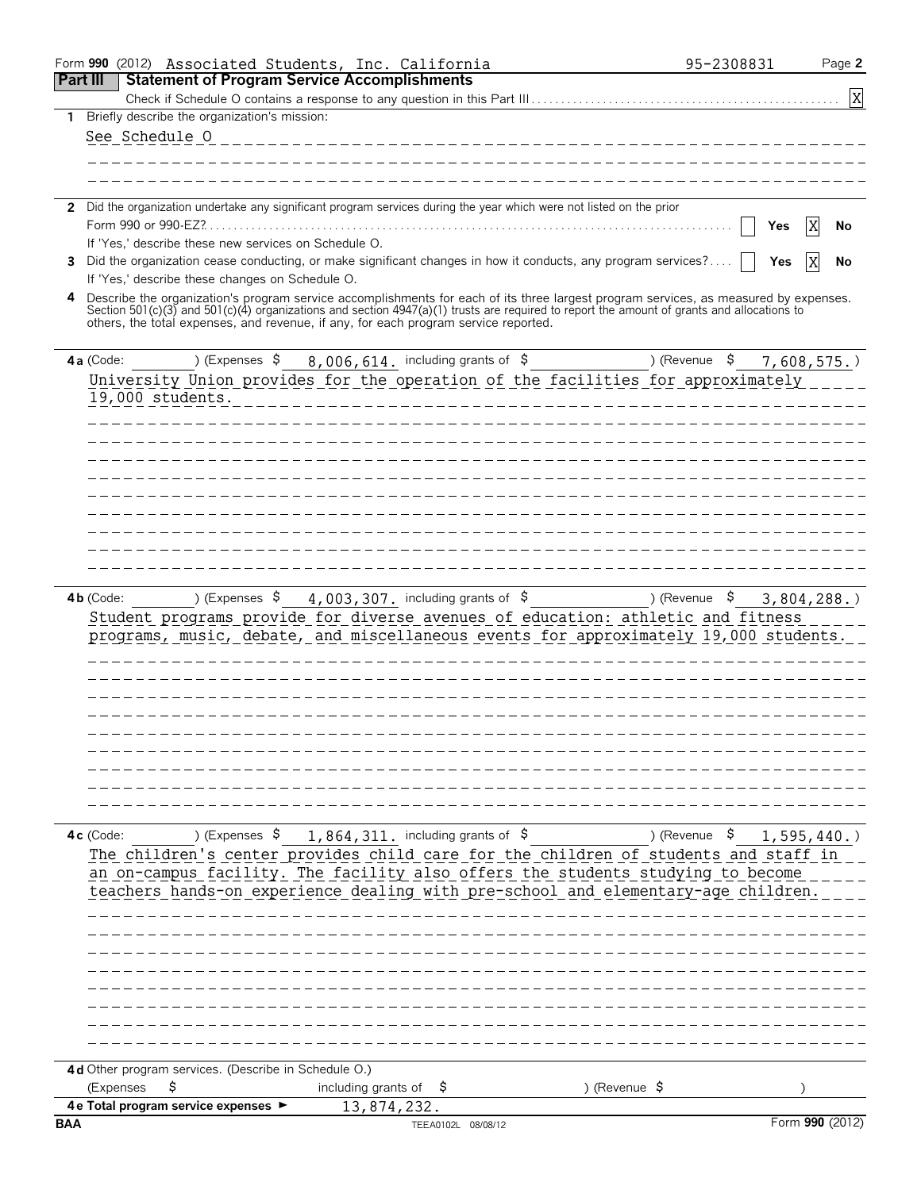|                 | Form 990 (2012) Associated Students, Inc. California                                                                                                                                                                                                                                                                                                                      |                                   |                                                                          |                           | 95-2308831 | Page 2          |
|-----------------|---------------------------------------------------------------------------------------------------------------------------------------------------------------------------------------------------------------------------------------------------------------------------------------------------------------------------------------------------------------------------|-----------------------------------|--------------------------------------------------------------------------|---------------------------|------------|-----------------|
| <b>Part III</b> | <b>Statement of Program Service Accomplishments</b>                                                                                                                                                                                                                                                                                                                       |                                   |                                                                          |                           |            |                 |
|                 |                                                                                                                                                                                                                                                                                                                                                                           |                                   |                                                                          |                           |            | $\mathbf{X}$    |
|                 | Briefly describe the organization's mission:                                                                                                                                                                                                                                                                                                                              |                                   |                                                                          |                           |            |                 |
|                 | See Schedule O                                                                                                                                                                                                                                                                                                                                                            |                                   |                                                                          | _________________________ |            |                 |
|                 |                                                                                                                                                                                                                                                                                                                                                                           |                                   |                                                                          |                           |            |                 |
|                 |                                                                                                                                                                                                                                                                                                                                                                           |                                   |                                                                          |                           |            |                 |
|                 | 2 Did the organization undertake any significant program services during the year which were not listed on the prior                                                                                                                                                                                                                                                      |                                   |                                                                          |                           |            |                 |
|                 | Form 990 or 990-EZ?.                                                                                                                                                                                                                                                                                                                                                      |                                   |                                                                          |                           | Yes        | X<br>No         |
|                 | If 'Yes,' describe these new services on Schedule O.                                                                                                                                                                                                                                                                                                                      |                                   |                                                                          |                           |            |                 |
| 3               | Did the organization cease conducting, or make significant changes in how it conducts, any program services?                                                                                                                                                                                                                                                              |                                   |                                                                          |                           | Yes        | IX<br>No        |
|                 | If 'Yes,' describe these changes on Schedule O.                                                                                                                                                                                                                                                                                                                           |                                   |                                                                          |                           |            |                 |
| 4               | Describe the organization's program service accomplishments for each of its three largest program services, as measured by expenses.<br>Section 501(c)(3) and 501(c)(4) organizations and section 4947(a)(1) trusts are required to report the amount of grants and allocations to<br>others, the total expenses, and revenue, if any, for each program service reported. |                                   |                                                                          |                           |            |                 |
|                 | ) (Expenses \$<br>4a (Code:                                                                                                                                                                                                                                                                                                                                               |                                   | 8,006,614. including grants of \$                                        | ) (Revenue \$             |            | $7,608,575.$ )  |
|                 | University Union provides for the operation of the facilities for approximately                                                                                                                                                                                                                                                                                           |                                   |                                                                          |                           |            |                 |
|                 | 19,000 students.                                                                                                                                                                                                                                                                                                                                                          |                                   |                                                                          |                           |            |                 |
|                 |                                                                                                                                                                                                                                                                                                                                                                           |                                   |                                                                          |                           |            |                 |
|                 |                                                                                                                                                                                                                                                                                                                                                                           |                                   |                                                                          |                           |            |                 |
|                 |                                                                                                                                                                                                                                                                                                                                                                           |                                   |                                                                          | _____________________     |            |                 |
|                 |                                                                                                                                                                                                                                                                                                                                                                           |                                   |                                                                          |                           |            |                 |
|                 |                                                                                                                                                                                                                                                                                                                                                                           |                                   |                                                                          |                           |            |                 |
|                 |                                                                                                                                                                                                                                                                                                                                                                           |                                   |                                                                          |                           |            |                 |
|                 |                                                                                                                                                                                                                                                                                                                                                                           |                                   |                                                                          |                           |            |                 |
|                 |                                                                                                                                                                                                                                                                                                                                                                           |                                   |                                                                          |                           |            |                 |
|                 |                                                                                                                                                                                                                                                                                                                                                                           |                                   |                                                                          |                           |            |                 |
|                 |                                                                                                                                                                                                                                                                                                                                                                           |                                   |                                                                          |                           |            |                 |
|                 | $4b$ (Code:<br>Student programs provide for diverse avenues of education: athletic and fitness<br>programs, music, debate, and miscellaneous events for approximately 19,000 students.                                                                                                                                                                                    |                                   | ) (Expenses $\frac{1}{5}$ 4, 003, 307. including grants of $\frac{1}{5}$ | ) (Revenue \$             |            | 3,804,288.      |
|                 |                                                                                                                                                                                                                                                                                                                                                                           |                                   |                                                                          |                           |            |                 |
|                 |                                                                                                                                                                                                                                                                                                                                                                           |                                   |                                                                          |                           |            |                 |
|                 |                                                                                                                                                                                                                                                                                                                                                                           |                                   |                                                                          |                           |            |                 |
|                 |                                                                                                                                                                                                                                                                                                                                                                           |                                   |                                                                          |                           |            |                 |
|                 |                                                                                                                                                                                                                                                                                                                                                                           |                                   |                                                                          |                           |            |                 |
|                 |                                                                                                                                                                                                                                                                                                                                                                           |                                   |                                                                          |                           |            |                 |
|                 |                                                                                                                                                                                                                                                                                                                                                                           |                                   |                                                                          |                           |            |                 |
|                 |                                                                                                                                                                                                                                                                                                                                                                           |                                   |                                                                          |                           |            |                 |
|                 |                                                                                                                                                                                                                                                                                                                                                                           |                                   |                                                                          |                           |            |                 |
|                 |                                                                                                                                                                                                                                                                                                                                                                           |                                   |                                                                          |                           |            |                 |
|                 | 4c (Code:<br>The children's center provides child care for the children of students and staff in<br>an on-campus facility. The facility also offers the students studying to become<br>teachers hands-on experience dealing with pre-school and elementary-age children.                                                                                                  |                                   | ) (Expenses $\frac{1}{2}$ , 864, 311, including grants of $\frac{1}{2}$  | ) (Revenue \$             |            | 1,595,440.      |
|                 |                                                                                                                                                                                                                                                                                                                                                                           |                                   |                                                                          |                           |            |                 |
|                 |                                                                                                                                                                                                                                                                                                                                                                           |                                   |                                                                          |                           |            |                 |
|                 |                                                                                                                                                                                                                                                                                                                                                                           |                                   |                                                                          |                           |            |                 |
|                 |                                                                                                                                                                                                                                                                                                                                                                           |                                   |                                                                          |                           |            |                 |
|                 |                                                                                                                                                                                                                                                                                                                                                                           |                                   |                                                                          |                           |            |                 |
|                 |                                                                                                                                                                                                                                                                                                                                                                           |                                   |                                                                          |                           |            |                 |
|                 |                                                                                                                                                                                                                                                                                                                                                                           |                                   |                                                                          |                           |            |                 |
|                 |                                                                                                                                                                                                                                                                                                                                                                           |                                   |                                                                          |                           |            |                 |
|                 |                                                                                                                                                                                                                                                                                                                                                                           |                                   |                                                                          |                           |            |                 |
|                 | 4d Other program services. (Describe in Schedule O.)<br>(Expenses<br>\$                                                                                                                                                                                                                                                                                                   | including grants of $\frac{1}{2}$ |                                                                          | ) (Revenue $\frac{1}{2}$  |            |                 |
|                 | 4 e Total program service expenses ▶                                                                                                                                                                                                                                                                                                                                      | 13,874,232.                       |                                                                          |                           |            |                 |
| <b>BAA</b>      |                                                                                                                                                                                                                                                                                                                                                                           |                                   | TEEA0102L 08/08/12                                                       |                           |            | Form 990 (2012) |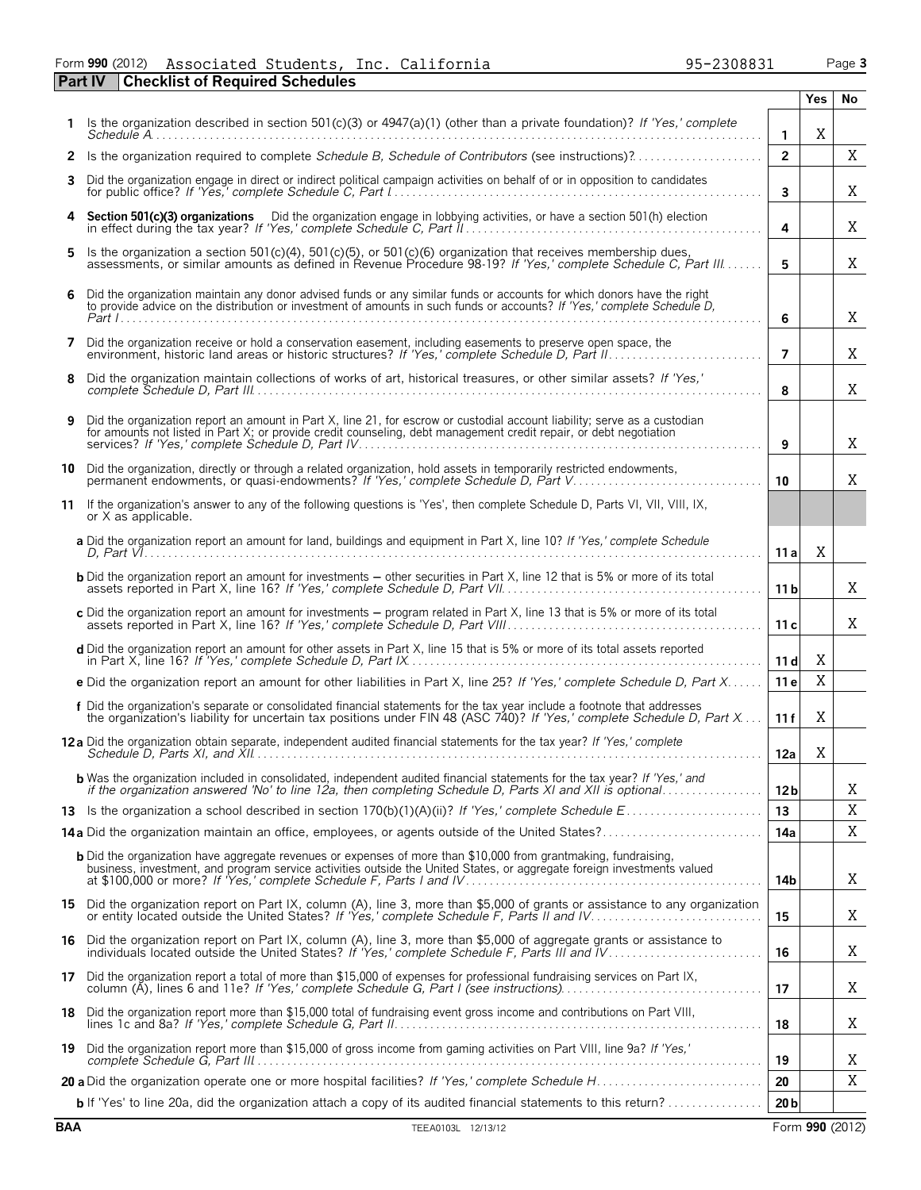#### Form **990** (2012) Page **3 Part IV Checklist of Required Schedules** Associated Students, Inc. California 95-2308831

|    |                                                                                                                                                                                                                                                     |                 | <b>Yes</b> | No |
|----|-----------------------------------------------------------------------------------------------------------------------------------------------------------------------------------------------------------------------------------------------------|-----------------|------------|----|
|    | Is the organization described in section 501(c)(3) or 4947(a)(1) (other than a private foundation)? If 'Yes,' complete                                                                                                                              | $\mathbf{1}$    | X          |    |
|    |                                                                                                                                                                                                                                                     | $\overline{2}$  |            | Χ  |
| 3  | Did the organization engage in direct or indirect political campaign activities on behalf of or in opposition to candidates                                                                                                                         | $\mathbf{3}$    |            | Χ  |
| 4  | Section 501(c)(3) organizations  Did the organization engage in lobbying activities, or have a section 501(h) election                                                                                                                              | 4               |            | Χ  |
| 5. | Is the organization a section $501(c)(4)$ , $501(c)(5)$ , or $501(c)(6)$ organization that receives membership dues,<br>assessments, or similar amounts as defined in Revenue Procedure 98-19? If 'Yes,' complete Schedule C, Part III              | 5               |            | Χ  |
| 6  | Did the organization maintain any donor advised funds or any similar funds or accounts for which donors have the right to provide advice on the distribution or investment of amounts in such funds or accounts? If 'Yes,' com                      | 6               |            | Χ  |
|    | 7 Did the organization receive or hold a conservation easement, including easements to preserve open space, the                                                                                                                                     | $\overline{7}$  |            | X  |
| 8  | Did the organization maintain collections of works of art, historical treasures, or other similar assets? If 'Yes,'                                                                                                                                 | 8               |            | X  |
| 9  | Did the organization report an amount in Part X, line 21, for escrow or custodial account liability; serve as a custodian<br>for amounts not listed in Part X; or provide credit counseling, debt management credit repair, or debt negotiation     | 9               |            | Χ  |
| 10 | Did the organization, directly or through a related organization, hold assets in temporarily restricted endowments,<br>permanent endowments, or quasi-endowments? If 'Yes,' complete Schedule D. Part V                                             | 10 <sup>1</sup> |            | X  |
| 11 | If the organization's answer to any of the following questions is 'Yes', then complete Schedule D, Parts VI, VII, VIII, IX,<br>or X as applicable.                                                                                                  |                 |            |    |
|    | a Did the organization report an amount for land, buildings and equipment in Part X, line 10? If 'Yes,' complete Schedule                                                                                                                           | 11 a            | X          |    |
|    | <b>b</b> Did the organization report an amount for investments - other securities in Part X, line 12 that is 5% or more of its total                                                                                                                | 11 <sub>b</sub> |            | X  |
|    | c Did the organization report an amount for investments - program related in Part X, line 13 that is 5% or more of its total                                                                                                                        | 11c             |            | X  |
|    | d Did the organization report an amount for other assets in Part X, line 15 that is 5% or more of its total assets reported                                                                                                                         | 11d             | X          |    |
|    | e Did the organization report an amount for other liabilities in Part X, line 25? If 'Yes,' complete Schedule D, Part X                                                                                                                             | 11 e            | X          |    |
|    | f Did the organization's separate or consolidated financial statements for the tax year include a footnote that addresses<br>the organization's liability for uncertain tax positions under FIN 48 (ASC 740)? If 'Yes,' complete Schedule D, Part X | 11f             | X          |    |
|    | 12a Did the organization obtain separate, independent audited financial statements for the tax year? If 'Yes,' complete                                                                                                                             | 12a             | X          |    |
|    | <b>b</b> Was the organization included in consolidated, independent audited financial statements for the tax year? If 'Yes,' and                                                                                                                    | 12 <sub>b</sub> |            | Χ  |
|    |                                                                                                                                                                                                                                                     | 13              |            | X  |
|    | 14a Did the organization maintain an office, employees, or agents outside of the United States?                                                                                                                                                     | 14a             |            | Χ  |
|    | <b>b</b> Did the organization have aggregate revenues or expenses of more than \$10,000 from grantmaking, fundraising,<br>business, investment, and program service activities outside the United States, or aggregate foreign investments valued   | 14b             |            | Χ  |
|    | 15 Did the organization report on Part IX, column (A), line 3, more than \$5,000 of grants or assistance to any organization<br>or entity located outside the United States? If 'Yes,' complete Schedule F, Parts II and IV                         | 15              |            | X  |
|    | 16 Did the organization report on Part IX, column (A), line 3, more than \$5,000 of aggregate grants or assistance to                                                                                                                               | 16              |            | Χ  |
|    | 17 Did the organization report a total of more than \$15,000 of expenses for professional fundraising services on Part IX,                                                                                                                          | 17              |            | X  |
|    | 18 Did the organization report more than \$15,000 total of fundraising event gross income and contributions on Part VIII,                                                                                                                           | 18              |            | Χ  |
|    | 19 Did the organization report more than \$15,000 of gross income from gaming activities on Part VIII, line 9a? If 'Yes,'                                                                                                                           | 19              |            | Χ  |
|    |                                                                                                                                                                                                                                                     | 20              |            | X  |
|    | <b>b</b> If 'Yes' to line 20a, did the organization attach a copy of its audited financial statements to this return?                                                                                                                               | 20 <sub>b</sub> |            |    |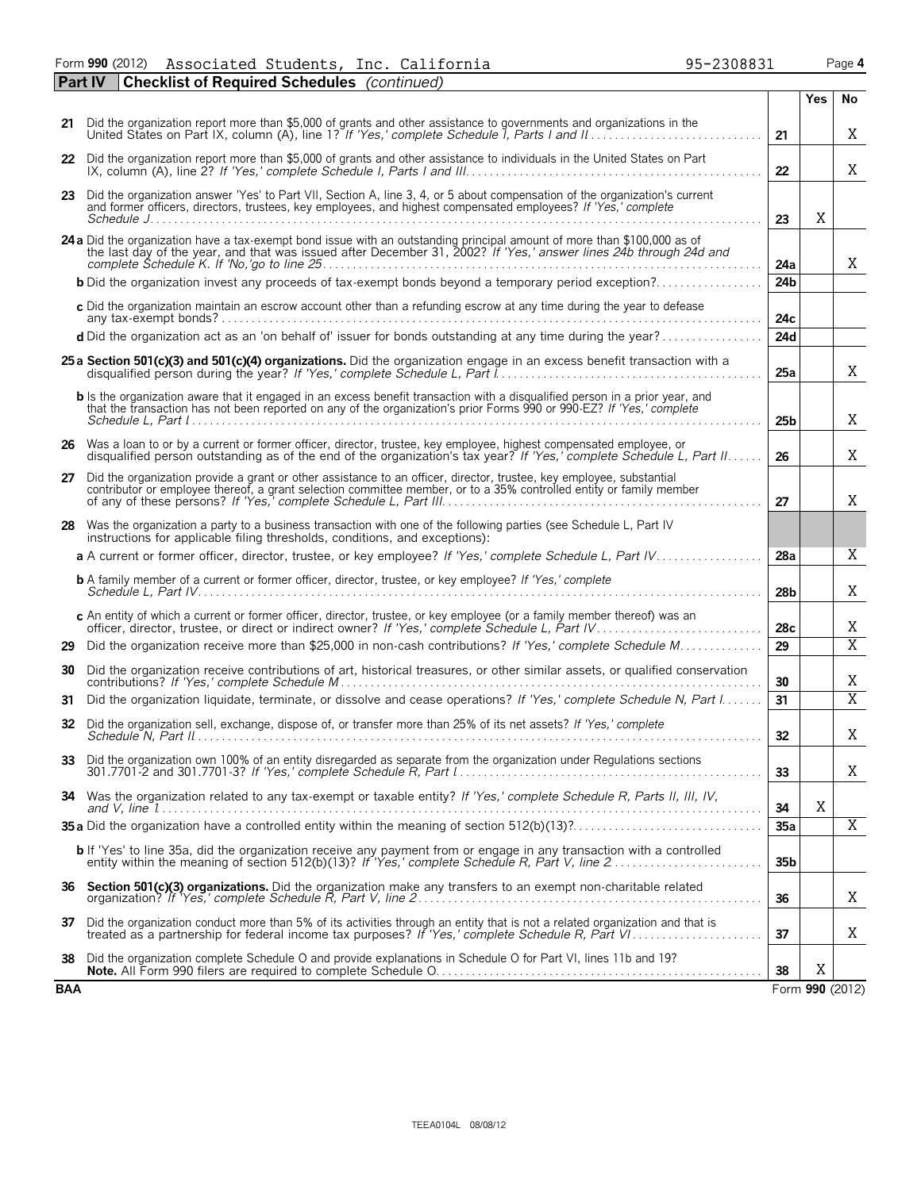Form **990** (2012) Page **4** Associated Students, Inc. California 95-2308831

|     | <b>Part IV</b><br><b>Checklist of Required Schedules</b> (continued)                                                                                                                                                                                  |                 |     |                         |
|-----|-------------------------------------------------------------------------------------------------------------------------------------------------------------------------------------------------------------------------------------------------------|-----------------|-----|-------------------------|
|     |                                                                                                                                                                                                                                                       |                 | Yes | No                      |
|     | 21 Did the organization report more than \$5,000 of grants and other assistance to governments and organizations in the                                                                                                                               | 21              |     | X                       |
|     | 22 Did the organization report more than \$5,000 of grants and other assistance to individuals in the United States on Part                                                                                                                           | 22              |     | Χ                       |
|     | 23 Did the organization answer 'Yes' to Part VII, Section A, line 3, 4, or 5 about compensation of the organization's current<br>and former officers, directors, trustees, key employees, and highest compensated employees? If 'Yes,' complete       | 23              | X   |                         |
|     | 24 a Did the organization have a tax-exempt bond issue with an outstanding principal amount of more than \$100,000 as of the last day of the year, and that was issued after December 31, 2002? If 'Yes,' answer lines 24b thro                       | 24a             |     | X                       |
|     | <b>b</b> Did the organization invest any proceeds of tax-exempt bonds beyond a temporary period exception?                                                                                                                                            | 24 <sub>b</sub> |     |                         |
|     | c Did the organization maintain an escrow account other than a refunding escrow at any time during the year to defease                                                                                                                                | 24c             |     |                         |
|     | d Did the organization act as an 'on behalf of' issuer for bonds outstanding at any time during the year?                                                                                                                                             | 24d             |     |                         |
|     | 25 a Section 501(c)(3) and 501(c)(4) organizations. Did the organization engage in an excess benefit transaction with a                                                                                                                               | 25a             |     | X                       |
|     | b Is the organization aware that it engaged in an excess benefit transaction with a disgualified person in a prior year, and<br>that the transaction has not been reported on any of the organization's prior Forms 990 or 990-EZ? If 'Yes,' complete | 25 <sub>b</sub> |     | X                       |
|     | 26 Was a loan to or by a current or former officer, director, trustee, key employee, highest compensated employee, or<br>disqualified person outstanding as of the end of the organization's tax year? If 'Yes,' complete Schedule L, Part II         | 26              |     | X                       |
|     | 27 Did the organization provide a grant or other assistance to an officer, director, trustee, key employee, substantial contributor or employee thereof, a grant selection committee member, or to a 35% controlled entity or                         | 27              |     | X                       |
|     | 28 Was the organization a party to a business transaction with one of the following parties (see Schedule L, Part IV<br>instructions for applicable filing thresholds, conditions, and exceptions):                                                   |                 |     |                         |
|     | a A current or former officer, director, trustee, or key employee? If 'Yes,' complete Schedule L, Part IV                                                                                                                                             | 28a             |     | X                       |
|     | <b>b</b> A family member of a current or former officer, director, trustee, or key employee? If 'Yes,' complete                                                                                                                                       | 28 <sub>b</sub> |     | Χ                       |
|     | c An entity of which a current or former officer, director, trustee, or key employee (or a family member thereof) was an officer, director, trustee, or direct or indirect owner? If 'Yes,' complete Schedule L, Part IV                              | 28c             |     | Χ                       |
| 29  | Did the organization receive more than \$25,000 in non-cash contributions? If 'Yes,' complete Schedule M                                                                                                                                              | 29              |     | X                       |
| 30  | Did the organization receive contributions of art, historical treasures, or other similar assets, or qualified conservation                                                                                                                           | 30              |     | Χ                       |
| 31  | Did the organization liquidate, terminate, or dissolve and cease operations? If 'Yes,' complete Schedule N, Part I                                                                                                                                    | 31              |     | $\overline{\mathrm{X}}$ |
| 32  | Did the organization sell, exchange, dispose of, or transfer more than 25% of its net assets? If 'Yes,' complete                                                                                                                                      | 32              |     | Χ                       |
|     | 33 Did the organization own 100% of an entity disregarded as separate from the organization under Regulations sections                                                                                                                                | 33              |     | Χ                       |
|     | 34 Was the organization related to any tax-exempt or taxable entity? If 'Yes,' complete Schedule R, Parts II, III, IV,                                                                                                                                | 34              | Χ   |                         |
|     |                                                                                                                                                                                                                                                       | 35a             |     | $\overline{X}$          |
|     | b If 'Yes' to line 35a, did the organization receive any payment from or engage in any transaction with a controlled<br>entity within the meaning of section 512(b)(13)? If 'Yes,' complete Schedule R, Part V, line 2                                | 35 <sub>b</sub> |     |                         |
| 36  | Section 501(c)(3) organizations. Did the organization make any transfers to an exempt non-charitable related                                                                                                                                          | 36              |     | Χ                       |
|     | 37 Did the organization conduct more than 5% of its activities through an entity that is not a related organization and that is treated as a partnership for federal income tax purposes? If 'Yes,' complete Schedule R, Part                         | 37              |     | Χ                       |
| 38  | Did the organization complete Schedule O and provide explanations in Schedule O for Part VI, lines 11b and 19?                                                                                                                                        | 38              | X   |                         |
| BAA |                                                                                                                                                                                                                                                       |                 |     | Form 990 (2012)         |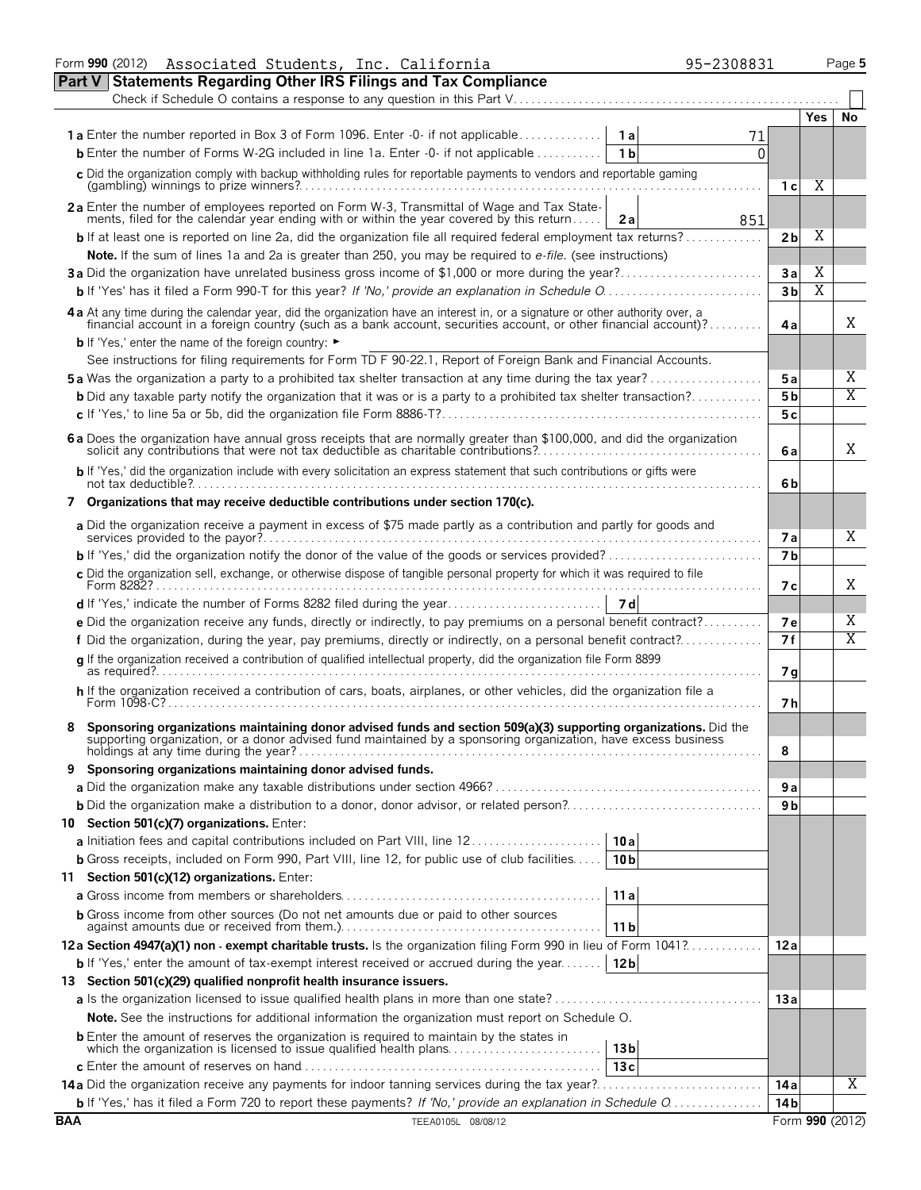|            | Associated Students, Inc. California<br>Form 990 (2012)                                                                                                                                                                                                                  | 95-2308831             |                 |                         | Page 5          |
|------------|--------------------------------------------------------------------------------------------------------------------------------------------------------------------------------------------------------------------------------------------------------------------------|------------------------|-----------------|-------------------------|-----------------|
|            | <b>Part V Statements Regarding Other IRS Filings and Tax Compliance</b>                                                                                                                                                                                                  |                        |                 |                         |                 |
|            |                                                                                                                                                                                                                                                                          |                        |                 |                         |                 |
|            |                                                                                                                                                                                                                                                                          |                        |                 | Yes                     | No              |
|            | <b>1a</b> Enter the number reported in Box 3 of Form 1096. Enter -0- if not applicable                                                                                                                                                                                   | 1a                     |                 |                         |                 |
|            | <b>b</b> Enter the number of Forms W-2G included in line 1a. Enter -0- if not applicable                                                                                                                                                                                 | 1 <sub>b</sub><br>0    |                 |                         |                 |
|            | c Did the organization comply with backup withholding rules for reportable payments to vendors and reportable gaming                                                                                                                                                     |                        |                 |                         |                 |
|            |                                                                                                                                                                                                                                                                          |                        | 1 с             | Χ                       |                 |
|            | 2a Enter the number of employees reported on Form W-3, Transmittal of Wage and Tax State-                                                                                                                                                                                |                        |                 |                         |                 |
|            | ments, filed for the calendar year ending with or within the year covered by this return                                                                                                                                                                                 | 2a<br>851              |                 |                         |                 |
|            | <b>b</b> If at least one is reported on line 2a, did the organization file all required federal employment tax returns?                                                                                                                                                  |                        | 2 <sub>b</sub>  | Χ                       |                 |
|            | Note. If the sum of lines 1a and 2a is greater than 250, you may be required to e-file. (see instructions)                                                                                                                                                               |                        |                 |                         |                 |
|            | 3a Did the organization have unrelated business gross income of \$1,000 or more during the year?                                                                                                                                                                         |                        | 3a              | Χ                       |                 |
|            |                                                                                                                                                                                                                                                                          |                        | 3 <sub>b</sub>  | $\overline{\mathrm{X}}$ |                 |
|            | 4a At any time during the calendar year, did the organization have an interest in, or a signature or other authority over, a                                                                                                                                             |                        |                 |                         |                 |
|            | financial account in a foreign country (such as a bank account, securities account, or other financial account)?                                                                                                                                                         |                        | 4a              |                         | X               |
|            | <b>b</b> If 'Yes,' enter the name of the foreign country: ►                                                                                                                                                                                                              |                        |                 |                         |                 |
|            | See instructions for filing requirements for Form TD F 90-22.1, Report of Foreign Bank and Financial Accounts.                                                                                                                                                           |                        |                 |                         |                 |
|            | <b>5a</b> Was the organization a party to a prohibited tax shelter transaction at any time during the tax year?                                                                                                                                                          |                        | 5a              |                         | Χ               |
|            | <b>b</b> Did any taxable party notify the organization that it was or is a party to a prohibited tax shelter transaction?                                                                                                                                                |                        | 5 <sub>b</sub>  |                         | Χ               |
|            |                                                                                                                                                                                                                                                                          |                        | 5 c             |                         |                 |
|            | 6 a Does the organization have annual gross receipts that are normally greater than \$100,000, and did the organization solicit any contributions that were not tax deductible as charitable contributions?                                                              |                        | 6 a             |                         | X               |
|            | b If 'Yes,' did the organization include with every solicitation an express statement that such contributions or gifts were                                                                                                                                              |                        | 6b              |                         |                 |
|            |                                                                                                                                                                                                                                                                          |                        |                 |                         |                 |
|            | 7 Organizations that may receive deductible contributions under section 170(c).                                                                                                                                                                                          |                        |                 |                         |                 |
|            | a Did the organization receive a payment in excess of \$75 made partly as a contribution and partly for goods and                                                                                                                                                        |                        | 7а              |                         | X               |
|            |                                                                                                                                                                                                                                                                          |                        | 7 <sub>b</sub>  |                         |                 |
|            | c Did the organization sell, exchange, or otherwise dispose of tangible personal property for which it was required to file                                                                                                                                              |                        | 7c              |                         | Χ               |
|            |                                                                                                                                                                                                                                                                          |                        |                 |                         |                 |
|            | e Did the organization receive any funds, directly or indirectly, to pay premiums on a personal benefit contract?                                                                                                                                                        |                        | <b>7e</b>       |                         | Χ               |
|            | f Did the organization, during the year, pay premiums, directly or indirectly, on a personal benefit contract?                                                                                                                                                           |                        | 7 f             |                         | X               |
|            | q If the organization received a contribution of qualified intellectual property, did the organization file Form 8899<br>$\overline{\mathsf{as}\ \mathsf{required}}?$                                                                                                    |                        | 7g              |                         |                 |
|            | h If the organization received a contribution of cars, boats, airplanes, or other vehicles, did the organization file a                                                                                                                                                  |                        | 7 h             |                         |                 |
|            |                                                                                                                                                                                                                                                                          |                        |                 |                         |                 |
|            | Sponsoring organizations maintaining donor advised funds and section 509(a)(3) supporting organizations. Did the supporting organization, or a donor advised fund maintained by a sponsoring organization, have excess busines<br>holdings at any time during the year?. |                        | 8               |                         |                 |
|            | Sponsoring organizations maintaining donor advised funds.                                                                                                                                                                                                                |                        |                 |                         |                 |
|            |                                                                                                                                                                                                                                                                          |                        | 9a              |                         |                 |
|            |                                                                                                                                                                                                                                                                          |                        | 9 <sub>b</sub>  |                         |                 |
|            | 10 Section 501(c)(7) organizations. Enter:                                                                                                                                                                                                                               |                        |                 |                         |                 |
|            | <b>a</b> Initiation fees and capital contributions included on Part VIII, line 12                                                                                                                                                                                        | 10 al                  |                 |                         |                 |
|            | <b>b</b> Gross receipts, included on Form 990, Part VIII, line 12, for public use of club facilities                                                                                                                                                                     | 10 <sub>b</sub>        |                 |                         |                 |
|            | 11 Section 501(c)(12) organizations. Enter:                                                                                                                                                                                                                              |                        |                 |                         |                 |
|            |                                                                                                                                                                                                                                                                          | 11a                    |                 |                         |                 |
|            |                                                                                                                                                                                                                                                                          |                        |                 |                         |                 |
|            | <b>b</b> Gross income from other sources (Do not net amounts due or paid to other sources                                                                                                                                                                                | 11 <sub>b</sub>        |                 |                         |                 |
|            | 12a Section 4947(a)(1) non - exempt charitable trusts. Is the organization filing Form 990 in lieu of Form 1041?                                                                                                                                                         |                        | 12 a            |                         |                 |
|            | <b>b</b> If 'Yes,' enter the amount of tax-exempt interest received or accrued during the year [12b]                                                                                                                                                                     |                        |                 |                         |                 |
|            | 13 Section 501(c)(29) qualified nonprofit health insurance issuers.                                                                                                                                                                                                      |                        |                 |                         |                 |
|            | a Is the organization licensed to issue qualified health plans in more than one state?                                                                                                                                                                                   |                        | 13a             |                         |                 |
|            | <b>Note.</b> See the instructions for additional information the organization must report on Schedule O.                                                                                                                                                                 |                        |                 |                         |                 |
|            | <b>b</b> Enter the amount of reserves the organization is required to maintain by the states in<br>which the organization is licensed to issue qualified health plans                                                                                                    |                        |                 |                         |                 |
|            |                                                                                                                                                                                                                                                                          | 13 <sub>b</sub><br>13c |                 |                         |                 |
|            |                                                                                                                                                                                                                                                                          |                        |                 |                         | Χ               |
|            |                                                                                                                                                                                                                                                                          |                        | 14a             |                         |                 |
|            | b If 'Yes,' has it filed a Form 720 to report these payments? If 'No,' provide an explanation in Schedule O                                                                                                                                                              |                        | 14 <sub>b</sub> |                         |                 |
| <b>BAA</b> | TEEA0105L 08/08/12                                                                                                                                                                                                                                                       |                        |                 |                         | Form 990 (2012) |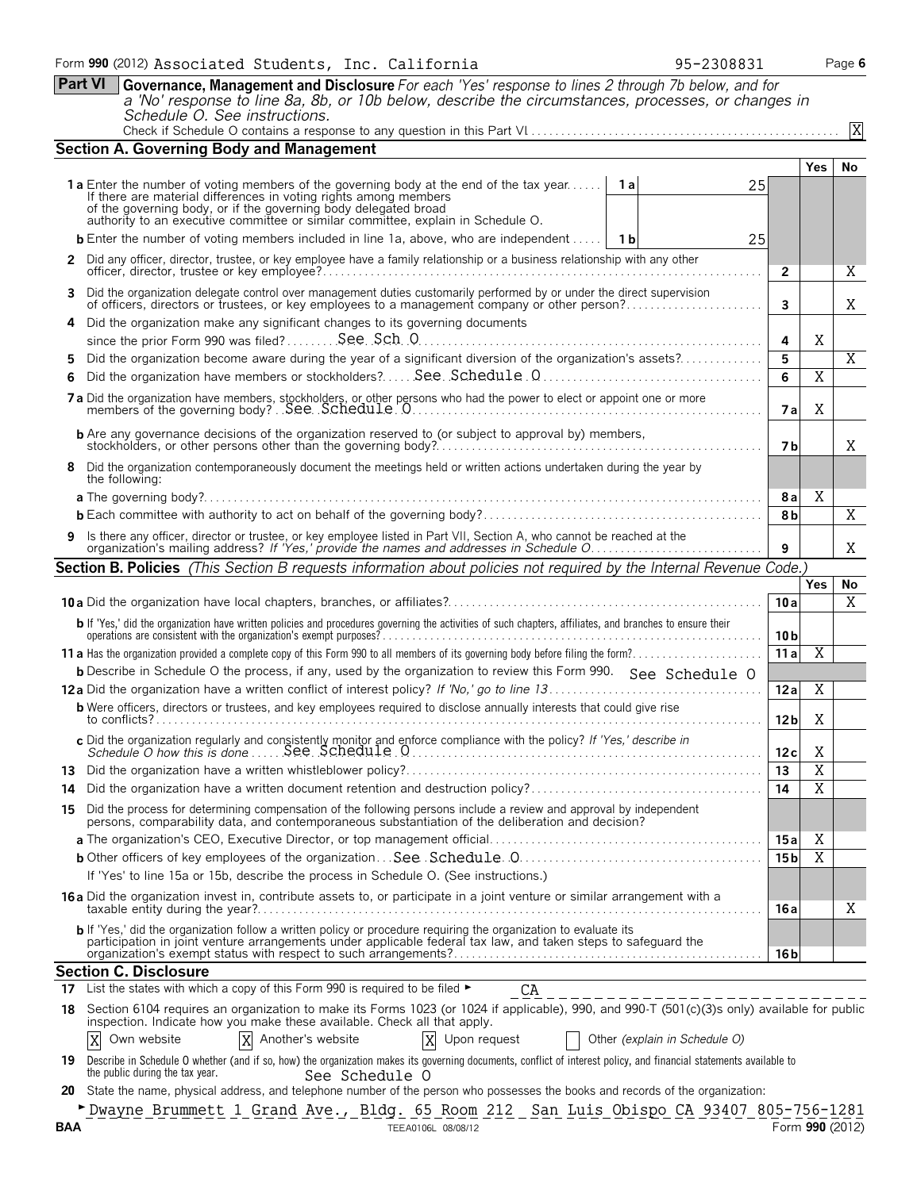|     | <b>Part VI</b><br><b>Governance, Management and Disclosure</b> For each 'Yes' response to lines 2 through 7b below, and for<br>a 'No' response to line 8a, 8b, or 10b below, describe the circumstances, processes, or changes in<br>Schedule O. See instructions.                                                                     |                 |                         | X               |
|-----|----------------------------------------------------------------------------------------------------------------------------------------------------------------------------------------------------------------------------------------------------------------------------------------------------------------------------------------|-----------------|-------------------------|-----------------|
|     | Section A. Governing Body and Management                                                                                                                                                                                                                                                                                               |                 |                         |                 |
|     |                                                                                                                                                                                                                                                                                                                                        |                 | <b>Yes</b>              | No              |
|     | <b>1a</b> Enter the number of voting members of the governing body at the end of the tax year<br>1a I<br>25<br>If there are material differences in voting rights among members<br>of the governing body, or if the governing body delegated broad<br>authority to an executive committee or similar committee, explain in Schedule O. |                 |                         |                 |
|     | <b>b</b> Enter the number of voting members included in line 1a, above, who are independent<br>1 b<br>25                                                                                                                                                                                                                               |                 |                         |                 |
| 2   | Did any officer, director, trustee, or key employee have a family relationship or a business relationship with any other                                                                                                                                                                                                               | $\overline{2}$  |                         | Χ               |
| 3.  | Did the organization delegate control over management duties customarily performed by or under the direct supervision<br>of officers, directors or trustees, or key employees to a management company or other person?                                                                                                                 | 3               |                         | Χ               |
|     | Did the organization make any significant changes to its governing documents                                                                                                                                                                                                                                                           |                 |                         |                 |
| 5   | Did the organization become aware during the year of a significant diversion of the organization's assets?                                                                                                                                                                                                                             | 4<br>5          | Χ                       | Χ               |
|     |                                                                                                                                                                                                                                                                                                                                        | 6               | $\overline{\mathrm{X}}$ |                 |
|     |                                                                                                                                                                                                                                                                                                                                        | 7a              | Χ                       |                 |
|     |                                                                                                                                                                                                                                                                                                                                        | 7 <sub>b</sub>  |                         | Χ               |
|     | Did the organization contemporaneously document the meetings held or written actions undertaken during the year by<br>the following:                                                                                                                                                                                                   |                 |                         |                 |
|     |                                                                                                                                                                                                                                                                                                                                        | 8al             | Χ                       |                 |
|     |                                                                                                                                                                                                                                                                                                                                        | 8 <sub>b</sub>  |                         | X               |
|     | 9 Is there any officer, director or trustee, or key employee listed in Part VII, Section A, who cannot be reached at the organization's mailing address? If 'Yes,' provide the names and addresses in Schedule O                                                                                                                       | 9               |                         | X               |
|     | Section B. Policies (This Section B requests information about policies not required by the Internal Revenue Code.)                                                                                                                                                                                                                    |                 |                         |                 |
|     |                                                                                                                                                                                                                                                                                                                                        |                 | <b>Yes</b>              | No              |
|     |                                                                                                                                                                                                                                                                                                                                        | 10a             |                         | Χ               |
|     | b If 'Yes,' did the organization have written policies and procedures governing the activities of such chapters, affiliates, and branches to ensure their operations are consistent with the organization's exempt purposes?                                                                                                           | 10 <sub>b</sub> |                         |                 |
|     |                                                                                                                                                                                                                                                                                                                                        | 11a             | $\overline{\mathbf{X}}$ |                 |
|     | <b>b</b> Describe in Schedule O the process, if any, used by the organization to review this Form 990. See Schedule O                                                                                                                                                                                                                  |                 |                         |                 |
|     |                                                                                                                                                                                                                                                                                                                                        | 12a             | $\overline{\mathrm{X}}$ |                 |
|     | <b>b</b> Were officers, directors or trustees, and key employees required to disclose annually interests that could give rise                                                                                                                                                                                                          | 12 <sub>b</sub> | Χ                       |                 |
|     |                                                                                                                                                                                                                                                                                                                                        | 12c             | X                       |                 |
| 13  |                                                                                                                                                                                                                                                                                                                                        | 13              | Χ                       |                 |
| 14  |                                                                                                                                                                                                                                                                                                                                        | 14              | $\overline{X}$          |                 |
| 15  | Did the process for determining compensation of the following persons include a review and approval by independent<br>persons, comparability data, and contemporaneous substantiation of the deliberation and decision?                                                                                                                |                 |                         |                 |
|     |                                                                                                                                                                                                                                                                                                                                        | 15 a            | Χ                       |                 |
|     |                                                                                                                                                                                                                                                                                                                                        | 15 <sub>b</sub> | X                       |                 |
|     | If 'Yes' to line 15a or 15b, describe the process in Schedule O. (See instructions.)<br>16a Did the organization invest in, contribute assets to, or participate in a joint venture or similar arrangement with a                                                                                                                      |                 |                         |                 |
|     | b If 'Yes,' did the organization follow a written policy or procedure requiring the organization to evaluate its                                                                                                                                                                                                                       | 16 a            |                         | Χ               |
|     | participation in joint venture arrangements under applicable federal tax law, and taken steps to safeguard the                                                                                                                                                                                                                         | 16 <sub>b</sub> |                         |                 |
| 17  | <b>Section C. Disclosure</b><br>List the states with which a copy of this Form 990 is required to be filed ►<br>СA                                                                                                                                                                                                                     |                 |                         |                 |
| 18  | _____________________<br>Section 6104 requires an organization to make its Forms 1023 (or 1024 if applicable), 990, and 990-T (501(c)(3)s only) available for public<br>inspection. Indicate how you make these available. Check all that apply.                                                                                       |                 |                         |                 |
|     | X Another's website<br>$\mathbf{X}$<br>Own website<br>Upon request<br>Other (explain in Schedule O)<br>X                                                                                                                                                                                                                               |                 |                         |                 |
| 19  | Describe in Schedule O whether (and if so, how) the organization makes its governing documents, conflict of interest policy, and financial statements available to<br>the public during the tax year.<br>See Schedule O                                                                                                                |                 |                         |                 |
| 20  | State the name, physical address, and telephone number of the person who possesses the books and records of the organization:                                                                                                                                                                                                          |                 |                         |                 |
| BAA | Dwayne Brummett 1 Grand Ave., Bldg. 65 Room 212 San Luis Obispo CA 93407 805-756-1281<br>TEEA0106L 08/08/12                                                                                                                                                                                                                            |                 |                         | Form 990 (2012) |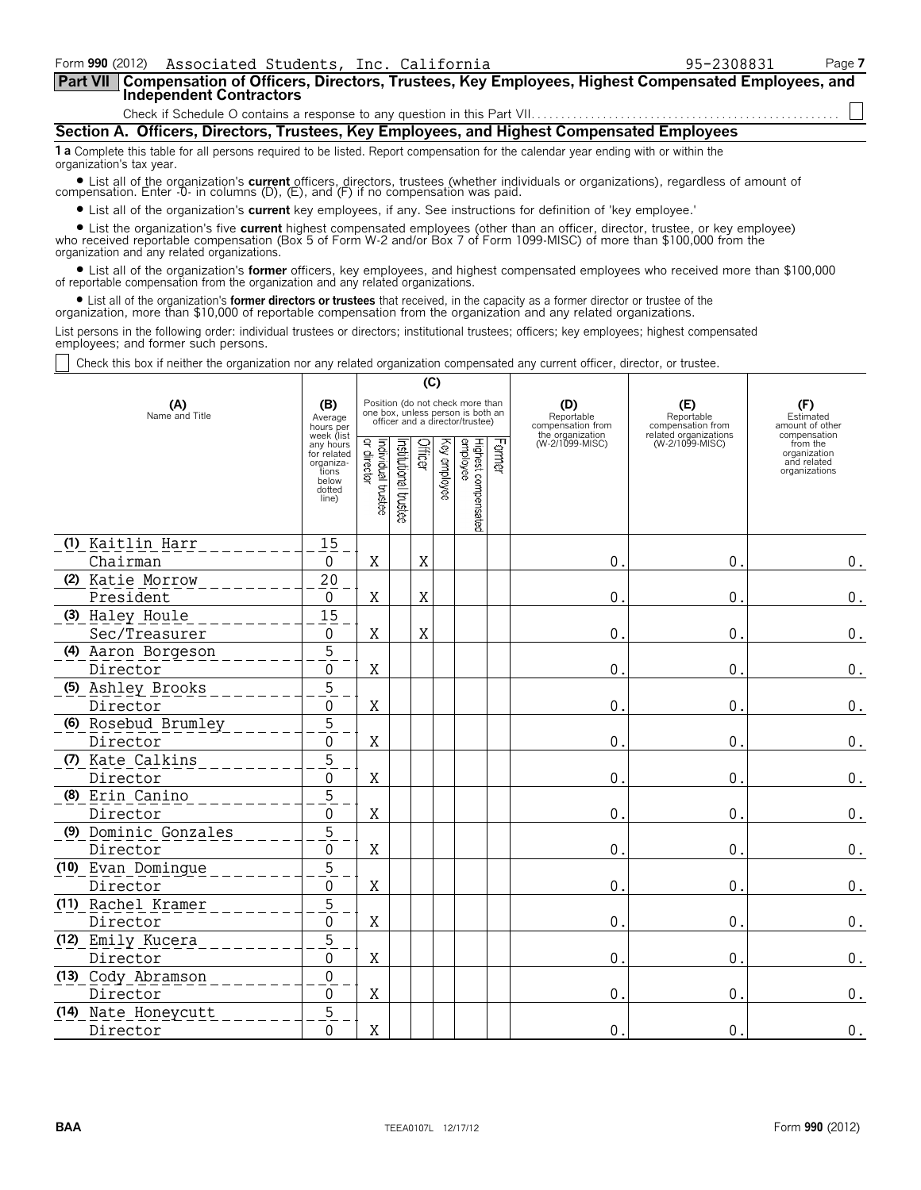| Form 990 (2012) Associated Students, Inc. California<br>Compensation of Officers, Directors, Trustees, Key Employees, Highest Compensated Employees, and<br>  Part VII                                                                                                        |                                                                                                                         |                                    |                                         |                 |                                                                                                                                                                      |                                                                               | 95-2308831                                                                         |                                                                                                                 | Page 7 |  |
|-------------------------------------------------------------------------------------------------------------------------------------------------------------------------------------------------------------------------------------------------------------------------------|-------------------------------------------------------------------------------------------------------------------------|------------------------------------|-----------------------------------------|-----------------|----------------------------------------------------------------------------------------------------------------------------------------------------------------------|-------------------------------------------------------------------------------|------------------------------------------------------------------------------------|-----------------------------------------------------------------------------------------------------------------|--------|--|
| <b>Independent Contractors</b>                                                                                                                                                                                                                                                |                                                                                                                         |                                    |                                         |                 |                                                                                                                                                                      |                                                                               |                                                                                    |                                                                                                                 |        |  |
| Section A. Officers, Directors, Trustees, Key Employees, and Highest Compensated Employees                                                                                                                                                                                    |                                                                                                                         |                                    |                                         |                 |                                                                                                                                                                      |                                                                               |                                                                                    |                                                                                                                 |        |  |
| <b>1 a</b> Complete this table for all persons required to be listed. Report compensation for the calendar year ending with or within the                                                                                                                                     |                                                                                                                         |                                    |                                         |                 |                                                                                                                                                                      |                                                                               |                                                                                    |                                                                                                                 |        |  |
| organization's tax year.                                                                                                                                                                                                                                                      |                                                                                                                         |                                    |                                         |                 |                                                                                                                                                                      |                                                                               |                                                                                    |                                                                                                                 |        |  |
| • List all of the organization's current officers, directors, trustees (whether individuals or organizations), regardless of amount of compensation. Enter -0- in columns (D), (E), and (F) if no compensation was paid.                                                      |                                                                                                                         |                                    |                                         |                 |                                                                                                                                                                      |                                                                               |                                                                                    |                                                                                                                 |        |  |
| • List all of the organization's current key employees, if any. See instructions for definition of 'key employee.'                                                                                                                                                            |                                                                                                                         |                                    |                                         |                 |                                                                                                                                                                      |                                                                               |                                                                                    |                                                                                                                 |        |  |
| • List the organization's five current highest compensated employees (other than an officer, director, trustee, or key employee) who received reportable compensation (Box 5 of Form W-2 and/or Box 7 of Form 1099-MISC) of mo<br>organization and any related organizations. |                                                                                                                         |                                    |                                         |                 |                                                                                                                                                                      |                                                                               |                                                                                    |                                                                                                                 |        |  |
| • List all of the organization's former officers, key employees, and highest compensated employees who received more than \$100,000 of reportable compensation from the organization and any related organizations.                                                           |                                                                                                                         |                                    |                                         |                 |                                                                                                                                                                      |                                                                               |                                                                                    |                                                                                                                 |        |  |
| • List all of the organization's <b>former directors or trustees</b> that received, in the capacity as a former director or trustee of the<br>organization, more than \$10,000 of reportable compensation from the organization and any related organizations.                |                                                                                                                         |                                    |                                         |                 |                                                                                                                                                                      |                                                                               |                                                                                    |                                                                                                                 |        |  |
| List persons in the following order: individual trustees or directors; institutional trustees; officers; key employees; highest compensated<br>employees; and former such persons.                                                                                            |                                                                                                                         |                                    |                                         |                 |                                                                                                                                                                      |                                                                               |                                                                                    |                                                                                                                 |        |  |
| Check this box if neither the organization nor any related organization compensated any current officer, director, or trustee.                                                                                                                                                |                                                                                                                         |                                    |                                         |                 |                                                                                                                                                                      |                                                                               |                                                                                    |                                                                                                                 |        |  |
|                                                                                                                                                                                                                                                                               |                                                                                                                         |                                    |                                         | (C)             |                                                                                                                                                                      |                                                                               |                                                                                    |                                                                                                                 |        |  |
| (A)<br>Name and Title                                                                                                                                                                                                                                                         | (B)<br>Average<br>hours per<br>week (list<br>any hours<br>for related<br>organiza-<br>tions<br>below<br>dotted<br>line) | Individual trustee<br> or director | Institutional trustee<br><b>Officer</b> | ΚΘλ<br>enployee | Position (do not check more than<br>one box, unless person is both an<br>officer and a director/trustee)<br>ᆩ<br>Highest compensated<br>employee<br>June <sup></sup> | (D)<br>Reportable<br>compensation from<br>the organization<br>(W-2/1099-MISC) | (E)<br>Reportable<br>compensation from<br>related organizations<br>(W-2/1099-MISC) | (F)<br>Estimated<br>amount of other<br>compensation<br>from the<br>organization<br>and related<br>organizations |        |  |

|                      | dotted<br>(line | rustee | Itustes |   | ନ୍ତି | npensated |       |    |                    |
|----------------------|-----------------|--------|---------|---|------|-----------|-------|----|--------------------|
| (1) Kaitlin Harr     | 15              |        |         |   |      |           |       |    |                    |
| Chairman             | $\mathbf{0}$    | X      |         | X |      |           | 0.    | 0. | $\boldsymbol{0}$ . |
| (2) Katie Morrow     | 20              |        |         |   |      |           |       |    |                    |
| President            | $\mathbf{0}$    | X      |         | X |      |           | 0.    | 0  | $0$ .              |
| (3) Haley Houle      | $\overline{15}$ |        |         |   |      |           |       |    |                    |
| Sec/Treasurer        | $\mathbf{0}$    | Χ      |         | X |      |           | $0$ . | 0  | $0$ .              |
| (4) Aaron Borgeson   | $\overline{5}$  |        |         |   |      |           |       |    |                    |
| Director             | $\mathbf 0$     | X      |         |   |      |           | $0$ . | 0. | $\boldsymbol{0}$ . |
| (5) Ashley Brooks    | 5               |        |         |   |      |           |       |    |                    |
| Director             | $\Omega$        | Χ      |         |   |      |           | 0.    | 0  | $\boldsymbol{0}$ . |
| (6) Rosebud Brumley  | $\overline{5}$  |        |         |   |      |           |       |    |                    |
| Director             | 0               | X      |         |   |      |           | 0.    | 0  | $0$ .              |
| (7) Kate Calkins     | 5               |        |         |   |      |           |       |    |                    |
| Director             | $\mathbf{0}$    | X      |         |   |      |           | $0$ . | 0. | $\boldsymbol{0}$ . |
| (8) Erin Canino      | 5               |        |         |   |      |           |       |    |                    |
| Director             | $\Omega$        | X      |         |   |      |           | 0.    | 0  | $\boldsymbol{0}$ . |
| (9) Dominic Gonzales | $\overline{5}$  |        |         |   |      |           |       |    |                    |
| Director             | $\mathbf{0}$    | X      |         |   |      |           | 0.    | 0  | $0$ .              |
| (10) Evan Domingue   | 5               |        |         |   |      |           |       |    |                    |
| Director             | $\mathbf{0}$    | X      |         |   |      |           | $0$ . | 0. | $\boldsymbol{0}$ . |
| (11) Rachel Kramer   | $\overline{5}$  |        |         |   |      |           |       |    |                    |
| Director             | $\mathbf 0$     | Χ      |         |   |      |           | 0.    | 0. | $\boldsymbol{0}$ . |
| (12) Emily Kucera    | 5               |        |         |   |      |           |       |    |                    |
| Director             | $\mathbf{0}$    | X      |         |   |      |           | 0.    | 0  | $\boldsymbol{0}$ . |
| (13) Cody Abramson   | $\overline{0}$  |        |         |   |      |           |       |    |                    |
| Director             | $\mathbf{0}$    | Χ      |         |   |      |           | $0$ . | 0  | $0$ .              |
| (14) Nate Honeycutt  | 5               |        |         |   |      |           |       |    |                    |
| Director             | $\mathbf 0$     | Χ      |         |   |      |           | 0.    | 0. | $\boldsymbol{0}$ . |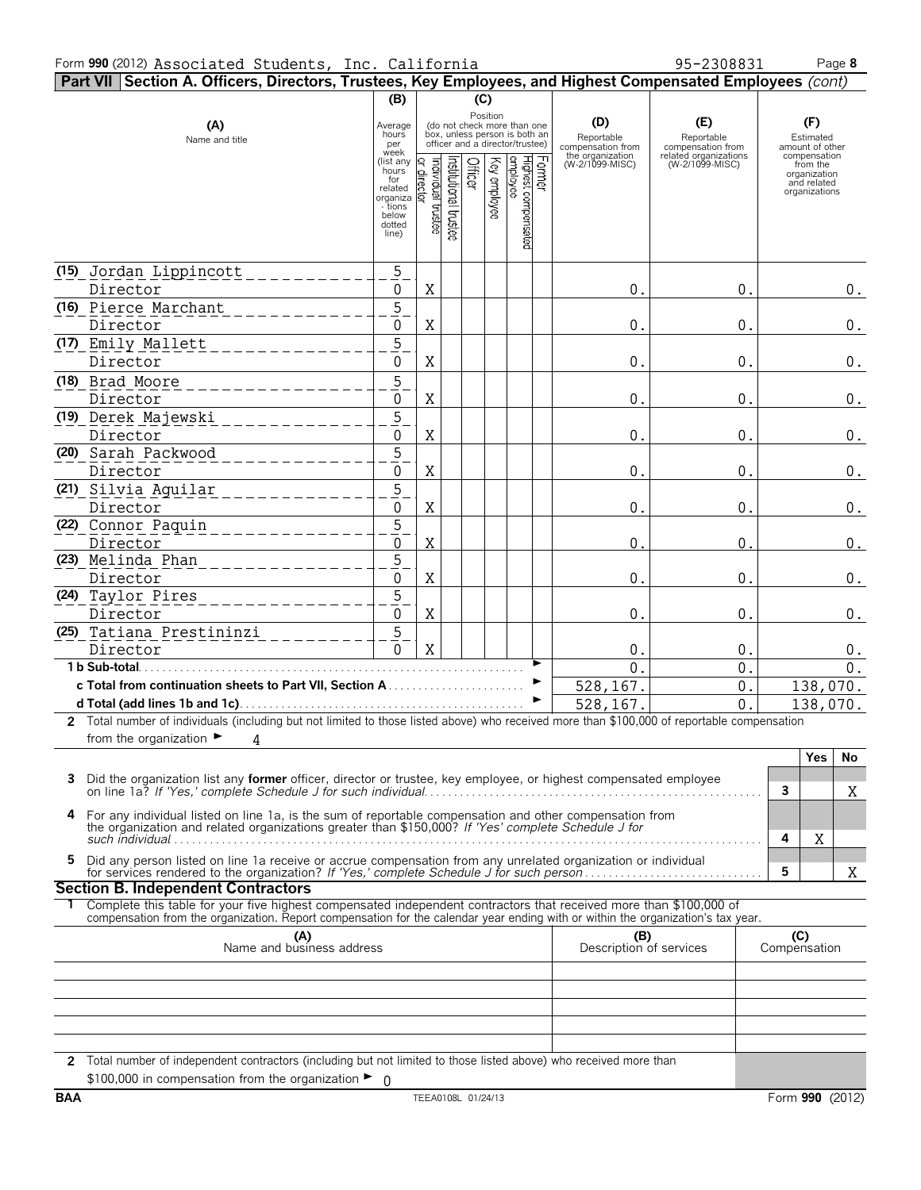| Part VII Section A. Officers, Directors, Trustees, Key Employees, and Highest Compensated Employees (cont)                                  |                                                                                         |                                  |                          |         |              |                                                                                                 |        |                                        |                                          |   |                                                                          |
|---------------------------------------------------------------------------------------------------------------------------------------------|-----------------------------------------------------------------------------------------|----------------------------------|--------------------------|---------|--------------|-------------------------------------------------------------------------------------------------|--------|----------------------------------------|------------------------------------------|---|--------------------------------------------------------------------------|
|                                                                                                                                             | (B)                                                                                     |                                  |                          | (C)     |              |                                                                                                 |        |                                        |                                          |   |                                                                          |
| (A)<br>Name and title                                                                                                                       | Average<br>hours<br>per<br>week                                                         |                                  |                          |         | Position     | (do not check more than one<br>box, unless person is both an<br>officer and a director/trustee) |        | (D)<br>Reportable<br>compensation from | (E)<br>Reportable<br>compensation from   |   | (F)<br>Estimated<br>amount of other                                      |
|                                                                                                                                             | (list any<br>hours<br>for<br>related<br>organiza<br>- tions<br>below<br>dotted<br>line) | ndividual trustee<br>ت<br>rector | Institutional<br>ltustes | Officer | (ey employee | Highest compensated<br>employee                                                                 | Former | the organization<br>(W-2/1099-MISC)    | related organizations<br>(W-2/1099-MISC) |   | compensation<br>from the<br>organization<br>and related<br>organizations |
| (15) Jordan Lippincott<br>Director                                                                                                          | $\overline{5}$<br>$\Omega$                                                              | X                                |                          |         |              |                                                                                                 |        | 0.                                     | 0.                                       |   | $\boldsymbol{0}$ .                                                       |
| (16) Pierce Marchant<br>Director                                                                                                            | 5<br>$\mathbf 0$                                                                        | X                                |                          |         |              |                                                                                                 |        | 0.                                     | 0.                                       |   | 0.                                                                       |
| (17) Emily Mallett<br>Director                                                                                                              | $\overline{5}$<br>$\mathbf 0$                                                           | X                                |                          |         |              |                                                                                                 |        | 0.                                     | 0.                                       |   | 0.                                                                       |
| (18) Brad Moore<br>_____________<br>Director                                                                                                | $\overline{5}$<br>0                                                                     | X                                |                          |         |              |                                                                                                 |        | $\overline{0}$ .                       | $\overline{0}$ .                         |   | $\boldsymbol{0}$ .                                                       |
| (19) Derek Majewski<br>Director                                                                                                             | $\overline{5}$<br>$\mathbf 0$                                                           | X                                |                          |         |              |                                                                                                 |        | 0.                                     | 0.                                       |   | $\boldsymbol{0}$ .                                                       |
| (20) Sarah Packwood<br>Director                                                                                                             | $\overline{5}$<br>0                                                                     | X                                |                          |         |              |                                                                                                 |        | 0.                                     | 0.                                       |   | $\boldsymbol{0}$ .                                                       |
| (21) Silvia Aguilar<br>Director                                                                                                             | $\overline{5}$<br>$\Omega$                                                              | X                                |                          |         |              |                                                                                                 |        | 0.                                     | 0.                                       |   | $\boldsymbol{0}$ .                                                       |
| (22) Connor Paquin<br>_________<br>Director                                                                                                 | $\overline{5}$<br>$\mathbf 0$                                                           | $\rm X$                          |                          |         |              |                                                                                                 |        | 0                                      | 0 <sub>1</sub>                           |   | 0.                                                                       |
| (23) Melinda Phan<br>_____________<br>Director                                                                                              | 5<br>$\mathbf{0}$                                                                       | $\rm X$                          |                          |         |              |                                                                                                 |        | 0.                                     | 0.                                       |   | $0$ .                                                                    |
| (24) Taylor Pires<br>_ _ _ _ _ _ _ _ _ _ _ _ _<br>Director                                                                                  | 5<br>0                                                                                  | X                                |                          |         |              |                                                                                                 |        | $\overline{0}$ .                       | 0.                                       |   | $0$ .                                                                    |
| (25) Tatiana Prestininzi<br>Director                                                                                                        | $\overline{5}$<br>$\Omega$                                                              | X                                |                          |         |              |                                                                                                 |        | 0.                                     | 0.                                       |   | 0.                                                                       |
| 1 b Sub-total.                                                                                                                              |                                                                                         |                                  |                          |         |              |                                                                                                 |        | $\Omega$<br>528,167.                   | $\Omega$ .<br>0.                         |   | 0.<br>138,070.                                                           |
| 2 Total number of individuals (including but not limited to those listed above) who received more than \$100,000 of reportable compensation |                                                                                         |                                  |                          |         |              | $\blacktriangleright$                                                                           |        | 528,167.                               | 0.                                       |   | 138,070.                                                                 |
| from the organization $\blacktriangleright$<br>4                                                                                            |                                                                                         |                                  |                          |         |              |                                                                                                 |        |                                        |                                          |   | <b>Yes</b><br>No                                                         |
| 3 Did the organization list any former officer, director or trustee, key employee, or highest compensated employee                          |                                                                                         |                                  |                          |         |              |                                                                                                 |        |                                        |                                          | 3 | X                                                                        |
|                                                                                                                                             |                                                                                         |                                  |                          |         |              |                                                                                                 |        |                                        |                                          |   |                                                                          |

| 4 For any individual listed on line 1a, is the sum of reportable compensation and other compensation from |  |
|-----------------------------------------------------------------------------------------------------------|--|
| the organization and related organizations greater than \$150,000? If 'Yes' complete Schedule J for       |  |
| such individual                                                                                           |  |

| Did any person listed on line 1a receive or accrue compensation from any unrelated organization or individual |  |
|---------------------------------------------------------------------------------------------------------------|--|
|                                                                                                               |  |

# **Section B. Independent Contractors**

1 Complete this table for your five highest compensated independent contractors that received more than \$100,000 of compensation from the organization. Report compensation for the calendar year ending with or within the or

| (A)<br>Name and business address                                                                                                                                                              | (B)<br>Description of services | C <sub>2</sub><br>Compensation |
|-----------------------------------------------------------------------------------------------------------------------------------------------------------------------------------------------|--------------------------------|--------------------------------|
|                                                                                                                                                                                               |                                |                                |
|                                                                                                                                                                                               |                                |                                |
|                                                                                                                                                                                               |                                |                                |
|                                                                                                                                                                                               |                                |                                |
|                                                                                                                                                                                               |                                |                                |
| 2 Total number of independent contractors (including but not limited to those listed above) who received more than<br>\$100,000 in compensation from the organization $\blacktriangleright$ 0 |                                |                                |

X

X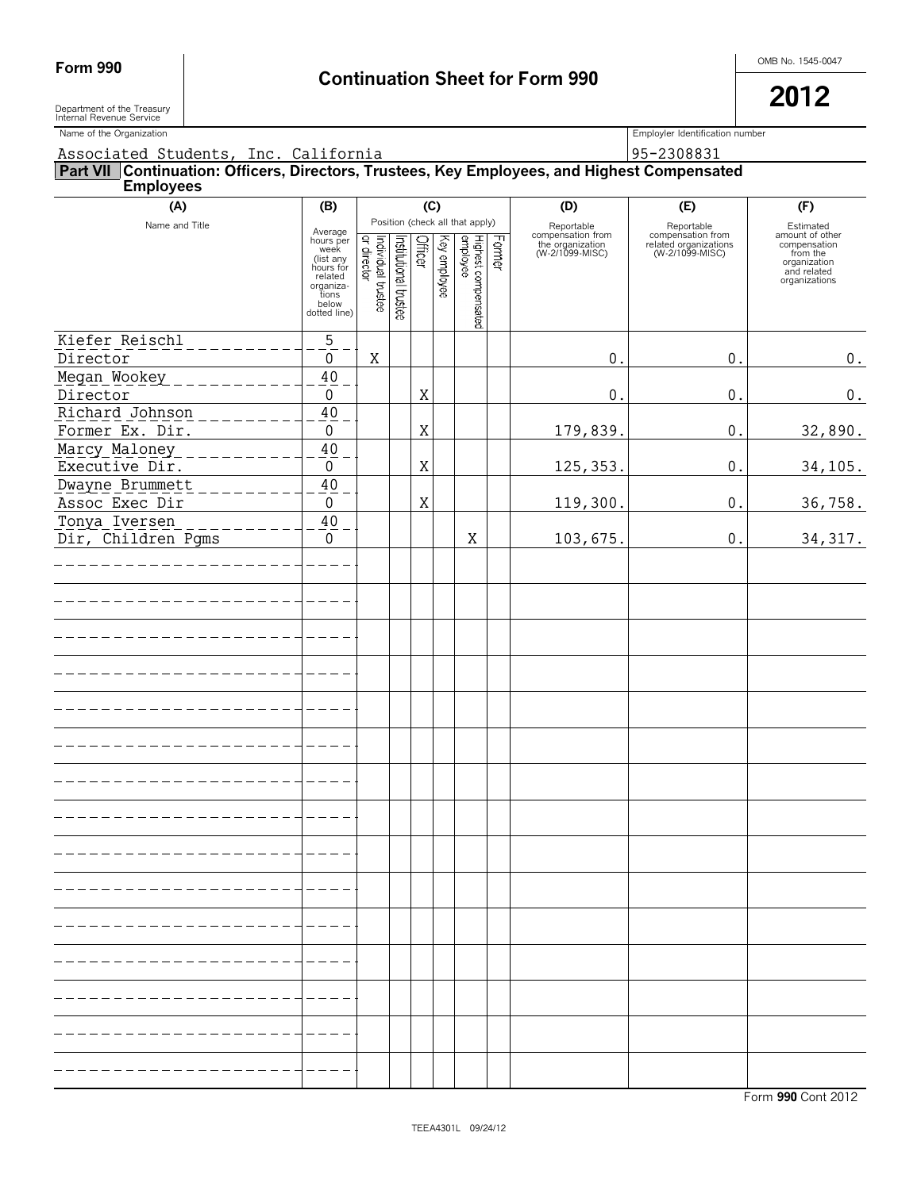Department of the Treasury<br>Internal Revenue Service

Name of the Organization **Employler Identification number** Employler Identification number

Associated Students, Inc. California 195-2308831

### **Part VII Continuation: Officers, Directors, Trustees, Key Employees, and Highest Compensated Employees**

| (A)                                | (B)                                                                                                              |                                    |                       | (C)         |              |                                 |        | (D)                                                                    | (E)                                                                         | (F)                                                                                                      |
|------------------------------------|------------------------------------------------------------------------------------------------------------------|------------------------------------|-----------------------|-------------|--------------|---------------------------------|--------|------------------------------------------------------------------------|-----------------------------------------------------------------------------|----------------------------------------------------------------------------------------------------------|
|                                    |                                                                                                                  |                                    |                       |             |              | Position (check all that apply) |        |                                                                        |                                                                             |                                                                                                          |
| Name and Title                     | Average<br>hours per<br>week<br>(list any<br>hours for<br>related<br>organiza-<br>tions<br>below<br>dotted line) | Individual trustee<br> or director | Institutional trustee | Officer     | Key employee | Highest compensated<br>employee | Former | Reportable<br>compensation from<br>the organization<br>(W-2/1099-MISC) | Reportable<br>compensation from<br>related organizations<br>(W-2/1099-MISC) | Estimated<br>amount of other<br>compensation<br>from the<br>organization<br>and related<br>organizations |
|                                    |                                                                                                                  |                                    |                       |             |              |                                 |        |                                                                        |                                                                             |                                                                                                          |
| Kiefer Reischl<br>Director         | $\overline{5}$<br>$\boldsymbol{0}$                                                                               | X                                  |                       |             |              |                                 |        | 0.                                                                     | $0$ .                                                                       | $0$ .                                                                                                    |
| Megan Wookey                       | 40                                                                                                               |                                    |                       |             |              |                                 |        |                                                                        |                                                                             |                                                                                                          |
| Director                           | $\boldsymbol{0}$                                                                                                 |                                    |                       | $\mathbf X$ |              |                                 |        | $\boldsymbol{0}$ .                                                     | $0$ .                                                                       | $\boldsymbol{0}$ .                                                                                       |
| Richard Johnson<br>Former Ex. Dir. | $40\,$<br>$\boldsymbol{0}$                                                                                       |                                    |                       | $\mathbf X$ |              |                                 |        | 179,839.                                                               | $0$ .                                                                       | 32,890.                                                                                                  |
| Marcy Maloney                      | $40\,$                                                                                                           |                                    |                       |             |              |                                 |        |                                                                        |                                                                             |                                                                                                          |
| Executive Dir.                     | $\boldsymbol{0}$                                                                                                 |                                    |                       | $\mathbf X$ |              |                                 |        | 125, 353.                                                              | $0$ .                                                                       | 34,105.                                                                                                  |
| Dwayne Brummett                    | $40\,$                                                                                                           |                                    |                       |             |              |                                 |        |                                                                        |                                                                             |                                                                                                          |
| Assoc Exec Dir<br>Tonya Iversen    | $\boldsymbol{0}$<br>$40\,$                                                                                       |                                    |                       | $\mathbf X$ |              |                                 |        | 119,300.                                                               | $0$ .                                                                       | 36,758.                                                                                                  |
| Dir, Children Pgms                 | $\mathbf 0$                                                                                                      |                                    |                       |             |              | Χ                               |        | 103,675.                                                               | $0$ .                                                                       | 34, 317.                                                                                                 |
|                                    |                                                                                                                  |                                    |                       |             |              |                                 |        |                                                                        |                                                                             |                                                                                                          |
|                                    |                                                                                                                  |                                    |                       |             |              |                                 |        |                                                                        |                                                                             |                                                                                                          |
|                                    |                                                                                                                  |                                    |                       |             |              |                                 |        |                                                                        |                                                                             |                                                                                                          |
|                                    |                                                                                                                  |                                    |                       |             |              |                                 |        |                                                                        |                                                                             |                                                                                                          |
|                                    |                                                                                                                  |                                    |                       |             |              |                                 |        |                                                                        |                                                                             |                                                                                                          |
|                                    |                                                                                                                  |                                    |                       |             |              |                                 |        |                                                                        |                                                                             |                                                                                                          |
|                                    |                                                                                                                  |                                    |                       |             |              |                                 |        |                                                                        |                                                                             |                                                                                                          |
|                                    |                                                                                                                  |                                    |                       |             |              |                                 |        |                                                                        |                                                                             |                                                                                                          |
|                                    |                                                                                                                  |                                    |                       |             |              |                                 |        |                                                                        |                                                                             |                                                                                                          |
|                                    |                                                                                                                  |                                    |                       |             |              |                                 |        |                                                                        |                                                                             |                                                                                                          |
|                                    |                                                                                                                  |                                    |                       |             |              |                                 |        |                                                                        |                                                                             |                                                                                                          |
|                                    |                                                                                                                  |                                    |                       |             |              |                                 |        |                                                                        |                                                                             |                                                                                                          |
|                                    |                                                                                                                  |                                    |                       |             |              |                                 |        |                                                                        |                                                                             |                                                                                                          |
|                                    |                                                                                                                  |                                    |                       |             |              |                                 |        |                                                                        |                                                                             |                                                                                                          |
|                                    |                                                                                                                  |                                    |                       |             |              |                                 |        |                                                                        |                                                                             |                                                                                                          |
|                                    |                                                                                                                  |                                    |                       |             |              |                                 |        |                                                                        |                                                                             |                                                                                                          |
|                                    |                                                                                                                  |                                    |                       |             |              |                                 |        |                                                                        |                                                                             |                                                                                                          |
|                                    |                                                                                                                  |                                    |                       |             |              |                                 |        |                                                                        |                                                                             |                                                                                                          |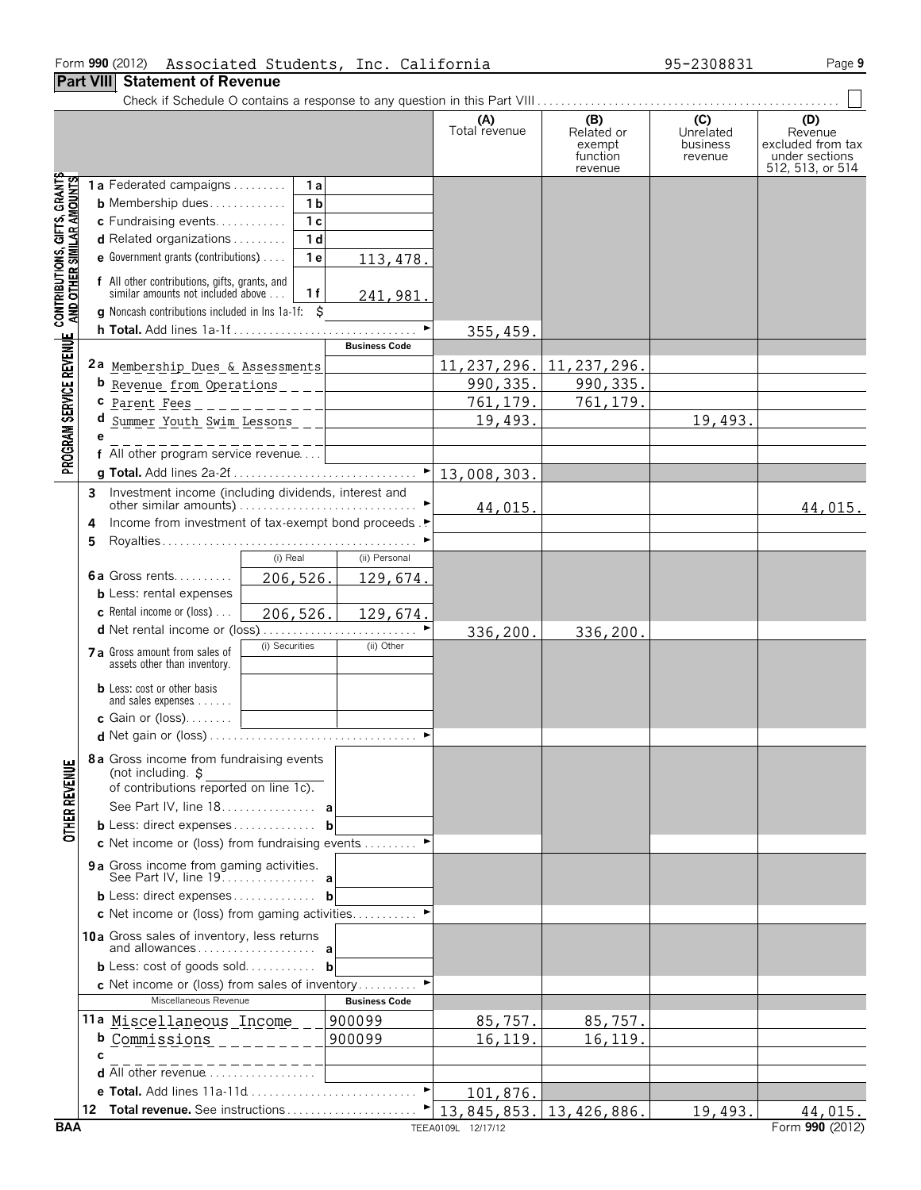## **Part VIII Statement of Revenue**

|                                                                                                           |                                                                                                                                   | (A)<br>Total revenue               | (B)<br>Related or<br>exempt<br>function<br>revenue | (C)<br>Unrelated<br>business<br>revenue | (D)<br>Revenue<br>excluded from tax<br>under sections<br>512, 513, or 514 |
|-----------------------------------------------------------------------------------------------------------|-----------------------------------------------------------------------------------------------------------------------------------|------------------------------------|----------------------------------------------------|-----------------------------------------|---------------------------------------------------------------------------|
|                                                                                                           | 1a Federated campaigns<br>1 a                                                                                                     |                                    |                                                    |                                         |                                                                           |
|                                                                                                           | 1 <sub>b</sub><br><b>b</b> Membership dues                                                                                        |                                    |                                                    |                                         |                                                                           |
|                                                                                                           | 1 <sub>c</sub><br>c Fundraising events                                                                                            |                                    |                                                    |                                         |                                                                           |
|                                                                                                           | <b>d</b> Related organizations $\ldots$<br>1 <sub>d</sub>                                                                         |                                    |                                                    |                                         |                                                                           |
|                                                                                                           | <b>e</b> Government grants (contributions) $\ldots$<br>1e<br>113, 478.                                                            |                                    |                                                    |                                         |                                                                           |
| PROGRAM SERVICE REVENUE CONTRIBUTIONS, GIFTS, GRANTS<br>PROGRAM SERVICE REVENUE AND OTHER SIMILAR AMOUNTS | f All other contributions, gifts, grants, and<br>similar amounts not included above<br>1 f<br>241,981.                            |                                    |                                                    |                                         |                                                                           |
|                                                                                                           | <b>q</b> Noncash contributions included in lns 1a-1f:<br>Ŝ                                                                        |                                    |                                                    |                                         |                                                                           |
|                                                                                                           |                                                                                                                                   | 355, 459.                          |                                                    |                                         |                                                                           |
|                                                                                                           | <b>Business Code</b>                                                                                                              |                                    |                                                    |                                         |                                                                           |
|                                                                                                           | 2a Membership Dues & Assessments                                                                                                  | 11, 237, 296.                      | 11, 237, 296.                                      |                                         |                                                                           |
|                                                                                                           | b Revenue from Operations ____                                                                                                    | 990, 335.                          | 990, 335.                                          |                                         |                                                                           |
|                                                                                                           | c <u>Parent Fees</u> _ _ _ _ _ _ _ _ _ _ _ _ _ _ _                                                                                | 761, 179.                          | 761,179.                                           |                                         |                                                                           |
|                                                                                                           | d Summer Youth Swim Lessons _ _                                                                                                   | 19,493.                            |                                                    | 19,493.                                 |                                                                           |
|                                                                                                           |                                                                                                                                   |                                    |                                                    |                                         |                                                                           |
|                                                                                                           | f All other program service revenue                                                                                               |                                    |                                                    |                                         |                                                                           |
|                                                                                                           |                                                                                                                                   |                                    |                                                    |                                         |                                                                           |
|                                                                                                           | 3                                                                                                                                 | 44,015.                            |                                                    |                                         | 44,015.                                                                   |
|                                                                                                           | Income from investment of tax-exempt bond proceeds. ▶<br>4                                                                        |                                    |                                                    |                                         |                                                                           |
|                                                                                                           | 5                                                                                                                                 |                                    |                                                    |                                         |                                                                           |
|                                                                                                           | (i) Real<br>(ii) Personal                                                                                                         |                                    |                                                    |                                         |                                                                           |
|                                                                                                           | <b>6a</b> Gross rents<br>206, 526.<br>129,674.                                                                                    |                                    |                                                    |                                         |                                                                           |
|                                                                                                           | <b>b</b> Less: rental expenses                                                                                                    |                                    |                                                    |                                         |                                                                           |
|                                                                                                           | <b>c</b> Rental income or (loss) $\ldots$<br>206, 526.<br>129,674.                                                                |                                    |                                                    |                                         |                                                                           |
|                                                                                                           |                                                                                                                                   | 336,200.                           | 336,200.                                           |                                         |                                                                           |
|                                                                                                           | (i) Securities<br>(ii) Other<br>7 a Gross amount from sales of                                                                    |                                    |                                                    |                                         |                                                                           |
|                                                                                                           | assets other than inventory.                                                                                                      |                                    |                                                    |                                         |                                                                           |
|                                                                                                           | <b>b</b> Less: cost or other basis                                                                                                |                                    |                                                    |                                         |                                                                           |
|                                                                                                           | and sales expenses                                                                                                                |                                    |                                                    |                                         |                                                                           |
|                                                                                                           | <b>c</b> Gain or (loss). $\ldots$ .                                                                                               |                                    |                                                    |                                         |                                                                           |
|                                                                                                           |                                                                                                                                   |                                    |                                                    |                                         |                                                                           |
| <b>OTHER REVENU</b>                                                                                       | $\overline{\phantom{a}}$ 8 a Gross income from fundraising events<br>(not including. \$<br>of contributions reported on line 1c). |                                    |                                                    |                                         |                                                                           |
|                                                                                                           | See Part IV, line 18. a                                                                                                           |                                    |                                                    |                                         |                                                                           |
|                                                                                                           | <b>b</b> Less: direct expenses <b>b</b>                                                                                           |                                    |                                                    |                                         |                                                                           |
|                                                                                                           | c Net income or (loss) from fundraising events                                                                                    |                                    |                                                    |                                         |                                                                           |
|                                                                                                           |                                                                                                                                   |                                    |                                                    |                                         |                                                                           |
|                                                                                                           | 9 a Gross income from gaming activities.                                                                                          |                                    |                                                    |                                         |                                                                           |
|                                                                                                           | <b>b</b> Less: direct expenses <b>b</b>                                                                                           |                                    |                                                    |                                         |                                                                           |
|                                                                                                           | c Net income or (loss) from gaming activities                                                                                     |                                    |                                                    |                                         |                                                                           |
|                                                                                                           | 10a Gross sales of inventory, less returns                                                                                        |                                    |                                                    |                                         |                                                                           |
|                                                                                                           | <b>b</b> Less: cost of goods sold <b>b</b>                                                                                        |                                    |                                                    |                                         |                                                                           |
|                                                                                                           | <b>c</b> Net income or (loss) from sales of inventory                                                                             |                                    |                                                    |                                         |                                                                           |
|                                                                                                           | Miscellaneous Revenue<br><b>Business Code</b>                                                                                     |                                    |                                                    |                                         |                                                                           |
|                                                                                                           | 11a Miscellaneous Income<br>900099                                                                                                | 85,757.                            | 85,757.                                            |                                         |                                                                           |
|                                                                                                           | 900099<br><b>b</b> Commissions                                                                                                    | 16,119.                            | 16,119.                                            |                                         |                                                                           |
|                                                                                                           |                                                                                                                                   |                                    |                                                    |                                         |                                                                           |
|                                                                                                           | d All other revenue                                                                                                               |                                    |                                                    |                                         |                                                                           |
|                                                                                                           | e Total. Add lines 11a-11d                                                                                                        | 101,876                            |                                                    |                                         |                                                                           |
|                                                                                                           |                                                                                                                                   | $\mid$ 13, 845, 853. 13, 426, 886. |                                                    | 19,493.                                 | 44,015.                                                                   |
| <b>BAA</b>                                                                                                |                                                                                                                                   | TEEA0109L 12/17/12                 |                                                    |                                         | Form 990 (2012)                                                           |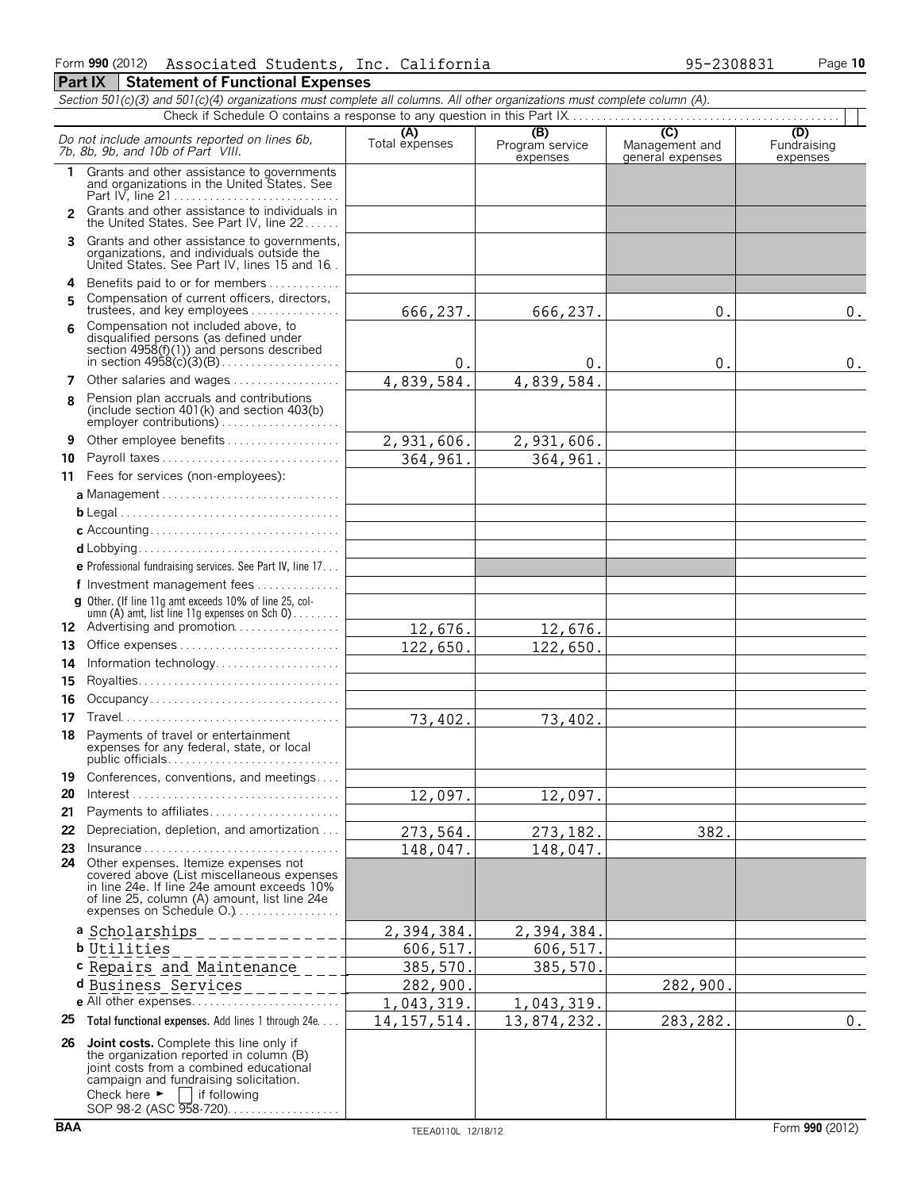|                | Section 501(c)(3) and 501(c)(4) organizations must complete all columns. All other organizations must complete column (A).                                                                                                                  |                       |                                    |                                           |                                |
|----------------|---------------------------------------------------------------------------------------------------------------------------------------------------------------------------------------------------------------------------------------------|-----------------------|------------------------------------|-------------------------------------------|--------------------------------|
|                |                                                                                                                                                                                                                                             |                       |                                    |                                           |                                |
|                | Do not include amounts reported on lines 6b,<br>7b, 8b, 9b, and 10b of Part VIII.                                                                                                                                                           | (A)<br>Total expenses | (B)<br>Program service<br>expenses | (C)<br>Management and<br>general expenses | (D)<br>Fundraising<br>expenses |
| 1.             | Grants and other assistance to governments<br>and organizations in the United States. See                                                                                                                                                   |                       |                                    |                                           |                                |
| $\overline{2}$ | Grants and other assistance to individuals in<br>the United States. See Part IV, line 22                                                                                                                                                    |                       |                                    |                                           |                                |
| 3.             | Grants and other assistance to governments,<br>organizations, and individuals outside the<br>United States. See Part IV, lines 15 and 16.                                                                                                   |                       |                                    |                                           |                                |
| 4<br>5         | Benefits paid to or for members<br>Compensation of current officers, directors,<br>trustees, and key employees                                                                                                                              | 666,237.              | 666,237.                           | 0.                                        | 0.                             |
| 6              | Compensation not included above, to<br>disqualified persons (as defined under<br>section 4958(f)(1)) and persons described                                                                                                                  | 0.                    | 0.                                 | 0.                                        | 0.                             |
| 7              | Other salaries and wages                                                                                                                                                                                                                    | 4,839,584.            | 4,839,584.                         |                                           |                                |
| 8              | Pension plan accruals and contributions<br>(include section 401(k) and section 403(b)<br>employer contributions)                                                                                                                            |                       |                                    |                                           |                                |
| 9              | Other employee benefits                                                                                                                                                                                                                     | 2,931,606.            | 2,931,606.                         |                                           |                                |
| 10             | Payroll taxes                                                                                                                                                                                                                               | 364, 961.             | 364,961.                           |                                           |                                |
|                | 11 Fees for services (non-employees):                                                                                                                                                                                                       |                       |                                    |                                           |                                |
|                | a Management                                                                                                                                                                                                                                |                       |                                    |                                           |                                |
|                |                                                                                                                                                                                                                                             |                       |                                    |                                           |                                |
|                |                                                                                                                                                                                                                                             |                       |                                    |                                           |                                |
|                |                                                                                                                                                                                                                                             |                       |                                    |                                           |                                |
|                | e Professional fundraising services. See Part IV, line 17                                                                                                                                                                                   |                       |                                    |                                           |                                |
|                | f Investment management fees                                                                                                                                                                                                                |                       |                                    |                                           |                                |
|                | g Other. (If line 11g amt exceeds 10% of line 25, col-<br>umn (A) amt, list line 11g expenses on Sch 0)                                                                                                                                     |                       |                                    |                                           |                                |
|                | 12 Advertising and promotion                                                                                                                                                                                                                | 12,676.               | 12,676.                            |                                           |                                |
| 13             | Office expenses                                                                                                                                                                                                                             | 122,650.              | 122,650.                           |                                           |                                |
| 14             | Information technology                                                                                                                                                                                                                      |                       |                                    |                                           |                                |
| 15             | Occupancy                                                                                                                                                                                                                                   |                       |                                    |                                           |                                |
| 16<br>17       |                                                                                                                                                                                                                                             |                       |                                    |                                           |                                |
| 18             | Payments of travel or entertainment                                                                                                                                                                                                         | 73,402.               | 73,402.                            |                                           |                                |
|                | expenses for any federal, state, or local                                                                                                                                                                                                   |                       |                                    |                                           |                                |
| 19             | Conferences, conventions, and meetings                                                                                                                                                                                                      |                       |                                    |                                           |                                |
| 20             | Interest                                                                                                                                                                                                                                    | 12,097.               | 12,097.                            |                                           |                                |
| 21<br>22       | Payments to affiliates<br>Depreciation, depletion, and amortization                                                                                                                                                                         |                       |                                    |                                           |                                |
| 23             | Insurance                                                                                                                                                                                                                                   | 273,564.              | 273, 182.                          | 382.                                      |                                |
|                | 24 Other expenses. Itemize expenses not                                                                                                                                                                                                     | 148,047.              | 148,047.                           |                                           |                                |
|                | covered above (List miscellaneous expenses<br>in line 24e. If line 24e amount exceeds 10%<br>of line 25, column (A) amount, list line 24e<br>expenses on Schedule O.)                                                                       |                       |                                    |                                           |                                |
|                | a Scholarships                                                                                                                                                                                                                              | 2,394,384.            | 2,394,384.                         |                                           |                                |
|                | <b>b</b> Utilities                                                                                                                                                                                                                          | 606,517.              | 606,517.                           |                                           |                                |
|                | c Repairs and Maintenance                                                                                                                                                                                                                   | 385,570               | 385, 570.                          |                                           |                                |
|                | d Business Services                                                                                                                                                                                                                         | 282,900               |                                    | 282,900.                                  |                                |
|                |                                                                                                                                                                                                                                             | 1,043,319.            | 1,043,319.                         |                                           |                                |
| 25             | Total functional expenses. Add lines 1 through 24e.                                                                                                                                                                                         | 14, 157, 514.         | 13,874,232.                        | 283, 282.                                 | $0$ .                          |
| 26             | Joint costs. Complete this line only if<br>the organization reported in column (B)<br>joint costs from a combined educational<br>campaign and fundraising solicitation.<br>Check here $\blacktriangleright$<br>if following<br>$\mathbf{I}$ |                       |                                    |                                           |                                |

SOP 98-2 (ASC 958-720). . . . . . . . . . . . . . . . .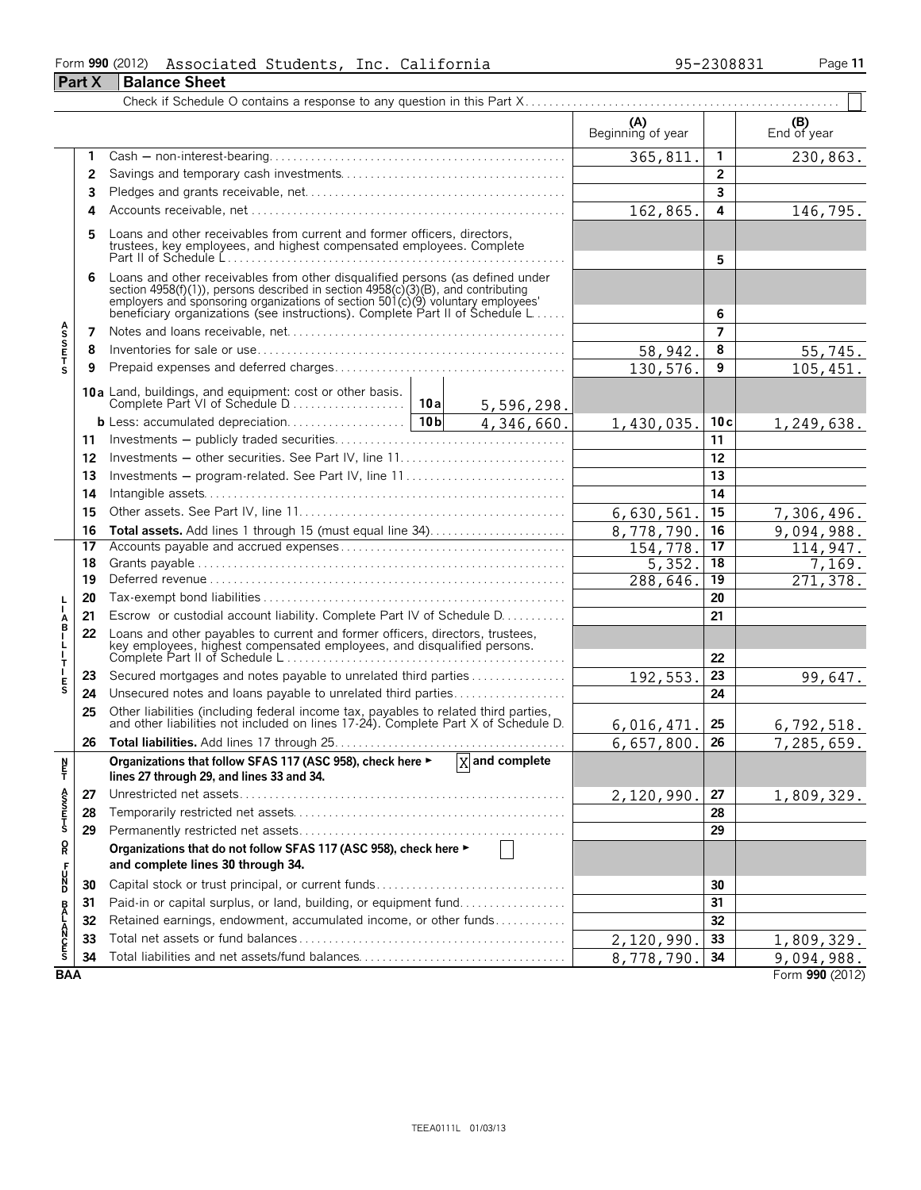#### Form **990** (2012) Page **11** Associated Students, Inc. California 95-2308831

|                            | <b>Part X</b> | <b>Balance Sheet</b>                                                                                                                                                                                                                                                                                                 |                          |                 |                    |
|----------------------------|---------------|----------------------------------------------------------------------------------------------------------------------------------------------------------------------------------------------------------------------------------------------------------------------------------------------------------------------|--------------------------|-----------------|--------------------|
|                            |               |                                                                                                                                                                                                                                                                                                                      |                          |                 |                    |
|                            |               |                                                                                                                                                                                                                                                                                                                      | (A)<br>Beginning of year |                 | (B)<br>End of year |
|                            | 1             |                                                                                                                                                                                                                                                                                                                      | 365,811                  | $\mathbf{1}$    | 230,863.           |
|                            | 2             |                                                                                                                                                                                                                                                                                                                      |                          | $\overline{2}$  |                    |
|                            | 3             |                                                                                                                                                                                                                                                                                                                      |                          | 3               |                    |
|                            | 4             |                                                                                                                                                                                                                                                                                                                      | 162,865.                 | 4               | 146,795.           |
| <b>ASSETS</b>              | 5             | Loans and other receivables from current and former officers, directors,<br>trustees, key employees, and highest compensated employees. Complete                                                                                                                                                                     |                          | 5               |                    |
|                            | 6             | Loans and other receivables from other disqualified persons (as defined under<br>section 4958(f)(1)), persons described in section 4958(c)(3)(B), and contributing<br>employers and sponsoring organizations of section 501(c)(9) voluntary employees'<br>beneficiary organizations (see instructions). Complete Par |                          | 6               |                    |
|                            | 7             |                                                                                                                                                                                                                                                                                                                      |                          | $\overline{7}$  |                    |
|                            | 8             |                                                                                                                                                                                                                                                                                                                      | 58,942.                  | 8               | 55,745.            |
|                            | 9             |                                                                                                                                                                                                                                                                                                                      | 130,576.                 | 9               | 105,451.           |
|                            |               |                                                                                                                                                                                                                                                                                                                      |                          |                 |                    |
|                            |               | 4,346,660.                                                                                                                                                                                                                                                                                                           | 1,430,035.               | 10c             | 1,249,638.         |
|                            | 11            |                                                                                                                                                                                                                                                                                                                      |                          | 11              |                    |
|                            | 12            |                                                                                                                                                                                                                                                                                                                      |                          | 12              |                    |
|                            | 13            | Investments – program-related. See Part IV, line 11                                                                                                                                                                                                                                                                  |                          | 13              |                    |
|                            | 14            |                                                                                                                                                                                                                                                                                                                      |                          | 14              |                    |
|                            | 15            |                                                                                                                                                                                                                                                                                                                      | 6,630,561                | 15              | 7,306,496.         |
|                            | 16            |                                                                                                                                                                                                                                                                                                                      | 8,778,790                | 16              | 9,094,988.         |
|                            | 17            |                                                                                                                                                                                                                                                                                                                      | 154,778                  | 17              | 114,947.           |
|                            | 18            |                                                                                                                                                                                                                                                                                                                      | 5,352.                   | 18              | 7,169.             |
|                            | 19            |                                                                                                                                                                                                                                                                                                                      | 288,646.                 | $\overline{19}$ | 271,378.           |
|                            | 20            |                                                                                                                                                                                                                                                                                                                      |                          | 20              |                    |
| T                          | 21            | Escrow or custodial account liability. Complete Part IV of Schedule D.                                                                                                                                                                                                                                               |                          | 21              |                    |
| A<br>B<br>I<br>L<br>I<br>T | 22            | Loans and other payables to current and former officers, directors, trustees,<br>Expression in the compensated employees, and disqualified persons.<br>Complete Part II of Schedule L                                                                                                                                |                          | 22              |                    |
|                            | 23            | Secured mortgages and notes payable to unrelated third parties                                                                                                                                                                                                                                                       | 192,553                  | 23              | 99,647.            |
| $_{\rm S}^{\rm E}$         | 24            | Unsecured notes and loans payable to unrelated third parties                                                                                                                                                                                                                                                         |                          | 24              |                    |
|                            | 25            | Other liabilities (including federal income tax, payables to related third parties, and other liabilities not included on lines 17-24). Complete Part X of Schedule D.                                                                                                                                               | 6,016,471.               | 25              | 6, 792, 518.       |
|                            | 26            |                                                                                                                                                                                                                                                                                                                      | 6,657,800.               | 26              | 7,285,659.         |
| ŗ                          |               | $\overline{X}$ and complete<br>Organizations that follow SFAS 117 (ASC 958), check here ►<br>lines 27 through 29, and lines 33 and 34.                                                                                                                                                                               |                          |                 |                    |
|                            | 27            |                                                                                                                                                                                                                                                                                                                      | 2,120,990.               | 27              | 1,809,329.         |
| A<br>S<br>S<br>T<br>S      | 28            |                                                                                                                                                                                                                                                                                                                      |                          | 28              |                    |
|                            | 29            |                                                                                                                                                                                                                                                                                                                      |                          | 29              |                    |
| R                          |               | Organizations that do not follow SFAS 117 (ASC 958), check here ►                                                                                                                                                                                                                                                    |                          |                 |                    |
|                            |               | and complete lines 30 through 34.                                                                                                                                                                                                                                                                                    |                          |                 |                    |
| UN<br>D                    | 30            | Capital stock or trust principal, or current funds                                                                                                                                                                                                                                                                   |                          | 30              |                    |
|                            | 31            | Paid-in or capital surplus, or land, building, or equipment fund                                                                                                                                                                                                                                                     |                          | 31              |                    |
|                            | 32            | Retained earnings, endowment, accumulated income, or other funds                                                                                                                                                                                                                                                     |                          | 32              |                    |
| <b>BALANCES</b>            | 33            |                                                                                                                                                                                                                                                                                                                      | 2,120,990                | 33              | 1,809,329.         |
|                            | 34            | Total liabilities and net assets/fund balances                                                                                                                                                                                                                                                                       | 8,778,790                | 34              | 9,094,988.         |
| <b>BAA</b>                 |               |                                                                                                                                                                                                                                                                                                                      |                          |                 | Form 990 (2012)    |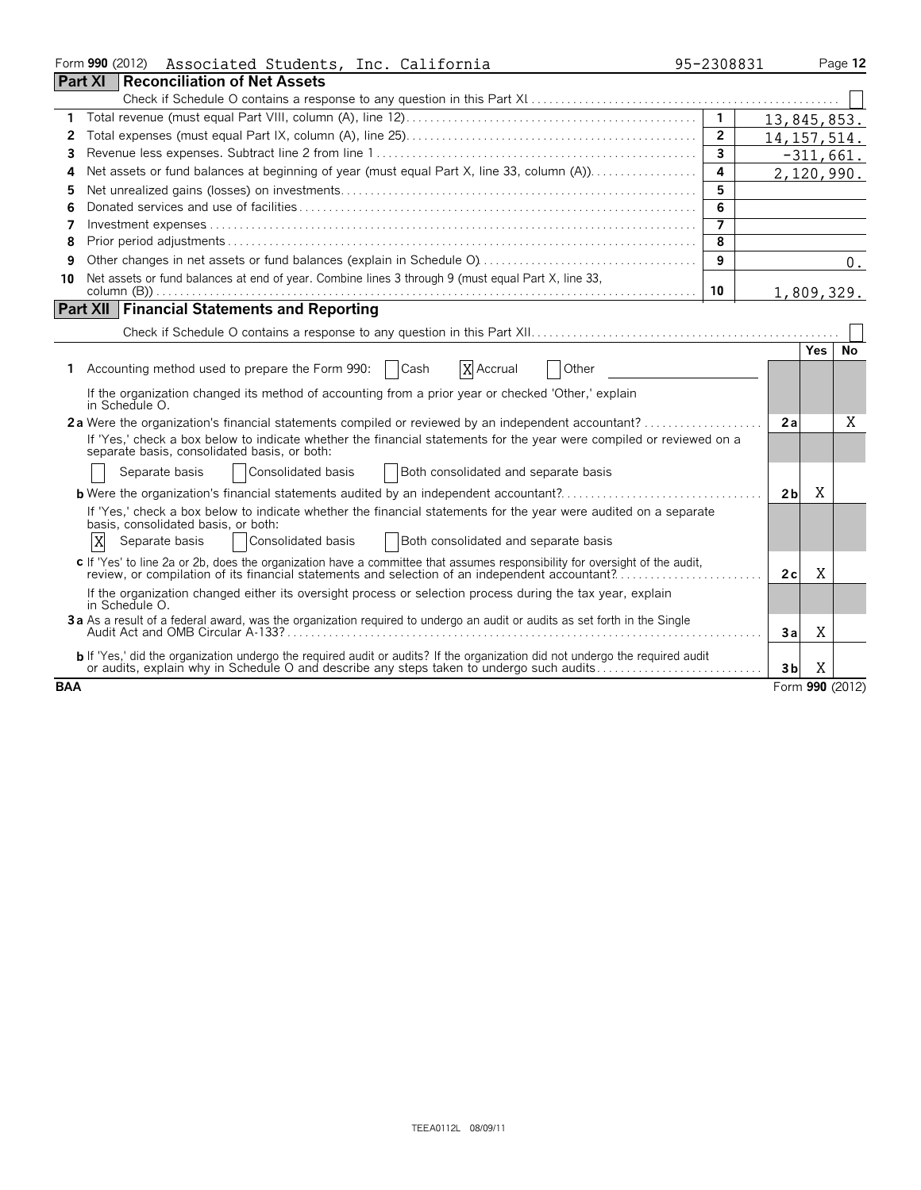| Form 990 (2012) Associated Students, Inc. California                                                                                                                                                                             | 95-2308831              |                     | Page 12     |
|----------------------------------------------------------------------------------------------------------------------------------------------------------------------------------------------------------------------------------|-------------------------|---------------------|-------------|
| <b>Part XI</b><br><b>Reconciliation of Net Assets</b>                                                                                                                                                                            |                         |                     |             |
|                                                                                                                                                                                                                                  |                         |                     |             |
| 1.                                                                                                                                                                                                                               |                         | 13,845,853.         |             |
| 2                                                                                                                                                                                                                                | $\overline{2}$          | 14, 157, 514.       |             |
| 3                                                                                                                                                                                                                                | $\overline{\mathbf{3}}$ |                     | $-311,661.$ |
| Net assets or fund balances at beginning of year (must equal Part X, line 33, column (A))<br>4                                                                                                                                   | 4                       | 2,120,990.          |             |
| 5                                                                                                                                                                                                                                | 5                       |                     |             |
| 6                                                                                                                                                                                                                                | 6                       |                     |             |
| 7                                                                                                                                                                                                                                | 7                       |                     |             |
| 8                                                                                                                                                                                                                                | 8                       |                     |             |
| 9                                                                                                                                                                                                                                | 9                       |                     | 0.          |
| Net assets or fund balances at end of year. Combine lines 3 through 9 (must equal Part X, line 33,<br>10                                                                                                                         |                         |                     |             |
|                                                                                                                                                                                                                                  | 10                      | 1,809,329.          |             |
| <b>Part XII Financial Statements and Reporting</b>                                                                                                                                                                               |                         |                     |             |
|                                                                                                                                                                                                                                  |                         |                     |             |
|                                                                                                                                                                                                                                  |                         | <b>Yes</b>          | No          |
| Accounting method used to prepare the Form 990:<br>Cash<br>X Accrual<br>Other<br>1.                                                                                                                                              |                         |                     |             |
| If the organization changed its method of accounting from a prior year or checked 'Other,' explain<br>in Schedule O.                                                                                                             |                         |                     |             |
| 2a Were the organization's financial statements compiled or reviewed by an independent accountant?                                                                                                                               |                         | 2a                  | Χ           |
| If 'Yes,' check a box below to indicate whether the financial statements for the year were compiled or reviewed on a<br>separate basis, consolidated basis, or both:                                                             |                         |                     |             |
| Consolidated basis<br>Both consolidated and separate basis<br>Separate basis                                                                                                                                                     |                         |                     |             |
|                                                                                                                                                                                                                                  |                         | Χ<br>2 <sub>b</sub> |             |
| If 'Yes,' check a box below to indicate whether the financial statements for the year were audited on a separate<br>basis, consolidated basis, or both:                                                                          |                         |                     |             |
| X<br>Both consolidated and separate basis<br>Consolidated basis<br>Separate basis                                                                                                                                                |                         |                     |             |
| c If 'Yes' to line 2a or 2b, does the organization have a committee that assumes responsibility for oversight of the audit,<br>review, or compilation of its financial statements and selection of an independent accountant?    |                         | X<br>2c             |             |
| If the organization changed either its oversight process or selection process during the tax year, explain<br>in Schedule O.                                                                                                     |                         |                     |             |
| 3a As a result of a federal award, was the organization required to undergo an audit or audits as set forth in the Single                                                                                                        |                         | Χ<br>Зa             |             |
| <b>b</b> If 'Yes,' did the organization undergo the required audit or audits? If the organization did not undergo the required audit<br>or audits, explain why in Schedule O and describe any steps taken to undergo such audits |                         | Χ<br>3b             |             |
| <b>BAA</b>                                                                                                                                                                                                                       |                         | Form 990 (2012)     |             |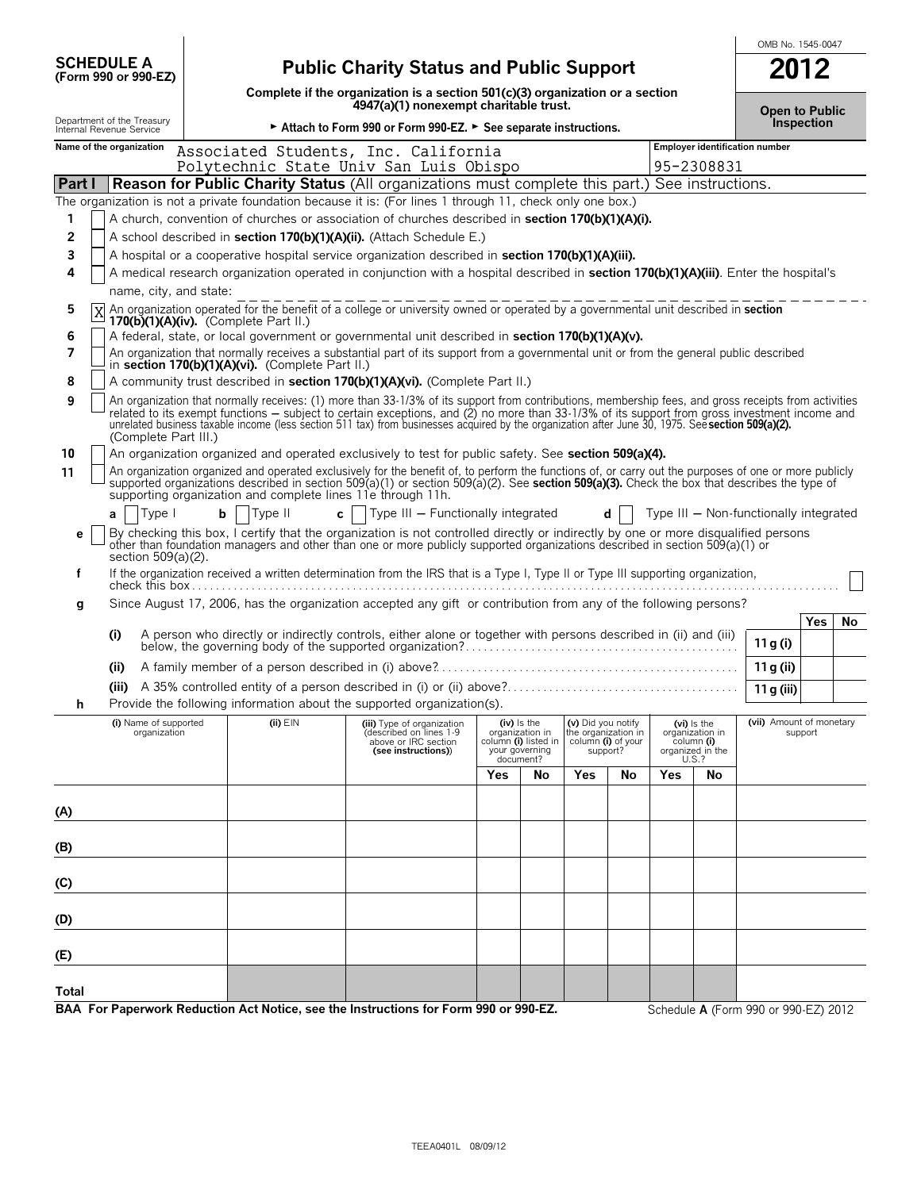|                                                        |                                                                                                                                                                                                                                                                                                                                                                                                                                                            |                                                                                                                         |                             |                                  |                                                                 |    |     |                                                | OMB No. 1545-0047                      |                |
|--------------------------------------------------------|------------------------------------------------------------------------------------------------------------------------------------------------------------------------------------------------------------------------------------------------------------------------------------------------------------------------------------------------------------------------------------------------------------------------------------------------------------|-------------------------------------------------------------------------------------------------------------------------|-----------------------------|----------------------------------|-----------------------------------------------------------------|----|-----|------------------------------------------------|----------------------------------------|----------------|
| <b>SCHEDULE A</b><br>(Form 990 or 990-EZ)              |                                                                                                                                                                                                                                                                                                                                                                                                                                                            | <b>Public Charity Status and Public Support</b>                                                                         |                             |                                  |                                                                 |    |     |                                                |                                        |                |
|                                                        |                                                                                                                                                                                                                                                                                                                                                                                                                                                            | Complete if the organization is a section 501(c)(3) organization or a section<br>4947(a)(1) nonexempt charitable trust. |                             |                                  |                                                                 |    |     |                                                |                                        | Open to Public |
| Department of the Treasury<br>Internal Revenue Service |                                                                                                                                                                                                                                                                                                                                                                                                                                                            | Attach to Form 990 or Form 990-EZ. > See separate instructions.                                                         |                             |                                  |                                                                 |    |     |                                                | Inspection                             |                |
| Name of the organization                               | Associated Students, Inc. California<br>Polytechnic State Univ San Luis Obispo                                                                                                                                                                                                                                                                                                                                                                             |                                                                                                                         |                             |                                  |                                                                 |    |     | 95-2308831                                     | <b>Employer identification number</b>  |                |
| <b>Part I</b>                                          | <b>Reason for Public Charity Status</b> (All organizations must complete this part.)                                                                                                                                                                                                                                                                                                                                                                       |                                                                                                                         |                             |                                  |                                                                 |    |     | See instructions.                              |                                        |                |
|                                                        | The organization is not a private foundation because it is: (For lines 1 through 11, check only one box.)                                                                                                                                                                                                                                                                                                                                                  |                                                                                                                         |                             |                                  |                                                                 |    |     |                                                |                                        |                |
| 1                                                      | A church, convention of churches or association of churches described in section 170(b)(1)(A)(i).                                                                                                                                                                                                                                                                                                                                                          |                                                                                                                         |                             |                                  |                                                                 |    |     |                                                |                                        |                |
| 2                                                      | A school described in section 170(b)(1)(A)(ii). (Attach Schedule E.)                                                                                                                                                                                                                                                                                                                                                                                       |                                                                                                                         |                             |                                  |                                                                 |    |     |                                                |                                        |                |
| 3                                                      | A hospital or a cooperative hospital service organization described in section 170(b)(1)(A)(iii).                                                                                                                                                                                                                                                                                                                                                          |                                                                                                                         |                             |                                  |                                                                 |    |     |                                                |                                        |                |
| 4                                                      | A medical research organization operated in conjunction with a hospital described in section 170(b)(1)(A)(iii). Enter the hospital's                                                                                                                                                                                                                                                                                                                       |                                                                                                                         |                             |                                  |                                                                 |    |     |                                                |                                        |                |
| name, city, and state:                                 |                                                                                                                                                                                                                                                                                                                                                                                                                                                            |                                                                                                                         |                             |                                  |                                                                 |    |     |                                                |                                        |                |
| 5                                                      | An organization operated for the benefit of a college or university owned or operated by a governmental unit described in section<br>$170(b)(1)(A)(iv)$ . (Complete Part II.)                                                                                                                                                                                                                                                                              |                                                                                                                         |                             |                                  |                                                                 |    |     |                                                |                                        |                |
| 6                                                      | A federal, state, or local government or governmental unit described in section 170(b)(1)(A)(v).                                                                                                                                                                                                                                                                                                                                                           |                                                                                                                         |                             |                                  |                                                                 |    |     |                                                |                                        |                |
| 7                                                      | An organization that normally receives a substantial part of its support from a governmental unit or from the general public described                                                                                                                                                                                                                                                                                                                     |                                                                                                                         |                             |                                  |                                                                 |    |     |                                                |                                        |                |
|                                                        | in section 170(b)(1)(A)(vi). (Complete Part II.)                                                                                                                                                                                                                                                                                                                                                                                                           |                                                                                                                         |                             |                                  |                                                                 |    |     |                                                |                                        |                |
| 8                                                      | A community trust described in section 170(b)(1)(A)(vi). (Complete Part II.)                                                                                                                                                                                                                                                                                                                                                                               |                                                                                                                         |                             |                                  |                                                                 |    |     |                                                |                                        |                |
| 9<br>(Complete Part III.)                              | An organization that normally receives: (1) more than 33-1/3% of its support from contributions, membership fees, and gross receipts from activities<br>related to its exempt functions – subject to certain exceptions, and (2) no more than 33-1/3% of its support from gross investment income and<br>unrelated business taxable income (less section 511 tax) from businesses acquired by the organization after June 30, 1975. See section 509(a)(2). |                                                                                                                         |                             |                                  |                                                                 |    |     |                                                |                                        |                |
| 10                                                     | An organization organized and operated exclusively to test for public safety. See section 509(a)(4).                                                                                                                                                                                                                                                                                                                                                       |                                                                                                                         |                             |                                  |                                                                 |    |     |                                                |                                        |                |
| 11                                                     | An organization organized and operated exclusively for the benefit of, to perform the functions of, or carry out the purposes of one or more publicly<br>supported organizations described in section 509(a)(1) or section 509(a)(2). See section 509(a)(3). Check the box that describes the type of<br>supporting organization and complete lines 11e through 11h.                                                                                       |                                                                                                                         |                             |                                  |                                                                 |    |     |                                                |                                        |                |
| Type I<br>a                                            | Type II<br>b                                                                                                                                                                                                                                                                                                                                                                                                                                               | $\mathsf{c}$     Type III – Functionally integrated                                                                     |                             |                                  |                                                                 | d  |     |                                                | Type III - Non-functionally integrated |                |
| е<br>section 509(a)(2).                                | By checking this box, I certify that the organization is not controlled directly or indirectly by one or more disqualified persons<br>other than foundation managers and other than one or more publicly supported organizations described in section 509(a)(1) or                                                                                                                                                                                         |                                                                                                                         |                             |                                  |                                                                 |    |     |                                                |                                        |                |
| f                                                      | If the organization received a written determination from the IRS that is a Type I, Type II or Type III supporting organization,                                                                                                                                                                                                                                                                                                                           |                                                                                                                         |                             |                                  |                                                                 |    |     |                                                |                                        |                |
| g                                                      | Since August 17, 2006, has the organization accepted any gift or contribution from any of the following persons?                                                                                                                                                                                                                                                                                                                                           |                                                                                                                         |                             |                                  |                                                                 |    |     |                                                |                                        |                |
|                                                        |                                                                                                                                                                                                                                                                                                                                                                                                                                                            |                                                                                                                         |                             |                                  |                                                                 |    |     |                                                | <b>Yes</b>                             | No.            |
| (i)                                                    | A person who directly or indirectly controls, either alone or together with persons described in (ii) and (iii)                                                                                                                                                                                                                                                                                                                                            |                                                                                                                         |                             |                                  |                                                                 |    |     |                                                | 11 g (i)                               |                |
| (ii)                                                   |                                                                                                                                                                                                                                                                                                                                                                                                                                                            |                                                                                                                         |                             |                                  |                                                                 |    |     |                                                | 11 g (ii)                              |                |
| (iii)                                                  |                                                                                                                                                                                                                                                                                                                                                                                                                                                            |                                                                                                                         |                             |                                  |                                                                 |    |     |                                                | 11 g (iii)                             |                |
|                                                        | Provide the following information about the supported organization(s).                                                                                                                                                                                                                                                                                                                                                                                     |                                                                                                                         |                             |                                  |                                                                 |    |     |                                                |                                        |                |
| (i) Name of supported<br>organization                  | $(ii)$ $EIN$                                                                                                                                                                                                                                                                                                                                                                                                                                               | (iii) Type of organization<br>described on lines 1-9<br>above or IRC section                                            | column (i) listed in        | $(iv)$ is the<br>organization in | (v) Did you notify<br>the organization in<br>column (i) of your |    |     | $(vi)$ is the<br>organization in<br>column (i) | (vii) Amount of monetary<br>support    |                |
|                                                        |                                                                                                                                                                                                                                                                                                                                                                                                                                                            | (see instructions))                                                                                                     | your governing<br>document? |                                  | support?                                                        |    |     | organized in the<br>U.S.?                      |                                        |                |
|                                                        |                                                                                                                                                                                                                                                                                                                                                                                                                                                            |                                                                                                                         | Yes                         | No                               | Yes                                                             | No | Yes | No                                             |                                        |                |
|                                                        |                                                                                                                                                                                                                                                                                                                                                                                                                                                            |                                                                                                                         |                             |                                  |                                                                 |    |     |                                                |                                        |                |
| (A)                                                    |                                                                                                                                                                                                                                                                                                                                                                                                                                                            |                                                                                                                         |                             |                                  |                                                                 |    |     |                                                |                                        |                |
| (B)                                                    |                                                                                                                                                                                                                                                                                                                                                                                                                                                            |                                                                                                                         |                             |                                  |                                                                 |    |     |                                                |                                        |                |
| (C)                                                    |                                                                                                                                                                                                                                                                                                                                                                                                                                                            |                                                                                                                         |                             |                                  |                                                                 |    |     |                                                |                                        |                |
|                                                        |                                                                                                                                                                                                                                                                                                                                                                                                                                                            |                                                                                                                         |                             |                                  |                                                                 |    |     |                                                |                                        |                |
| (D)                                                    |                                                                                                                                                                                                                                                                                                                                                                                                                                                            |                                                                                                                         |                             |                                  |                                                                 |    |     |                                                |                                        |                |
| (E)                                                    |                                                                                                                                                                                                                                                                                                                                                                                                                                                            |                                                                                                                         |                             |                                  |                                                                 |    |     |                                                |                                        |                |
| Total                                                  |                                                                                                                                                                                                                                                                                                                                                                                                                                                            |                                                                                                                         |                             |                                  |                                                                 |    |     |                                                |                                        |                |
|                                                        | BAA For Paperwork Reduction Act Notice, see the Instructions for Form 990 or 990-EZ.                                                                                                                                                                                                                                                                                                                                                                       |                                                                                                                         |                             |                                  |                                                                 |    |     |                                                | Schedule A (Form 990 or 990-EZ) 2012   |                |

TEEA0401L 08/09/12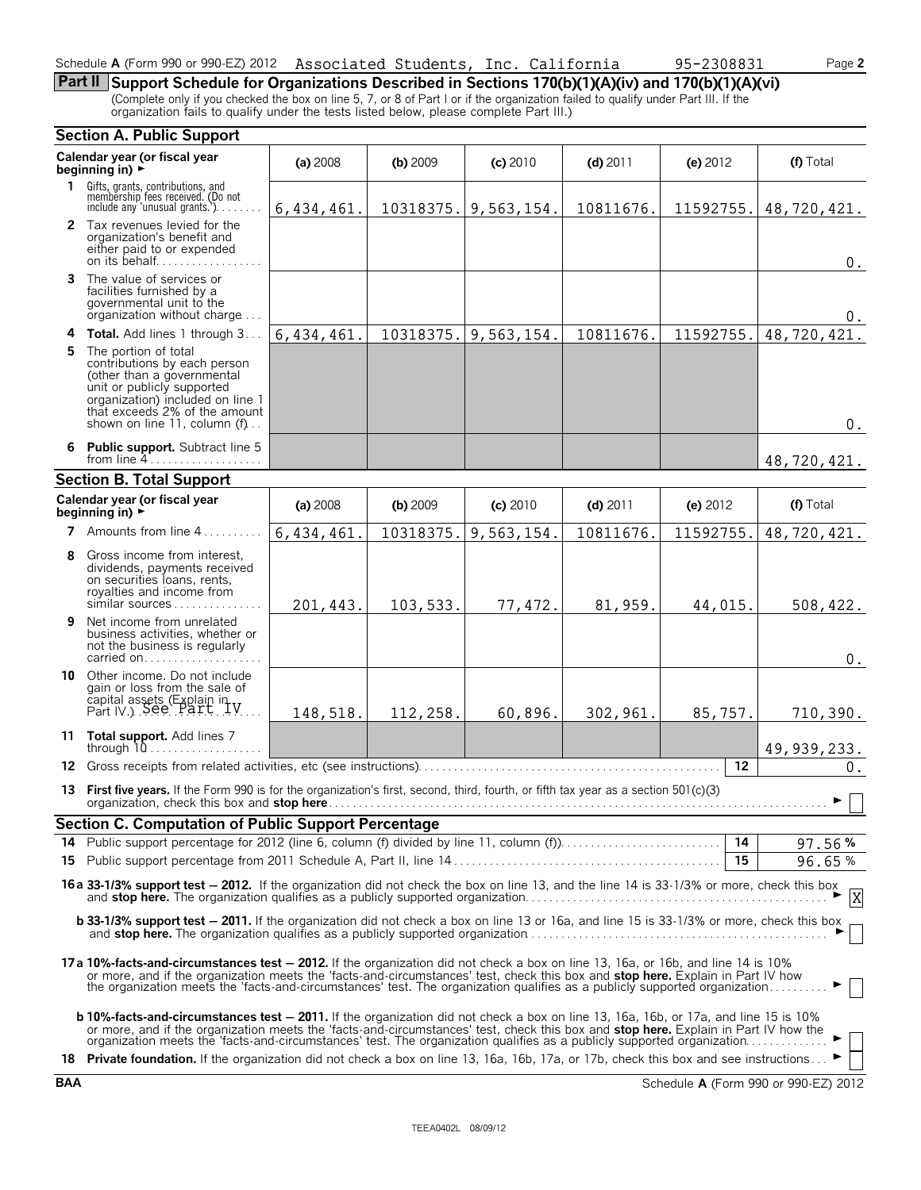### Schedule **A** (Form 990 or 990-EZ) 2012 Associated Students, Inc. California 95-2308831 Page 2

**Part II Support Schedule for Organizations Described in Sections 170(b)(1)(A)(iv) and 170(b)(1)(A)(vi)** (Complete only if you checked the box on line 5, 7, or 8 of Part I or if the organization failed to qualify under Part III. If the organization fails to qualify under the tests listed below, please complete Part III.)

|    | <b>Section A. Public Support</b>                                                                                                                                                                                                                                                                                                                                                  |              |            |            |            |                 |                                               |  |  |
|----|-----------------------------------------------------------------------------------------------------------------------------------------------------------------------------------------------------------------------------------------------------------------------------------------------------------------------------------------------------------------------------------|--------------|------------|------------|------------|-----------------|-----------------------------------------------|--|--|
|    | Calendar year (or fiscal year<br>beginning in) $\rightarrow$                                                                                                                                                                                                                                                                                                                      | (a) 2008     | $(b)$ 2009 | $(c)$ 2010 | $(d)$ 2011 | (e) 2012        | (f) Total                                     |  |  |
| 1. | Gifts, grants, contributions, and<br>membership fees received. (Do not<br>include any 'unusual grants.').                                                                                                                                                                                                                                                                         | 6, 434, 461. | 10318375.  | 9,563,154. | 10811676.  | 11592755.       | 48,720,421.                                   |  |  |
|    | 2 Tax revenues levied for the<br>organization's benefit and<br>either paid to or expended<br>on its behalf                                                                                                                                                                                                                                                                        |              |            |            |            |                 | $0$ .                                         |  |  |
|    | <b>3</b> The value of services or<br>facilities furnished by a<br>governmental unit to the<br>organization without charge                                                                                                                                                                                                                                                         |              |            |            |            |                 | 0.                                            |  |  |
|    | 4 Total. Add lines 1 through 3                                                                                                                                                                                                                                                                                                                                                    | 6,434,461.   | 10318375.  | 9,563,154. | 10811676.  | 11592755.       | 48,720,421.                                   |  |  |
|    | 5 The portion of total<br>contributions by each person<br>(other than a governmental<br>unit or publicly supported<br>organization) included on line 1<br>that exceeds 2% of the amount<br>shown on line 11, column (f)                                                                                                                                                           |              |            |            |            |                 | $0$ .                                         |  |  |
|    | 6 Public support. Subtract line 5<br>from line $4$                                                                                                                                                                                                                                                                                                                                |              |            |            |            |                 | 48,720,421.                                   |  |  |
|    | <b>Section B. Total Support</b>                                                                                                                                                                                                                                                                                                                                                   |              |            |            |            |                 |                                               |  |  |
|    | Calendar year (or fiscal year<br>beginning in) $\rightarrow$                                                                                                                                                                                                                                                                                                                      | (a) 2008     | $(b)$ 2009 | $(c)$ 2010 | $(d)$ 2011 | (e) $2012$      | (f) Total                                     |  |  |
|    | 7 Amounts from line $4, \ldots, \ldots$                                                                                                                                                                                                                                                                                                                                           | 6, 434, 461. | 10318375.  | 9,563,154. | 10811676.  | 11592755.       | 48,720,421.                                   |  |  |
| 8  | Gross income from interest,<br>dividends, payments received<br>on securities loans, rents,<br>royalties and income from<br>similar sources                                                                                                                                                                                                                                        | 201,443.     | 103,533.   | 77,472.    | 81,959.    | 44,015.         | 508, 422.                                     |  |  |
| 9  | Net income from unrelated<br>business activities, whether or<br>not the business is regularly<br>carried on                                                                                                                                                                                                                                                                       |              |            |            |            |                 | $0$ .                                         |  |  |
|    | 10 Other income. Do not include<br>gain or loss from the sale of<br>capital assets (Explain in V.) See Part V.                                                                                                                                                                                                                                                                    | 148,518.     | 112,258.   | 60,896.    | 302,961.   | 85,757.         | 710,390.                                      |  |  |
|    | 11 Total support. Add lines 7<br>through $10, \ldots, \ldots, \ldots$                                                                                                                                                                                                                                                                                                             |              |            |            |            |                 | 49, 939, 233.                                 |  |  |
| 12 |                                                                                                                                                                                                                                                                                                                                                                                   |              |            |            |            | 12              | $0$ .                                         |  |  |
|    | 13 First five years. If the Form 990 is for the organization's first, second, third, fourth, or fifth tax year as a section 501(c)(3)<br>organization, check this box and stop here.                                                                                                                                                                                              |              |            |            |            |                 | $\blacktriangleright$ $\parallel$ $\parallel$ |  |  |
|    | <b>Section C. Computation of Public Support Percentage</b>                                                                                                                                                                                                                                                                                                                        |              |            |            |            |                 |                                               |  |  |
|    | 14 Public support percentage for 2012 (line 6, column (f) divided by line 11, column (f)).                                                                                                                                                                                                                                                                                        |              |            |            |            | $\overline{14}$ | 97.56%                                        |  |  |
|    |                                                                                                                                                                                                                                                                                                                                                                                   |              |            |            |            | 15              | 96.65%                                        |  |  |
|    | 16 a 33-1/3% support test - 2012. If the organization did not check the box on line 13, and the line 14 is 33-1/3% or more, check this box                                                                                                                                                                                                                                        |              |            |            |            |                 |                                               |  |  |
|    | <b>b 33-1/3% support test - 2011.</b> If the organization did not check a box on line 13 or 16a, and line 15 is 33-1/3% or more, check this box                                                                                                                                                                                                                                   |              |            |            |            |                 |                                               |  |  |
|    | 17a 10%-facts-and-circumstances test - 2012. If the organization did not check a box on line 13, 16a, or 16b, and line 14 is 10%<br>or more, and if the organization meets the 'facts-and-circumstances' test, check this box and stop here. Explain in Part IV how<br>the organization meets the 'facts-and-circumstances' test. The organization qualifies as a pub             |              |            |            |            |                 |                                               |  |  |
|    | <b>b 10%-facts-and-circumstances test - 2011.</b> If the organization did not check a box on line 13, 16a, 16b, or 17a, and line 15 is 10%<br>or more, and if the organization meets the 'facts-and-circumstances' test, check this box and <b>stop here.</b> Explain in Part IV how the organization meets the 'facts-and-circumstances' test. The organization qualifies as a p |              |            |            |            |                 |                                               |  |  |
|    | 18 Private foundation. If the organization did not check a box on line 13, 16a, 16b, 17a, or 17b, check this box and see instructions                                                                                                                                                                                                                                             |              |            |            |            |                 |                                               |  |  |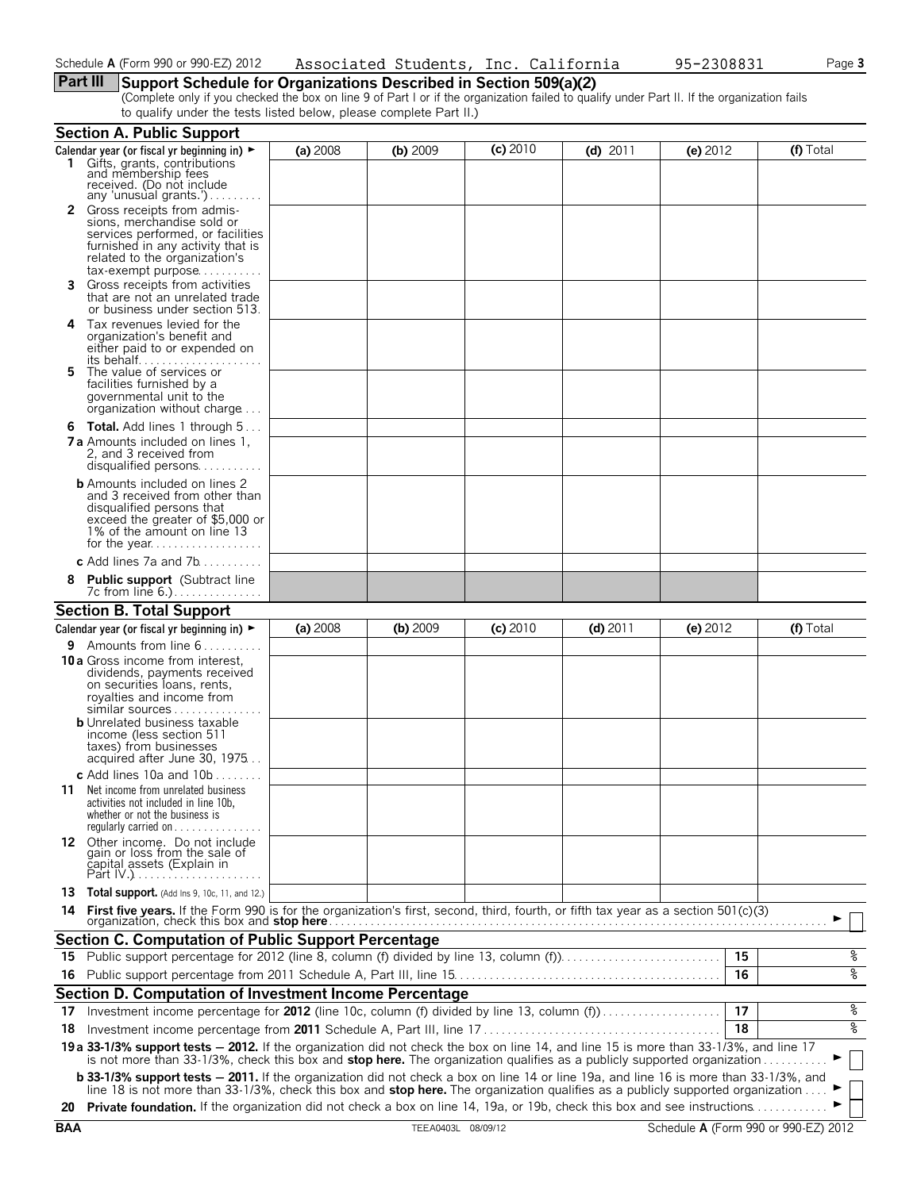# **Part III Support Schedule for Organizations Described in Section 509(a)(2)**

(Complete only if you checked the box on line 9 of Part I or if the organization failed to qualify under Part II. If the organization fails to qualify under the tests listed below, please complete Part II.)

|         | <b>Section A. Public Support</b>                                                                                                                                                                                                                                                                                                                                                                                      |          |          |            |            |          |           |
|---------|-----------------------------------------------------------------------------------------------------------------------------------------------------------------------------------------------------------------------------------------------------------------------------------------------------------------------------------------------------------------------------------------------------------------------|----------|----------|------------|------------|----------|-----------|
|         | Calendar year (or fiscal yr beginning in) ►                                                                                                                                                                                                                                                                                                                                                                           | (a) 2008 | (b) 2009 | $(c)$ 2010 | $(d)$ 2011 | (e) 2012 | (f) Total |
|         | 1 Gifts, grants, contributions<br>and membership fees<br>received. (Do not include<br>any 'unusual grants.')                                                                                                                                                                                                                                                                                                          |          |          |            |            |          |           |
|         | <b>2</b> Gross receipts from admis-<br>sions, merchandise sold or<br>services performed, or facilities<br>furnished in any activity that is<br>related to the organization's<br>tax-exempt purpose                                                                                                                                                                                                                    |          |          |            |            |          |           |
| 3.      | Gross receipts from activities<br>that are not an unrelated trade<br>or business under section 513.                                                                                                                                                                                                                                                                                                                   |          |          |            |            |          |           |
| 4<br>5. | Tax revenues levied for the<br>organization's benefit and<br>either paid to or expended on<br>The value of services or                                                                                                                                                                                                                                                                                                |          |          |            |            |          |           |
|         | facilities furnished by a<br>governmental unit to the<br>organization without charge                                                                                                                                                                                                                                                                                                                                  |          |          |            |            |          |           |
|         | <b>6 Total.</b> Add lines 1 through $5$                                                                                                                                                                                                                                                                                                                                                                               |          |          |            |            |          |           |
|         | <b>7 a</b> Amounts included on lines 1.<br>2. and 3 received from<br>disqualified persons                                                                                                                                                                                                                                                                                                                             |          |          |            |            |          |           |
|         | <b>b</b> Amounts included on lines 2<br>and 3 received from other than<br>disqualified persons that<br>exceed the greater of \$5,000 or<br>1% of the amount on line 13                                                                                                                                                                                                                                                |          |          |            |            |          |           |
|         | <b>c</b> Add lines 7a and 7b                                                                                                                                                                                                                                                                                                                                                                                          |          |          |            |            |          |           |
| 8       | <b>Public support</b> (Subtract line<br>7c from line 6.)                                                                                                                                                                                                                                                                                                                                                              |          |          |            |            |          |           |
|         | <b>Section B. Total Support</b>                                                                                                                                                                                                                                                                                                                                                                                       |          |          |            |            |          |           |
|         | Calendar year (or fiscal yr beginning in) $\blacktriangleright$                                                                                                                                                                                                                                                                                                                                                       | (a) 2008 | (b) 2009 | $(c)$ 2010 | $(d)$ 2011 | (e) 2012 | (f) Total |
|         | <b>9</b> Amounts from line $6$<br>10 a Gross income from interest,<br>dividends, payments received<br>on securities loans, rents,<br>royalties and income from<br>similar sources<br><b>b</b> Unrelated business taxable<br>income (less section 511<br>taxes) from businesses<br>acquired after June 30, 1975                                                                                                        |          |          |            |            |          |           |
|         | <b>c</b> Add lines 10a and $10b$                                                                                                                                                                                                                                                                                                                                                                                      |          |          |            |            |          |           |
|         | <b>11</b> Net income from unrelated business<br>activities not included in line 10b,<br>whether or not the business is<br>requiarly carried on $\dots\dots\dots\dots\dots$                                                                                                                                                                                                                                            |          |          |            |            |          |           |
|         | 12 Other income. Do not include<br>gain or loss from the sale of<br>čapital assets (Explain in                                                                                                                                                                                                                                                                                                                        |          |          |            |            |          |           |
|         | 13 Total support. (Add Ins 9, 10c, 11, and 12.)                                                                                                                                                                                                                                                                                                                                                                       |          |          |            |            |          |           |
|         |                                                                                                                                                                                                                                                                                                                                                                                                                       |          |          |            |            |          |           |
|         | Section C. Computation of Public Support Percentage                                                                                                                                                                                                                                                                                                                                                                   |          |          |            |            |          |           |
|         | 15 Public support percentage for 2012 (line 8, column (f) divided by line 13, column (f)                                                                                                                                                                                                                                                                                                                              |          |          |            |            | 15       | %         |
|         |                                                                                                                                                                                                                                                                                                                                                                                                                       |          |          |            |            | 16       | နွ        |
|         | Section D. Computation of Investment Income Percentage                                                                                                                                                                                                                                                                                                                                                                |          |          |            |            |          |           |
| 17      | Investment income percentage for 2012 (line 10c, column (f) divided by line 13, column (f)                                                                                                                                                                                                                                                                                                                            |          |          |            |            | 17       | %         |
|         |                                                                                                                                                                                                                                                                                                                                                                                                                       |          |          |            |            | 18       | နွ        |
|         | 19 a 33-1/3% support tests - 2012. If the organization did not check the box on line 14, and line 15 is more than 33-1/3%, and line 17 is not more than 33-1/3%, check this box and stop here. The organization qualifies as a                                                                                                                                                                                        |          |          |            |            |          |           |
|         | <b>b 33-1/3% support tests - 2011.</b> If the organization did not check a box on line 14 or line 19a, and line 16 is more than 33-1/3%, and<br>line 18 is not more than 33-1/3%, check this box and <b>stop here.</b> The organization qualifies as a publicly supported organization<br>20 Private foundation. If the organization did not check a box on line 14, 19a, or 19b, check this box and see instructions |          |          |            |            |          |           |
|         |                                                                                                                                                                                                                                                                                                                                                                                                                       |          |          |            |            |          |           |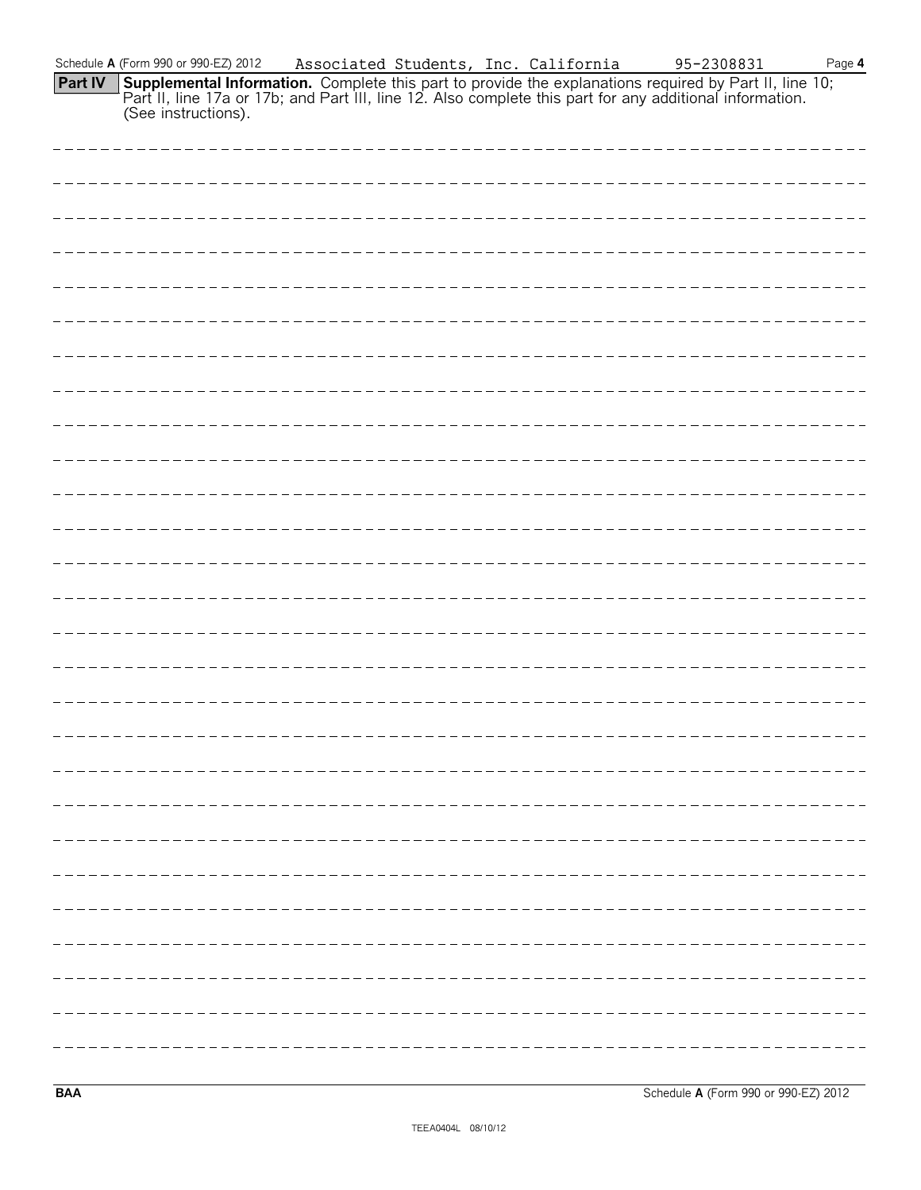| Schedule A (Form 990 or 990-EZ) 2012 | Associated Students, Inc. California |  | 95-2308831                                                                                                                                                                                                                        | Page 4 |
|--------------------------------------|--------------------------------------|--|-----------------------------------------------------------------------------------------------------------------------------------------------------------------------------------------------------------------------------------|--------|
| (See instructions).                  |                                      |  | <b>Part IV</b> Supplemental Information. Complete this part to provide the explanations required by Part II, line 10;<br>Part II, line 17a or 17b; and Part III, line 12. Also complete this part for any additional information. |        |
|                                      |                                      |  |                                                                                                                                                                                                                                   |        |
|                                      |                                      |  |                                                                                                                                                                                                                                   |        |
|                                      |                                      |  |                                                                                                                                                                                                                                   |        |
|                                      |                                      |  |                                                                                                                                                                                                                                   |        |
|                                      |                                      |  |                                                                                                                                                                                                                                   |        |
|                                      |                                      |  |                                                                                                                                                                                                                                   |        |
|                                      |                                      |  |                                                                                                                                                                                                                                   |        |
|                                      |                                      |  |                                                                                                                                                                                                                                   |        |
|                                      |                                      |  |                                                                                                                                                                                                                                   |        |
|                                      |                                      |  |                                                                                                                                                                                                                                   |        |
|                                      |                                      |  |                                                                                                                                                                                                                                   |        |
|                                      |                                      |  |                                                                                                                                                                                                                                   |        |
|                                      |                                      |  |                                                                                                                                                                                                                                   |        |
|                                      |                                      |  |                                                                                                                                                                                                                                   |        |
|                                      |                                      |  |                                                                                                                                                                                                                                   |        |
|                                      |                                      |  |                                                                                                                                                                                                                                   |        |
|                                      |                                      |  |                                                                                                                                                                                                                                   |        |
|                                      |                                      |  |                                                                                                                                                                                                                                   |        |

**BAA** Schedule **A** (Form 990 or 990-EZ) 2012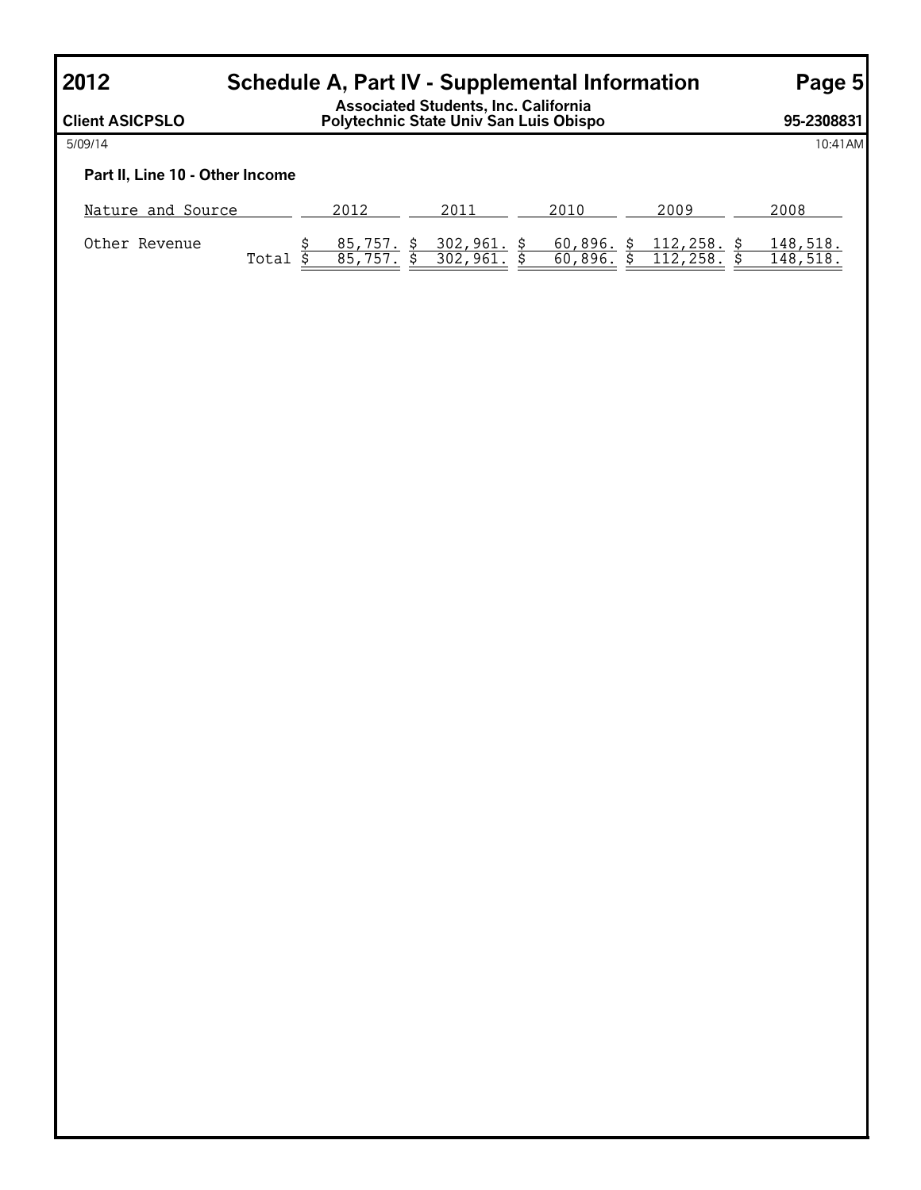# **2012 Schedule A, Part IV - Supplemental Information Page 5**

**Client ASICPSLO Associated Students, Inc. California Polytechnic State Univ San Luis Obispo 95-2308831** 5/09/14 10:41AM **Part II, Line 10 - Other Income** Nature and Source 2012 2012 2011 2010 2009 2009 2008 Other Revenue <u>\$ 85,757. \$ 302,961. \$ 60,896. \$ 112,258. \$ 148,518.</u> Total \$ 85,757. \$ 302,961. \$ 60,896. \$ 112,258. \$ 148,518.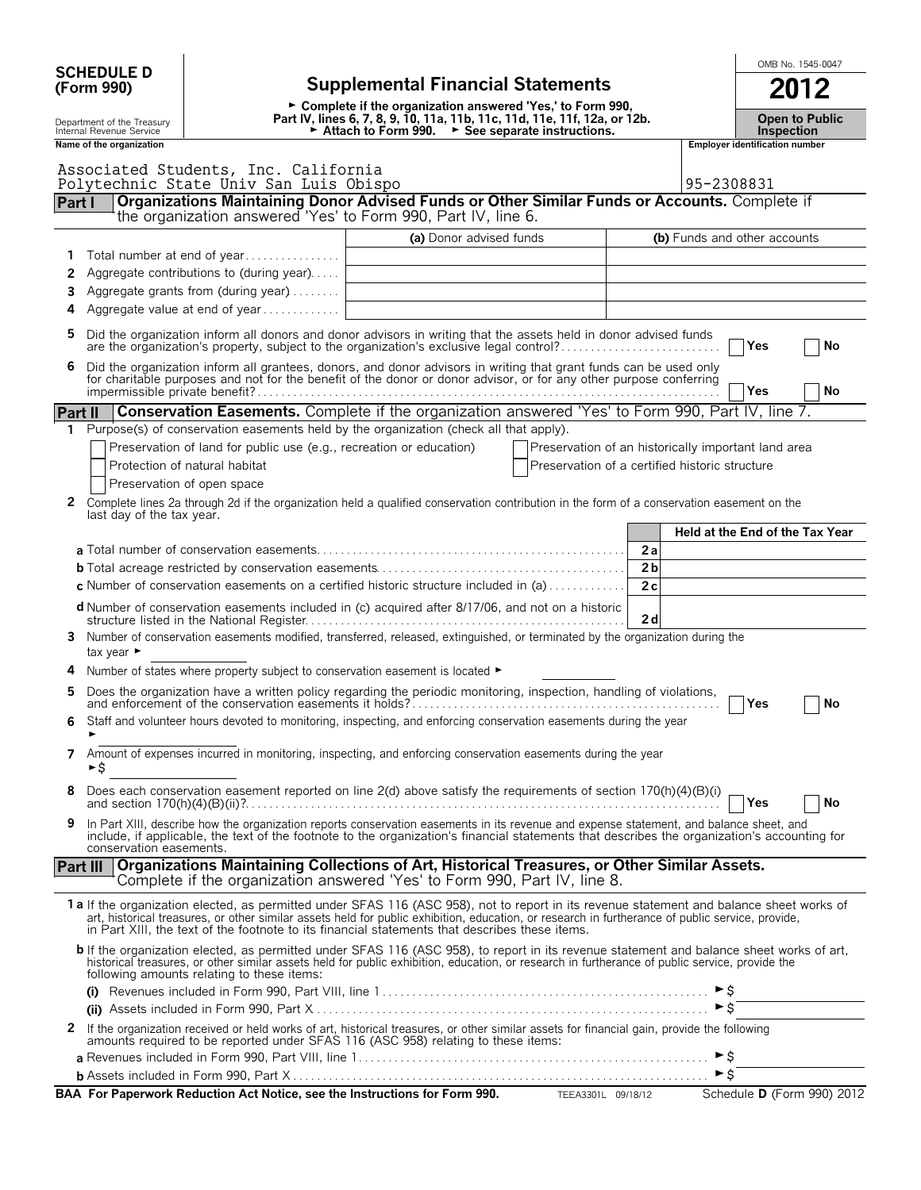| <b>SCHEDULE D</b> |                                                        |                                                                                |                                                                                                                                                                                                                                                                                                                                                                                                |                                                     | OMB No. 1545-0047                          |
|-------------------|--------------------------------------------------------|--------------------------------------------------------------------------------|------------------------------------------------------------------------------------------------------------------------------------------------------------------------------------------------------------------------------------------------------------------------------------------------------------------------------------------------------------------------------------------------|-----------------------------------------------------|--------------------------------------------|
|                   | (Form 990)                                             | <b>Supplemental Financial Statements</b>                                       |                                                                                                                                                                                                                                                                                                                                                                                                |                                                     |                                            |
|                   | Department of the Treasury<br>Internal Revenue Service |                                                                                | ► Complete if the organization answered 'Yes,' to Form 990,<br>Part IV, lines 6, 7, 8, 9, 10, 11a, 11b, 11c, 11d, 11e, 11f, 12a, or 12b.<br>Attach to Form 990. $\rightarrow$ See separate instructions.                                                                                                                                                                                       |                                                     | <b>Open to Public</b><br><b>Inspection</b> |
|                   | Name of the organization                               |                                                                                |                                                                                                                                                                                                                                                                                                                                                                                                |                                                     | Employer identification number             |
|                   |                                                        | Associated Students, Inc. California<br>Polytechnic State Univ San Luis Obispo |                                                                                                                                                                                                                                                                                                                                                                                                |                                                     | 95-2308831                                 |
| Part I            |                                                        |                                                                                | Organizations Maintaining Donor Advised Funds or Other Similar Funds or Accounts. Complete if<br>the organization answered 'Yes' to Form 990, Part IV, line 6.                                                                                                                                                                                                                                 |                                                     |                                            |
|                   |                                                        |                                                                                |                                                                                                                                                                                                                                                                                                                                                                                                |                                                     |                                            |
| 1                 |                                                        | Total number at end of year                                                    | (a) Donor advised funds                                                                                                                                                                                                                                                                                                                                                                        |                                                     | (b) Funds and other accounts               |
| 2                 |                                                        | Aggregate contributions to (during year)                                       |                                                                                                                                                                                                                                                                                                                                                                                                |                                                     |                                            |
| 3                 |                                                        | Aggregate grants from (during year)                                            |                                                                                                                                                                                                                                                                                                                                                                                                |                                                     |                                            |
| 4                 |                                                        | Aggregate value at end of year                                                 |                                                                                                                                                                                                                                                                                                                                                                                                |                                                     |                                            |
| 5                 |                                                        |                                                                                | Did the organization inform all donors and donor advisors in writing that the assets held in donor advised funds<br>are the organization's property, subject to the organization's exclusive legal control?                                                                                                                                                                                    |                                                     | Yes<br>No                                  |
| 6                 |                                                        |                                                                                | Did the organization inform all grantees, donors, and donor advisors in writing that grant funds can be used only for charitable purposes and not for the benefit of the donor or donor advisor, or for any other purpose conf                                                                                                                                                                 |                                                     | Yes<br>No                                  |
| <b>Part II</b>    |                                                        |                                                                                | <b>Conservation Easements.</b> Complete if the organization answered 'Yes' to Form 990, Part IV, line 7.                                                                                                                                                                                                                                                                                       |                                                     |                                            |
| 1.                |                                                        |                                                                                | Purpose(s) of conservation easements held by the organization (check all that apply).                                                                                                                                                                                                                                                                                                          |                                                     |                                            |
|                   |                                                        | Preservation of land for public use (e.g., recreation or education)            |                                                                                                                                                                                                                                                                                                                                                                                                | Preservation of an historically important land area |                                            |
|                   |                                                        | Protection of natural habitat                                                  |                                                                                                                                                                                                                                                                                                                                                                                                | Preservation of a certified historic structure      |                                            |
|                   |                                                        | Preservation of open space                                                     |                                                                                                                                                                                                                                                                                                                                                                                                |                                                     |                                            |
| 2                 | last day of the tax year.                              |                                                                                | Complete lines 2a through 2d if the organization held a qualified conservation contribution in the form of a conservation easement on the                                                                                                                                                                                                                                                      |                                                     |                                            |
|                   |                                                        |                                                                                |                                                                                                                                                                                                                                                                                                                                                                                                |                                                     | Held at the End of the Tax Year            |
|                   |                                                        |                                                                                |                                                                                                                                                                                                                                                                                                                                                                                                | 2a                                                  |                                            |
|                   |                                                        |                                                                                |                                                                                                                                                                                                                                                                                                                                                                                                | 2 <sub>b</sub>                                      |                                            |
|                   |                                                        |                                                                                | c Number of conservation easements on a certified historic structure included in (a)                                                                                                                                                                                                                                                                                                           | 2c                                                  |                                            |
|                   |                                                        |                                                                                | d Number of conservation easements included in (c) acquired after 8/17/06, and not on a historic                                                                                                                                                                                                                                                                                               | 2d                                                  |                                            |
| 3                 | tax year ►                                             |                                                                                | Number of conservation easements modified, transferred, released, extinguished, or terminated by the organization during the                                                                                                                                                                                                                                                                   |                                                     |                                            |
| 4                 |                                                        | Number of states where property subject to conservation easement is located ►  |                                                                                                                                                                                                                                                                                                                                                                                                |                                                     |                                            |
| 5                 |                                                        |                                                                                |                                                                                                                                                                                                                                                                                                                                                                                                |                                                     | Yes<br>No                                  |
|                   |                                                        |                                                                                | Staff and volunteer hours devoted to monitoring, inspecting, and enforcing conservation easements during the year                                                                                                                                                                                                                                                                              |                                                     |                                            |
| $\overline{7}$    | ►\$                                                    |                                                                                | Amount of expenses incurred in monitoring, inspecting, and enforcing conservation easements during the year                                                                                                                                                                                                                                                                                    |                                                     |                                            |
| 8                 |                                                        |                                                                                | Does each conservation easement reported on line 2(d) above satisfy the requirements of section 170(h)(4)(B)(i)                                                                                                                                                                                                                                                                                |                                                     | Yes<br>No                                  |
| 9                 | conservation easements.                                |                                                                                | In Part XIII, describe how the organization reports conservation easements in its revenue and expense statement, and balance sheet, and<br>include, if applicable, the text of the footnote to the organization's financial statements that describes the organization's accounting for                                                                                                        |                                                     |                                            |
|                   | <b>Part III</b>                                        |                                                                                | Organizations Maintaining Collections of Art, Historical Treasures, or Other Similar Assets.                                                                                                                                                                                                                                                                                                   |                                                     |                                            |
|                   |                                                        |                                                                                | Complete if the organization answered 'Yes' to Form 990, Part IV, line 8.                                                                                                                                                                                                                                                                                                                      |                                                     |                                            |
|                   |                                                        |                                                                                | 1a If the organization elected, as permitted under SFAS 116 (ASC 958), not to report in its revenue statement and balance sheet works of<br>art, historical treasures, or other similar assets held for public exhibition, education, or research in furtherance of public service, provide,<br>in Part XIII, the text of the footnote to its financial statements that describes these items. |                                                     |                                            |
|                   |                                                        | following amounts relating to these items:                                     | <b>b</b> If the organization elected, as permitted under SFAS 116 (ASC 958), to report in its revenue statement and balance sheet works of art,<br>historical treasures, or other similar assets held for public exhibition, education, or research in furtherance of public service, provide the                                                                                              |                                                     |                                            |
|                   |                                                        |                                                                                |                                                                                                                                                                                                                                                                                                                                                                                                |                                                     |                                            |
|                   |                                                        |                                                                                |                                                                                                                                                                                                                                                                                                                                                                                                |                                                     | $\triangleright$ \$                        |
| 2                 |                                                        |                                                                                | If the organization received or held works of art, historical treasures, or other similar assets for financial gain, provide the following<br>amounts required to be reported under SFAS 116 (ASC 958) relating to these items:                                                                                                                                                                |                                                     |                                            |
|                   |                                                        |                                                                                |                                                                                                                                                                                                                                                                                                                                                                                                |                                                     |                                            |
|                   |                                                        |                                                                                |                                                                                                                                                                                                                                                                                                                                                                                                |                                                     |                                            |

**BAA For Paperwork Reduction Act Notice, see the Instructions for Form 990.** TEEA3301L 09/18/12 Schedule D (Form 990) 2012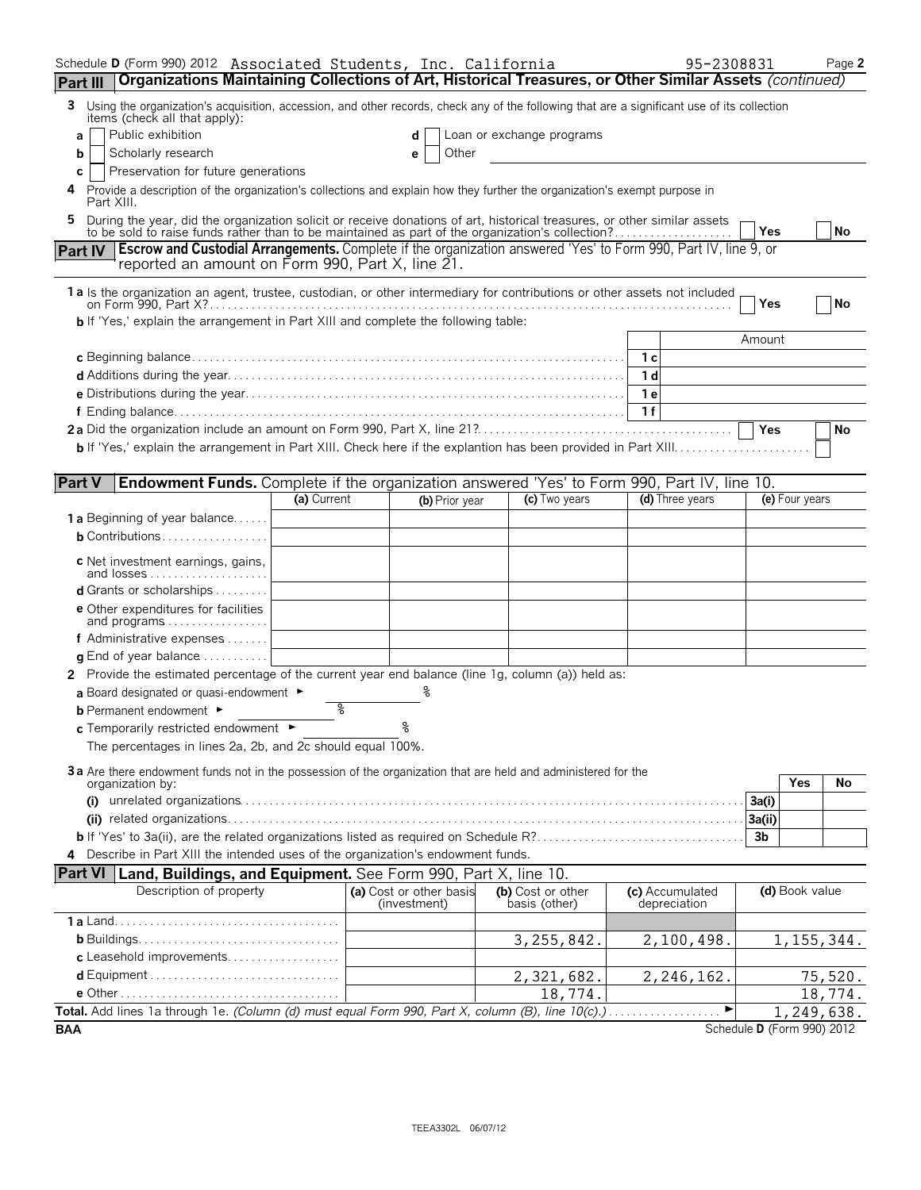| Schedule D (Form 990) 2012 Associated Students, Inc. California                                                                                                                                                                         |    |                         |                           |                | 95-2308831      |                            | Page 2    |
|-----------------------------------------------------------------------------------------------------------------------------------------------------------------------------------------------------------------------------------------|----|-------------------------|---------------------------|----------------|-----------------|----------------------------|-----------|
| Organizations Maintaining Collections of Art, Historical Treasures, or Other Similar Assets (continued)<br>Part III                                                                                                                     |    |                         |                           |                |                 |                            |           |
| Using the organization's acquisition, accession, and other records, check any of the following that are a significant use of its collection<br>3<br>items (check all that apply):                                                       |    |                         |                           |                |                 |                            |           |
| Public exhibition<br>a                                                                                                                                                                                                                  |    | d                       | Loan or exchange programs |                |                 |                            |           |
| Scholarly research<br>b                                                                                                                                                                                                                 |    | Other<br>е              |                           |                |                 |                            |           |
| Preservation for future generations<br>С<br>4 Provide a description of the organization's collections and explain how they further the organization's exempt purpose in                                                                 |    |                         |                           |                |                 |                            |           |
| Part XIII.<br>During the year, did the organization solicit or receive donations of art, historical treasures, or other similar assets to be sold to raise funds rather than to be maintained as part of the organization's collection? |    |                         |                           |                |                 |                            |           |
| Part IV   Escrow and Custodial Arrangements. Complete if the organization answered 'Yes' to Form 990, Part IV, line 9, or                                                                                                               |    |                         |                           |                |                 | Yes                        | <b>No</b> |
| reported an amount on Form 990, Part X, line 21.                                                                                                                                                                                        |    |                         |                           |                |                 |                            |           |
| 1 a ls the organization an agent, trustee, custodian, or other intermediary for contributions or other assets not included                                                                                                              |    |                         |                           |                |                 | Yes                        | No        |
| <b>b</b> If 'Yes,' explain the arrangement in Part XIII and complete the following table:                                                                                                                                               |    |                         |                           |                |                 | Amount                     |           |
|                                                                                                                                                                                                                                         |    |                         |                           | 1c             |                 |                            |           |
|                                                                                                                                                                                                                                         |    |                         |                           | 1 <sub>d</sub> |                 |                            |           |
|                                                                                                                                                                                                                                         |    |                         |                           | 1 e            |                 |                            |           |
|                                                                                                                                                                                                                                         |    |                         |                           | 1f             |                 |                            |           |
|                                                                                                                                                                                                                                         |    |                         |                           |                |                 | <b>Yes</b>                 | No        |
|                                                                                                                                                                                                                                         |    |                         |                           |                |                 |                            |           |
| <b>Part V</b><br><b>Endowment Funds.</b> Complete if the organization answered 'Yes' to Form 990, Part IV, line 10.                                                                                                                     |    |                         |                           |                |                 |                            |           |
| (a) Current                                                                                                                                                                                                                             |    | (b) Prior year          | (c) Two years             |                | (d) Three years | (e) Four years             |           |
| <b>1 a</b> Beginning of year balance                                                                                                                                                                                                    |    |                         |                           |                |                 |                            |           |
| <b>b</b> Contributions                                                                                                                                                                                                                  |    |                         |                           |                |                 |                            |           |
| c Net investment earnings, gains,<br>and losses                                                                                                                                                                                         |    |                         |                           |                |                 |                            |           |
| <b>d</b> Grants or scholarships $\ldots$                                                                                                                                                                                                |    |                         |                           |                |                 |                            |           |
| <b>e</b> Other expenditures for facilities                                                                                                                                                                                              |    |                         |                           |                |                 |                            |           |
| and programs $\ldots \ldots \ldots \ldots \ldots$                                                                                                                                                                                       |    |                         |                           |                |                 |                            |           |
| f Administrative expenses                                                                                                                                                                                                               |    |                         |                           |                |                 |                            |           |
| <b>q</b> End of year balance $\dots\dots\dots\dots$                                                                                                                                                                                     |    |                         |                           |                |                 |                            |           |
| 2 Provide the estimated percentage of the current year end balance (line 1g, column (a)) held as:                                                                                                                                       |    |                         |                           |                |                 |                            |           |
| a Board designated or quasi-endowment $\blacktriangleright$<br>$\delta$<br><b>b</b> Permanent endowment ►                                                                                                                               |    |                         |                           |                |                 |                            |           |
| c Temporarily restricted endowment ►                                                                                                                                                                                                    | ٥. |                         |                           |                |                 |                            |           |
| The percentages in lines 2a, 2b, and 2c should equal 100%.                                                                                                                                                                              |    |                         |                           |                |                 |                            |           |
| 3a Are there endowment funds not in the possession of the organization that are held and administered for the                                                                                                                           |    |                         |                           |                |                 |                            |           |
| organization by:                                                                                                                                                                                                                        |    |                         |                           |                |                 | Yes                        | No        |
|                                                                                                                                                                                                                                         |    |                         |                           |                |                 | 3a(i)                      |           |
|                                                                                                                                                                                                                                         |    |                         |                           |                |                 | 3a(ii)                     |           |
|                                                                                                                                                                                                                                         |    |                         |                           |                |                 | 3 <sub>b</sub>             |           |
| 4 Describe in Part XIII the intended uses of the organization's endowment funds.<br><b>Part VI</b>                                                                                                                                      |    |                         |                           |                |                 |                            |           |
| <b>Land, Buildings, and Equipment.</b> See Form 990, Part X, line 10.<br>Description of property                                                                                                                                        |    | (a) Cost or other basis | (b) Cost or other         |                | (c) Accumulated | (d) Book value             |           |
|                                                                                                                                                                                                                                         |    | (investment)            | basis (other)             |                | depreciation    |                            |           |
|                                                                                                                                                                                                                                         |    |                         |                           |                |                 |                            |           |
| c Leasehold improvements                                                                                                                                                                                                                |    |                         | 3, 255, 842.              |                | 2,100,498.      | 1, 155, 344.               |           |
|                                                                                                                                                                                                                                         |    |                         | 2,321,682.                |                | 2,246,162.      |                            | 75,520.   |
|                                                                                                                                                                                                                                         |    |                         | 18,774.                   |                |                 |                            | 18,774.   |
| Total. Add lines 1a through 1e. (Column (d) must equal Form 990, Part X, column (B), line 10(c).)                                                                                                                                       |    |                         |                           |                | ▶               | 1,249,638.                 |           |
| <b>BAA</b>                                                                                                                                                                                                                              |    |                         |                           |                |                 | Schedule D (Form 990) 2012 |           |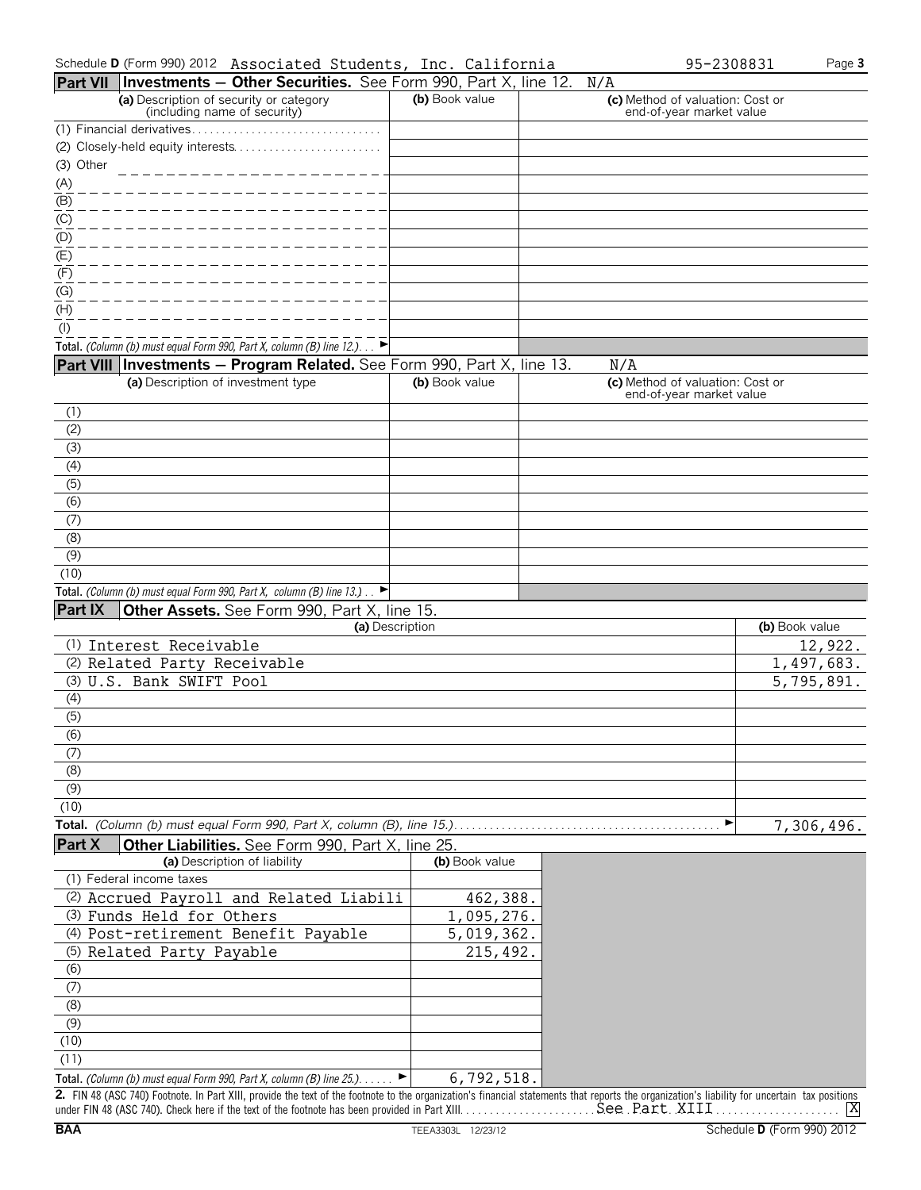|                      | Part VII Investments - Other Securities. See Form 990, Part X, line 12. N/A                                                                                                                   |                   |                                                              |                |
|----------------------|-----------------------------------------------------------------------------------------------------------------------------------------------------------------------------------------------|-------------------|--------------------------------------------------------------|----------------|
|                      | (a) Description of security or category<br>(including name of security)                                                                                                                       | (b) Book value    | (c) Method of valuation: Cost or<br>end-of-year market value |                |
|                      |                                                                                                                                                                                               |                   |                                                              |                |
|                      |                                                                                                                                                                                               |                   |                                                              |                |
| (3) Other            |                                                                                                                                                                                               |                   |                                                              |                |
| $\frac{(A)}{(B)}$    |                                                                                                                                                                                               |                   |                                                              |                |
|                      |                                                                                                                                                                                               |                   |                                                              |                |
| (C)                  |                                                                                                                                                                                               |                   |                                                              |                |
| (D)<br>$\frac{1}{2}$ |                                                                                                                                                                                               |                   |                                                              |                |
|                      |                                                                                                                                                                                               |                   |                                                              |                |
| (F)                  |                                                                                                                                                                                               |                   |                                                              |                |
| (G)<br>(H)           |                                                                                                                                                                                               |                   |                                                              |                |
| $($ l $)$            |                                                                                                                                                                                               |                   |                                                              |                |
|                      | Total. (Column (b) must equal Form 990, Part X, column (B) line 12.). $\rightarrow$                                                                                                           |                   |                                                              |                |
|                      | Part VIII Investments - Program Related. See Form 990, Part X, line 13.                                                                                                                       |                   | N/A                                                          |                |
|                      | (a) Description of investment type                                                                                                                                                            | (b) Book value    | (c) Method of valuation: Cost or                             |                |
|                      |                                                                                                                                                                                               |                   | end-of-year market value                                     |                |
| (1)                  |                                                                                                                                                                                               |                   |                                                              |                |
| (2)                  |                                                                                                                                                                                               |                   |                                                              |                |
| (3)                  |                                                                                                                                                                                               |                   |                                                              |                |
| (4)<br>(5)           |                                                                                                                                                                                               |                   |                                                              |                |
| (6)                  |                                                                                                                                                                                               |                   |                                                              |                |
| (7)                  |                                                                                                                                                                                               |                   |                                                              |                |
| (8)                  |                                                                                                                                                                                               |                   |                                                              |                |
| (9)                  |                                                                                                                                                                                               |                   |                                                              |                |
| (10)                 |                                                                                                                                                                                               |                   |                                                              |                |
|                      | Total. (Column (b) must equal Form 990, Part X, column (B) line 13.).                                                                                                                         |                   |                                                              |                |
| <b>Part IX</b>       | Other Assets. See Form 990, Part X, line 15.                                                                                                                                                  |                   |                                                              |                |
|                      |                                                                                                                                                                                               | (a) Description   |                                                              | (b) Book value |
|                      | (1) Interest Receivable                                                                                                                                                                       |                   |                                                              | 12,922.        |
|                      | (2) Related Party Receivable                                                                                                                                                                  |                   |                                                              | 1,497,683.     |
|                      | (3) U.S. Bank SWIFT Pool                                                                                                                                                                      |                   |                                                              | 5,795,891.     |
| (4)                  |                                                                                                                                                                                               |                   |                                                              |                |
| (5)<br>(6)           |                                                                                                                                                                                               |                   |                                                              |                |
|                      |                                                                                                                                                                                               |                   |                                                              |                |
| (7)<br>(8)           |                                                                                                                                                                                               |                   |                                                              |                |
| (9)                  |                                                                                                                                                                                               |                   |                                                              |                |
| (10)                 |                                                                                                                                                                                               |                   |                                                              |                |
|                      | Total. (Column (b) must equal Form 990, Part X, column (B), line 15.)                                                                                                                         |                   | ▶                                                            | 7,306,496.     |
| Part X               | Other Liabilities. See Form 990, Part X, line 25.                                                                                                                                             |                   |                                                              |                |
|                      | (a) Description of liability                                                                                                                                                                  | (b) Book value    |                                                              |                |
|                      | (1) Federal income taxes                                                                                                                                                                      |                   |                                                              |                |
|                      | (2) Accrued Payroll and Related Liabili                                                                                                                                                       | 462,388.          |                                                              |                |
|                      | (3) Funds Held for Others                                                                                                                                                                     | 1,095,276.        |                                                              |                |
|                      | (4) Post-retirement Benefit Payable                                                                                                                                                           | 5,019,362.        |                                                              |                |
|                      | (5) Related Party Payable                                                                                                                                                                     | 215,492.          |                                                              |                |
| (6)                  |                                                                                                                                                                                               |                   |                                                              |                |
| (7)                  |                                                                                                                                                                                               |                   |                                                              |                |
| (8)                  |                                                                                                                                                                                               |                   |                                                              |                |
| (9)<br>(10)          |                                                                                                                                                                                               |                   |                                                              |                |
| (11)                 |                                                                                                                                                                                               |                   |                                                              |                |
|                      | Total. (Column (b) must equal Form 990, Part X, column (B) line 25.).                                                                                                                         | 6, 792, 518.<br>► |                                                              |                |
|                      | 2. FIN 48 (ASC 740) Footnote. In Part XIII, provide the text of the footnote to the organization's financial statements that reports the organization's liability for uncertain tax positions |                   |                                                              |                |

under FIN 48 (ASC 740). Check here if the text of the footnote has been provided in Part XIII. . . . . . . . . . . . . . . . . . . . . . . . . . . . . . . . . . . . . . . . . . . . . . . . . . . . . . . . . . . . . . . . X See Part XIII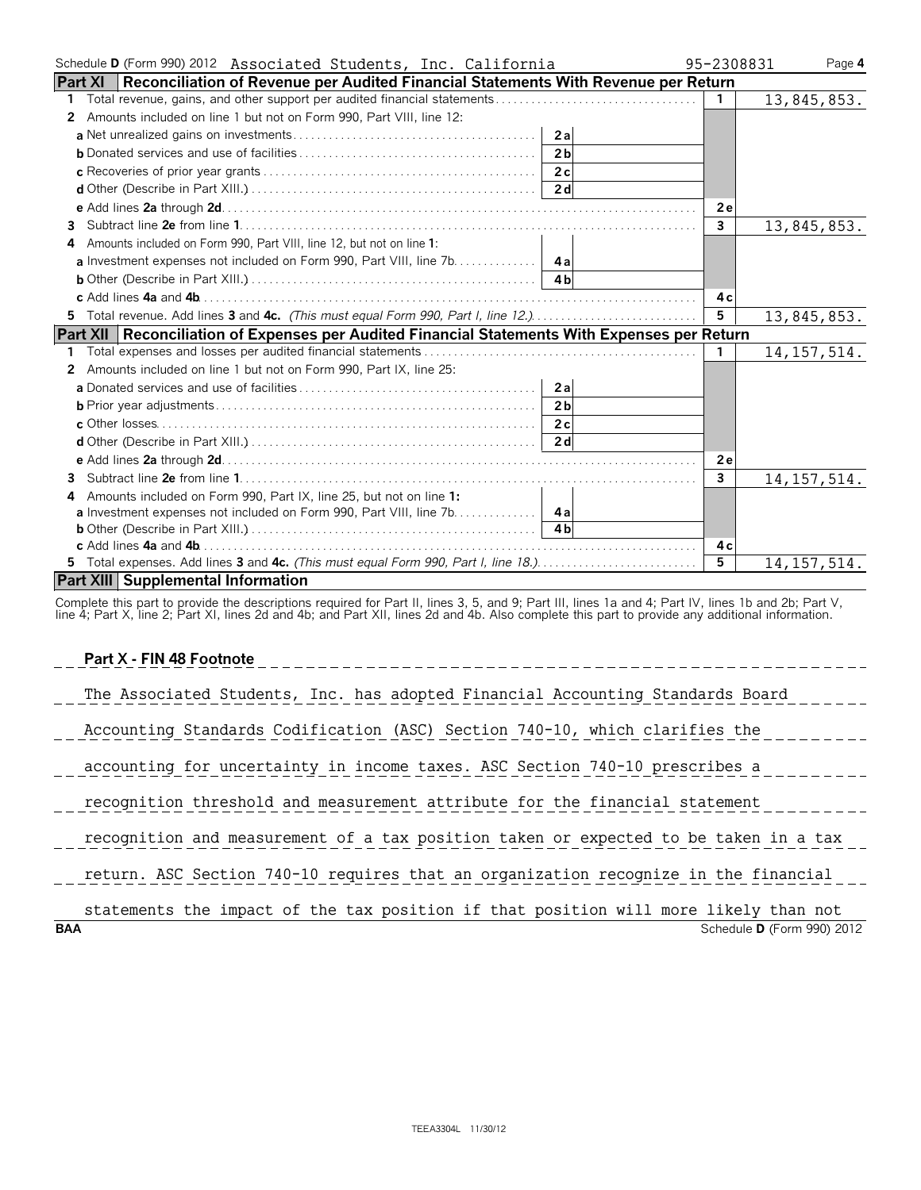| Schedule D (Form 990) 2012 Associated Students, Inc. California                                         | 95-2308831     | Page 4        |
|---------------------------------------------------------------------------------------------------------|----------------|---------------|
| <b>Part XI</b><br>Reconciliation of Revenue per Audited Financial Statements With Revenue per Return    |                |               |
| 1.                                                                                                      | $\mathbf{1}$   | 13,845,853.   |
| 2 Amounts included on line 1 but not on Form 990, Part VIII, line 12:                                   |                |               |
| 2a                                                                                                      |                |               |
| 2 <sub>b</sub>                                                                                          |                |               |
| 2c                                                                                                      |                |               |
|                                                                                                         |                |               |
|                                                                                                         | 2e             |               |
| 3                                                                                                       | $\overline{3}$ | 13,845,853.   |
| 4 Amounts included on Form 990, Part VIII, line 12, but not on line 1:                                  |                |               |
| a Investment expenses not included on Form 990, Part VIII, line 7b. 4a                                  |                |               |
|                                                                                                         |                |               |
|                                                                                                         | 4 c            |               |
| 5 Total revenue. Add lines 3 and 4c. (This must equal Form 990, Part I, line 12.)                       | 5 <sup>5</sup> | 13,845,853.   |
| <b>Part XII</b><br>Reconciliation of Expenses per Audited Financial Statements With Expenses per Return |                |               |
|                                                                                                         | $\mathbf{1}$   | 14, 157, 514. |
| 2 Amounts included on line 1 but not on Form 990, Part IX, line 25:                                     |                |               |
|                                                                                                         |                |               |
| 2 <sub>b</sub>                                                                                          |                |               |
|                                                                                                         |                |               |
|                                                                                                         |                |               |
|                                                                                                         | 2e             |               |
|                                                                                                         | $\mathbf{3}$   | 14, 157, 514. |
| Amounts included on Form 990, Part IX, line 25, but not on line 1:                                      |                |               |
| a Investment expenses not included on Form 990, Part VIII, line 7b. 4a                                  |                |               |
|                                                                                                         |                |               |
|                                                                                                         | 4 c            |               |
| 5 Total expenses. Add lines 3 and 4c. (This must equal Form 990, Part I, line 18.)                      | 5              | 14, 157, 514. |
| <b>Part XIII Supplemental Information</b>                                                               |                |               |

Complete this part to provide the descriptions required for Part II, lines 3, 5, and 9; Part III, lines 1a and 4; Part IV, lines 1b and 2b; Part V,<br>line 4; Part X, line 2; Part XI, lines 2d and 4b; and Part XII, lines 2d a

**Part X - FIN 48 Footnote**

| Part X - FIN 48 Footnote                                                             |
|--------------------------------------------------------------------------------------|
| The Associated Students, Inc. has adopted Financial Accounting Standards Board       |
| Accounting Standards Codification (ASC) Section 740-10, which clarifies the          |
| accounting for uncertainty in income taxes. ASC Section 740-10 prescribes a          |
| recognition threshold and measurement attribute for the financial statement          |
| recognition and measurement of a tax position taken or expected to be taken in a tax |
| return. ASC Section 740-10 requires that an organization recognize in the financial  |
| statements the impact of the tax position if that position will more likely than not |

**BAA** Schedule **D** (Form 990) 2012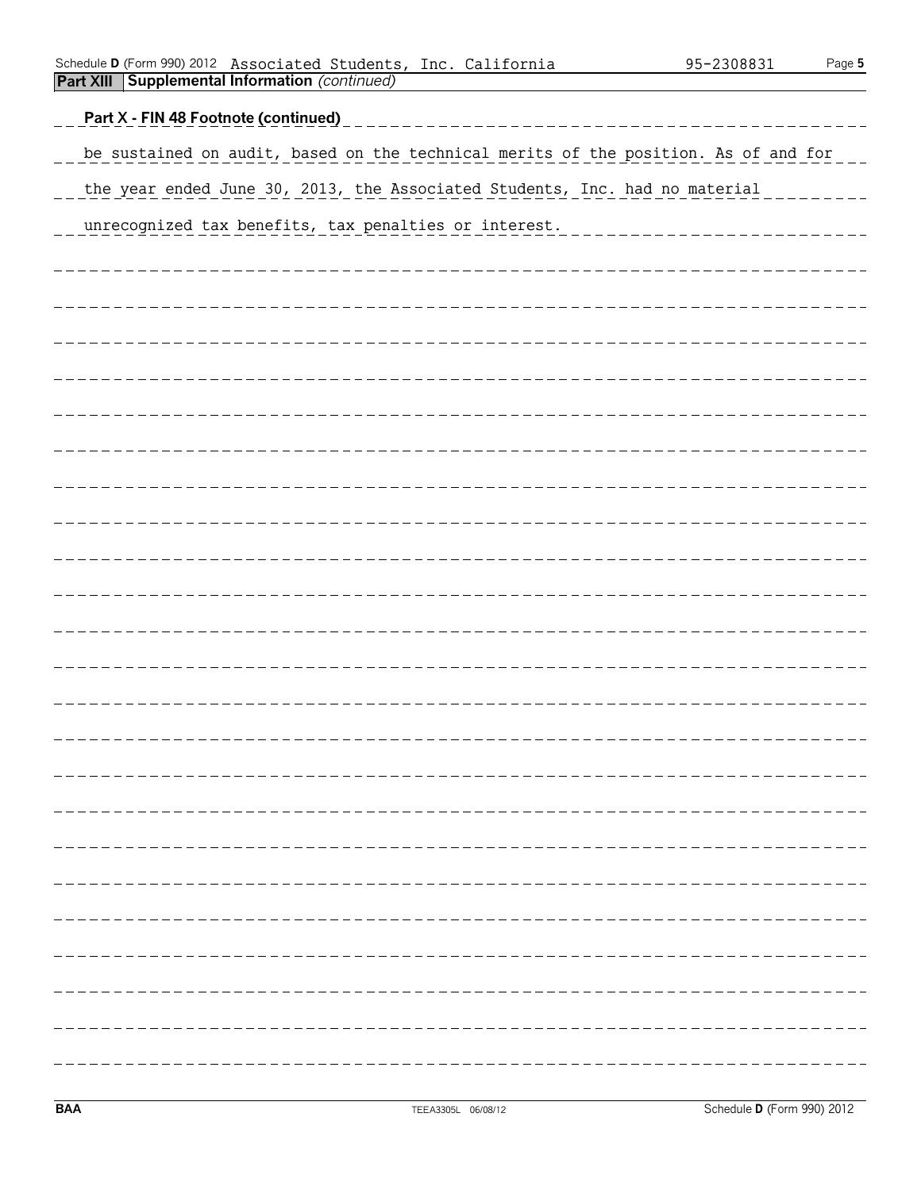|  | Schedule <b>D</b> (Form 990) 2012 Associated Students, Inc. California |  | 95-2308831 | Page 5 |
|--|------------------------------------------------------------------------|--|------------|--------|
|  | <b>Part XIII Supplemental Information (continued)</b>                  |  |            |        |

| Part X - FIN 48 Footnote (continued)                                                |
|-------------------------------------------------------------------------------------|
| be sustained on audit, based on the technical merits of the position. As of and for |
| the year ended June 30, 2013, the Associated Students, Inc. had no material         |
| unrecognized tax benefits, tax penalties or interest.<br>___________________        |
|                                                                                     |
|                                                                                     |
|                                                                                     |
|                                                                                     |
|                                                                                     |
|                                                                                     |
|                                                                                     |
|                                                                                     |
|                                                                                     |
|                                                                                     |
|                                                                                     |
|                                                                                     |
|                                                                                     |
|                                                                                     |
|                                                                                     |
|                                                                                     |
|                                                                                     |
|                                                                                     |
|                                                                                     |
|                                                                                     |
|                                                                                     |
|                                                                                     |
| --------                                                                            |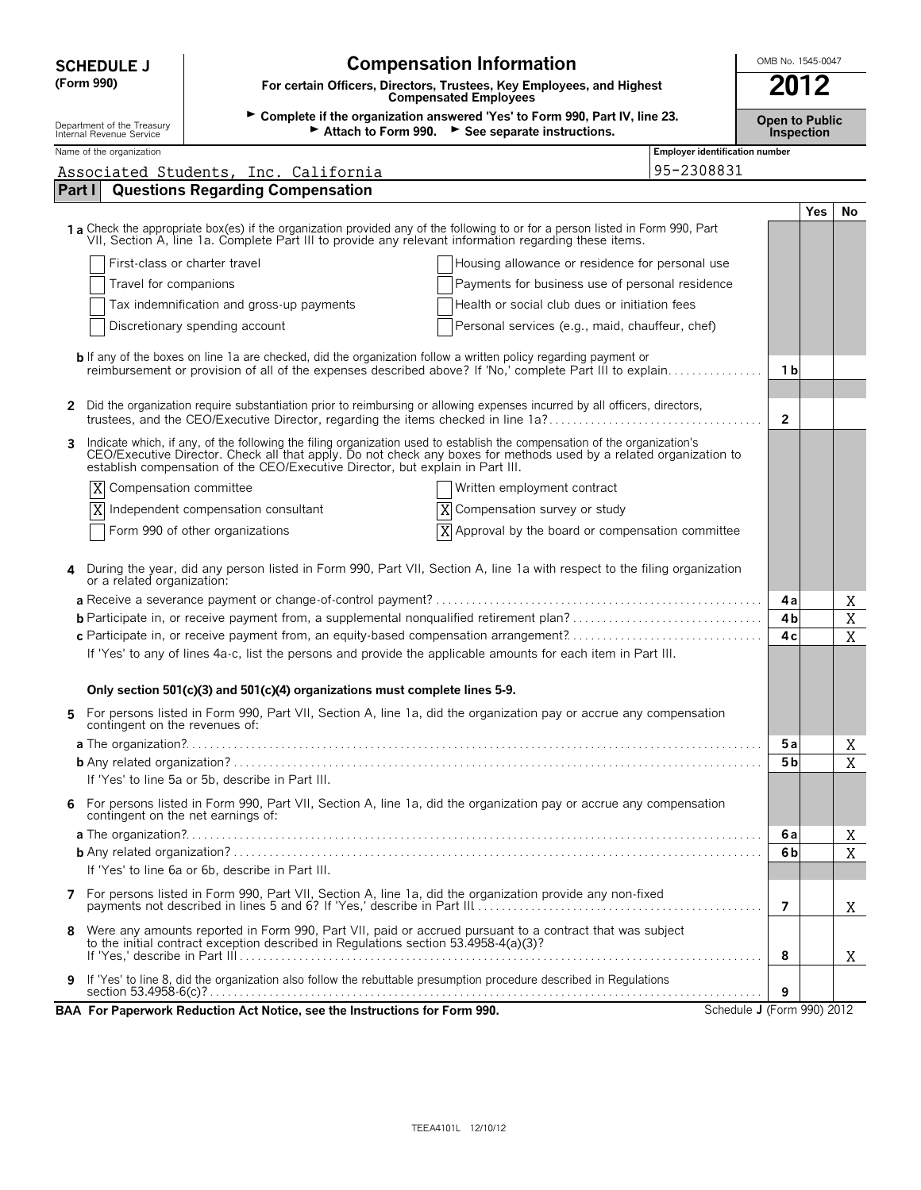| <b>SCHEDULE J</b>                                                                                             | <b>Compensation Information</b>                                                                                                                                                                                                                                                                                                   |                                       | OMB No. 1545-0047 |            |    |  |
|---------------------------------------------------------------------------------------------------------------|-----------------------------------------------------------------------------------------------------------------------------------------------------------------------------------------------------------------------------------------------------------------------------------------------------------------------------------|---------------------------------------|-------------------|------------|----|--|
| (Form 990)                                                                                                    | For certain Officers, Directors, Trustees, Key Employees, and Highest<br><b>Compensated Employees</b>                                                                                                                                                                                                                             |                                       |                   |            |    |  |
| Department of the Treasury<br>Internal Revenue Service                                                        | ► Complete if the organization answered 'Yes' to Form 990, Part IV, line 23.<br><b>Open to Public</b><br>Attach to Form 990. See separate instructions.<br><b>Inspection</b>                                                                                                                                                      |                                       |                   |            |    |  |
| Name of the organization                                                                                      |                                                                                                                                                                                                                                                                                                                                   | <b>Employer identification number</b> |                   |            |    |  |
|                                                                                                               | Associated Students, Inc. California                                                                                                                                                                                                                                                                                              | 95-2308831                            |                   |            |    |  |
| Part I                                                                                                        | <b>Questions Regarding Compensation</b>                                                                                                                                                                                                                                                                                           |                                       |                   |            |    |  |
|                                                                                                               | 1 a Check the appropriate box(es) if the organization provided any of the following to or for a person listed in Form 990, Part<br>VII, Section A, line 1a. Complete Part III to provide any relevant information regarding these items.                                                                                          |                                       |                   | <b>Yes</b> | No |  |
|                                                                                                               | First-class or charter travel<br>Housing allowance or residence for personal use                                                                                                                                                                                                                                                  |                                       |                   |            |    |  |
|                                                                                                               | Travel for companions<br>Payments for business use of personal residence                                                                                                                                                                                                                                                          |                                       |                   |            |    |  |
|                                                                                                               | Tax indemnification and gross-up payments<br>Health or social club dues or initiation fees                                                                                                                                                                                                                                        |                                       |                   |            |    |  |
|                                                                                                               | Discretionary spending account<br>Personal services (e.g., maid, chauffeur, chef)                                                                                                                                                                                                                                                 |                                       |                   |            |    |  |
|                                                                                                               | <b>b</b> If any of the boxes on line 1a are checked, did the organization follow a written policy regarding payment or                                                                                                                                                                                                            |                                       |                   |            |    |  |
|                                                                                                               | reimbursement or provision of all of the expenses described above? If 'No,' complete Part III to explain                                                                                                                                                                                                                          |                                       | 1 b               |            |    |  |
|                                                                                                               |                                                                                                                                                                                                                                                                                                                                   |                                       |                   |            |    |  |
| $\mathbf{2}$                                                                                                  | Did the organization require substantiation prior to reimbursing or allowing expenses incurred by all officers, directors,<br>trustees, and the CEO/Executive Director, regarding the items checked in line 1a?                                                                                                                   |                                       | $\overline{2}$    |            |    |  |
| 3                                                                                                             | Indicate which, if any, of the following the filing organization used to establish the compensation of the organization's<br>CEO/Executive Director. Check all that apply. Do not check any boxes for methods used by a related organization to<br>establish compensation of the CEO/Executive Director, but explain in Part III. |                                       |                   |            |    |  |
| X                                                                                                             | Compensation committee<br>Written employment contract                                                                                                                                                                                                                                                                             |                                       |                   |            |    |  |
| X                                                                                                             | Independent compensation consultant<br>Compensation survey or study<br>Χ                                                                                                                                                                                                                                                          |                                       |                   |            |    |  |
|                                                                                                               | X<br>Approval by the board or compensation committee<br>Form 990 of other organizations                                                                                                                                                                                                                                           |                                       |                   |            |    |  |
|                                                                                                               |                                                                                                                                                                                                                                                                                                                                   |                                       |                   |            |    |  |
| or a related organization:                                                                                    | During the year, did any person listed in Form 990, Part VII, Section A, line 1a with respect to the filing organization                                                                                                                                                                                                          |                                       |                   |            |    |  |
|                                                                                                               |                                                                                                                                                                                                                                                                                                                                   |                                       | 4a                |            | Χ  |  |
|                                                                                                               |                                                                                                                                                                                                                                                                                                                                   |                                       | 4 <sub>b</sub>    |            | Χ  |  |
|                                                                                                               | c Participate in, or receive payment from, an equity-based compensation arrangement?                                                                                                                                                                                                                                              |                                       | 4 c               |            | X  |  |
| If 'Yes' to any of lines 4a-c, list the persons and provide the applicable amounts for each item in Part III. |                                                                                                                                                                                                                                                                                                                                   |                                       |                   |            |    |  |
|                                                                                                               | Only section 501(c)(3) and 501(c)(4) organizations must complete lines 5-9.                                                                                                                                                                                                                                                       |                                       |                   |            |    |  |
|                                                                                                               | For persons listed in Form 990, Part VII, Section A, line 1a, did the organization pay or accrue any compensation<br>contingent on the revenues of:                                                                                                                                                                               |                                       |                   |            |    |  |
|                                                                                                               |                                                                                                                                                                                                                                                                                                                                   |                                       | 5 a               |            | Χ  |  |
|                                                                                                               |                                                                                                                                                                                                                                                                                                                                   |                                       | 5 b               |            | X  |  |
|                                                                                                               | If 'Yes' to line 5a or 5b, describe in Part III.                                                                                                                                                                                                                                                                                  |                                       |                   |            |    |  |
| 6.                                                                                                            | For persons listed in Form 990, Part VII, Section A, line 1a, did the organization pay or accrue any compensation<br>contingent on the net earnings of:                                                                                                                                                                           |                                       |                   |            |    |  |
|                                                                                                               |                                                                                                                                                                                                                                                                                                                                   |                                       | 6а                |            | Χ  |  |
|                                                                                                               |                                                                                                                                                                                                                                                                                                                                   |                                       | 6b                |            | X  |  |
|                                                                                                               | If 'Yes' to line 6a or 6b, describe in Part III.                                                                                                                                                                                                                                                                                  |                                       |                   |            |    |  |
|                                                                                                               |                                                                                                                                                                                                                                                                                                                                   |                                       | 7                 |            | X  |  |
| 8                                                                                                             | Were any amounts reported in Form 990, Part VII, paid or accrued pursuant to a contract that was subject<br>to the initial contract exception described in Regulations section 53.4958-4(a)(3)?                                                                                                                                   |                                       | 8                 |            | X  |  |
|                                                                                                               | 9 If 'Yes' to line 8, did the organization also follow the rebuttable presumption procedure described in Regulations                                                                                                                                                                                                              |                                       | 9                 |            |    |  |
|                                                                                                               | BAA For Paperwork Reduction Act Notice, see the Instructions for Form 990.                                                                                                                                                                                                                                                        | Schedule J (Form 990) 2012            |                   |            |    |  |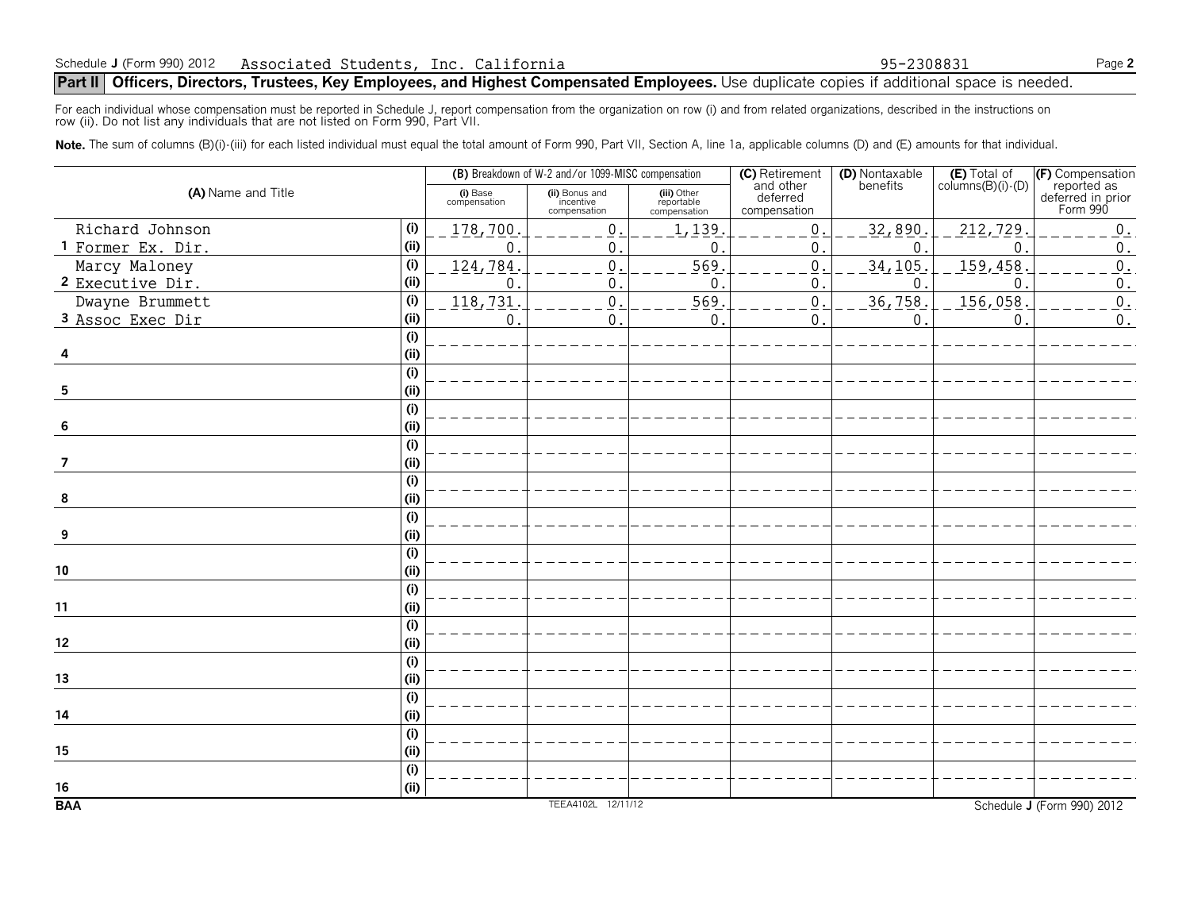## **Part II** Officers, Directors, Trustees, Key Employees, and Highest Compensated Employees. Use duplicate copies if additional space is needed.

For each individual whose compensation must be reported in Schedule J, report compensation from the organization on row (i) and from related organizations, described in the instructions on<br>row (ii). Do not list any individ

Note. The sum of columns (B)(i)-(iii) for each listed individual must equal the total amount of Form 990, Part VII, Section A, line 1a, applicable columns (D) and (E) amounts for that individual.

| (A) Name and Title |                           |                          | (B) Breakdown of W-2 and/or 1099-MISC compensation |                                           | (C) Retirement<br>(D) Nontaxable      |              | $(E)$ Total of<br>columns $(B)(i)$ - $(D)$ |                                                                  |
|--------------------|---------------------------|--------------------------|----------------------------------------------------|-------------------------------------------|---------------------------------------|--------------|--------------------------------------------|------------------------------------------------------------------|
|                    |                           | (i) Base<br>compensation | (ii) Bonus and<br>incentive<br>compensation        | (iii) Other<br>reportable<br>compensation | and other<br>deferred<br>compensation | benefits     |                                            | (F) Compensation<br>reported as<br>deferred in prior<br>Form 990 |
| Richard Johnson    | (i)                       | 178,700                  | $\mathsf{0}$                                       | 1,139                                     | $\,0\,$                               | 32,890.      | 212, 729                                   | $\boldsymbol{0}$ .                                               |
| 1 Former Ex. Dir.  | (i)                       | 0                        | 0                                                  | $\mathbf{0}$                              | $\boldsymbol{0}$                      | $\mathbf 0$  | $\Omega$                                   | $0$ .                                                            |
| Marcy Maloney      | (i)                       | 124,784                  | $\boldsymbol{0}$                                   | 569                                       | $\mathbf 0$                           | 34,105.      | 159,458                                    | $0$ .                                                            |
| 2 Executive Dir.   | (i)                       | 0                        | 0                                                  | $\mathbf{0}$                              | 0                                     | $\mathbf{0}$ | $\Omega$                                   | $\boldsymbol{0}$ .                                               |
| Dwayne Brummett    | (i)                       | 118,731                  | $\underline{0}$                                    | 569                                       | $\boldsymbol{0}$                      | 36, 758.     | 156,058                                    | $0$ .                                                            |
| 3 Assoc Exec Dir   | (i)                       | 0                        | 0                                                  | $\mathbf{0}$                              | $\boldsymbol{0}$                      | $\mathbf 0$  | 0                                          | $0$ .                                                            |
|                    | (i)                       |                          |                                                    |                                           |                                       |              |                                            |                                                                  |
|                    | (ii)                      |                          |                                                    |                                           |                                       |              |                                            |                                                                  |
|                    | (i)                       |                          |                                                    |                                           |                                       |              |                                            |                                                                  |
| 5                  | (i)                       |                          |                                                    |                                           |                                       |              |                                            |                                                                  |
|                    | $\overline{(\mathsf{i})}$ |                          |                                                    |                                           |                                       |              |                                            |                                                                  |
| 6                  | (i)                       |                          |                                                    |                                           |                                       |              |                                            |                                                                  |
|                    | (i)                       |                          |                                                    |                                           |                                       |              |                                            |                                                                  |
| 7                  | (ii)                      |                          |                                                    |                                           |                                       |              |                                            |                                                                  |
|                    | (i)                       |                          |                                                    |                                           |                                       |              |                                            |                                                                  |
| 8                  | (i)                       |                          |                                                    |                                           |                                       |              |                                            |                                                                  |
|                    | (i)                       |                          |                                                    |                                           |                                       |              |                                            |                                                                  |
| 9                  | (i)                       |                          |                                                    |                                           |                                       |              |                                            |                                                                  |
|                    | (i)                       |                          |                                                    |                                           |                                       |              |                                            |                                                                  |
| 10                 | (i)                       |                          |                                                    |                                           |                                       |              |                                            |                                                                  |
|                    | (i)                       |                          |                                                    |                                           |                                       |              |                                            |                                                                  |
| 11                 | (i)                       |                          |                                                    |                                           |                                       |              |                                            |                                                                  |
|                    | (i)                       |                          |                                                    |                                           |                                       |              |                                            |                                                                  |
| 12                 | (i)                       |                          |                                                    |                                           |                                       |              |                                            |                                                                  |
|                    | (i)                       |                          |                                                    |                                           |                                       |              |                                            |                                                                  |
| 13                 | (i)                       |                          |                                                    |                                           |                                       |              |                                            |                                                                  |
|                    | (i)                       |                          |                                                    |                                           |                                       |              |                                            |                                                                  |
| 14                 | (i)                       |                          |                                                    |                                           |                                       |              |                                            |                                                                  |
|                    | (i)                       |                          |                                                    |                                           |                                       |              |                                            |                                                                  |
| 15                 | (i)                       |                          |                                                    |                                           |                                       |              |                                            |                                                                  |
|                    | (i)                       |                          |                                                    |                                           |                                       |              |                                            |                                                                  |
| 16                 | (i)                       |                          |                                                    |                                           |                                       |              |                                            |                                                                  |
| <b>BAA</b>         |                           |                          | TEEA4102L 12/11/12                                 |                                           |                                       |              |                                            | Schedule J (Form 990) 2012                                       |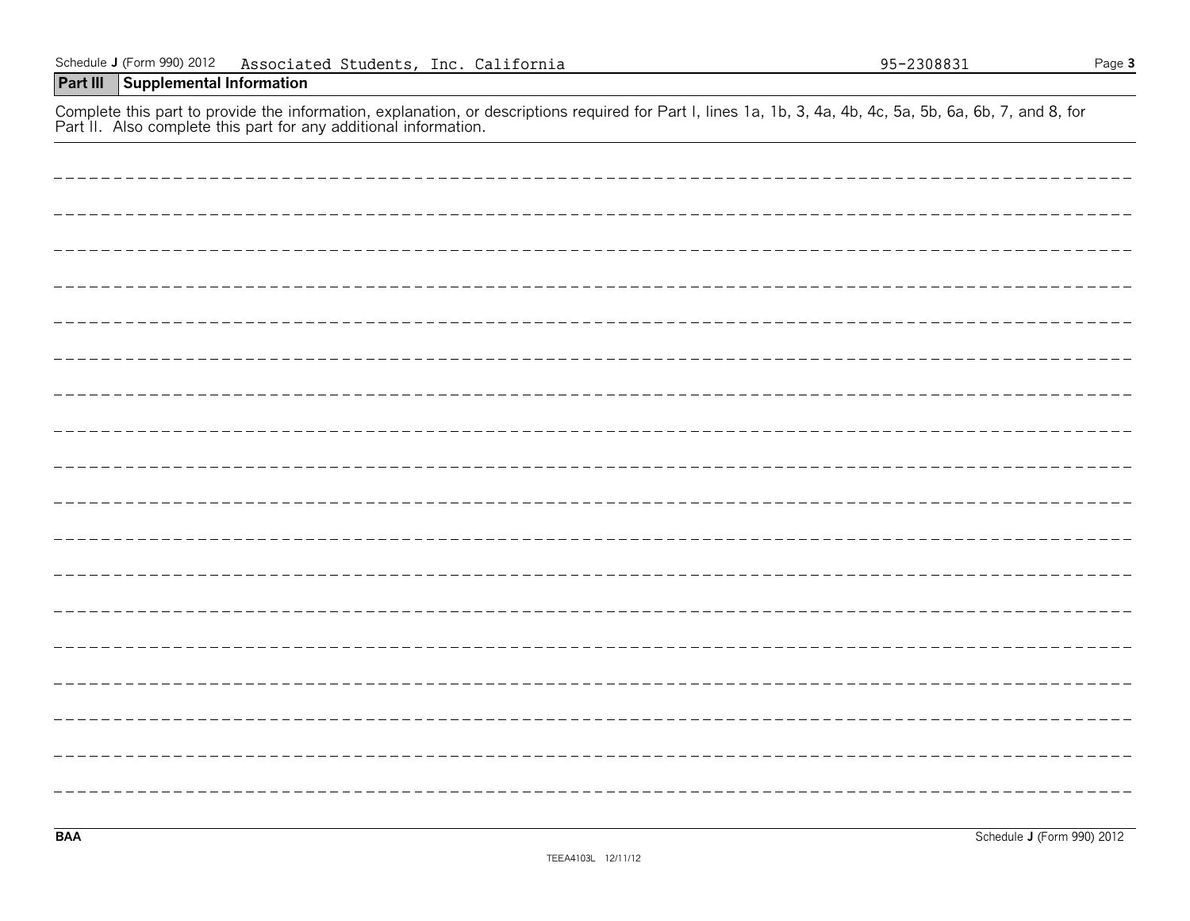| Fail in Also complete this part for any additional imomiation. |
|----------------------------------------------------------------|
|                                                                |
|                                                                |
|                                                                |
|                                                                |
|                                                                |
|                                                                |
|                                                                |
|                                                                |
|                                                                |
|                                                                |
|                                                                |
|                                                                |
|                                                                |
|                                                                |
|                                                                |
|                                                                |
|                                                                |
|                                                                |
|                                                                |
|                                                                |
|                                                                |
|                                                                |
|                                                                |
|                                                                |

#### Schedule **J** (Form 990) 2012 Page **3** Associated Students, Inc. California 95-2308831

## **Part III Supplemental Information**

Complete this part to provide the information, explanation, or descriptions required for Part I, lines 1a, 1b, 3, 4a, 4b, 4c, 5a, 5b, 6a, 6b, 7, and 8, for Part II. Also complete this part for any additional information.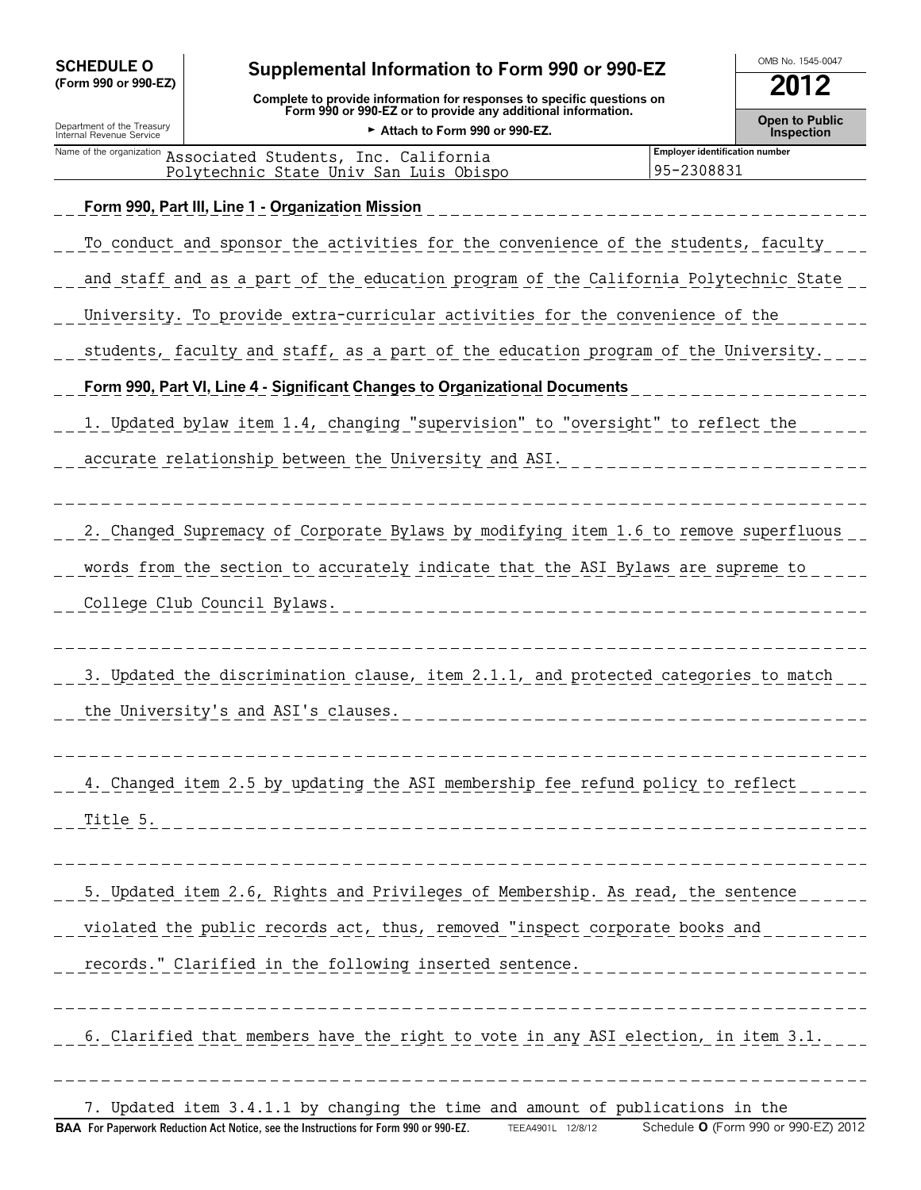| <b>SCHEDULE O</b>                                                                    | Supplemental Information to Form 990 or 990-EZ                                                | OMB No. 1545-0047                                   |                                     |  |  |
|--------------------------------------------------------------------------------------|-----------------------------------------------------------------------------------------------|-----------------------------------------------------|-------------------------------------|--|--|
| (Form 990 or 990-EZ)                                                                 | Complete to provide information for responses to specific questions on                        | 2012                                                |                                     |  |  |
| Department of the Treasury<br>Internal Revenue Service                               | Form 990 or 990-EZ or to provide any additional information.<br>Attach to Form 990 or 990-EZ. |                                                     | <b>Open to Public</b><br>Inspection |  |  |
| Name of the organization                                                             | Associated Students, Inc. California<br>Polytechnic State Univ San Luis Obispo                | <b>Employer identification number</b><br>95-2308831 |                                     |  |  |
|                                                                                      | Form 990, Part III, Line 1 - Organization Mission                                             |                                                     |                                     |  |  |
|                                                                                      | To conduct and sponsor the activities for the convenience of the students, faculty            |                                                     |                                     |  |  |
| and staff and as a part of the education program of the California Polytechnic State |                                                                                               |                                                     |                                     |  |  |
|                                                                                      | University. To provide extra-curricular activities for the convenience of the                 |                                                     |                                     |  |  |
|                                                                                      | students, faculty and staff, as a part of the education program of the University.            |                                                     |                                     |  |  |
|                                                                                      | Form 990, Part VI, Line 4 - Significant Changes to Organizational Documents                   |                                                     |                                     |  |  |
| 1. Updated bylaw item 1.4, changing "supervision" to "oversight" to reflect the      |                                                                                               |                                                     |                                     |  |  |
| accurate relationship between the University and ASI.                                |                                                                                               |                                                     |                                     |  |  |
|                                                                                      |                                                                                               |                                                     |                                     |  |  |
|                                                                                      | 2. Changed Supremacy of Corporate Bylaws by modifying item 1.6 to remove superfluous          |                                                     |                                     |  |  |
|                                                                                      | words from the section to accurately indicate that the ASI Bylaws are supreme to              |                                                     |                                     |  |  |

College Club Council Bylaws.

3. Updated the discrimination clause, item 2.1.1, and protected categories to match

the University's and ASI's clauses.

4. Changed item 2.5 by updating the ASI membership fee refund policy to reflect Title 5.

 $\_$  5. Updated item 2.6, Rights and Privileges of Membership. As read, the sentence  $\_$ violated the public records act, thus, removed "inspect corporate books and records." Clarified in the following inserted sentence.

6. Clarified that members have the right to vote in any ASI election, in item 3.1.

7. Updated item 3.4.1.1 by changing the time and amount of publications in the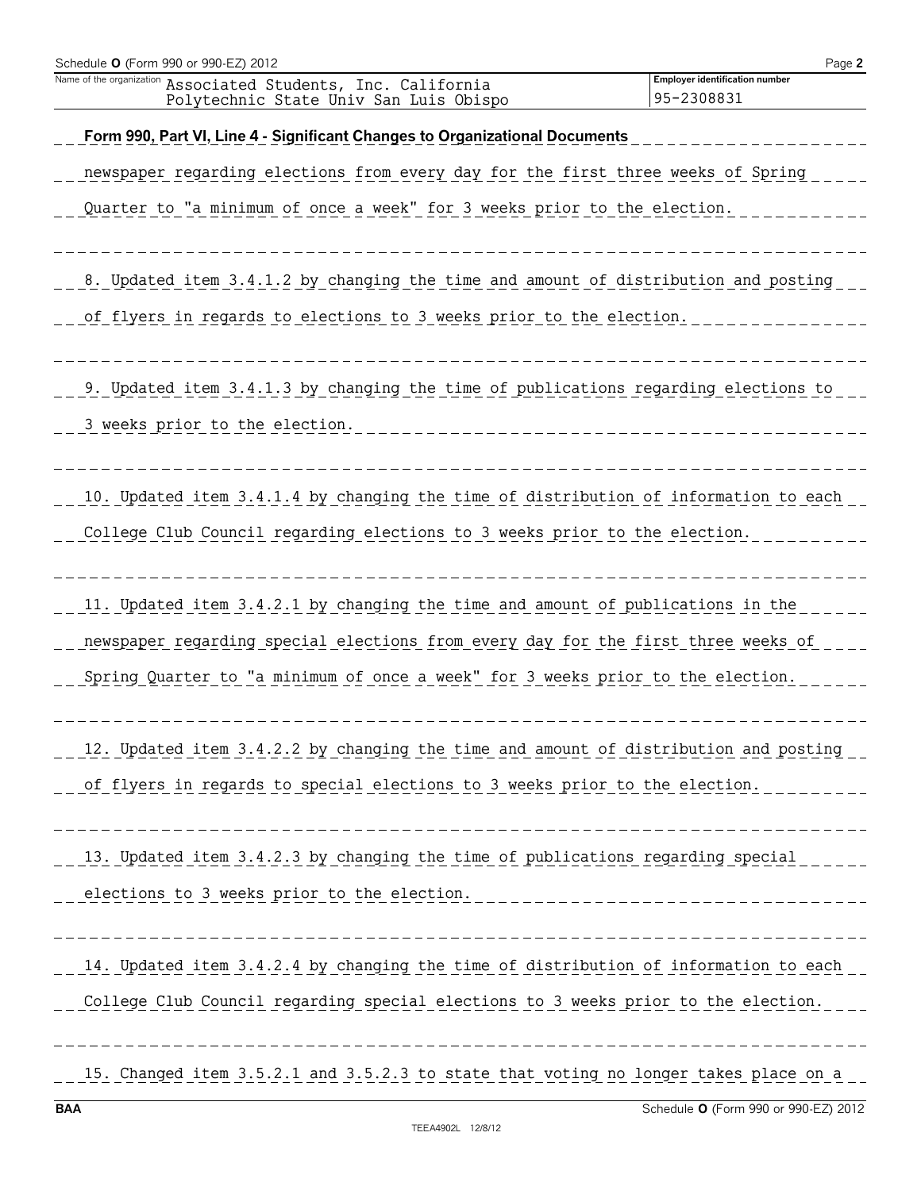| Schedule O (Form 990 or 990-EZ) 2012                                                                                  | Page 2                                              |
|-----------------------------------------------------------------------------------------------------------------------|-----------------------------------------------------|
| Name of the organization<br>Associated Students, Inc. California<br>Polytechnic State Univ San Luis Obispo            | <b>Employer identification number</b><br>95-2308831 |
| Form 990, Part VI, Line 4 - Significant Changes to Organizational Documents                                           |                                                     |
| newspaper regarding elections from every day for the first three weeks of Spring                                      |                                                     |
| Quarter to "a minimum of once a week" for 3 weeks prior to the election.                                              |                                                     |
| 8. Updated item 3.4.1.2 by changing the time and amount of distribution and posting                                   |                                                     |
| of flyers in regards to elections to 3 weeks prior to the election.                                                   |                                                     |
| 9. Updated item 3.4.1.3 by changing the time of publications regarding elections to<br>3 weeks prior to the election. |                                                     |
| 10. Updated item 3.4.1.4 by changing the time of distribution of information to each                                  |                                                     |
| College Club Council regarding elections to 3 weeks prior to the election.                                            |                                                     |
| 11. Updated item 3.4.2.1 by changing the time and amount of publications in the                                       |                                                     |
| newspaper regarding special elections from every day for the first three weeks of                                     |                                                     |
| Spring Quarter to "a minimum of once a week" for 3 weeks prior to the election.                                       |                                                     |
| 12. Updated item 3.4.2.2 by changing the time and amount of distribution and posting                                  |                                                     |
| of flyers in regards to special elections to 3 weeks prior to the election.                                           |                                                     |
| 13. Updated item 3.4.2.3 by changing the time of publications regarding special                                       |                                                     |
| elections to 3 weeks prior to the election.                                                                           | ----------------------                              |
| 14. Updated item 3.4.2.4 by changing the time of distribution of information to each                                  |                                                     |
| College Club Council regarding special elections to 3 weeks prior to the election.                                    |                                                     |
| 15. Changed item 3.5.2.1 and 3.5.2.3 to state that voting no longer takes place on a                                  |                                                     |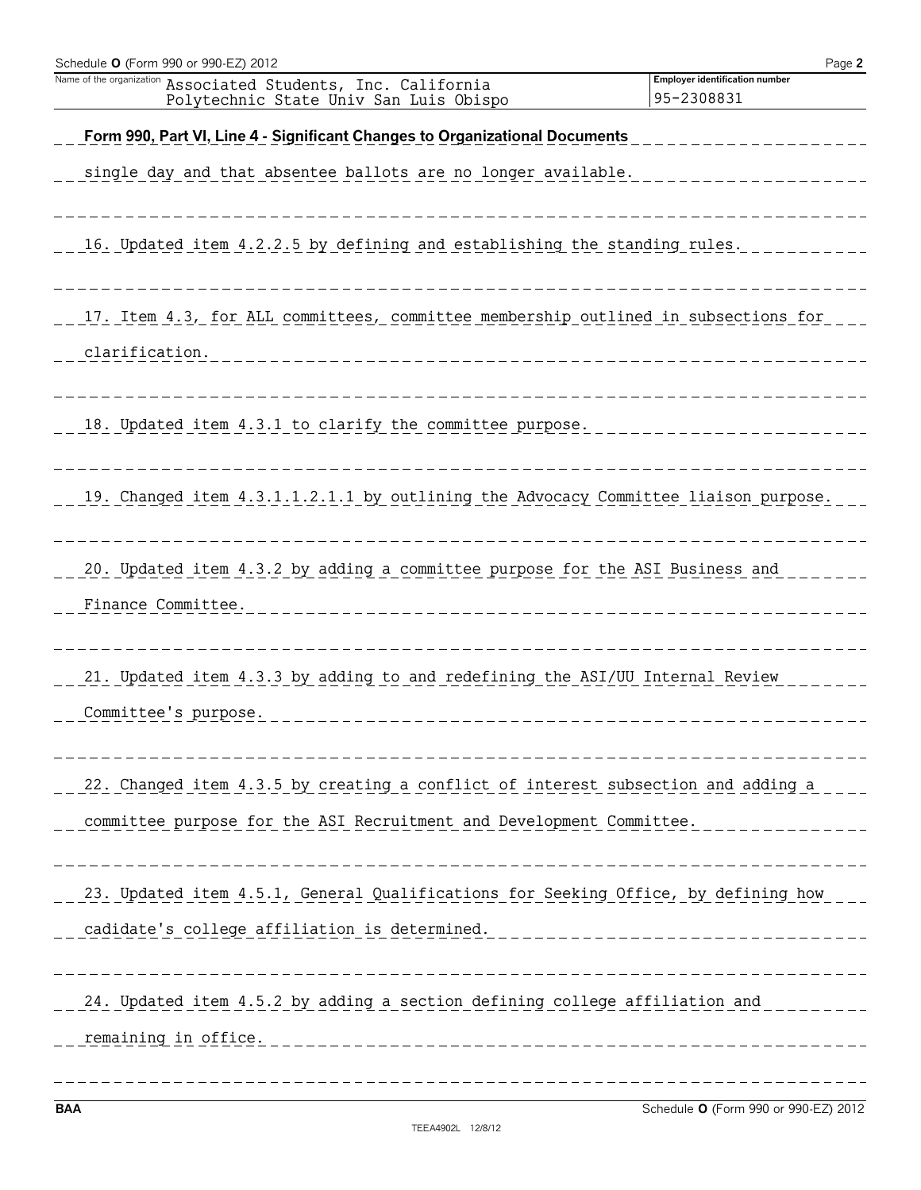| Schedule O (Form 990 or 990-EZ) 2012                                                                                                                      | Page 2                                       |
|-----------------------------------------------------------------------------------------------------------------------------------------------------------|----------------------------------------------|
| Name of the organization<br>Associated Students, Inc. California<br>Polytechnic State Univ San Luis Obispo                                                | Employer identification number<br>95-2308831 |
| Form 990, Part VI, Line 4 - Significant Changes to Organizational Documents                                                                               |                                              |
| single day and that absentee ballots are no longer available.                                                                                             |                                              |
| 16. Updated item 4.2.2.5 by defining and establishing the standing rules.                                                                                 |                                              |
| 17. Item 4.3, for ALL committees, committee membership outlined in subsections for<br>clarification.<br>_____________________________                     |                                              |
|                                                                                                                                                           |                                              |
| 18. Updated item 4.3.1 to clarify the committee purpose.                                                                                                  |                                              |
| 19. Changed item 4.3.1.1.2.1.1 by outlining the Advocacy Committee liaison purpose.                                                                       |                                              |
| 20. Updated item 4.3.2 by adding a committee purpose for the ASI Business and<br>Finance Committee.<br>________________________                           |                                              |
|                                                                                                                                                           |                                              |
| 21. Updated item 4.3.3 by adding to and redefining the ASI/UU Internal Review<br>Committee's purpose.                                                     |                                              |
|                                                                                                                                                           |                                              |
| 22. Changed item 4.3.5 by creating a conflict of interest subsection and adding a<br>committee purpose for the ASI Recruitment and Development Committee. |                                              |
| 23. Updated item 4.5.1, General Qualifications for Seeking Office, by defining how<br>cadidate's college affiliation is determined.                       |                                              |
| 24. Updated item 4.5.2 by adding a section defining college affiliation and<br>remaining in office.                                                       |                                              |

**BAA** Schedule **O** (Form 990 or 990-EZ) 2012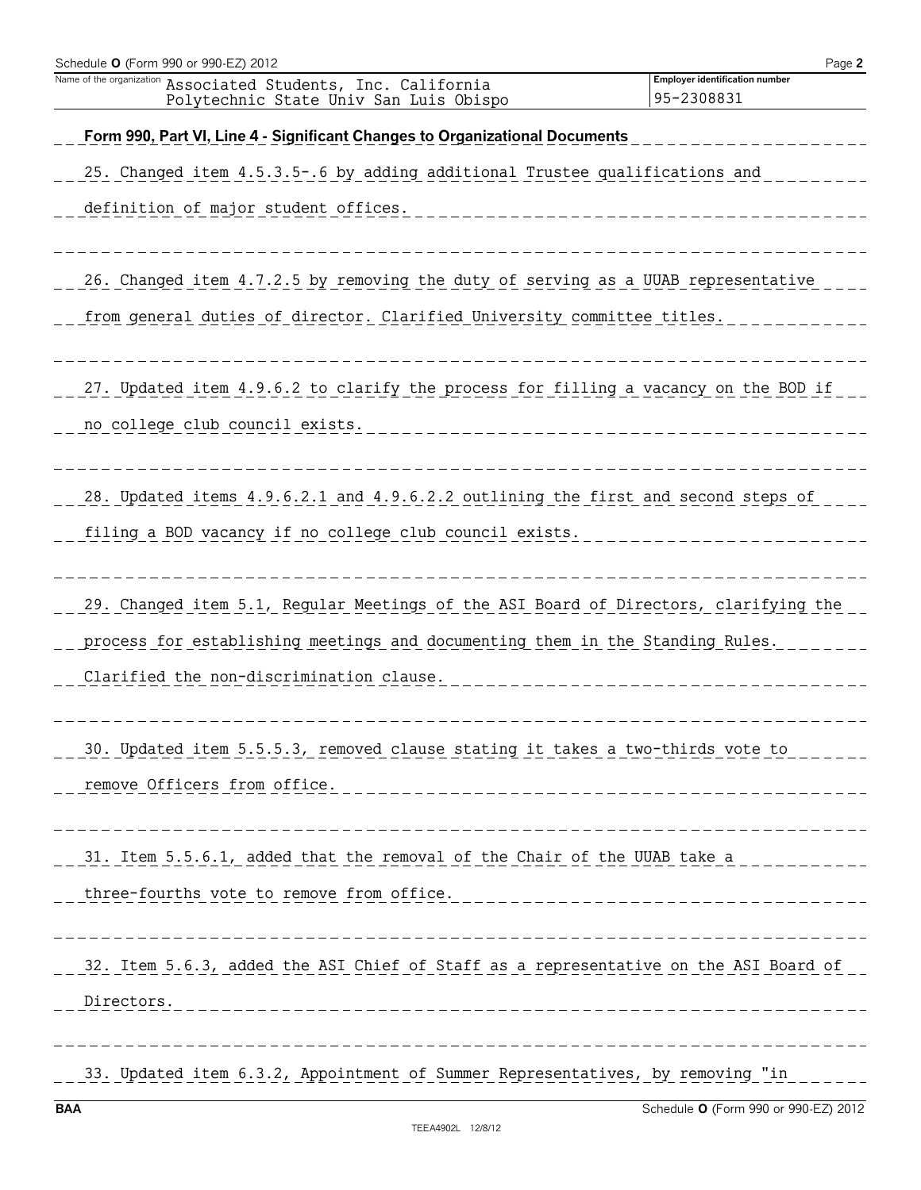| Schedule O (Form 990 or 990-EZ) 2012                                                                                                                                                                              | Page 2                                              |
|-------------------------------------------------------------------------------------------------------------------------------------------------------------------------------------------------------------------|-----------------------------------------------------|
| Name of the organization<br>Associated Students, Inc. California<br>Polytechnic State Univ San Luis Obispo                                                                                                        | <b>Employer identification number</b><br>95-2308831 |
| Form 990, Part VI, Line 4 - Significant Changes to Organizational Documents                                                                                                                                       |                                                     |
| 25. Changed item 4.5.3.5-.6 by adding additional Trustee qualifications and                                                                                                                                       |                                                     |
| definition of major student offices.                                                                                                                                                                              |                                                     |
| 26. Changed item 4.7.2.5 by removing the duty of serving as a UUAB representative                                                                                                                                 |                                                     |
| from general duties of director. Clarified University committee titles.                                                                                                                                           |                                                     |
| 27. Updated item 4.9.6.2 to clarify the process for filling a vacancy on the BOD if<br>no college club council exists.                                                                                            | --------------------------                          |
| 28. Updated items 4.9.6.2.1 and 4.9.6.2.2 outlining the first and second steps of<br>filing a BOD vacancy if no college club council exists.                                                                      |                                                     |
| 29. Changed item 5.1, Regular Meetings of the ASI Board of Directors, clarifying the<br>process for establishing meetings and documenting them in the Standing Rules.<br>Clarified the non-discrimination clause. |                                                     |
| 30. Updated item 5.5.5.3, removed clause stating it takes a two-thirds vote to<br>remove Officers from office.<br>___________________________________                                                             |                                                     |
| 31. Item 5.5.6.1, added that the removal of the Chair of the UUAB take a<br>three-fourths vote to remove from office.                                                                                             |                                                     |
| 32. Item 5.6.3, added the ASI Chief of Staff as a representative on the ASI Board of<br>Directors.                                                                                                                |                                                     |
| 33. Updated item 6.3.2, Appointment of Summer Representatives, by removing "in                                                                                                                                    |                                                     |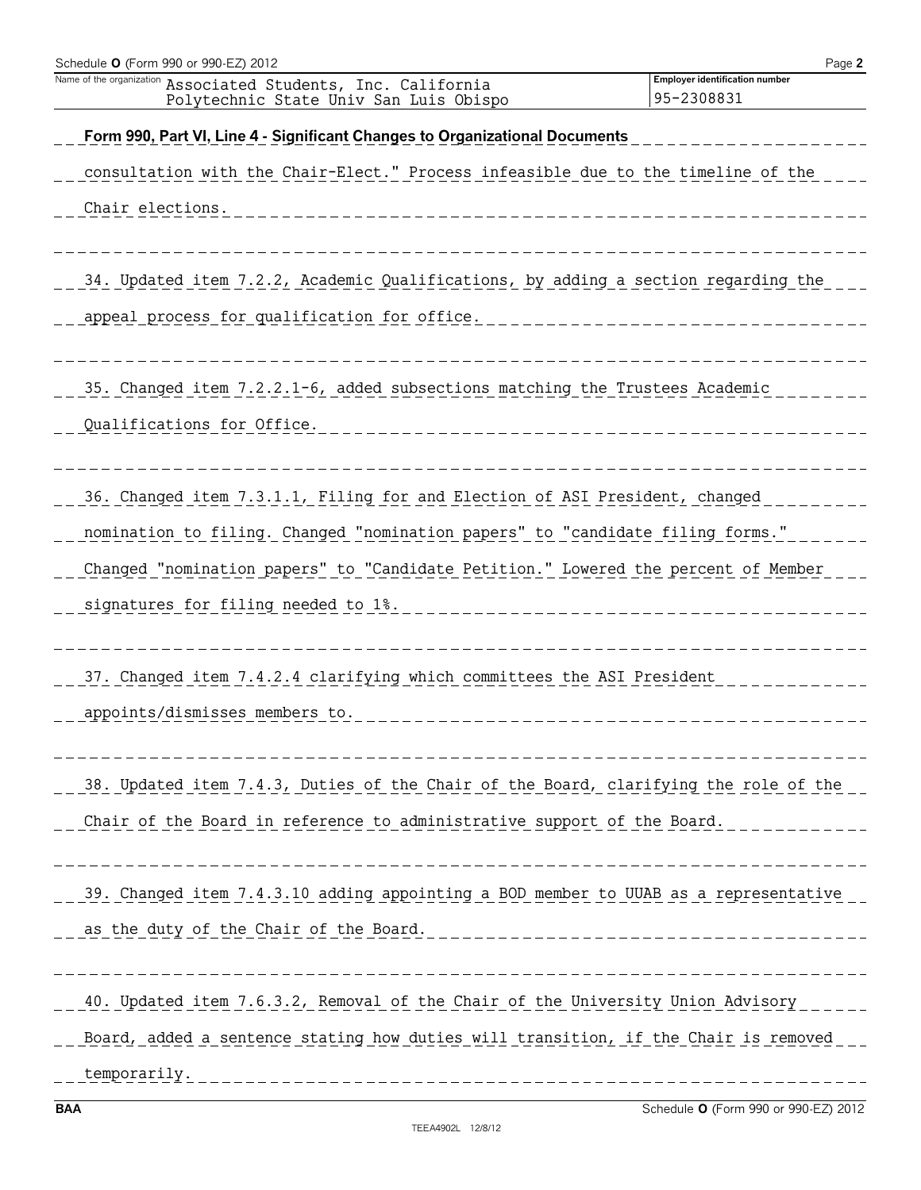| Schedule O (Form 990 or 990-EZ) 2012                                                                    | Page 2                                              |
|---------------------------------------------------------------------------------------------------------|-----------------------------------------------------|
| Name of the organization Associated Students, Inc. California<br>Polytechnic State Univ San Luis Obispo | <b>Employer identification number</b><br>95-2308831 |
| Form 990, Part VI, Line 4 - Significant Changes to Organizational Documents                             |                                                     |
| consultation with the Chair-Elect." Process infeasible due to the timeline of the                       |                                                     |
| Chair elections.                                                                                        |                                                     |
|                                                                                                         |                                                     |
| 34. Updated item 7.2.2, Academic Qualifications, by adding a section regarding the                      |                                                     |
| appeal process for qualification for office.                                                            |                                                     |
|                                                                                                         |                                                     |
| 35. Changed item 7.2.2.1-6, added subsections matching the Trustees Academic                            |                                                     |
| Qualifications for Office.                                                                              |                                                     |
|                                                                                                         |                                                     |
| 36. Changed item 7.3.1.1, Filing for and Election of ASI President, changed                             |                                                     |
| nomination to filing. Changed "nomination papers" to "candidate filing forms."                          |                                                     |
| Changed "nomination papers" to "Candidate Petition." Lowered the percent of Member                      |                                                     |
| signatures for filing needed to 1%.                                                                     |                                                     |
|                                                                                                         |                                                     |
| 37. Changed item 7.4.2.4 clarifying which committees the ASI President                                  |                                                     |
| appoints/dismisses members to.                                                                          |                                                     |
|                                                                                                         |                                                     |
| 38. Updated item 7.4.3, Duties of the Chair of the Board, clarifying the role of the                    |                                                     |
| Chair of the Board in reference to administrative support of the Board.                                 |                                                     |
|                                                                                                         |                                                     |
| 39. Changed item 7.4.3.10 adding appointing a BOD member to UUAB as a representative                    |                                                     |
| as the duty of the Chair of the Board.                                                                  |                                                     |
|                                                                                                         |                                                     |
| 40. Updated item 7.6.3.2, Removal of the Chair of the University Union Advisory                         |                                                     |
| Board, added a sentence stating how duties will transition, if the Chair is removed                     |                                                     |
| temporarily.                                                                                            |                                                     |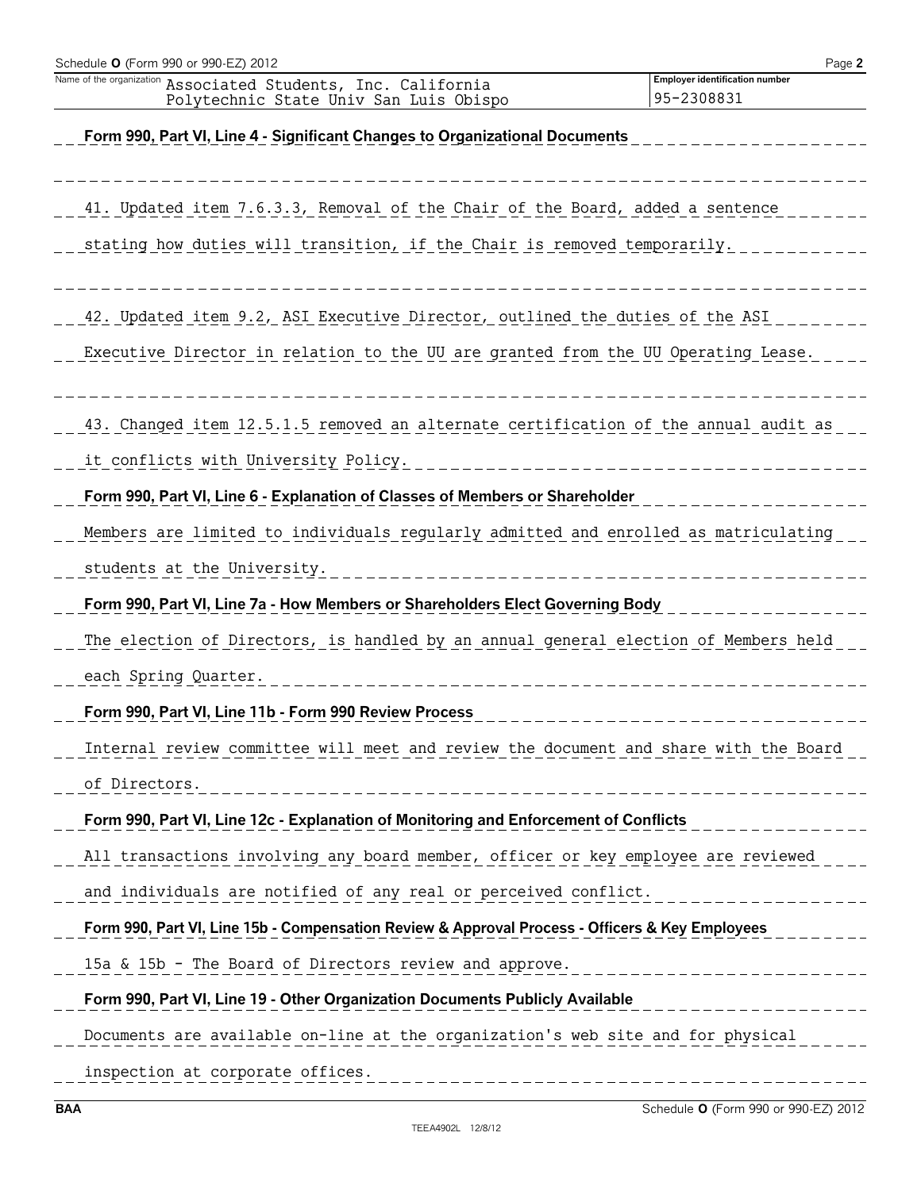| ASSOCIALED SUDDENLS, INC. CAILLOINIA<br>Polytechnic State Univ San Luis Obispo                  | 95-2308831                     |
|-------------------------------------------------------------------------------------------------|--------------------------------|
| Form 990, Part VI, Line 4 - Significant Changes to Organizational Documents                     |                                |
| 41. Updated item 7.6.3.3, Removal of the Chair of the Board, added a sentence                   |                                |
| stating how duties will transition, if the Chair is removed temporarily.                        |                                |
| 42. Updated item 9.2, ASI Executive Director, outlined the duties of the ASI                    |                                |
| Executive Director in relation to the UU are granted from the UU Operating Lease.               |                                |
| 43. Changed item 12.5.1.5 removed an alternate certification of the annual audit as             |                                |
| it conflicts with University Policy.                                                            | ______________________________ |
| Form 990, Part VI, Line 6 - Explanation of Classes of Members or Shareholder                    | -----------                    |
| Members are limited to individuals regularly admitted and enrolled as matriculating             |                                |
| students at the University.                                                                     |                                |
| Form 990, Part VI, Line 7a - How Members or Shareholders Elect Governing Body                   |                                |
| The election of Directors, is handled by an annual general election of Members held             |                                |
| each Spring Quarter.                                                                            |                                |
| Form 990, Part VI, Line 11b - Form 990 Review Process                                           |                                |
| Internal review committee will meet and review the document and share with the Board            |                                |
| of Directors.                                                                                   |                                |
| Form 990, Part VI, Line 12c - Explanation of Monitoring and Enforcement of Conflicts            |                                |
| All transactions involving any board member, officer or key employee are reviewed               |                                |
| and individuals are notified of any real or perceived conflict.                                 |                                |
| Form 990, Part VI, Line 15b - Compensation Review & Approval Process - Officers & Key Employees |                                |
| 15a & 15b - The Board of Directors review and approve.                                          |                                |
| Form 990, Part VI, Line 19 - Other Organization Documents Publicly Available                    |                                |
| Documents are available on-line at the organization's web site and for physical                 |                                |
| inspection at corporate offices.                                                                |                                |

Name of the organization **Associated Students, Inc. California Employer identification number**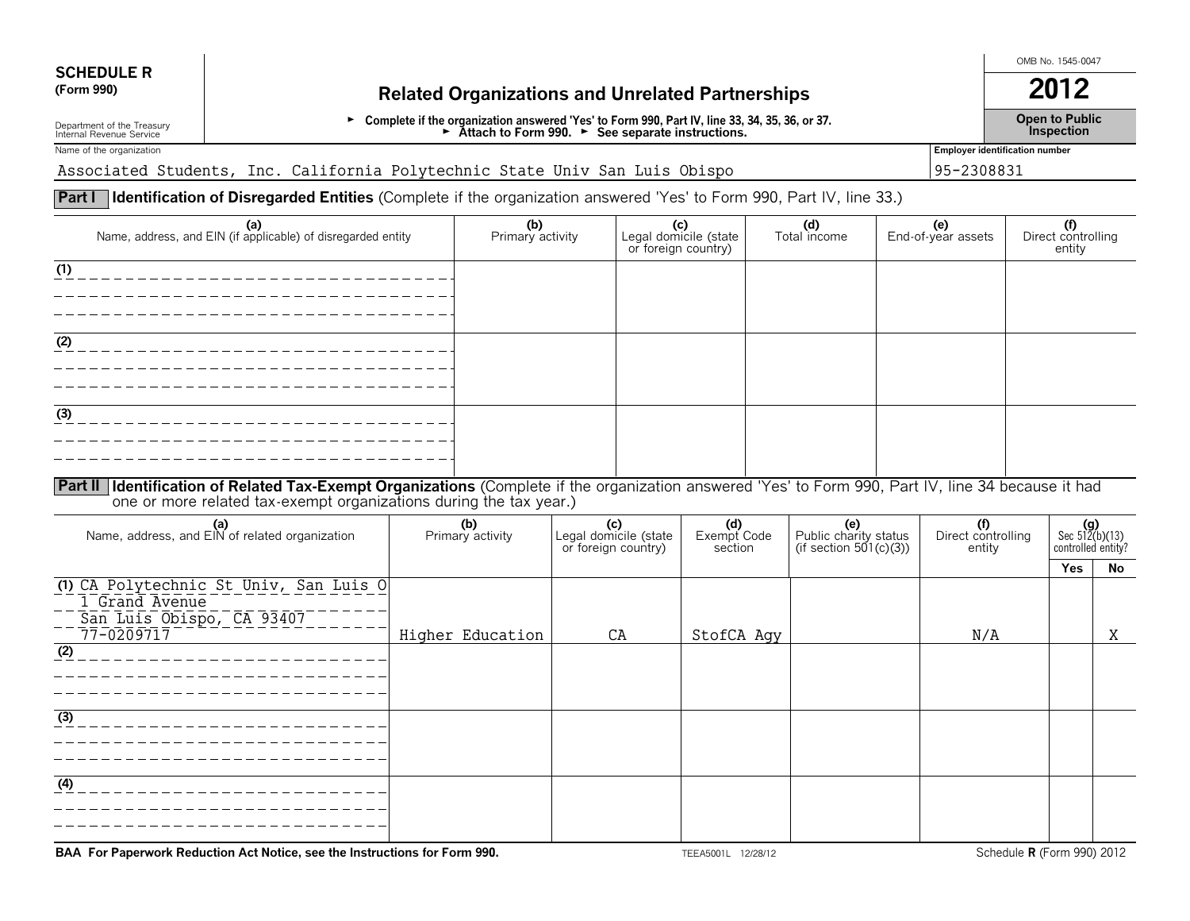# **SCHEDULE R**

# **(Form 990) Related Organizations and Unrelated Partnerships 2012**

Department of the Treasury **Depention Departion in Depart of Treasury** Depent to Public<br>Depention Depention Depart of Depart of Depart of Depart of Depart of Depart of Depart of Depart of Depart of M<br>Department of Departm

OMB No. 1545-0047

Name of the organization **Employer identification number Employer identification number** 

Associated Students, Inc. California Polytechnic State Univ San Luis Obispo 95-2308831

# **Part I Identification of Disregarded Entities** (Complete if the organization answered 'Yes' to Form 990, Part IV, line 33.)

| (a)<br>Name, address, and EIN (if applicable) of disregarded entity                                                                                    | (b)<br>Primary activity | Legal domicile (state<br>or foreign country) | (d)<br>Total income | <b>(e)</b><br>End-of-year assets | (f)<br>Direct controlling<br>entity |
|--------------------------------------------------------------------------------------------------------------------------------------------------------|-------------------------|----------------------------------------------|---------------------|----------------------------------|-------------------------------------|
| (1)                                                                                                                                                    |                         |                                              |                     |                                  |                                     |
|                                                                                                                                                        |                         |                                              |                     |                                  |                                     |
| (2)                                                                                                                                                    |                         |                                              |                     |                                  |                                     |
|                                                                                                                                                        |                         |                                              |                     |                                  |                                     |
| (3)                                                                                                                                                    |                         |                                              |                     |                                  |                                     |
|                                                                                                                                                        |                         |                                              |                     |                                  |                                     |
| Part II   Identification of Related Tax-Exempt Organizations (Complete if the organization answered 'Yes' to Form 990, Part IV, line 34 because it had |                         |                                              |                     |                                  |                                     |

one or more related tax-exempt organizations during the tax year.)

| (a)<br>Name, address, and EIN of related organization                                               | (b)<br>Primary activity | Legal domicile (state<br>or foreign country) | (d)<br>Exempt Code<br>section | (e)<br>Public charity status<br>(if section $501(c)(3)$ ) | (f)<br>Direct controlling<br>entity | $(g)$<br>Sec 512(b)(13)<br>controlled entity? |    |
|-----------------------------------------------------------------------------------------------------|-------------------------|----------------------------------------------|-------------------------------|-----------------------------------------------------------|-------------------------------------|-----------------------------------------------|----|
|                                                                                                     |                         |                                              |                               |                                                           |                                     | <b>Yes</b>                                    | No |
| (1) CA Polytechnic St Univ, San Luis O<br>1 Grand Avenue<br>San Luis Obispo, CA 93407<br>77-0209717 | Higher Education        | CA                                           | StofCA Agy                    |                                                           | N/A                                 |                                               | X  |
| $\overline{(2)}$                                                                                    |                         |                                              |                               |                                                           |                                     |                                               |    |
|                                                                                                     |                         |                                              |                               |                                                           |                                     |                                               |    |
| (3)                                                                                                 |                         |                                              |                               |                                                           |                                     |                                               |    |
|                                                                                                     |                         |                                              |                               |                                                           |                                     |                                               |    |
| (4)                                                                                                 |                         |                                              |                               |                                                           |                                     |                                               |    |
|                                                                                                     |                         |                                              |                               |                                                           |                                     |                                               |    |

**BAA For Paperwork Reduction Act Notice, see the Instructions for Form 990.** TEEA5001L 12/28/12 Schedule **R** (Form 990) 2012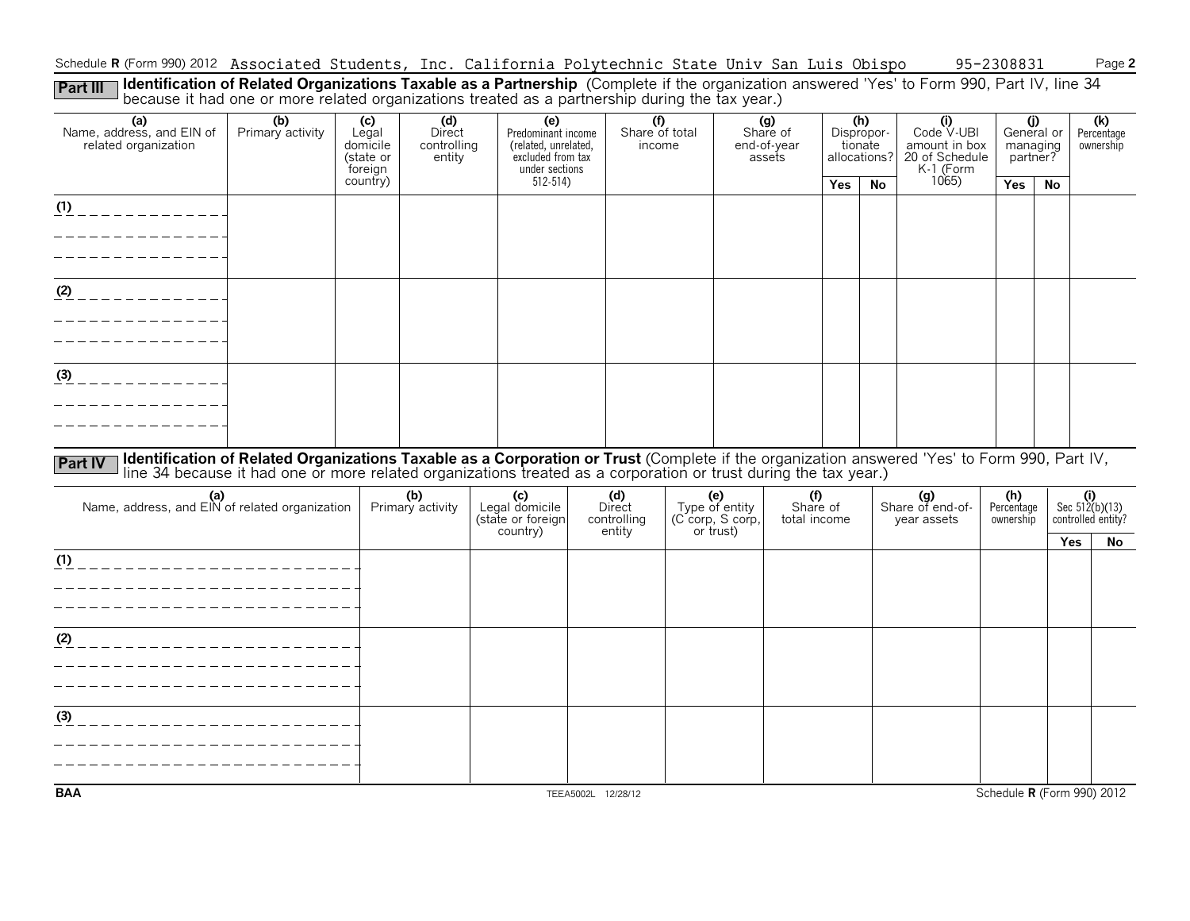Schedule **R** (Form 990) 2012 Associated Students, Inc. California Polytechnic State Univ San Luis Obispo 95-2308831 Page **2** 

Part III I **Identification of Related Organizations Taxable as a Partnership** (Complete if the organization answered 'Yes' to Form 990, Part IV, line 34<br>because it had one or more related organizations treated as a partner

| (a)<br>Name, address, and EIN of<br>related organization | (b)<br>Primary activity                                                                                                                                                                                                        | (c)<br>Legal<br>domicile<br>(state or<br>foreign | (d)<br>Direct<br>controlling<br>entity | (e)<br>Predominant income<br>(related, unrelated,<br>excluded from tax<br>under sections | $\overline{(\text{f})}$<br>Share of total<br>income |                                           | (g)<br>Share of<br>end-of-year<br>assets |     | (h)<br>Dispropor-<br>tionate<br>allocations? | (i)<br>Code V-UBI<br>amount in box<br>20 of Schedule<br>K-1 (Form | (j)<br>General or<br>managing<br>partner? |     | (k)<br>Percentage<br>ownership                |
|----------------------------------------------------------|--------------------------------------------------------------------------------------------------------------------------------------------------------------------------------------------------------------------------------|--------------------------------------------------|----------------------------------------|------------------------------------------------------------------------------------------|-----------------------------------------------------|-------------------------------------------|------------------------------------------|-----|----------------------------------------------|-------------------------------------------------------------------|-------------------------------------------|-----|-----------------------------------------------|
|                                                          |                                                                                                                                                                                                                                | country)                                         |                                        | $512 - 514$                                                                              |                                                     |                                           |                                          | Yes | <b>No</b>                                    | 1065                                                              | Yes                                       | No  |                                               |
| (1)<br>-----------                                       |                                                                                                                                                                                                                                |                                                  |                                        |                                                                                          |                                                     |                                           |                                          |     |                                              |                                                                   |                                           |     |                                               |
|                                                          |                                                                                                                                                                                                                                |                                                  |                                        |                                                                                          |                                                     |                                           |                                          |     |                                              |                                                                   |                                           |     |                                               |
|                                                          |                                                                                                                                                                                                                                |                                                  |                                        |                                                                                          |                                                     |                                           |                                          |     |                                              |                                                                   |                                           |     |                                               |
| $(2)$ _ _ _ _ _ _ _ _ _ _ _ _                            |                                                                                                                                                                                                                                |                                                  |                                        |                                                                                          |                                                     |                                           |                                          |     |                                              |                                                                   |                                           |     |                                               |
|                                                          |                                                                                                                                                                                                                                |                                                  |                                        |                                                                                          |                                                     |                                           |                                          |     |                                              |                                                                   |                                           |     |                                               |
|                                                          |                                                                                                                                                                                                                                |                                                  |                                        |                                                                                          |                                                     |                                           |                                          |     |                                              |                                                                   |                                           |     |                                               |
| $\frac{(3)}{2}$ _ _ _ _ _ _ _ _ _ _ _ _                  |                                                                                                                                                                                                                                |                                                  |                                        |                                                                                          |                                                     |                                           |                                          |     |                                              |                                                                   |                                           |     |                                               |
|                                                          |                                                                                                                                                                                                                                |                                                  |                                        |                                                                                          |                                                     |                                           |                                          |     |                                              |                                                                   |                                           |     |                                               |
|                                                          |                                                                                                                                                                                                                                |                                                  |                                        |                                                                                          |                                                     |                                           |                                          |     |                                              |                                                                   |                                           |     |                                               |
| <b>Part IV</b>                                           | Identification of Related Organizations Taxable as a Corporation or Trust (Complete if the organization answered 'Yes' to Form 990, Part IV, line 34 because it had one or more related organizations treated as a corporation |                                                  |                                        |                                                                                          |                                                     |                                           |                                          |     |                                              |                                                                   |                                           |     |                                               |
|                                                          |                                                                                                                                                                                                                                |                                                  | (b)                                    |                                                                                          | (d)                                                 |                                           | (f)                                      |     |                                              |                                                                   | (h)                                       |     |                                               |
| (a)<br>Name, address, and EIN of related organization    |                                                                                                                                                                                                                                |                                                  | Primary activity                       | (c)<br>Legal domicile<br>(state or foreign                                               | Direct<br>controlling                               | (e)<br>Type of entity<br>(C corp, S corp, | Share of<br>total income                 |     |                                              | (g)<br>Share of end-of-<br>year assets                            | Percentage<br>ownership                   |     | (i)<br>Sec $512(b)(13)$<br>controlled entity? |
|                                                          |                                                                                                                                                                                                                                |                                                  |                                        | country)                                                                                 | entity                                              | or trust)                                 |                                          |     |                                              |                                                                   |                                           | Yes | No.                                           |
|                                                          |                                                                                                                                                                                                                                |                                                  |                                        |                                                                                          |                                                     |                                           |                                          |     |                                              |                                                                   |                                           |     |                                               |
| _______________                                          | __________________                                                                                                                                                                                                             |                                                  |                                        |                                                                                          |                                                     |                                           |                                          |     |                                              |                                                                   |                                           |     |                                               |
|                                                          |                                                                                                                                                                                                                                |                                                  |                                        |                                                                                          |                                                     |                                           |                                          |     |                                              |                                                                   |                                           |     |                                               |
| (2)<br>_________________________                         |                                                                                                                                                                                                                                |                                                  |                                        |                                                                                          |                                                     |                                           |                                          |     |                                              |                                                                   |                                           |     |                                               |
|                                                          |                                                                                                                                                                                                                                |                                                  |                                        |                                                                                          |                                                     |                                           |                                          |     |                                              |                                                                   |                                           |     |                                               |
|                                                          |                                                                                                                                                                                                                                |                                                  |                                        |                                                                                          |                                                     |                                           |                                          |     |                                              |                                                                   |                                           |     |                                               |
| (3)                                                      |                                                                                                                                                                                                                                |                                                  |                                        |                                                                                          |                                                     |                                           |                                          |     |                                              |                                                                   |                                           |     |                                               |
|                                                          |                                                                                                                                                                                                                                |                                                  |                                        |                                                                                          |                                                     |                                           |                                          |     |                                              |                                                                   |                                           |     |                                               |
| <b>BAA</b>                                               |                                                                                                                                                                                                                                |                                                  |                                        |                                                                                          | TEEA5002L 12/28/12                                  |                                           |                                          |     |                                              |                                                                   |                                           |     | Schedule R (Form 990) 2012                    |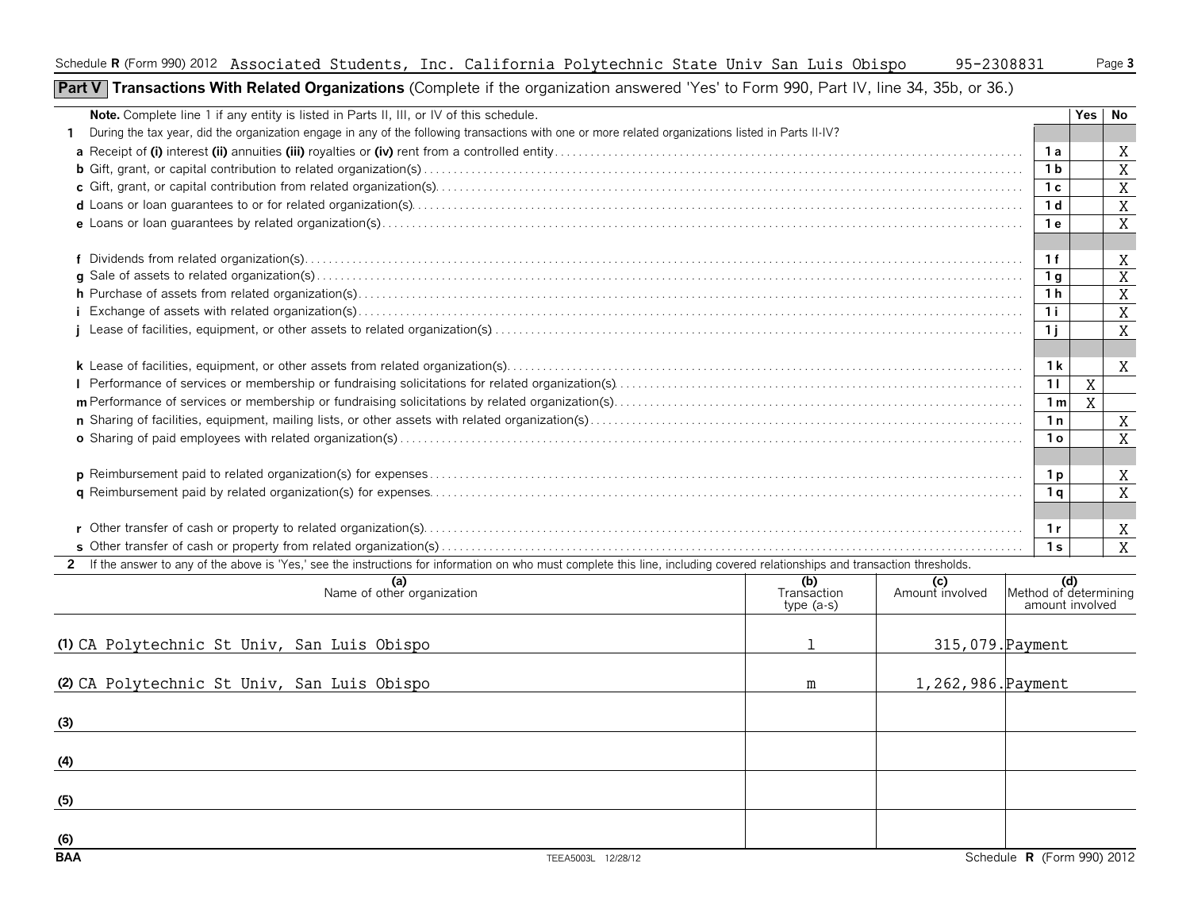#### Schedule **R** (Form 990) 2012 Page **3** Associated Students, Inc. California Polytechnic State Univ San Luis Obispo 95-2308831

**Part V** Transactions With Related Organizations (Complete if the organization answered 'Yes' to Form 990, Part IV, line 34, 35b, or 36.)

| <b>Note.</b> Complete line 1 if any entity is listed in Parts II, III, or IV of this schedule.                                                                                 |                            |                        |                                        |   | Yes No         |
|--------------------------------------------------------------------------------------------------------------------------------------------------------------------------------|----------------------------|------------------------|----------------------------------------|---|----------------|
| During the tax year, did the organization engage in any of the following transactions with one or more related organizations listed in Parts II-IV?                            |                            |                        |                                        |   |                |
|                                                                                                                                                                                |                            |                        | - 1 a                                  |   | X              |
|                                                                                                                                                                                |                            |                        | 1 b                                    |   | X              |
|                                                                                                                                                                                |                            |                        | 1 c                                    |   | X              |
|                                                                                                                                                                                |                            |                        | 1 <sub>d</sub>                         |   | X              |
|                                                                                                                                                                                |                            |                        | 1е                                     |   | X              |
|                                                                                                                                                                                |                            |                        |                                        |   |                |
|                                                                                                                                                                                |                            |                        | 1f                                     |   | Χ              |
|                                                                                                                                                                                |                            |                        | 1 g                                    |   | $\overline{X}$ |
|                                                                                                                                                                                |                            |                        | 1 h                                    |   | X              |
|                                                                                                                                                                                |                            |                        | 1 i                                    |   | X              |
|                                                                                                                                                                                |                            |                        | 1 i                                    |   | X              |
|                                                                                                                                                                                |                            |                        |                                        |   |                |
|                                                                                                                                                                                |                            |                        | 1 k                                    |   | X              |
|                                                                                                                                                                                |                            |                        | 11                                     | X |                |
|                                                                                                                                                                                |                            |                        | 1 m                                    | X |                |
|                                                                                                                                                                                |                            |                        | 1n                                     |   | X              |
|                                                                                                                                                                                |                            |                        | 1 o                                    |   | X              |
|                                                                                                                                                                                |                            |                        |                                        |   |                |
|                                                                                                                                                                                |                            |                        | 1 p                                    |   | X              |
|                                                                                                                                                                                |                            |                        | 1 <sub>a</sub>                         |   | X              |
|                                                                                                                                                                                |                            |                        |                                        |   |                |
|                                                                                                                                                                                |                            |                        | 1r                                     |   | X              |
|                                                                                                                                                                                |                            |                        | 1 <sub>s</sub>                         |   | X              |
| 2 If the answer to any of the above is 'Yes,' see the instructions for information on who must complete this line, including covered relationships and transaction thresholds. |                            |                        |                                        |   |                |
| (a)<br>Name of other organization                                                                                                                                              | (b)                        | (c)<br>Amount involved | $\left  \right $ Method of determining |   |                |
|                                                                                                                                                                                | Transaction<br>$type(a-s)$ |                        | amount involved                        |   |                |
|                                                                                                                                                                                |                            |                        |                                        |   |                |
|                                                                                                                                                                                |                            |                        |                                        |   |                |
| (1) CA Polytechnic St Univ, San Luis Obispo                                                                                                                                    |                            | 315,079. Payment       |                                        |   |                |

| (2) CA Polytechnic St Univ, San Luis Obispo | m | 1,262,986. Payment |                            |
|---------------------------------------------|---|--------------------|----------------------------|
| (3)                                         |   |                    |                            |
| (4)                                         |   |                    |                            |
| (5)                                         |   |                    |                            |
| (6)                                         |   |                    |                            |
| BAA<br>TEEA5003L 12/28/12                   |   |                    | Schedule R (Form 990) 2012 |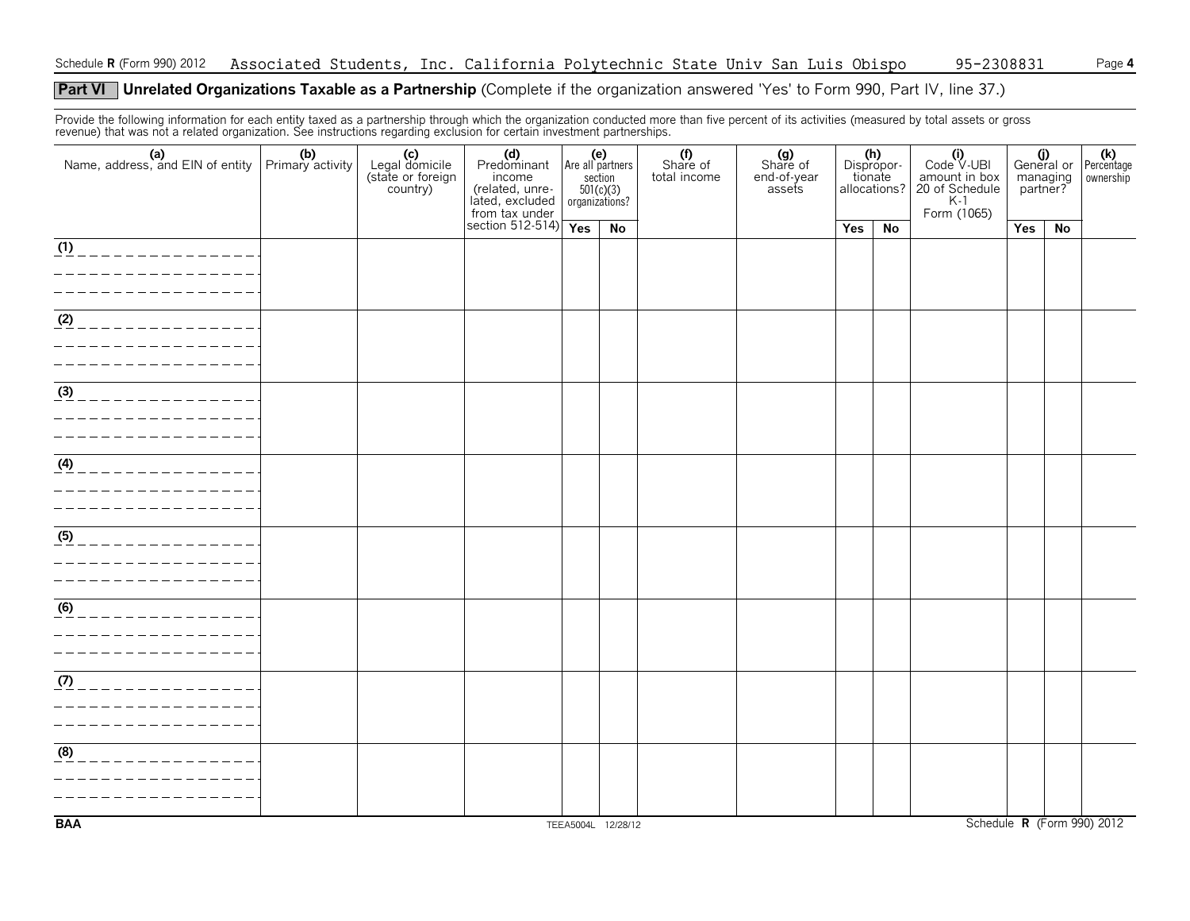### **Part VI** Unrelated Organizations Taxable as a Partnership (Complete if the organization answered 'Yes' to Form 990, Part IV, line 37.)

Provide the following information for each entity taxed as a partnership through which the organization conducted more than five percent of its activities (measured by total assets or gross revenue) that was not a related organization. See instructions regarding exclusion for certain investment partnerships.

| Name, address, and EIN of entity $\begin{array}{ c c c c }\n\hline\n\text{Name, address, and EIN of entity} & \text{Primary activity}\n\end{array}$ | (b) | (c)<br>Legal domicile<br>(state or foreign<br>country) | (d)<br>Predominant Are all partners<br>income<br>(related, unre-<br>lated, excluded | $501(c)(3)$<br>organizations? | (e)<br>section     | Share of<br>total income | (g)<br>Share of<br>end-of-year<br>assets | tionate | (h)<br>Dispropor-<br>allocations? | $(i)$<br>Code $\vee$ UBI<br>amount in box<br>20 of Schedule<br>$K-1$<br>Form (1065) | managing<br>partner? |    | (i)<br>General or Percentage<br>ownership |
|-----------------------------------------------------------------------------------------------------------------------------------------------------|-----|--------------------------------------------------------|-------------------------------------------------------------------------------------|-------------------------------|--------------------|--------------------------|------------------------------------------|---------|-----------------------------------|-------------------------------------------------------------------------------------|----------------------|----|-------------------------------------------|
|                                                                                                                                                     |     |                                                        | from tax under<br>section 512-514)                                                  | Yes                           | No                 |                          |                                          | Yes     | No                                |                                                                                     | Yes                  | No |                                           |
| _______________<br>-----------                                                                                                                      |     |                                                        |                                                                                     |                               |                    |                          |                                          |         |                                   |                                                                                     |                      |    |                                           |
| $\overline{\frac{(2)}{2}-\frac{1}{2}-\frac{1}{2}-\frac{1}{2}-\frac{1}{2}-\frac{1}{2}-\frac{1}{2}-\frac{1}{2}-\frac{1}{2}}}$                         |     |                                                        |                                                                                     |                               |                    |                          |                                          |         |                                   |                                                                                     |                      |    |                                           |
| $\frac{(3)}{2}$<br>______________                                                                                                                   |     |                                                        |                                                                                     |                               |                    |                          |                                          |         |                                   |                                                                                     |                      |    |                                           |
| $(4)$ _ _ _ _ _ _ _ _ _ _ _ _ _ _ _ _                                                                                                               |     |                                                        |                                                                                     |                               |                    |                          |                                          |         |                                   |                                                                                     |                      |    |                                           |
| (5)<br>______________                                                                                                                               |     |                                                        |                                                                                     |                               |                    |                          |                                          |         |                                   |                                                                                     |                      |    |                                           |
| $\overline{6}$ _ _ _ _ _ _ _ _ _ _ _ _ _ _ _ _                                                                                                      |     |                                                        |                                                                                     |                               |                    |                          |                                          |         |                                   |                                                                                     |                      |    |                                           |
| _________________                                                                                                                                   |     |                                                        |                                                                                     |                               |                    |                          |                                          |         |                                   |                                                                                     |                      |    |                                           |
| (8)<br>_____________                                                                                                                                |     |                                                        |                                                                                     |                               |                    |                          |                                          |         |                                   |                                                                                     |                      |    |                                           |
| <b>BAA</b>                                                                                                                                          |     |                                                        |                                                                                     |                               | TEEA5004L 12/28/12 |                          |                                          |         |                                   |                                                                                     |                      |    | Schedule R (Form 990) 2012                |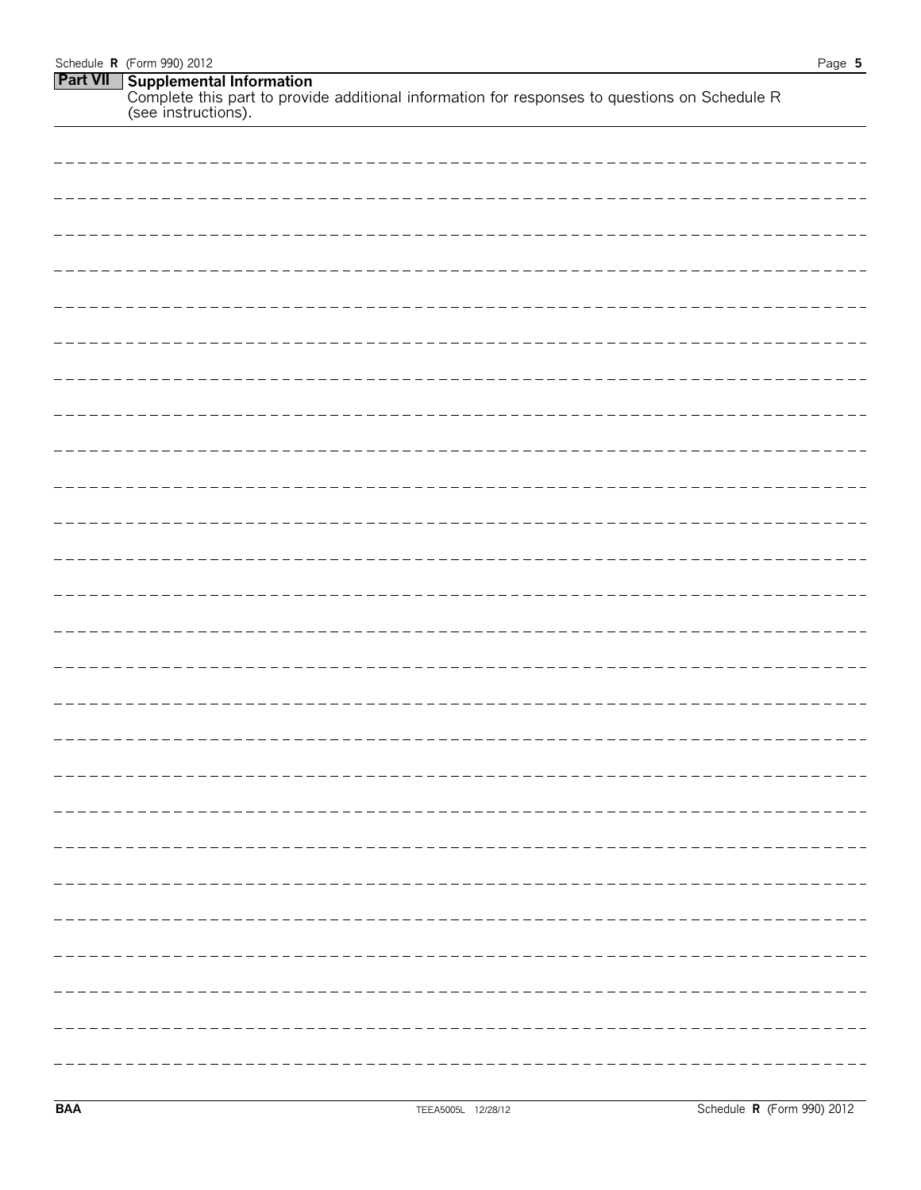| Schedule $\bf{R}$ (Form 990) 2012                                                                                                         | Page 5 |
|-------------------------------------------------------------------------------------------------------------------------------------------|--------|
| <b>Part VII</b> Supplemental Information<br>Complete this part to provide additional information for responses to questions on Schedule R |        |
| (see instructions).                                                                                                                       |        |

| ----- |
|-------|
|       |
|       |
|       |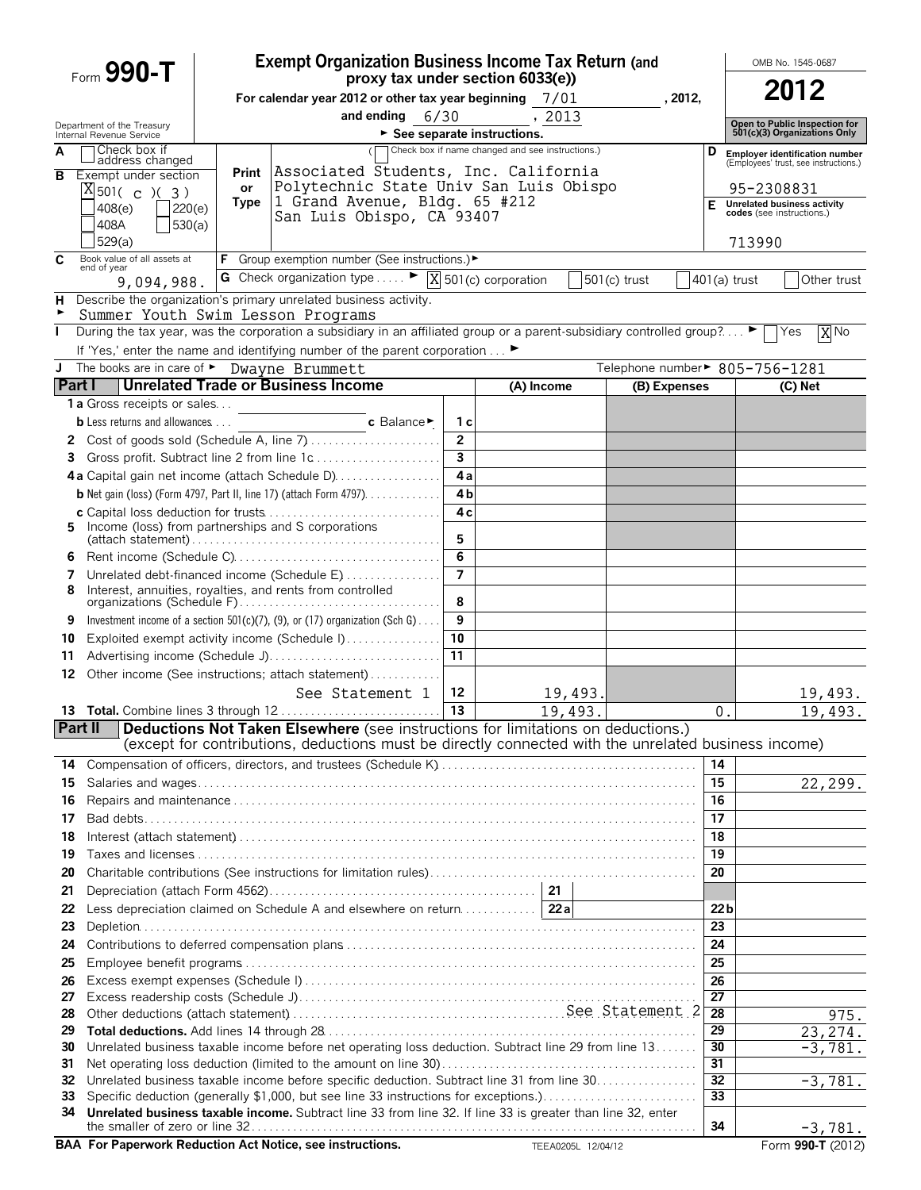|                | Form 990-T                                             |                                                                                                     | <b>Exempt Organization Business Income Tax Return (and</b>                                                                                                                               |                         |                                                  |         |                                |                                    |                                                  | OMB No. 1545-0687                                             |  |
|----------------|--------------------------------------------------------|-----------------------------------------------------------------------------------------------------|------------------------------------------------------------------------------------------------------------------------------------------------------------------------------------------|-------------------------|--------------------------------------------------|---------|--------------------------------|------------------------------------|--------------------------------------------------|---------------------------------------------------------------|--|
|                |                                                        |                                                                                                     | proxy tax under section 6033(e))                                                                                                                                                         |                         |                                                  |         |                                |                                    |                                                  | 2012                                                          |  |
|                |                                                        | For calendar year 2012 or other tax year beginning $7/01$<br>, 2012,<br>and ending $6/30$<br>, 2013 |                                                                                                                                                                                          |                         |                                                  |         |                                |                                    |                                                  |                                                               |  |
|                | Department of the Treasury<br>Internal Revenue Service |                                                                                                     |                                                                                                                                                                                          |                         | See separate instructions.                       |         |                                |                                    |                                                  | Open to Public Inspection for<br>501(c)(3) Organizations Only |  |
| A              | Check box if<br>address changed                        |                                                                                                     |                                                                                                                                                                                          |                         | Check box if name changed and see instructions.) |         |                                | D                                  |                                                  | Employer identification number                                |  |
| в              | Exempt under section                                   |                                                                                                     | Print Associated Students, Inc. California                                                                                                                                               |                         |                                                  |         |                                |                                    |                                                  | (Employees' trust, see instructions.)                         |  |
|                | $X_{501( c ) ( 3 )}$                                   | or<br>Type                                                                                          | Polytechnic State Univ San Luis Obispo<br>1 Grand Avenue, Bldg. 65 #212                                                                                                                  |                         |                                                  |         |                                |                                    | 95-2308831<br><b>Unrelated business activity</b> |                                                               |  |
|                | 220(e)<br>408(e)                                       |                                                                                                     | San Luis Obispo, CA 93407                                                                                                                                                                |                         |                                                  |         |                                | Е                                  |                                                  | codes (see instructions.)                                     |  |
|                | 530(a)<br>408A<br>529(a)                               |                                                                                                     |                                                                                                                                                                                          |                         |                                                  |         |                                |                                    | 713990                                           |                                                               |  |
| C              | Book value of all assets at                            |                                                                                                     | <b>F</b> Group exemption number (See instructions.)▶                                                                                                                                     |                         |                                                  |         |                                |                                    |                                                  |                                                               |  |
|                | end of year<br>9,094,988.                              |                                                                                                     | G Check organization type $\ldots$ $\blacktriangleright$ $\boxed{\text{X}}$ 501(c) corporation                                                                                           |                         |                                                  |         | 501(c) trust                   |                                    | 401(a) trust                                     | Other trust                                                   |  |
| н              |                                                        |                                                                                                     | Describe the organization's primary unrelated business activity.                                                                                                                         |                         |                                                  |         |                                |                                    |                                                  |                                                               |  |
| ►              | Summer Youth Swim Lesson Programs                      |                                                                                                     |                                                                                                                                                                                          |                         |                                                  |         |                                |                                    |                                                  |                                                               |  |
| $\mathbf{I}$   |                                                        |                                                                                                     | During the tax year, was the corporation a subsidiary in an affiliated group or a parent-subsidiary controlled group? $\blacktriangleright \Box$ Yes                                     |                         |                                                  |         |                                |                                    |                                                  | X <sub>No</sub>                                               |  |
|                | J The books are in care of > Dwayne Brummett           |                                                                                                     | If 'Yes,' enter the name and identifying number of the parent corporation ►                                                                                                              |                         |                                                  |         | Telephone number► 805-756-1281 |                                    |                                                  |                                                               |  |
|                |                                                        |                                                                                                     | <b>Part I</b> Unrelated Trade or Business Income                                                                                                                                         |                         | (A) Income                                       |         | (B) Expenses                   |                                    |                                                  | (C) Net                                                       |  |
|                | <b>1 a</b> Gross receipts or sales                     |                                                                                                     |                                                                                                                                                                                          |                         |                                                  |         |                                |                                    |                                                  |                                                               |  |
|                | <b>b</b> Less returns and allowances                   |                                                                                                     | c Balance►                                                                                                                                                                               | 1 с                     |                                                  |         |                                |                                    |                                                  |                                                               |  |
|                |                                                        |                                                                                                     |                                                                                                                                                                                          | $\overline{2}$          |                                                  |         |                                |                                    |                                                  |                                                               |  |
| 3              |                                                        |                                                                                                     | Gross profit. Subtract line 2 from line 1c                                                                                                                                               | $\overline{\mathbf{3}}$ |                                                  |         |                                |                                    |                                                  |                                                               |  |
|                |                                                        |                                                                                                     | 4a Capital gain net income (attach Schedule D)                                                                                                                                           | 4a<br>4 <sub>b</sub>    |                                                  |         |                                |                                    |                                                  |                                                               |  |
|                |                                                        |                                                                                                     | <b>b</b> Net gain (loss) (Form 4797, Part II, line 17) (attach Form 4797).                                                                                                               | 4 c                     |                                                  |         |                                |                                    |                                                  |                                                               |  |
| 5.             | Income (loss) from partnerships and S corporations     |                                                                                                     |                                                                                                                                                                                          |                         |                                                  |         |                                |                                    |                                                  |                                                               |  |
|                |                                                        |                                                                                                     |                                                                                                                                                                                          | 5                       |                                                  |         |                                |                                    |                                                  |                                                               |  |
| 6<br>7         |                                                        |                                                                                                     | Unrelated debt-financed income (Schedule E)                                                                                                                                              | 6<br>$\overline{7}$     |                                                  |         |                                |                                    |                                                  |                                                               |  |
| 8              |                                                        |                                                                                                     | Interest, annuities, royalties, and rents from controlled                                                                                                                                |                         |                                                  |         |                                |                                    |                                                  |                                                               |  |
|                |                                                        |                                                                                                     |                                                                                                                                                                                          | 8                       |                                                  |         |                                |                                    |                                                  |                                                               |  |
| 9<br>10        |                                                        |                                                                                                     | Investment income of a section $501(c)(7)$ , (9), or (17) organization (Sch G)<br>Exploited exempt activity income (Schedule I)                                                          | 9<br>10                 |                                                  |         |                                |                                    |                                                  |                                                               |  |
| 11             |                                                        |                                                                                                     | Advertising income (Schedule J)                                                                                                                                                          | 11                      |                                                  |         |                                |                                    |                                                  |                                                               |  |
| 12             |                                                        |                                                                                                     | Other income (See instructions; attach statement)                                                                                                                                        |                         |                                                  |         |                                |                                    |                                                  |                                                               |  |
|                |                                                        |                                                                                                     | See Statement 1                                                                                                                                                                          | 12                      |                                                  | 19,493. |                                |                                    |                                                  | 19,493.                                                       |  |
|                |                                                        |                                                                                                     |                                                                                                                                                                                          | 13                      |                                                  | 19,493. |                                |                                    | 0.                                               | 19,493.                                                       |  |
| <b>Part II</b> |                                                        |                                                                                                     | Deductions Not Taken Elsewhere (see instructions for limitations on deductions.)<br>(except for contributions, deductions must be directly connected with the unrelated business income) |                         |                                                  |         |                                |                                    |                                                  |                                                               |  |
| 14             |                                                        |                                                                                                     |                                                                                                                                                                                          |                         |                                                  |         |                                |                                    | 14                                               |                                                               |  |
| 15             |                                                        |                                                                                                     |                                                                                                                                                                                          |                         |                                                  |         |                                | 15                                 |                                                  | 22,299.                                                       |  |
| 16             |                                                        |                                                                                                     |                                                                                                                                                                                          |                         |                                                  |         |                                | 16                                 |                                                  |                                                               |  |
| 17             |                                                        |                                                                                                     |                                                                                                                                                                                          |                         |                                                  |         |                                | 17                                 |                                                  |                                                               |  |
| 18             |                                                        |                                                                                                     |                                                                                                                                                                                          |                         |                                                  |         |                                | 18                                 |                                                  |                                                               |  |
| 19<br>20       |                                                        |                                                                                                     |                                                                                                                                                                                          |                         |                                                  |         |                                | 19<br>20                           |                                                  |                                                               |  |
| 21             |                                                        |                                                                                                     |                                                                                                                                                                                          |                         | 21                                               |         |                                |                                    |                                                  |                                                               |  |
| 22             |                                                        |                                                                                                     | Less depreciation claimed on Schedule A and elsewhere on return                                                                                                                          |                         | 22a                                              |         |                                |                                    | 22 <sub>b</sub>                                  |                                                               |  |
| 23             |                                                        |                                                                                                     |                                                                                                                                                                                          |                         |                                                  |         |                                | 23                                 |                                                  |                                                               |  |
| 24             |                                                        |                                                                                                     |                                                                                                                                                                                          |                         |                                                  |         |                                | 24                                 |                                                  |                                                               |  |
| 25             |                                                        |                                                                                                     |                                                                                                                                                                                          |                         |                                                  |         |                                | 25                                 |                                                  |                                                               |  |
| 26<br>27       |                                                        |                                                                                                     |                                                                                                                                                                                          |                         |                                                  |         |                                | 26<br>27                           |                                                  |                                                               |  |
| 28             |                                                        |                                                                                                     |                                                                                                                                                                                          |                         |                                                  |         |                                | $\overline{28}$                    |                                                  | 975.                                                          |  |
| 29             |                                                        |                                                                                                     |                                                                                                                                                                                          |                         |                                                  |         |                                | 29                                 |                                                  | $23, 27\overline{4}$ .                                        |  |
| 30             |                                                        |                                                                                                     | Unrelated business taxable income before net operating loss deduction. Subtract line 29 from line 13                                                                                     |                         |                                                  |         |                                | 30                                 |                                                  | $-3,781.$                                                     |  |
| 31<br>32       |                                                        |                                                                                                     | Unrelated business taxable income before specific deduction. Subtract line 31 from line 30.                                                                                              |                         |                                                  |         |                                | $\overline{31}$<br>$\overline{32}$ |                                                  | $-3,781.$                                                     |  |
| 33             |                                                        |                                                                                                     | Specific deduction (generally \$1,000, but see line 33 instructions for exceptions.)                                                                                                     |                         |                                                  |         |                                | $\overline{33}$                    |                                                  |                                                               |  |
| 34             |                                                        |                                                                                                     | Unrelated business taxable income. Subtract line 33 from line 32. If line 33 is greater than line 32, enter                                                                              |                         |                                                  |         |                                |                                    |                                                  |                                                               |  |
|                |                                                        |                                                                                                     | <b>Demonstrate Dedication Ant Notice and instrumings</b>                                                                                                                                 |                         |                                                  |         |                                |                                    | 34                                               | $-3,781.$                                                     |  |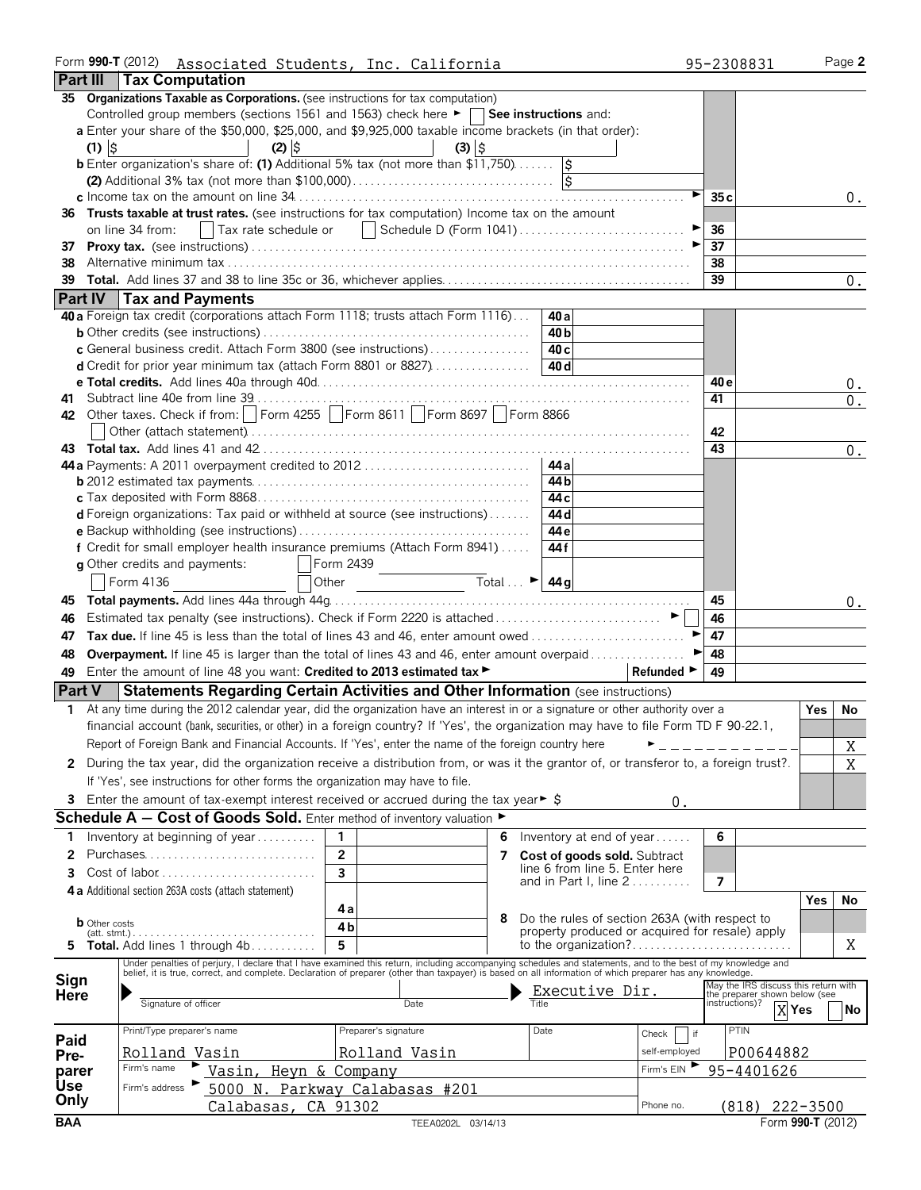|               |                         | Form 990-T (2012) Associated Students, Inc. California<br><b>Part III   Tax Computation</b>                                                                                                                                                                                                                                                 |                         |                     |                                                              |                 |                                                                           |               |                | 95-2308831                                               |      | Page 2 |
|---------------|-------------------------|---------------------------------------------------------------------------------------------------------------------------------------------------------------------------------------------------------------------------------------------------------------------------------------------------------------------------------------------|-------------------------|---------------------|--------------------------------------------------------------|-----------------|---------------------------------------------------------------------------|---------------|----------------|----------------------------------------------------------|------|--------|
|               | $(1)$ $\frac{1}{2}$     | 35 Organizations Taxable as Corporations. (see instructions for tax computation)<br>Controlled group members (sections 1561 and 1563) check here $\blacktriangleright \Box$ See instructions and:<br>a Enter your share of the \$50,000, \$25,000, and \$9,925,000 taxable income brackets (in that order):<br>$(2)$ $\left  \right\rangle$ |                         | $(3)$ $\frac{1}{2}$ |                                                              |                 |                                                                           |               |                |                                                          |      |        |
|               |                         | <b>b</b> Enter organization's share of: (1) Additional 5% tax (not more than $$11,750$ )                                                                                                                                                                                                                                                    |                         |                     |                                                              |                 |                                                                           |               |                |                                                          |      |        |
|               |                         | 36 Trusts taxable at trust rates. (see instructions for tax computation) Income tax on the amount<br>    Tax rate schedule or       Schedule D (Form 1041)<br>on line 34 from:                                                                                                                                                              |                         |                     |                                                              |                 |                                                                           |               | 35 c<br>36     |                                                          |      | 0.     |
| 37<br>38      |                         |                                                                                                                                                                                                                                                                                                                                             |                         |                     |                                                              |                 |                                                                           |               | 37<br>38<br>39 |                                                          |      | 0.     |
|               |                         | Part IV   Tax and Payments                                                                                                                                                                                                                                                                                                                  |                         |                     |                                                              |                 |                                                                           |               |                |                                                          |      |        |
|               |                         | 40 a Foreign tax credit (corporations attach Form 1118; trusts attach Form 1116)                                                                                                                                                                                                                                                            |                         |                     |                                                              | 40 a            |                                                                           |               |                |                                                          |      |        |
|               |                         |                                                                                                                                                                                                                                                                                                                                             |                         |                     |                                                              | 40 b            |                                                                           |               |                |                                                          |      |        |
|               |                         | c General business credit. Attach Form 3800 (see instructions)                                                                                                                                                                                                                                                                              |                         |                     |                                                              | 40 <sub>c</sub> |                                                                           |               |                |                                                          |      |        |
|               |                         |                                                                                                                                                                                                                                                                                                                                             |                         |                     |                                                              | 40 d            |                                                                           |               |                |                                                          |      |        |
|               |                         |                                                                                                                                                                                                                                                                                                                                             |                         |                     |                                                              |                 |                                                                           |               | 40 e           |                                                          |      | $0$ .  |
|               |                         |                                                                                                                                                                                                                                                                                                                                             |                         |                     |                                                              |                 |                                                                           |               | 41             |                                                          |      | 0.     |
|               |                         | 42 Other taxes. Check if from:     Form 4255     Form 8611     Form 8697     Form 8866                                                                                                                                                                                                                                                      |                         |                     |                                                              |                 |                                                                           |               |                |                                                          |      |        |
|               |                         |                                                                                                                                                                                                                                                                                                                                             |                         |                     |                                                              |                 |                                                                           |               | 42             |                                                          |      |        |
|               |                         |                                                                                                                                                                                                                                                                                                                                             |                         |                     |                                                              |                 |                                                                           |               | 43             |                                                          |      | 0.     |
|               |                         | 44 a Payments: A 2011 overpayment credited to 2012                                                                                                                                                                                                                                                                                          |                         |                     |                                                              | 44 a            |                                                                           |               |                |                                                          |      |        |
|               |                         |                                                                                                                                                                                                                                                                                                                                             |                         |                     |                                                              | 44 b            |                                                                           |               |                |                                                          |      |        |
|               |                         |                                                                                                                                                                                                                                                                                                                                             |                         |                     |                                                              | 44 c            |                                                                           |               |                |                                                          |      |        |
|               |                         | d Foreign organizations: Tax paid or withheld at source (see instructions)                                                                                                                                                                                                                                                                  |                         |                     |                                                              | 44 d            |                                                                           |               |                |                                                          |      |        |
|               |                         |                                                                                                                                                                                                                                                                                                                                             |                         |                     |                                                              | 44 e            |                                                                           |               |                |                                                          |      |        |
|               |                         | f Credit for small employer health insurance premiums (Attach Form 8941)                                                                                                                                                                                                                                                                    |                         |                     |                                                              | 44 f            |                                                                           |               |                |                                                          |      |        |
|               |                         | g Other credits and payments:                                                                                                                                                                                                                                                                                                               | Form 2439               |                     |                                                              |                 |                                                                           |               |                |                                                          |      |        |
|               |                         | Form 4136                                                                                                                                                                                                                                                                                                                                   | Other                   |                     | Total $\overline{\phantom{a}}$ $\overline{\phantom{a}}$ 44 g |                 |                                                                           |               |                |                                                          |      |        |
|               |                         |                                                                                                                                                                                                                                                                                                                                             |                         |                     |                                                              |                 |                                                                           |               | 45             |                                                          |      |        |
| 45            |                         |                                                                                                                                                                                                                                                                                                                                             |                         |                     |                                                              |                 |                                                                           |               |                |                                                          |      | 0.     |
| 46            |                         |                                                                                                                                                                                                                                                                                                                                             |                         |                     |                                                              |                 |                                                                           |               | 46             |                                                          |      |        |
| 47            |                         | Tax due. If line 45 is less than the total of lines 43 and 46, enter amount owed                                                                                                                                                                                                                                                            |                         |                     |                                                              |                 |                                                                           |               | 47             |                                                          |      |        |
| 48            |                         | <b>Overpayment.</b> If line 45 is larger than the total of lines 43 and 46, enter amount overpaid                                                                                                                                                                                                                                           |                         |                     |                                                              |                 |                                                                           |               | 48             |                                                          |      |        |
| 49            |                         | Enter the amount of line 48 you want: Credited to 2013 estimated tax                                                                                                                                                                                                                                                                        |                         |                     |                                                              |                 |                                                                           | Refunded ►    | 49             |                                                          |      |        |
| <b>Part V</b> |                         | <b>Statements Regarding Certain Activities and Other Information (see instructions)</b>                                                                                                                                                                                                                                                     |                         |                     |                                                              |                 |                                                                           |               |                |                                                          |      |        |
|               |                         | 1 At any time during the 2012 calendar year, did the organization have an interest in or a signature or other authority over a                                                                                                                                                                                                              |                         |                     |                                                              |                 |                                                                           |               |                |                                                          | Yes. | No     |
|               |                         | financial account (bank, securities, or other) in a foreign country? If 'Yes', the organization may have to file Form TD F 90-22.1,                                                                                                                                                                                                         |                         |                     |                                                              |                 |                                                                           |               |                |                                                          |      |        |
|               |                         | Report of Foreign Bank and Financial Accounts. If 'Yes', enter the name of the foreign country here                                                                                                                                                                                                                                         |                         |                     |                                                              |                 |                                                                           |               |                |                                                          |      | Χ      |
|               |                         | 2 During the tax year, did the organization receive a distribution from, or was it the grantor of, or transferor to, a foreign trust?.                                                                                                                                                                                                      |                         |                     |                                                              |                 |                                                                           |               |                |                                                          |      | X      |
|               |                         |                                                                                                                                                                                                                                                                                                                                             |                         |                     |                                                              |                 |                                                                           |               |                |                                                          |      |        |
|               |                         | If 'Yes', see instructions for other forms the organization may have to file.                                                                                                                                                                                                                                                               |                         |                     |                                                              |                 |                                                                           |               |                |                                                          |      |        |
| 3.            |                         | Enter the amount of tax-exempt interest received or accrued during the tax year $\triangleright$ \$                                                                                                                                                                                                                                         |                         |                     |                                                              |                 |                                                                           | 0.            |                |                                                          |      |        |
|               |                         | <b>Schedule A - Cost of Goods Sold.</b> Enter method of inventory valuation $\blacktriangleright$                                                                                                                                                                                                                                           |                         |                     |                                                              |                 |                                                                           |               |                |                                                          |      |        |
| 1             |                         | Inventory at beginning of year                                                                                                                                                                                                                                                                                                              | 1                       |                     | 6                                                            |                 | Inventory at end of year                                                  |               | 6              |                                                          |      |        |
| 2             |                         | Purchases                                                                                                                                                                                                                                                                                                                                   | $\overline{2}$          |                     | 7                                                            |                 | Cost of goods sold. Subtract                                              |               |                |                                                          |      |        |
| 3             |                         |                                                                                                                                                                                                                                                                                                                                             | $\overline{\mathbf{3}}$ |                     |                                                              |                 | line 6 from line 5. Enter here<br>and in Part I. line $2, \ldots, \ldots$ |               | 7              |                                                          |      |        |
|               |                         | 4 a Additional section 263A costs (attach statement)                                                                                                                                                                                                                                                                                        |                         |                     |                                                              |                 |                                                                           |               |                |                                                          |      |        |
|               |                         |                                                                                                                                                                                                                                                                                                                                             | 4а                      |                     |                                                              |                 |                                                                           |               |                |                                                          | Yes  | No     |
|               | <b>b</b> Other costs    |                                                                                                                                                                                                                                                                                                                                             | 4b                      |                     |                                                              |                 | Do the rules of section 263A (with respect to                             |               |                |                                                          |      |        |
|               | $(att. \text{stmt.})$ . | 5 Total. Add lines 1 through 4b                                                                                                                                                                                                                                                                                                             | 5                       |                     |                                                              |                 | property produced or acquired for resale) apply                           |               |                |                                                          |      | Χ      |
|               |                         |                                                                                                                                                                                                                                                                                                                                             |                         |                     |                                                              |                 |                                                                           |               |                |                                                          |      |        |
| Sign          |                         | Under penalties of perjury, I declare that I have examined this return, including accompanying schedules and statements, and to the best of my knowledge and belief, it is true, correct, and complete. Declaration of prepare                                                                                                              |                         |                     |                                                              |                 |                                                                           |               |                |                                                          |      |        |
| <b>Here</b>   |                         |                                                                                                                                                                                                                                                                                                                                             |                         |                     |                                                              |                 | Executive Dir.                                                            |               |                | May the IRS discuss this return with                     |      |        |
|               |                         | Signature of officer                                                                                                                                                                                                                                                                                                                        |                         | Date                |                                                              |                 |                                                                           |               |                | the preparer shown below (see<br>instructions)?<br>X Yes |      | No     |
|               |                         |                                                                                                                                                                                                                                                                                                                                             |                         |                     |                                                              |                 |                                                                           |               |                |                                                          |      |        |
| Paid          |                         | Print/Type preparer's name                                                                                                                                                                                                                                                                                                                  | Preparer's signature    |                     |                                                              | Date            | Check                                                                     | if            |                | PTIN                                                     |      |        |
| Pre-          |                         | Rolland Vasin                                                                                                                                                                                                                                                                                                                               | Rolland Vasin           |                     |                                                              |                 |                                                                           | self-employed |                | P00644882                                                |      |        |
| parer         |                         | Firm's name<br>Vasin,                                                                                                                                                                                                                                                                                                                       | Heyn & Company          |                     |                                                              |                 |                                                                           | Firm's EIN    |                | 95-4401626                                               |      |        |
| <b>Use</b>    |                         | 5000 N. Parkway Calabasas #201<br>Firm's address                                                                                                                                                                                                                                                                                            |                         |                     |                                                              |                 |                                                                           |               |                |                                                          |      |        |
| Only          |                         | Calabasas,                                                                                                                                                                                                                                                                                                                                  | CA 91302                |                     |                                                              |                 |                                                                           | Phone no.     |                | $(818)$ 222-3500                                         |      |        |
| <b>BAA</b>    |                         |                                                                                                                                                                                                                                                                                                                                             |                         | TEEA0202L 03/14/13  |                                                              |                 |                                                                           |               |                | Form 990-T (2012)                                        |      |        |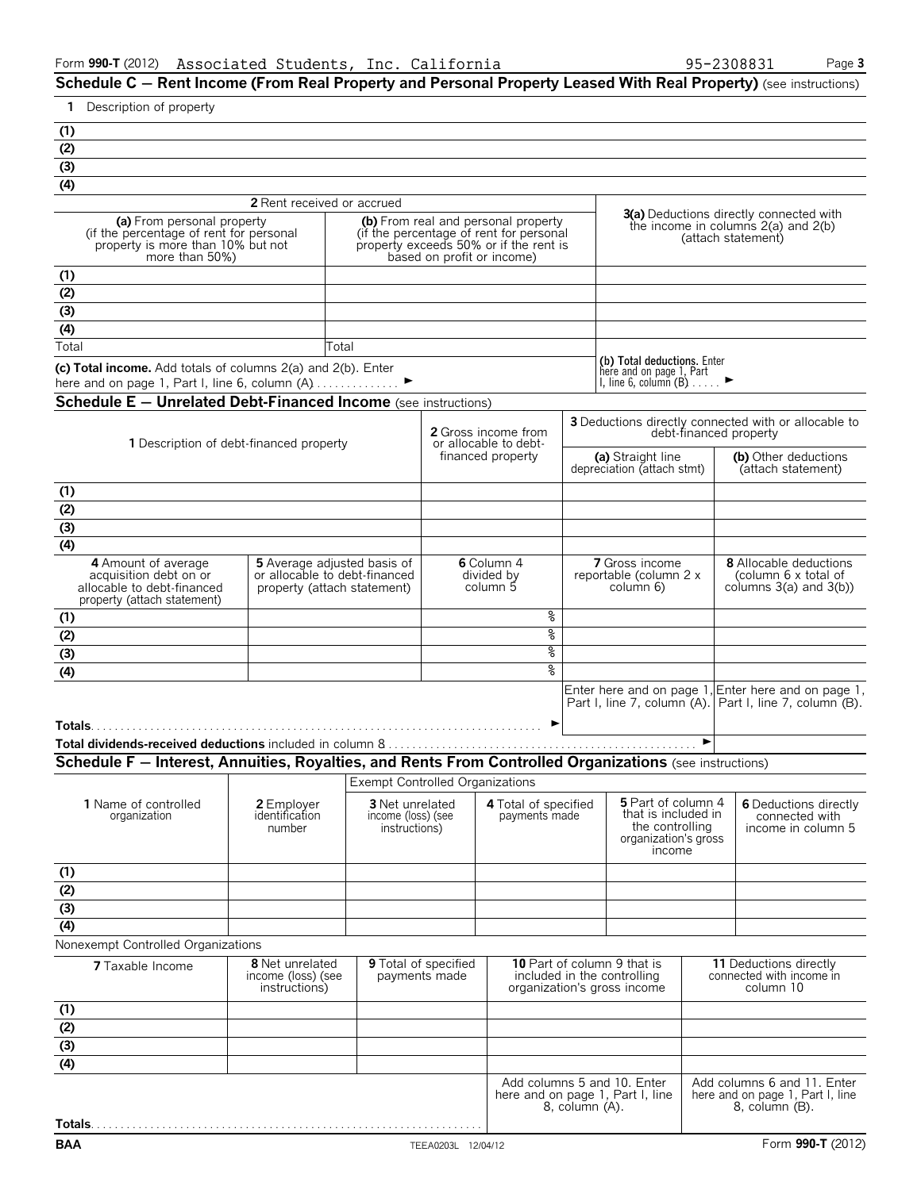**Schedule C – Rent Income (From Real Property and Personal Property Leased With Real Property) (see instructions)** 

| Description of property<br>1                                                                                                 |                                                                                                    |                                                        |                                                               |                                       |                                                                                                                                                        |                                                                                                  |                                                                                                                 |                                          |                                                                 |                                                                                                                |  |
|------------------------------------------------------------------------------------------------------------------------------|----------------------------------------------------------------------------------------------------|--------------------------------------------------------|---------------------------------------------------------------|---------------------------------------|--------------------------------------------------------------------------------------------------------------------------------------------------------|--------------------------------------------------------------------------------------------------|-----------------------------------------------------------------------------------------------------------------|------------------------------------------|-----------------------------------------------------------------|----------------------------------------------------------------------------------------------------------------|--|
| (1)                                                                                                                          |                                                                                                    |                                                        |                                                               |                                       |                                                                                                                                                        |                                                                                                  |                                                                                                                 |                                          |                                                                 |                                                                                                                |  |
| (2)                                                                                                                          |                                                                                                    |                                                        |                                                               |                                       |                                                                                                                                                        |                                                                                                  |                                                                                                                 |                                          |                                                                 |                                                                                                                |  |
| $\overline{(\overline{3})}$                                                                                                  |                                                                                                    |                                                        |                                                               |                                       |                                                                                                                                                        |                                                                                                  |                                                                                                                 |                                          |                                                                 |                                                                                                                |  |
| (4)                                                                                                                          |                                                                                                    |                                                        |                                                               |                                       |                                                                                                                                                        |                                                                                                  |                                                                                                                 |                                          |                                                                 |                                                                                                                |  |
|                                                                                                                              |                                                                                                    |                                                        | 2 Rent received or accrued                                    |                                       |                                                                                                                                                        |                                                                                                  |                                                                                                                 |                                          |                                                                 |                                                                                                                |  |
| (a) From personal property<br>(if the percentage of rent for personal<br>property is more than 10% but not<br>more than 50%) |                                                                                                    |                                                        |                                                               |                                       | (b) From real and personal property<br>(if the percentage of rent for personal<br>property exceeds 50% or if the rent is<br>based on profit or income) |                                                                                                  | <b>3(a)</b> Deductions directly connected with<br>the income in columns $2(a)$ and $2(b)$<br>(attach statement) |                                          |                                                                 |                                                                                                                |  |
| (1)                                                                                                                          |                                                                                                    |                                                        |                                                               |                                       |                                                                                                                                                        |                                                                                                  |                                                                                                                 |                                          |                                                                 |                                                                                                                |  |
| (2)                                                                                                                          |                                                                                                    |                                                        |                                                               |                                       |                                                                                                                                                        |                                                                                                  |                                                                                                                 |                                          |                                                                 |                                                                                                                |  |
| (3)                                                                                                                          |                                                                                                    |                                                        |                                                               |                                       |                                                                                                                                                        |                                                                                                  |                                                                                                                 |                                          |                                                                 |                                                                                                                |  |
| (4)                                                                                                                          |                                                                                                    |                                                        |                                                               |                                       |                                                                                                                                                        |                                                                                                  |                                                                                                                 |                                          |                                                                 |                                                                                                                |  |
| Total                                                                                                                        |                                                                                                    |                                                        | Total                                                         |                                       |                                                                                                                                                        |                                                                                                  |                                                                                                                 |                                          |                                                                 |                                                                                                                |  |
| (c) Total income. Add totals of columns 2(a) and 2(b). Enter<br>here and on page 1, Part I, line 6, column (A) ▶             |                                                                                                    |                                                        |                                                               |                                       |                                                                                                                                                        |                                                                                                  | (b) Total deductions. Enter<br>here and on page 1, Part<br>I, line 6, column $(B)$                              |                                          |                                                                 |                                                                                                                |  |
| <b>Schedule E - Unrelated Debt-Financed Income</b> (see instructions)                                                        |                                                                                                    |                                                        |                                                               |                                       |                                                                                                                                                        |                                                                                                  |                                                                                                                 |                                          |                                                                 |                                                                                                                |  |
|                                                                                                                              |                                                                                                    |                                                        |                                                               |                                       |                                                                                                                                                        |                                                                                                  |                                                                                                                 |                                          |                                                                 | 3 Deductions directly connected with or allocable to                                                           |  |
| 1 Description of debt-financed property                                                                                      |                                                                                                    |                                                        |                                                               |                                       | <b>2</b> Gross income from<br>or allocable to debt-<br>financed property                                                                               |                                                                                                  | (a) Straight line                                                                                               |                                          |                                                                 | debt-financed property<br>(b) Other deductions                                                                 |  |
|                                                                                                                              |                                                                                                    |                                                        |                                                               |                                       |                                                                                                                                                        |                                                                                                  | depreciation (attach stmt)                                                                                      |                                          |                                                                 | (attach statement)                                                                                             |  |
| (1)                                                                                                                          |                                                                                                    |                                                        |                                                               |                                       |                                                                                                                                                        |                                                                                                  |                                                                                                                 |                                          |                                                                 |                                                                                                                |  |
| $\overline{(2)}$                                                                                                             |                                                                                                    |                                                        |                                                               |                                       |                                                                                                                                                        |                                                                                                  |                                                                                                                 |                                          |                                                                 |                                                                                                                |  |
| $\overline{(\overline{3})}$                                                                                                  |                                                                                                    |                                                        |                                                               |                                       |                                                                                                                                                        |                                                                                                  |                                                                                                                 |                                          |                                                                 |                                                                                                                |  |
| (4)                                                                                                                          |                                                                                                    |                                                        |                                                               |                                       |                                                                                                                                                        |                                                                                                  |                                                                                                                 |                                          |                                                                 |                                                                                                                |  |
| 4 Amount of average<br>acquisition debt on or<br>allocable to debt-financed<br>property (attach statement)                   | <b>5</b> Average adjusted basis of<br>or allocable to debt-financed<br>property (attach statement) |                                                        |                                                               |                                       | 6 Column 4<br>divided by<br>column 5                                                                                                                   |                                                                                                  |                                                                                                                 | 7 Gross income<br>reportable (column 2 x |                                                                 | <b>8</b> Allocable deductions<br>(column 6 x total of<br>columns $3(a)$ and $3(b)$ )                           |  |
| (1)                                                                                                                          |                                                                                                    |                                                        |                                                               |                                       | နွ                                                                                                                                                     |                                                                                                  |                                                                                                                 |                                          |                                                                 |                                                                                                                |  |
| (2)                                                                                                                          |                                                                                                    |                                                        |                                                               |                                       | နွ                                                                                                                                                     |                                                                                                  |                                                                                                                 |                                          |                                                                 |                                                                                                                |  |
| $\overline{(\overline{3})}$                                                                                                  |                                                                                                    |                                                        |                                                               |                                       | နွ                                                                                                                                                     |                                                                                                  |                                                                                                                 |                                          |                                                                 |                                                                                                                |  |
| (4)                                                                                                                          |                                                                                                    |                                                        |                                                               |                                       | ٥,                                                                                                                                                     |                                                                                                  |                                                                                                                 |                                          |                                                                 |                                                                                                                |  |
|                                                                                                                              |                                                                                                    |                                                        |                                                               |                                       |                                                                                                                                                        |                                                                                                  |                                                                                                                 |                                          |                                                                 | Enter here and on page 1, Enter here and on page 1,<br>Part I, line 7, column (A). Part I, line 7, column (B). |  |
|                                                                                                                              |                                                                                                    |                                                        |                                                               |                                       | ►                                                                                                                                                      |                                                                                                  |                                                                                                                 |                                          |                                                                 |                                                                                                                |  |
|                                                                                                                              |                                                                                                    |                                                        |                                                               |                                       |                                                                                                                                                        |                                                                                                  |                                                                                                                 | ▶                                        |                                                                 |                                                                                                                |  |
| Schedule F - Interest, Annuities, Royalties, and Rents From Controlled Organizations (see instructions)                      |                                                                                                    |                                                        |                                                               |                                       |                                                                                                                                                        |                                                                                                  |                                                                                                                 |                                          |                                                                 |                                                                                                                |  |
|                                                                                                                              |                                                                                                    |                                                        | <b>Exempt Controlled Organizations</b>                        |                                       |                                                                                                                                                        |                                                                                                  |                                                                                                                 |                                          |                                                                 |                                                                                                                |  |
|                                                                                                                              |                                                                                                    |                                                        |                                                               |                                       |                                                                                                                                                        |                                                                                                  | 5 Part of column 4                                                                                              |                                          |                                                                 |                                                                                                                |  |
| 1 Name of controlled<br>organization                                                                                         |                                                                                                    | 2 Employer<br>identification<br>number                 | <b>3</b> Net unrelated<br>income (loss) (see<br>instructions) |                                       | 4 Total of specified<br>payments made                                                                                                                  |                                                                                                  | that is included in<br>the controlling<br>organization's gross<br>income                                        |                                          |                                                                 | <b>6</b> Deductions directly<br>connected with<br>income in column 5                                           |  |
|                                                                                                                              |                                                                                                    |                                                        |                                                               |                                       |                                                                                                                                                        |                                                                                                  |                                                                                                                 |                                          |                                                                 |                                                                                                                |  |
| $\frac{(1)}{(2)}$<br>(3)<br>(4)                                                                                              |                                                                                                    |                                                        |                                                               |                                       |                                                                                                                                                        |                                                                                                  |                                                                                                                 |                                          |                                                                 |                                                                                                                |  |
|                                                                                                                              |                                                                                                    |                                                        |                                                               |                                       |                                                                                                                                                        |                                                                                                  |                                                                                                                 |                                          |                                                                 |                                                                                                                |  |
|                                                                                                                              |                                                                                                    |                                                        |                                                               |                                       |                                                                                                                                                        |                                                                                                  |                                                                                                                 |                                          |                                                                 |                                                                                                                |  |
| Nonexempt Controlled Organizations                                                                                           |                                                                                                    |                                                        |                                                               |                                       |                                                                                                                                                        |                                                                                                  |                                                                                                                 |                                          |                                                                 |                                                                                                                |  |
| 7 Taxable Income                                                                                                             |                                                                                                    | 8 Net unrelated<br>income (loss) (see<br>instructions) |                                                               | 9 Total of specified<br>payments made |                                                                                                                                                        | <b>10</b> Part of column 9 that is<br>included in the controlling<br>organization's gross income |                                                                                                                 |                                          | 11 Deductions directly<br>connected with income in<br>column 10 |                                                                                                                |  |
| (1)                                                                                                                          |                                                                                                    |                                                        |                                                               |                                       |                                                                                                                                                        |                                                                                                  |                                                                                                                 |                                          |                                                                 |                                                                                                                |  |
|                                                                                                                              |                                                                                                    |                                                        |                                                               |                                       |                                                                                                                                                        |                                                                                                  |                                                                                                                 |                                          |                                                                 |                                                                                                                |  |
| $\frac{(2)}{(3)}$                                                                                                            |                                                                                                    |                                                        |                                                               |                                       |                                                                                                                                                        |                                                                                                  |                                                                                                                 |                                          |                                                                 |                                                                                                                |  |
| (4)                                                                                                                          |                                                                                                    |                                                        |                                                               |                                       |                                                                                                                                                        |                                                                                                  |                                                                                                                 |                                          |                                                                 |                                                                                                                |  |
|                                                                                                                              |                                                                                                    |                                                        |                                                               |                                       |                                                                                                                                                        | 8, column (A).                                                                                   | Add columns 5 and 10. Enter<br>here and on page 1, Part I, line                                                 |                                          |                                                                 | Add columns 6 and 11. Enter<br>here and on page 1, Part I, line<br>8, column (B).                              |  |
|                                                                                                                              |                                                                                                    |                                                        |                                                               |                                       |                                                                                                                                                        |                                                                                                  |                                                                                                                 |                                          |                                                                 |                                                                                                                |  |
| <b>BAA</b>                                                                                                                   |                                                                                                    |                                                        |                                                               | TEEA0203L 12/04/12                    |                                                                                                                                                        |                                                                                                  |                                                                                                                 |                                          |                                                                 | Form 990-T (2012)                                                                                              |  |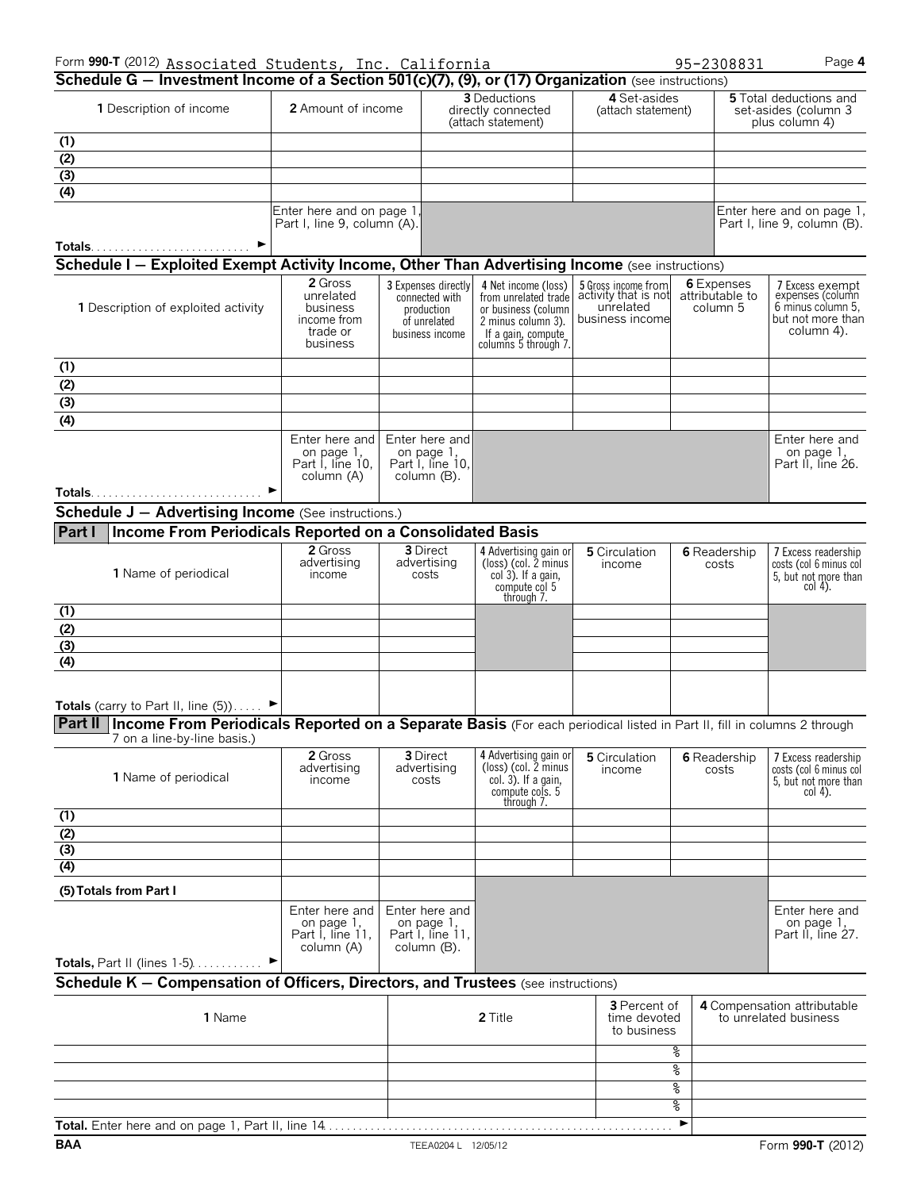| Form 990-T (2012) Associated Students, Inc. California                                                                           |                                                                |                                                                 |                                                                                                          |                                                                             |    | 95-2308831                                | Page 4                                                                              |
|----------------------------------------------------------------------------------------------------------------------------------|----------------------------------------------------------------|-----------------------------------------------------------------|----------------------------------------------------------------------------------------------------------|-----------------------------------------------------------------------------|----|-------------------------------------------|-------------------------------------------------------------------------------------|
| Schedule G - Investment Income of a Section 501(c)(7), (9), or (17) Organization (see instructions)<br>1 Description of income   | 2 Amount of income                                             |                                                                 | 3 Deductions<br>directly connected                                                                       | 4 Set-asides<br>(attach statement)                                          |    |                                           | <b>5</b> Total deductions and<br>set-asides (column 3                               |
|                                                                                                                                  |                                                                |                                                                 | (attach statement)                                                                                       |                                                                             |    |                                           | plus column 4)                                                                      |
| (1)                                                                                                                              |                                                                |                                                                 |                                                                                                          |                                                                             |    |                                           |                                                                                     |
| (2)                                                                                                                              |                                                                |                                                                 |                                                                                                          |                                                                             |    |                                           |                                                                                     |
| (3)                                                                                                                              |                                                                |                                                                 |                                                                                                          |                                                                             |    |                                           |                                                                                     |
| (4)                                                                                                                              |                                                                |                                                                 |                                                                                                          |                                                                             |    |                                           |                                                                                     |
|                                                                                                                                  | Enter here and on page 1<br>Part I, line 9, column (A).        |                                                                 |                                                                                                          |                                                                             |    |                                           | Enter here and on page 1,<br>Part I, line 9, column (B).                            |
| Totals<br><b>Schedule I – Exploited Exempt Activity Income, Other Than Advertising Income</b> (see instructions)                 |                                                                |                                                                 |                                                                                                          |                                                                             |    |                                           |                                                                                     |
| 1 Description of exploited activity                                                                                              | 2 Gross<br>unrelated<br>business                               | 3 Expenses directly<br>connected with<br>production             | 4 Net income (loss)<br>from unrelated trade<br>or business (column                                       | 5 Gross income from<br>activity that is not<br>unrelated<br>business income |    | 6 Expenses<br>attributable to<br>column 5 | 7 Excess exempt<br>expenses (column<br>6 minus column 5.<br>but not more than       |
|                                                                                                                                  | income from<br>trade or<br>business                            | of unrelated<br>business income                                 | 2 minus column 3).<br>If a gain, compute<br>columns 5 through 7.                                         |                                                                             |    |                                           | column 4).                                                                          |
| (1)                                                                                                                              |                                                                |                                                                 |                                                                                                          |                                                                             |    |                                           |                                                                                     |
| $\overline{(2)}$                                                                                                                 |                                                                |                                                                 |                                                                                                          |                                                                             |    |                                           |                                                                                     |
| $\overline{(\overline{3})}$                                                                                                      |                                                                |                                                                 |                                                                                                          |                                                                             |    |                                           |                                                                                     |
| $\overline{(4)}$                                                                                                                 |                                                                |                                                                 |                                                                                                          |                                                                             |    |                                           |                                                                                     |
|                                                                                                                                  | Enter here and<br>on page 1,<br>Part I, line 10,<br>column (A) | Enter here and<br>on page 1,<br>Part I, line 10,<br>column (B). |                                                                                                          |                                                                             |    |                                           | Enter here and<br>on page 1,<br>Part II, line 26.                                   |
|                                                                                                                                  |                                                                |                                                                 |                                                                                                          |                                                                             |    |                                           |                                                                                     |
| <b>Schedule J - Advertising Income</b> (See instructions.)                                                                       |                                                                |                                                                 |                                                                                                          |                                                                             |    |                                           |                                                                                     |
| Income From Periodicals Reported on a Consolidated Basis<br>Part I                                                               |                                                                |                                                                 |                                                                                                          |                                                                             |    |                                           |                                                                                     |
| 1 Name of periodical                                                                                                             | 2 Gross<br>advertising<br>income                               | <b>3</b> Direct<br>advertising<br>costs                         | 4 Advertising gain or<br>(loss) (col. 2 minus<br>col 3). If a gain,<br>compute col 5                     | 5 Circulation<br>income                                                     |    | <b>6</b> Readership<br>costs              | 7 Excess readership<br>costs (col 6 minus col<br>5, but not more than<br>$col(4)$ . |
|                                                                                                                                  |                                                                |                                                                 | through 7.                                                                                               |                                                                             |    |                                           |                                                                                     |
| (1)                                                                                                                              |                                                                |                                                                 |                                                                                                          |                                                                             |    |                                           |                                                                                     |
| (2)                                                                                                                              |                                                                |                                                                 |                                                                                                          |                                                                             |    |                                           |                                                                                     |
| (3)                                                                                                                              |                                                                |                                                                 |                                                                                                          |                                                                             |    |                                           |                                                                                     |
| (4)                                                                                                                              |                                                                |                                                                 |                                                                                                          |                                                                             |    |                                           |                                                                                     |
| Totals (carry to Part II, line $(5)$ )                                                                                           |                                                                |                                                                 |                                                                                                          |                                                                             |    |                                           |                                                                                     |
| Part II   Income From Periodicals Reported on a Separate Basis (For each periodical listed in Part II, fill in columns 2 through |                                                                |                                                                 |                                                                                                          |                                                                             |    |                                           |                                                                                     |
| 7 on a line-by-line basis.)                                                                                                      |                                                                |                                                                 |                                                                                                          |                                                                             |    |                                           |                                                                                     |
| <b>1</b> Name of periodical                                                                                                      | 2 Gross<br>advertising<br>income                               | 3 Direct<br>advertising<br>costs                                | 4 Advertising gain or<br>(loss) (col. 2 minus<br>$col. 3$ ). If a gain,<br>compute cols. 5<br>through 7. | 5 Circulation<br>income                                                     |    | <b>6</b> Readership<br>costs              | 7 Excess readership<br>costs (col 6 minus col<br>5, but not more than<br>$col4$ ).  |
| (1)                                                                                                                              |                                                                |                                                                 |                                                                                                          |                                                                             |    |                                           |                                                                                     |
| (2)                                                                                                                              |                                                                |                                                                 |                                                                                                          |                                                                             |    |                                           |                                                                                     |
| (3)                                                                                                                              |                                                                |                                                                 |                                                                                                          |                                                                             |    |                                           |                                                                                     |
| (4)                                                                                                                              |                                                                |                                                                 |                                                                                                          |                                                                             |    |                                           |                                                                                     |
| (5) Totals from Part I                                                                                                           |                                                                |                                                                 |                                                                                                          |                                                                             |    |                                           |                                                                                     |
|                                                                                                                                  | Enter here and<br>on page 1,<br>Part I, line 11,<br>column (A) | Enter here and<br>on page 1,<br>Part I, line 11,<br>column (B). |                                                                                                          |                                                                             |    |                                           | Enter here and<br>on page 1,<br>Part II, line 27.                                   |
| <b>Totals, Part II (lines <math>1-5</math>)</b>                                                                                  |                                                                |                                                                 |                                                                                                          |                                                                             |    |                                           |                                                                                     |
| Schedule K - Compensation of Officers, Directors, and Trustees (see instructions)                                                |                                                                |                                                                 |                                                                                                          |                                                                             |    |                                           |                                                                                     |
| 1 Name                                                                                                                           |                                                                |                                                                 | 2 Title                                                                                                  | 3 Percent of<br>time devoted<br>to business                                 |    |                                           | 4 Compensation attributable<br>to unrelated business                                |
|                                                                                                                                  |                                                                |                                                                 |                                                                                                          |                                                                             |    |                                           |                                                                                     |
|                                                                                                                                  |                                                                |                                                                 |                                                                                                          |                                                                             | g  |                                           |                                                                                     |
|                                                                                                                                  |                                                                |                                                                 |                                                                                                          |                                                                             | g  |                                           |                                                                                     |
|                                                                                                                                  |                                                                |                                                                 |                                                                                                          |                                                                             | g  |                                           |                                                                                     |
|                                                                                                                                  |                                                                |                                                                 |                                                                                                          |                                                                             | ०७ |                                           |                                                                                     |

**Total.** Enter here and on page 1, Part II, line 14. . . . . . . . . . . . . . . . . . . . . . . . . . . . . . . . . . . . . . . . . . . . . . . . . . . . . . . . . . . G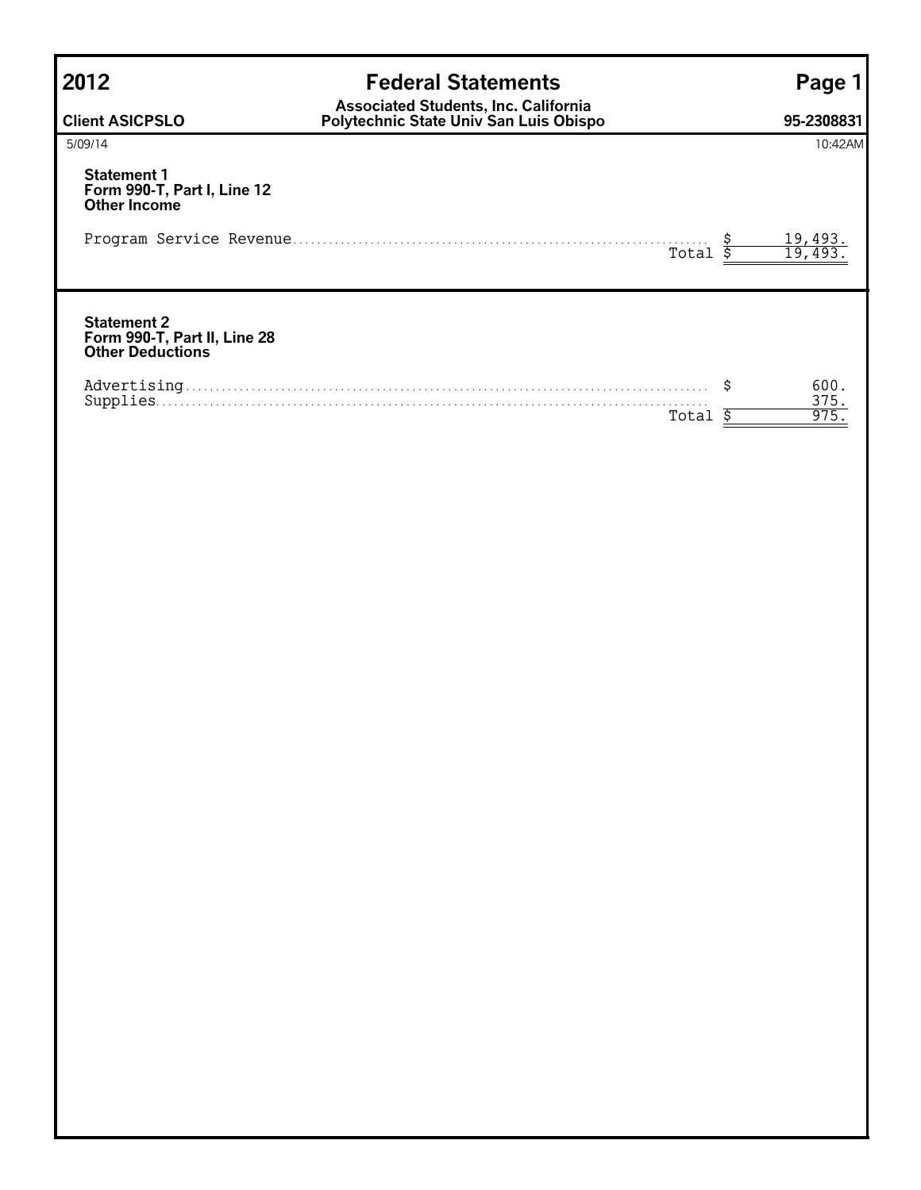| <b>Federal Statements</b>                                                             | Page <sub>7</sub>        |
|---------------------------------------------------------------------------------------|--------------------------|
| <b>Associated Students, Inc. California</b><br>Polytechnic State Univ San Luis Obispo | 95-2308831               |
|                                                                                       | 10:42AM                  |
|                                                                                       |                          |
| Total                                                                                 | <u>19,493.</u><br>19,493 |
|                                                                                       |                          |
| Total                                                                                 | 600.<br>375.<br>975      |
|                                                                                       |                          |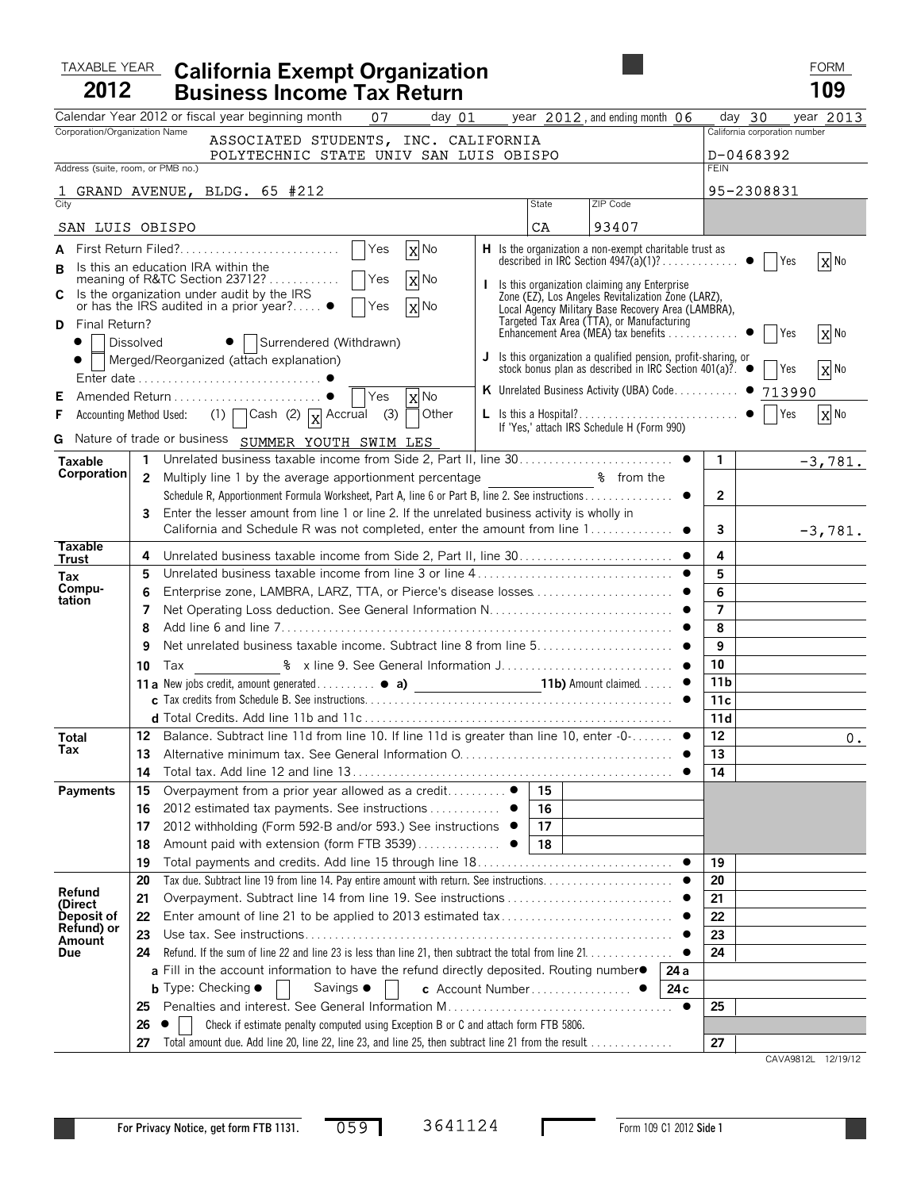# TAXABLE YEAR **California Exempt Organization** FORM **FORM** FORM **2012 Business Income Tax Return 109**

|                                   |                | Calendar Year 2012 or fiscal year beginning month<br>07                                                       | day 01 year 2012, and ending month 06 |                                                                                                                                       |                       | day 30                        | year 2013 |
|-----------------------------------|----------------|---------------------------------------------------------------------------------------------------------------|---------------------------------------|---------------------------------------------------------------------------------------------------------------------------------------|-----------------------|-------------------------------|-----------|
| Corporation/Organization Name     |                | ASSOCIATED STUDENTS, INC. CALIFORNIA                                                                          |                                       |                                                                                                                                       |                       | California corporation number |           |
|                                   |                | POLYTECHNIC STATE UNIV SAN LUIS OBISPO                                                                        |                                       |                                                                                                                                       |                       | D-0468392                     |           |
| Address (suite, room, or PMB no.) |                |                                                                                                               |                                       |                                                                                                                                       | <b>FEIN</b>           |                               |           |
|                                   |                | GRAND AVENUE, BLDG. 65 #212                                                                                   |                                       |                                                                                                                                       |                       | 95-2308831                    |           |
| City                              |                |                                                                                                               | State                                 | ZIP Code                                                                                                                              |                       |                               |           |
| SAN LUIS OBISPO                   |                |                                                                                                               | CA                                    | 93407                                                                                                                                 |                       |                               |           |
|                                   |                | X No                                                                                                          |                                       | <b>H</b> Is the organization a non-exempt charitable trust as                                                                         |                       |                               |           |
| в                                 |                | Is this an education IRA within the                                                                           |                                       |                                                                                                                                       |                       | <b>Table Yes</b>              | X No      |
| C                                 |                | X No<br>Is the organization under audit by the IRS                                                            |                                       | Is this organization claiming any Enterprise<br>Zone (EZ), Los Angeles Revitalization Zone (LARZ),                                    |                       |                               |           |
|                                   |                | or has the IRS audited in a prior year? $\bullet$<br>X No<br><b>Yes</b>                                       |                                       | Local Agency Military Base Recovery Area (LAMBRA),                                                                                    |                       |                               |           |
| Final Return?<br>D                |                |                                                                                                               |                                       |                                                                                                                                       |                       | Yes                           | X No      |
| <b>Dissolved</b><br>$\bullet$     |                | •   Surrendered (Withdrawn)                                                                                   |                                       |                                                                                                                                       |                       |                               |           |
|                                   |                | Merged/Reorganized (attach explanation)                                                                       |                                       | <b>J</b> Is this organization a qualified pension, profit-sharing, or stock bonus plan as described in IRC Section 401(a)?. $\bullet$ |                       | Yes                           | X No      |
|                                   |                |                                                                                                               |                                       | K Unrelated Business Activity (UBA) Code ●                                                                                            |                       | 713990                        |           |
| Е<br>F                            |                | X No<br>Other                                                                                                 |                                       |                                                                                                                                       |                       | <b>Yes</b>                    | X No      |
|                                   |                | Accounting Method Used: (1) $\bigcap$ Cash (2) $\chi$ Accrual (3) $\left[ \right]$                            |                                       | If 'Yes,' attach IRS Schedule H (Form 990)                                                                                            |                       |                               |           |
|                                   |                | G Nature of trade or business SUMMER YOUTH SWIM LES                                                           |                                       |                                                                                                                                       |                       |                               |           |
| Taxable<br>Corporation            | $\mathbf{1}$   |                                                                                                               |                                       |                                                                                                                                       | $\mathbf{1}$          |                               | $-3,781.$ |
|                                   | $\overline{2}$ | Multiply line 1 by the average apportionment percentage <b>8</b> from the                                     |                                       |                                                                                                                                       |                       |                               |           |
|                                   | 3              | Enter the lesser amount from line 1 or line 2. If the unrelated business activity is wholly in                |                                       |                                                                                                                                       | $\mathbf{2}^{\prime}$ |                               |           |
|                                   |                | California and Schedule R was not completed, enter the amount from line 1 ●                                   |                                       |                                                                                                                                       | 3                     |                               | $-3,781.$ |
| <b>Taxable</b>                    |                |                                                                                                               |                                       |                                                                                                                                       |                       |                               |           |
| Trust                             | 4              |                                                                                                               |                                       |                                                                                                                                       | 4<br>5                |                               |           |
| Tax<br>Compu-                     | 5<br>6         |                                                                                                               |                                       |                                                                                                                                       | 6                     |                               |           |
| tation                            | 7              |                                                                                                               |                                       |                                                                                                                                       | 7                     |                               |           |
|                                   | 8              |                                                                                                               |                                       |                                                                                                                                       | 8                     |                               |           |
|                                   | 9              |                                                                                                               |                                       |                                                                                                                                       | 9                     |                               |           |
|                                   | 10             | Tax                                                                                                           |                                       |                                                                                                                                       | 10                    |                               |           |
|                                   |                | 11a New jobs credit, amount generated • a) _________________________11b) Amount claimed •                     |                                       |                                                                                                                                       | 11 <sub>b</sub>       |                               |           |
|                                   |                |                                                                                                               |                                       |                                                                                                                                       | 11c                   |                               |           |
|                                   |                |                                                                                                               |                                       |                                                                                                                                       | 11d                   |                               |           |
| <b>Total</b><br>Tax               |                | 12 Balance. Subtract line 11d from line 10. If line 11d is greater than line 10, enter -0- $\bullet$          |                                       |                                                                                                                                       | 12                    |                               | 0.        |
|                                   | 13             |                                                                                                               |                                       |                                                                                                                                       | 13                    |                               |           |
|                                   |                |                                                                                                               |                                       |                                                                                                                                       | 14                    |                               |           |
| Payments                          | 15             | Overpayment from a prior year allowed as a credit ●                                                           | 15<br>16                              |                                                                                                                                       |                       |                               |           |
|                                   | 16<br>17       | 2012 estimated tax payments. See instructions<br>2012 withholding (Form 592-B and/or 593.) See instructions ● | 17                                    |                                                                                                                                       |                       |                               |           |
|                                   | 18             |                                                                                                               | 18                                    |                                                                                                                                       |                       |                               |           |
|                                   | 19             |                                                                                                               |                                       |                                                                                                                                       | 19                    |                               |           |
|                                   | 20             |                                                                                                               |                                       |                                                                                                                                       | 20                    |                               |           |
| Refund<br>(Direct                 | 21             |                                                                                                               |                                       |                                                                                                                                       | 21                    |                               |           |
| Deposit of                        | 22             |                                                                                                               |                                       |                                                                                                                                       | 22                    |                               |           |
| Refund) or<br>Amount              | 23             |                                                                                                               |                                       |                                                                                                                                       | 23                    |                               |           |
| Due                               | 24             | Refund. If the sum of line 22 and line 23 is less than line 21, then subtract the total from line 21.         |                                       |                                                                                                                                       | 24                    |                               |           |
|                                   |                | a Fill in the account information to have the refund directly deposited. Routing number $\bullet$             |                                       | 24 a                                                                                                                                  |                       |                               |           |
|                                   |                | <b>b</b> Type: Checking $\bullet$<br>Savings ●                                                                | c Account Number                      | 24 c                                                                                                                                  |                       |                               |           |
|                                   | 25             |                                                                                                               |                                       | $\bullet$                                                                                                                             | 25                    |                               |           |
|                                   | 26             | Check if estimate penalty computed using Exception B or C and attach form FTB 5806.                           |                                       |                                                                                                                                       |                       |                               |           |
|                                   | 27             | Total amount due. Add line 20, line 22, line 23, and line 25, then subtract line 21 from the result           |                                       |                                                                                                                                       | 27                    |                               |           |

CAVA9812L 12/19/12

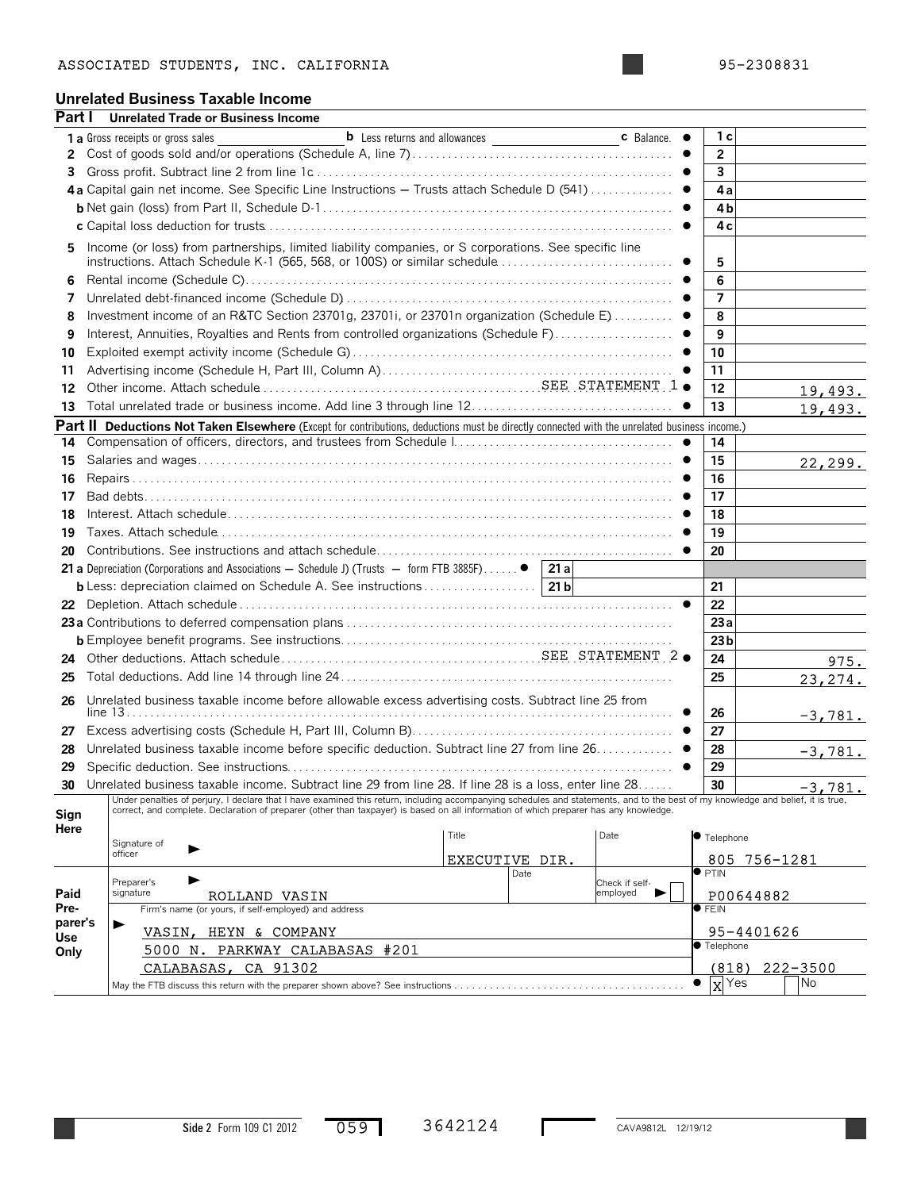# **Unrelated Business Taxable Income**

| Part I       | <b>Unrelated Trade or Business Income</b>                                                                                                                                                                                                                                                                                 |                                      |      |                   |                           |              |
|--------------|---------------------------------------------------------------------------------------------------------------------------------------------------------------------------------------------------------------------------------------------------------------------------------------------------------------------------|--------------------------------------|------|-------------------|---------------------------|--------------|
|              | 1 a Gross receipts or gross sales                                                                                                                                                                                                                                                                                         | <b>b</b> Less returns and allowances |      | <b>c</b> Balance. | 1 с                       |              |
| 2            |                                                                                                                                                                                                                                                                                                                           |                                      |      |                   | $\overline{2}$            |              |
| 3            |                                                                                                                                                                                                                                                                                                                           |                                      |      |                   | 3                         |              |
|              | 4a Capital gain net income. See Specific Line Instructions $-$ Trusts attach Schedule D (541)                                                                                                                                                                                                                             |                                      |      |                   | 4a                        |              |
|              |                                                                                                                                                                                                                                                                                                                           |                                      |      |                   | 4b                        |              |
|              |                                                                                                                                                                                                                                                                                                                           |                                      |      |                   | 4c                        |              |
| 5.           | Income (or loss) from partnerships, limited liability companies, or S corporations. See specific line                                                                                                                                                                                                                     |                                      |      |                   |                           |              |
|              |                                                                                                                                                                                                                                                                                                                           |                                      |      |                   | 5                         |              |
| 6            |                                                                                                                                                                                                                                                                                                                           |                                      |      |                   | 6                         |              |
| 7            |                                                                                                                                                                                                                                                                                                                           |                                      |      |                   | $\overline{7}$            |              |
| 8            | Investment income of an R&TC Section 23701g, 23701i, or 23701n organization (Schedule E)  ●                                                                                                                                                                                                                               |                                      |      |                   | 8                         |              |
| 9            | Interest, Annuities, Royalties and Rents from controlled organizations (Schedule F)                                                                                                                                                                                                                                       |                                      |      | $\bullet$         | 9                         |              |
| 10           |                                                                                                                                                                                                                                                                                                                           |                                      |      |                   | 10                        |              |
| 11           |                                                                                                                                                                                                                                                                                                                           |                                      |      |                   | 11                        |              |
| 12           |                                                                                                                                                                                                                                                                                                                           |                                      |      |                   | 12                        | 19,493.      |
| 13           |                                                                                                                                                                                                                                                                                                                           |                                      |      |                   | 13                        | 19,493.      |
|              | Part II Deductions Not Taken Elsewhere (Except for contributions, deductions must be directly connected with the unrelated business income.)                                                                                                                                                                              |                                      |      |                   |                           |              |
| 14           |                                                                                                                                                                                                                                                                                                                           |                                      |      |                   | 14                        |              |
| 15           |                                                                                                                                                                                                                                                                                                                           |                                      |      |                   | 15                        | 22, 299.     |
| 16           |                                                                                                                                                                                                                                                                                                                           |                                      |      |                   | 16                        |              |
| 17           |                                                                                                                                                                                                                                                                                                                           |                                      |      |                   | 17                        |              |
| 18           |                                                                                                                                                                                                                                                                                                                           |                                      |      |                   | 18                        |              |
| 19           |                                                                                                                                                                                                                                                                                                                           |                                      |      |                   | 19                        |              |
| 20           |                                                                                                                                                                                                                                                                                                                           |                                      |      | $\bullet$         | 20                        |              |
|              | <b>21 a</b> Depreciation (Corporations and Associations $-$ Schedule J) (Trusts $-$ form FTB 3885F)                                                                                                                                                                                                                       |                                      | 21a  |                   |                           |              |
|              | <b>b</b> Less: depreciation claimed on Schedule A. See instructions   21 b                                                                                                                                                                                                                                                |                                      |      |                   | 21                        |              |
|              |                                                                                                                                                                                                                                                                                                                           |                                      |      | $\bullet$         | 22                        |              |
|              |                                                                                                                                                                                                                                                                                                                           |                                      |      |                   | 23a                       |              |
|              |                                                                                                                                                                                                                                                                                                                           |                                      |      |                   | 23 <sub>b</sub>           |              |
| 24           |                                                                                                                                                                                                                                                                                                                           |                                      |      |                   | 24                        | 975.         |
| 25           |                                                                                                                                                                                                                                                                                                                           |                                      |      |                   | 25                        | 23,274.      |
| 26           | Unrelated business taxable income before allowable excess advertising costs. Subtract line 25 from                                                                                                                                                                                                                        |                                      |      |                   |                           |              |
|              |                                                                                                                                                                                                                                                                                                                           |                                      |      |                   | 26                        | $-3,781.$    |
| 27           |                                                                                                                                                                                                                                                                                                                           |                                      |      |                   | 27                        |              |
| 28           | Unrelated business taxable income before specific deduction. Subtract line 27 from line 26. ●                                                                                                                                                                                                                             |                                      |      |                   | 28                        | $-3,781.$    |
| 29           |                                                                                                                                                                                                                                                                                                                           |                                      |      | $\bullet$         | 29                        |              |
| 30           | Unrelated business taxable income. Subtract line 29 from line 28. If line 28 is a loss, enter line 28                                                                                                                                                                                                                     |                                      |      |                   | 30                        | $-3,781.$    |
|              | Under penalties of perjury, I declare that I have examined this return, including accompanying schedules and statements, and to the best of my knowledge and belief, it is true,<br>correct, and complete. Declaration of preparer (other than taxpayer) is based on all information of which preparer has any knowledge. |                                      |      |                   |                           |              |
| Sign<br>Here |                                                                                                                                                                                                                                                                                                                           |                                      |      |                   |                           |              |
|              | Signature of                                                                                                                                                                                                                                                                                                              | Title                                |      | Date              | <b>•</b> Telephone        |              |
|              | officer                                                                                                                                                                                                                                                                                                                   | EXECUTIVE DIR.                       |      |                   |                           | 805 756-1281 |
|              | Preparer's                                                                                                                                                                                                                                                                                                                |                                      | Date | Check if self-    | $\overline{\bullet}$ PTIN |              |

|                | Preparer's |                                                      | Date | Check if self- | $P$ $\sim$ $P$ $\sim$ 1 11 $\rm v$ |                    |            |           |  |
|----------------|------------|------------------------------------------------------|------|----------------|------------------------------------|--------------------|------------|-----------|--|
| Paid           | signature  | ROLLAND VASIN                                        |      | employed       |                                    | P00644882          |            |           |  |
| Pre-           |            | Firm's name (or yours, if self-employed) and address |      |                | $\bullet$ FEIN                     |                    |            |           |  |
| parer's<br>Use |            | VASIN, HEYN & COMPANY                                |      |                |                                    |                    | 95-4401626 |           |  |
| Only           |            | 5000 N. PARKWAY CALABASAS #201                       |      |                |                                    | <b>C</b> Telephone |            |           |  |
|                |            | CALABASAS, CA 91302                                  |      |                |                                    | (818)              |            | 222-3500  |  |
|                |            |                                                      |      |                |                                    | $X$ Yes            |            | <b>No</b> |  |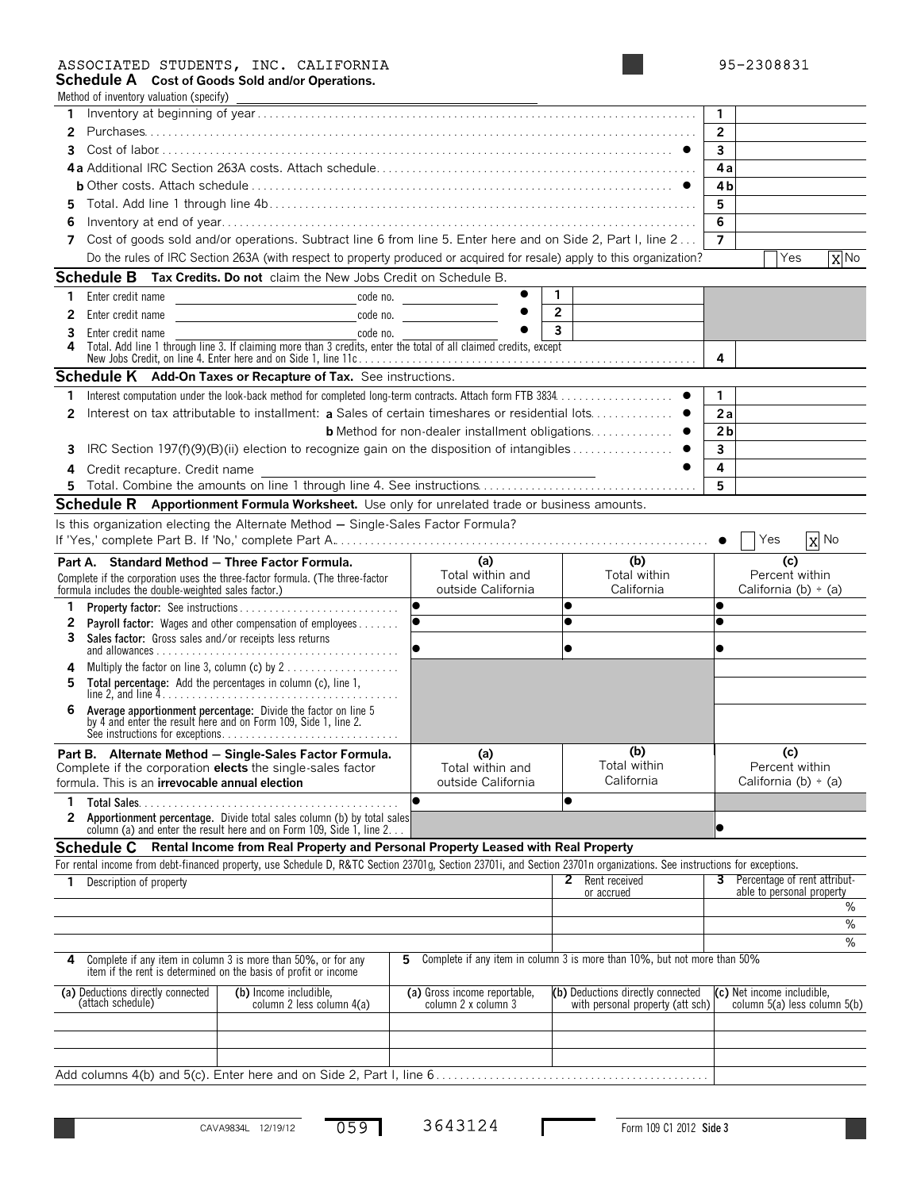### ASSOCIATED STUDENTS, INC. CALIFORNIA 95-2308831

| 95-2308831 |  |  |
|------------|--|--|
|------------|--|--|

**Schedule A Cost of Goods Sold and/or Operations.**

|    | Method of inventory valuation (specify)                                                                                                                                         |                                                        |                                                                          |                                                            |
|----|---------------------------------------------------------------------------------------------------------------------------------------------------------------------------------|--------------------------------------------------------|--------------------------------------------------------------------------|------------------------------------------------------------|
| 1. |                                                                                                                                                                                 |                                                        |                                                                          | 1.                                                         |
| 2  |                                                                                                                                                                                 |                                                        |                                                                          | $\overline{2}$                                             |
| 3  |                                                                                                                                                                                 |                                                        |                                                                          | $\mathbf{3}$                                               |
|    |                                                                                                                                                                                 |                                                        |                                                                          | 4a                                                         |
|    |                                                                                                                                                                                 |                                                        |                                                                          | 4b                                                         |
| 5  |                                                                                                                                                                                 |                                                        |                                                                          | 5                                                          |
| 6  |                                                                                                                                                                                 |                                                        |                                                                          | 6                                                          |
| 7  | Cost of goods sold and/or operations. Subtract line 6 from line 5. Enter here and on Side 2, Part I, line 2                                                                     |                                                        |                                                                          | 7                                                          |
|    | Do the rules of IRC Section 263A (with respect to property produced or acquired for resale) apply to this organization?                                                         |                                                        |                                                                          | X No<br>Yes                                                |
|    |                                                                                                                                                                                 |                                                        |                                                                          |                                                            |
|    | <b>Schedule B</b> Tax Credits. Do not claim the New Jobs Credit on Schedule B.                                                                                                  | $\bullet$                                              |                                                                          |                                                            |
| 1. | Enter credit name                                                                                                                                                               | code no. <u>________</u>                               | $\mathbf{1}$                                                             |                                                            |
| 2  | Enter credit name                                                                                                                                                               | code no.                                               | $\overline{2}$                                                           |                                                            |
| 3  | Enter credit name<br>code no.                                                                                                                                                   |                                                        | 3                                                                        |                                                            |
|    | Total. Add line 1 through line 3. If claiming more than 3 credits, enter the total of all claimed credits, except                                                               |                                                        |                                                                          | 4                                                          |
|    | <b>Schedule K</b> Add-On Taxes or Recapture of Tax. See instructions.                                                                                                           |                                                        |                                                                          |                                                            |
|    |                                                                                                                                                                                 |                                                        |                                                                          |                                                            |
| 1  |                                                                                                                                                                                 |                                                        |                                                                          | $\mathbf{1}$                                               |
| 2  | Interest on tax attributable to installment: a Sales of certain timeshares or residential lots ●                                                                                |                                                        |                                                                          | 2a                                                         |
|    |                                                                                                                                                                                 | <b>b</b> Method for non-dealer installment obligations |                                                                          | 2 <sub>b</sub>                                             |
| 3  | IRC Section 197(f)(9)(B)(ii) election to recognize gain on the disposition of intangibles                                                                                       |                                                        |                                                                          | $\overline{\mathbf{3}}$                                    |
| 4  | Credit recapture. Credit name                                                                                                                                                   |                                                        |                                                                          | 4                                                          |
| 5  |                                                                                                                                                                                 |                                                        |                                                                          | 5                                                          |
|    | <b>Schedule R</b> Apportionment Formula Worksheet. Use only for unrelated trade or business amounts.                                                                            |                                                        |                                                                          |                                                            |
|    | Is this organization electing the Alternate Method - Single-Sales Factor Formula?                                                                                               |                                                        |                                                                          | $X$ No<br>Yes                                              |
|    |                                                                                                                                                                                 |                                                        |                                                                          |                                                            |
|    | Part A. Standard Method - Three Factor Formula.<br>Complete if the corporation uses the three-factor formula. (The three-factor                                                 | (a)<br>Total within and                                | (b)<br>Total within                                                      | (c)<br>Percent within                                      |
|    | formula includes the double-weighted sales factor.)                                                                                                                             | outside California                                     | California                                                               | California (b) $\div$ (a)                                  |
| 1  |                                                                                                                                                                                 |                                                        | $\bullet$                                                                |                                                            |
| 2  | <b>Payroll factor:</b> Wages and other compensation of employees                                                                                                                |                                                        |                                                                          |                                                            |
| 3  | Sales factor: Gross sales and/or receipts less returns                                                                                                                          |                                                        |                                                                          |                                                            |
| 4  | Multiply the factor on line 3, column (c) by 2                                                                                                                                  |                                                        |                                                                          |                                                            |
| 5  | Total percentage: Add the percentages in column (c), line 1,                                                                                                                    |                                                        |                                                                          |                                                            |
| 6  |                                                                                                                                                                                 |                                                        |                                                                          |                                                            |
|    | Average apportionment percentage: Divide the factor on line 5 by 4 and enter the result here and on Form 109, Side 1, line 2.                                                   |                                                        |                                                                          |                                                            |
|    |                                                                                                                                                                                 |                                                        |                                                                          |                                                            |
|    | Part B. Alternate Method - Single-Sales Factor Formula.<br>Complete if the corporation elects the single-sales factor<br>formula. This is an <b>irrevocable annual election</b> | (a)<br>Total within and<br>outside California          | (b)<br>Total within<br>California                                        | (c)<br>Percent within<br>California (b) $\div$ (a)         |
|    |                                                                                                                                                                                 |                                                        |                                                                          |                                                            |
| 1. | Total Sales                                                                                                                                                                     |                                                        | $\bullet$                                                                |                                                            |
| 2  | Apportionment percentage. Divide total sales column (b) by total sales<br>column (a) and enter the result here and on Form 109, Side 1, line 2                                  |                                                        |                                                                          |                                                            |
|    | Rental Income from Real Property and Personal Property Leased with Real Property<br><b>Schedule C</b>                                                                           |                                                        |                                                                          |                                                            |
|    | For rental income from debt-financed property, use Schedule D, R&TC Section 23701g, Section 23701i, and Section 23701n organizations. See instructions for exceptions.          |                                                        |                                                                          |                                                            |
| 1  | Description of property                                                                                                                                                         |                                                        | Rent received<br>$\mathbf{2}^{\prime}$                                   | 3 Percentage of rent attribut-                             |
|    |                                                                                                                                                                                 |                                                        | or accrued                                                               | able to personal property                                  |
|    |                                                                                                                                                                                 |                                                        |                                                                          | ℅                                                          |
|    |                                                                                                                                                                                 |                                                        |                                                                          | %                                                          |
|    |                                                                                                                                                                                 |                                                        |                                                                          | $\%$                                                       |
| 4  | Complete if any item in column 3 is more than 50%, or for any<br>item if the rent is determined on the basis of profit or income                                                | 5.                                                     | Complete if any item in column 3 is more than 10%, but not more than 50% |                                                            |
|    | (a) Deductions directly connected<br>(b) Income includible,<br>(attach schedule)<br>column 2 less column 4(a)                                                                   | (a) Gross income reportable,<br>column 2 x column 3    | (b) Deductions directly connected<br>with personal property (att sch)    | (c) Net income includible,<br>column 5(a) less column 5(b) |
|    |                                                                                                                                                                                 |                                                        |                                                                          |                                                            |
|    |                                                                                                                                                                                 |                                                        |                                                                          |                                                            |
|    |                                                                                                                                                                                 |                                                        |                                                                          |                                                            |
|    | Add columns 4(b) and 5(c). Enter here and on Side 2, Part I, line 6                                                                                                             |                                                        |                                                                          |                                                            |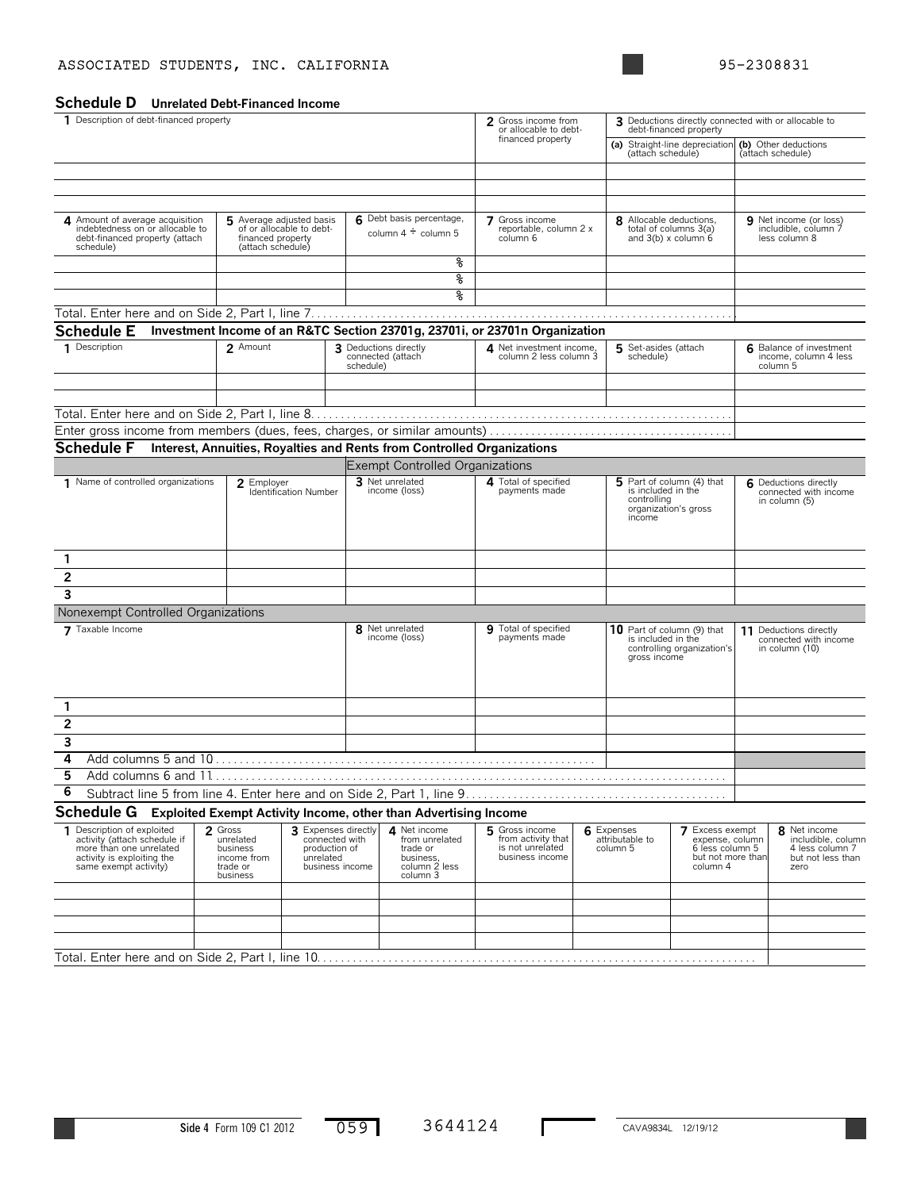### ASSOCIATED STUDENTS, INC. CALIFORNIA 195-2308831

**Schedule D Unrelated Debt-Financed Income**

| 1 Description of debt-financed property                                                                                                      |                                                                                                |                                                                                        |                                                         | 2 Gross income from<br>or allocable to debt-                                         |                                                                             | debt-financed property                                                                           |                                                                                               | 3 Deductions directly connected with or allocable to |                                                                                    |
|----------------------------------------------------------------------------------------------------------------------------------------------|------------------------------------------------------------------------------------------------|----------------------------------------------------------------------------------------|---------------------------------------------------------|--------------------------------------------------------------------------------------|-----------------------------------------------------------------------------|--------------------------------------------------------------------------------------------------|-----------------------------------------------------------------------------------------------|------------------------------------------------------|------------------------------------------------------------------------------------|
|                                                                                                                                              |                                                                                                |                                                                                        |                                                         |                                                                                      | financed property                                                           | (attach schedule)                                                                                | (a) Straight-line depreciation                                                                |                                                      | (b) Other deductions<br>(attach schedule)                                          |
|                                                                                                                                              |                                                                                                |                                                                                        |                                                         |                                                                                      |                                                                             |                                                                                                  |                                                                                               |                                                      |                                                                                    |
|                                                                                                                                              |                                                                                                |                                                                                        |                                                         |                                                                                      |                                                                             |                                                                                                  |                                                                                               |                                                      |                                                                                    |
|                                                                                                                                              |                                                                                                |                                                                                        |                                                         |                                                                                      |                                                                             |                                                                                                  |                                                                                               |                                                      |                                                                                    |
| 4 Amount of average acquisition<br>indebtedness on or allocable to<br>debt-financed property (attach<br>schedule)                            | 5 Average adjusted basis<br>of or allocable to debt-<br>financed property<br>(attach schedule) |                                                                                        |                                                         | 6 Debt basis percentage,<br>column $4 \div$ column 5                                 | 7 Gross income<br>reportable, column 2 x<br>column 6                        | 8 Allocable deductions,<br>and $3(b)$ x column $6$                                               | total of columns 3(a)                                                                         |                                                      | 9 Net income (or loss)<br>includible, column 7<br>less column 8                    |
|                                                                                                                                              |                                                                                                |                                                                                        |                                                         | နွ                                                                                   |                                                                             |                                                                                                  |                                                                                               |                                                      |                                                                                    |
|                                                                                                                                              |                                                                                                |                                                                                        |                                                         | ४                                                                                    |                                                                             |                                                                                                  |                                                                                               |                                                      |                                                                                    |
|                                                                                                                                              |                                                                                                |                                                                                        |                                                         | क्ष                                                                                  |                                                                             |                                                                                                  |                                                                                               |                                                      |                                                                                    |
|                                                                                                                                              |                                                                                                |                                                                                        |                                                         |                                                                                      |                                                                             |                                                                                                  |                                                                                               |                                                      |                                                                                    |
| <b>Schedule E</b>                                                                                                                            |                                                                                                |                                                                                        |                                                         |                                                                                      | Investment Income of an R&TC Section 23701g, 23701i, or 23701n Organization |                                                                                                  |                                                                                               |                                                      |                                                                                    |
| 1 Description                                                                                                                                | 2 Amount                                                                                       |                                                                                        | 3 Deductions directly<br>connected (attach<br>schedule) |                                                                                      | 4 Net investment income,<br>column 2 less column 3                          | 5 Set-asides (attach<br>schedule)                                                                |                                                                                               |                                                      | 6 Balance of investment<br>income, column 4 less<br>column 5                       |
|                                                                                                                                              |                                                                                                |                                                                                        |                                                         |                                                                                      |                                                                             |                                                                                                  |                                                                                               |                                                      |                                                                                    |
|                                                                                                                                              |                                                                                                |                                                                                        |                                                         |                                                                                      |                                                                             |                                                                                                  |                                                                                               |                                                      |                                                                                    |
|                                                                                                                                              |                                                                                                |                                                                                        |                                                         |                                                                                      |                                                                             |                                                                                                  |                                                                                               |                                                      |                                                                                    |
| <b>Schedule F</b>                                                                                                                            |                                                                                                |                                                                                        |                                                         |                                                                                      |                                                                             |                                                                                                  |                                                                                               |                                                      |                                                                                    |
|                                                                                                                                              |                                                                                                |                                                                                        |                                                         |                                                                                      | Interest, Annuities, Royalties and Rents from Controlled Organizations      |                                                                                                  |                                                                                               |                                                      |                                                                                    |
|                                                                                                                                              |                                                                                                |                                                                                        |                                                         | <b>Exempt Controlled Organizations</b><br>3 Net unrelated                            | 4 Total of specified                                                        |                                                                                                  |                                                                                               |                                                      |                                                                                    |
| 1 Name of controlled organizations                                                                                                           | 2 Employer                                                                                     | Identification Number                                                                  |                                                         | income (loss)                                                                        | payments made                                                               | 5 Part of column (4) that<br>is included in the<br>controlling<br>organization's gross<br>income |                                                                                               |                                                      | 6 Deductions directly<br>connected with income<br>in column (5)                    |
| 1                                                                                                                                            |                                                                                                |                                                                                        |                                                         |                                                                                      |                                                                             |                                                                                                  |                                                                                               |                                                      |                                                                                    |
| $\mathbf{2}$                                                                                                                                 |                                                                                                |                                                                                        |                                                         |                                                                                      |                                                                             |                                                                                                  |                                                                                               |                                                      |                                                                                    |
| 3                                                                                                                                            |                                                                                                |                                                                                        |                                                         |                                                                                      |                                                                             |                                                                                                  |                                                                                               |                                                      |                                                                                    |
| Nonexempt Controlled Organizations                                                                                                           |                                                                                                |                                                                                        |                                                         |                                                                                      |                                                                             |                                                                                                  |                                                                                               |                                                      |                                                                                    |
| 7 Taxable Income                                                                                                                             |                                                                                                |                                                                                        |                                                         | 8 Net unrelated                                                                      | 9 Total of specified                                                        | 10 Part of column (9) that                                                                       |                                                                                               |                                                      | 11 Deductions directly                                                             |
|                                                                                                                                              |                                                                                                |                                                                                        |                                                         | income (loss)                                                                        | payments made                                                               | is included in the<br>gross income                                                               | controlling organization's                                                                    |                                                      | connected with income<br>in column (10)                                            |
| 1                                                                                                                                            |                                                                                                |                                                                                        |                                                         |                                                                                      |                                                                             |                                                                                                  |                                                                                               |                                                      |                                                                                    |
| $\overline{\mathbf{c}}$                                                                                                                      |                                                                                                |                                                                                        |                                                         |                                                                                      |                                                                             |                                                                                                  |                                                                                               |                                                      |                                                                                    |
| 3                                                                                                                                            |                                                                                                |                                                                                        |                                                         |                                                                                      |                                                                             |                                                                                                  |                                                                                               |                                                      |                                                                                    |
| 4                                                                                                                                            |                                                                                                |                                                                                        |                                                         |                                                                                      |                                                                             |                                                                                                  |                                                                                               |                                                      |                                                                                    |
| 5                                                                                                                                            |                                                                                                |                                                                                        |                                                         |                                                                                      |                                                                             |                                                                                                  |                                                                                               |                                                      |                                                                                    |
| 6                                                                                                                                            |                                                                                                |                                                                                        |                                                         |                                                                                      |                                                                             |                                                                                                  |                                                                                               |                                                      |                                                                                    |
| <b>Schedule G</b>                                                                                                                            |                                                                                                |                                                                                        |                                                         | Exploited Exempt Activity Income, other than Advertising Income                      |                                                                             |                                                                                                  |                                                                                               |                                                      |                                                                                    |
| 1 Description of exploited<br>activity (attach schedule if<br>more than one unrelated<br>activity is exploiting the<br>same exempt activity) | 2 Gross<br>unrelated<br>business<br>income from<br>trade or<br>business                        | 3 Expenses directly<br>connected with<br>production of<br>unrelated<br>business income |                                                         | A Net income<br>from unrelated<br>trade or<br>business,<br>column 2 less<br>column 3 | 5 Gross income<br>from activity that<br>is not unrelated<br>business income | 6 Expenses<br>attributable to<br>column 5                                                        | <b>7</b> Excess exempt<br>expense, column<br>6 less column 5<br>but not more than<br>column 4 |                                                      | 8 Net income<br>includible, column<br>4 less column 7<br>but not less than<br>zero |
|                                                                                                                                              |                                                                                                |                                                                                        |                                                         |                                                                                      |                                                                             |                                                                                                  |                                                                                               |                                                      |                                                                                    |
|                                                                                                                                              |                                                                                                |                                                                                        |                                                         |                                                                                      |                                                                             |                                                                                                  |                                                                                               |                                                      |                                                                                    |
|                                                                                                                                              |                                                                                                |                                                                                        |                                                         |                                                                                      |                                                                             |                                                                                                  |                                                                                               |                                                      |                                                                                    |
|                                                                                                                                              |                                                                                                |                                                                                        |                                                         |                                                                                      |                                                                             |                                                                                                  |                                                                                               |                                                      |                                                                                    |
|                                                                                                                                              |                                                                                                |                                                                                        |                                                         |                                                                                      |                                                                             |                                                                                                  |                                                                                               |                                                      |                                                                                    |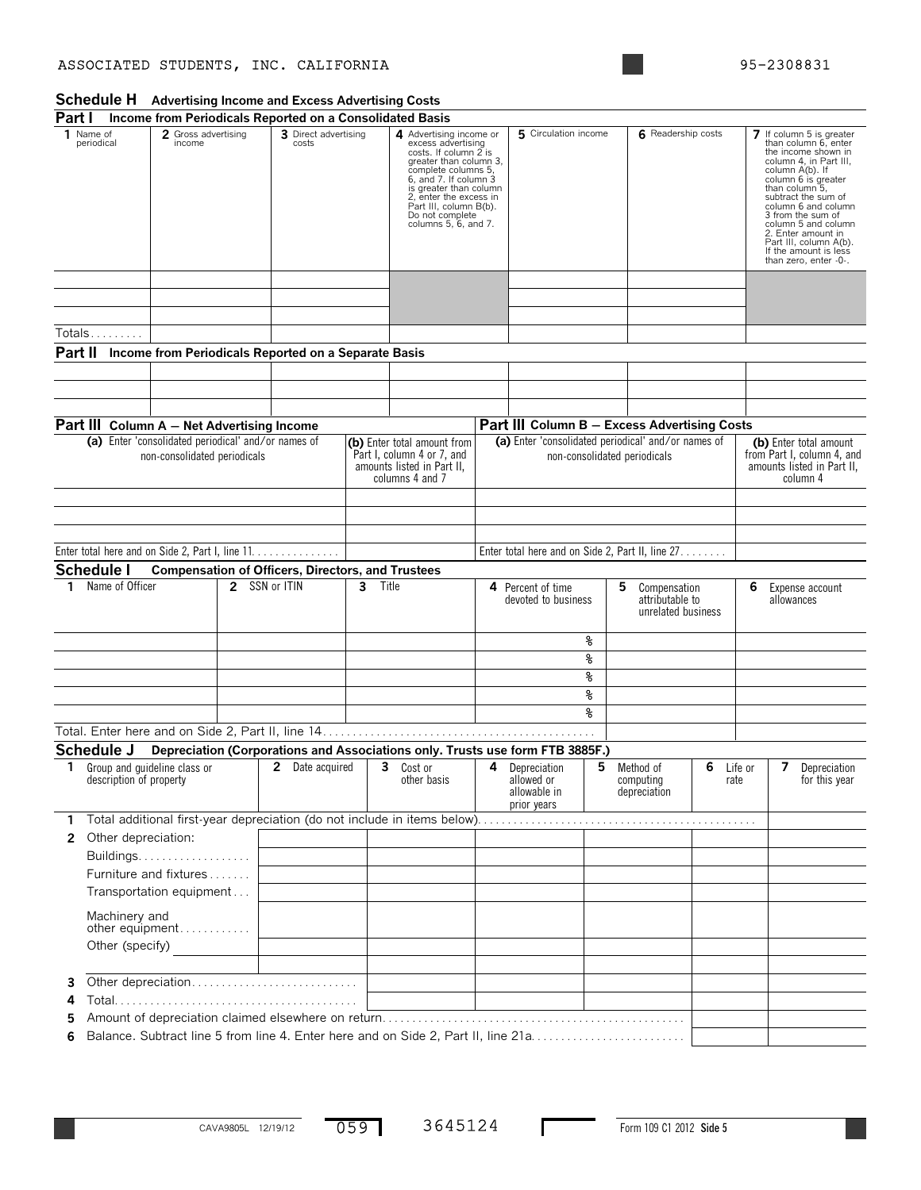### ASSOCIATED STUDENTS, INC. CALIFORNIA 195-2308831

# **Schedule H Advertising Income and Excess Advertising Costs**

| Part I                |                                                          |                                                                                     |                               | Income from Periodicals Reported on a Consolidated Basis |                                                                                                                                                                                                                                                                           |                                                                                                            |                      |                                                           |    |                                                       |                      |                                                                                                                                                                                                                                                                                                                                                           |                                                                                                |
|-----------------------|----------------------------------------------------------|-------------------------------------------------------------------------------------|-------------------------------|----------------------------------------------------------|---------------------------------------------------------------------------------------------------------------------------------------------------------------------------------------------------------------------------------------------------------------------------|------------------------------------------------------------------------------------------------------------|----------------------|-----------------------------------------------------------|----|-------------------------------------------------------|----------------------|-----------------------------------------------------------------------------------------------------------------------------------------------------------------------------------------------------------------------------------------------------------------------------------------------------------------------------------------------------------|------------------------------------------------------------------------------------------------|
|                       | 1 Name of<br>2 Gross advertising<br>periodical<br>income |                                                                                     | 3 Direct advertising<br>costs |                                                          | 4 Advertising income or<br>excess advertising<br>costs. If column 2 is<br>greater than column 3,<br>complete columns 5,<br>6, and 7. If column 3<br>is greater than column<br>2, enter the excess in<br>Part III, column B(b).<br>Do not complete<br>columns 5, 6, and 7. |                                                                                                            | 5 Circulation income |                                                           |    |                                                       |                      | 7 If column 5 is greater<br>than column 6, enter<br>the income shown in<br>column 4, in Part III,<br>column A(b). If<br>column 6 is greater<br>than column 5,<br>subtract the sum of<br>column 6 and column<br>3 from the sum of<br>column 5 and column<br>2. Enter amount in<br>Part III, column A(b).<br>If the amount is less<br>than zero, enter -0-. |                                                                                                |
|                       |                                                          |                                                                                     |                               |                                                          |                                                                                                                                                                                                                                                                           |                                                                                                            |                      |                                                           |    |                                                       |                      |                                                                                                                                                                                                                                                                                                                                                           |                                                                                                |
|                       | Totals                                                   |                                                                                     |                               |                                                          |                                                                                                                                                                                                                                                                           |                                                                                                            |                      |                                                           |    |                                                       |                      |                                                                                                                                                                                                                                                                                                                                                           |                                                                                                |
| Part II               |                                                          |                                                                                     |                               | Income from Periodicals Reported on a Separate Basis     |                                                                                                                                                                                                                                                                           |                                                                                                            |                      |                                                           |    |                                                       |                      |                                                                                                                                                                                                                                                                                                                                                           |                                                                                                |
|                       |                                                          |                                                                                     |                               |                                                          |                                                                                                                                                                                                                                                                           |                                                                                                            |                      |                                                           |    |                                                       |                      |                                                                                                                                                                                                                                                                                                                                                           |                                                                                                |
|                       |                                                          |                                                                                     |                               |                                                          |                                                                                                                                                                                                                                                                           |                                                                                                            |                      |                                                           |    |                                                       |                      |                                                                                                                                                                                                                                                                                                                                                           |                                                                                                |
|                       |                                                          |                                                                                     |                               |                                                          |                                                                                                                                                                                                                                                                           |                                                                                                            |                      |                                                           |    |                                                       |                      |                                                                                                                                                                                                                                                                                                                                                           |                                                                                                |
|                       | Part III Column A - Net Advertising Income               |                                                                                     |                               |                                                          |                                                                                                                                                                                                                                                                           |                                                                                                            |                      | Part III Column B - Excess Advertising Costs              |    |                                                       |                      |                                                                                                                                                                                                                                                                                                                                                           |                                                                                                |
|                       |                                                          | (a) Enter 'consolidated periodical' and/or names of<br>non-consolidated periodicals |                               |                                                          |                                                                                                                                                                                                                                                                           | (b) Enter total amount from<br>Part I, column 4 or 7, and<br>amounts listed in Part II,<br>columns 4 and 7 |                      | (a) Enter 'consolidated periodical' and/or names of       |    | non-consolidated periodicals                          |                      |                                                                                                                                                                                                                                                                                                                                                           | (b) Enter total amount<br>from Part I, column 4, and<br>amounts listed in Part II,<br>column 4 |
|                       |                                                          |                                                                                     |                               |                                                          |                                                                                                                                                                                                                                                                           |                                                                                                            |                      |                                                           |    |                                                       |                      |                                                                                                                                                                                                                                                                                                                                                           |                                                                                                |
|                       |                                                          |                                                                                     |                               |                                                          |                                                                                                                                                                                                                                                                           |                                                                                                            |                      |                                                           |    |                                                       |                      |                                                                                                                                                                                                                                                                                                                                                           |                                                                                                |
|                       |                                                          |                                                                                     |                               |                                                          |                                                                                                                                                                                                                                                                           |                                                                                                            |                      |                                                           |    |                                                       |                      |                                                                                                                                                                                                                                                                                                                                                           |                                                                                                |
|                       |                                                          |                                                                                     |                               | Enter total here and on Side 2, Part I, line 11.         |                                                                                                                                                                                                                                                                           |                                                                                                            |                      | Enter total here and on Side 2, Part II, line 27.         |    |                                                       |                      |                                                                                                                                                                                                                                                                                                                                                           |                                                                                                |
|                       | <b>Schedule I</b>                                        |                                                                                     |                               | <b>Compensation of Officers, Directors, and Trustees</b> |                                                                                                                                                                                                                                                                           |                                                                                                            |                      |                                                           |    |                                                       |                      |                                                                                                                                                                                                                                                                                                                                                           |                                                                                                |
| 1.                    | Name of Officer                                          |                                                                                     | 2 SSN or ITIN                 |                                                          | 3<br>Title                                                                                                                                                                                                                                                                |                                                                                                            |                      | 4 Percent of time<br>devoted to business                  | 5  | Compensation<br>attributable to<br>unrelated business |                      | 6                                                                                                                                                                                                                                                                                                                                                         | Expense account<br>allowances                                                                  |
|                       |                                                          |                                                                                     |                               |                                                          |                                                                                                                                                                                                                                                                           |                                                                                                            |                      |                                                           | ୫  |                                                       |                      |                                                                                                                                                                                                                                                                                                                                                           |                                                                                                |
|                       |                                                          |                                                                                     |                               |                                                          |                                                                                                                                                                                                                                                                           |                                                                                                            |                      |                                                           | g  |                                                       |                      |                                                                                                                                                                                                                                                                                                                                                           |                                                                                                |
|                       |                                                          |                                                                                     |                               |                                                          |                                                                                                                                                                                                                                                                           |                                                                                                            |                      |                                                           | နွ |                                                       |                      |                                                                                                                                                                                                                                                                                                                                                           |                                                                                                |
|                       |                                                          |                                                                                     |                               |                                                          |                                                                                                                                                                                                                                                                           |                                                                                                            |                      |                                                           | ୫  |                                                       |                      |                                                                                                                                                                                                                                                                                                                                                           |                                                                                                |
|                       |                                                          |                                                                                     |                               |                                                          |                                                                                                                                                                                                                                                                           |                                                                                                            |                      |                                                           | ⊱  |                                                       |                      |                                                                                                                                                                                                                                                                                                                                                           |                                                                                                |
|                       |                                                          |                                                                                     |                               |                                                          |                                                                                                                                                                                                                                                                           |                                                                                                            |                      |                                                           |    |                                                       |                      |                                                                                                                                                                                                                                                                                                                                                           |                                                                                                |
|                       | Schedule J                                               |                                                                                     |                               |                                                          |                                                                                                                                                                                                                                                                           | Depreciation (Corporations and Associations only. Trusts use form FTB 3885F.)                              |                      |                                                           |    |                                                       |                      |                                                                                                                                                                                                                                                                                                                                                           |                                                                                                |
| 1                     | description of property                                  | Group and quideline class or                                                        |                               | 2 Date acquired                                          |                                                                                                                                                                                                                                                                           | 3<br>Cost or<br>other basis                                                                                | 4                    | Depreciation<br>allowed or<br>allowable in<br>prior years | 5  | Method of<br>computing<br>depreciation                | 6<br>Life or<br>rate |                                                                                                                                                                                                                                                                                                                                                           | 7<br>Depreciation<br>for this year                                                             |
| 1                     |                                                          |                                                                                     |                               |                                                          |                                                                                                                                                                                                                                                                           |                                                                                                            |                      |                                                           |    |                                                       |                      |                                                                                                                                                                                                                                                                                                                                                           |                                                                                                |
| $\mathbf{2}^{\prime}$ | Other depreciation:                                      |                                                                                     |                               |                                                          |                                                                                                                                                                                                                                                                           |                                                                                                            |                      |                                                           |    |                                                       |                      |                                                                                                                                                                                                                                                                                                                                                           |                                                                                                |
|                       |                                                          | Buildings.                                                                          |                               |                                                          |                                                                                                                                                                                                                                                                           |                                                                                                            |                      |                                                           |    |                                                       |                      |                                                                                                                                                                                                                                                                                                                                                           |                                                                                                |
|                       |                                                          | Furniture and fixtures                                                              |                               |                                                          |                                                                                                                                                                                                                                                                           |                                                                                                            |                      |                                                           |    |                                                       |                      |                                                                                                                                                                                                                                                                                                                                                           |                                                                                                |
|                       |                                                          | Transportation equipment                                                            |                               |                                                          |                                                                                                                                                                                                                                                                           |                                                                                                            |                      |                                                           |    |                                                       |                      |                                                                                                                                                                                                                                                                                                                                                           |                                                                                                |
|                       | Machinery and                                            | other equipment                                                                     |                               |                                                          |                                                                                                                                                                                                                                                                           |                                                                                                            |                      |                                                           |    |                                                       |                      |                                                                                                                                                                                                                                                                                                                                                           |                                                                                                |
|                       |                                                          | Other (specify)                                                                     |                               |                                                          |                                                                                                                                                                                                                                                                           |                                                                                                            |                      |                                                           |    |                                                       |                      |                                                                                                                                                                                                                                                                                                                                                           |                                                                                                |
|                       |                                                          |                                                                                     |                               |                                                          |                                                                                                                                                                                                                                                                           |                                                                                                            |                      |                                                           |    |                                                       |                      |                                                                                                                                                                                                                                                                                                                                                           |                                                                                                |
| 3                     |                                                          |                                                                                     |                               | Other depreciation                                       |                                                                                                                                                                                                                                                                           |                                                                                                            |                      |                                                           |    |                                                       |                      |                                                                                                                                                                                                                                                                                                                                                           |                                                                                                |
| 4                     |                                                          |                                                                                     |                               |                                                          |                                                                                                                                                                                                                                                                           |                                                                                                            |                      |                                                           |    |                                                       |                      |                                                                                                                                                                                                                                                                                                                                                           |                                                                                                |
| 5                     |                                                          |                                                                                     |                               |                                                          |                                                                                                                                                                                                                                                                           |                                                                                                            |                      |                                                           |    |                                                       |                      |                                                                                                                                                                                                                                                                                                                                                           |                                                                                                |
| 6                     |                                                          |                                                                                     |                               |                                                          |                                                                                                                                                                                                                                                                           | Balance. Subtract line 5 from line 4. Enter here and on Side 2, Part II, line 21a                          |                      |                                                           |    |                                                       |                      |                                                                                                                                                                                                                                                                                                                                                           |                                                                                                |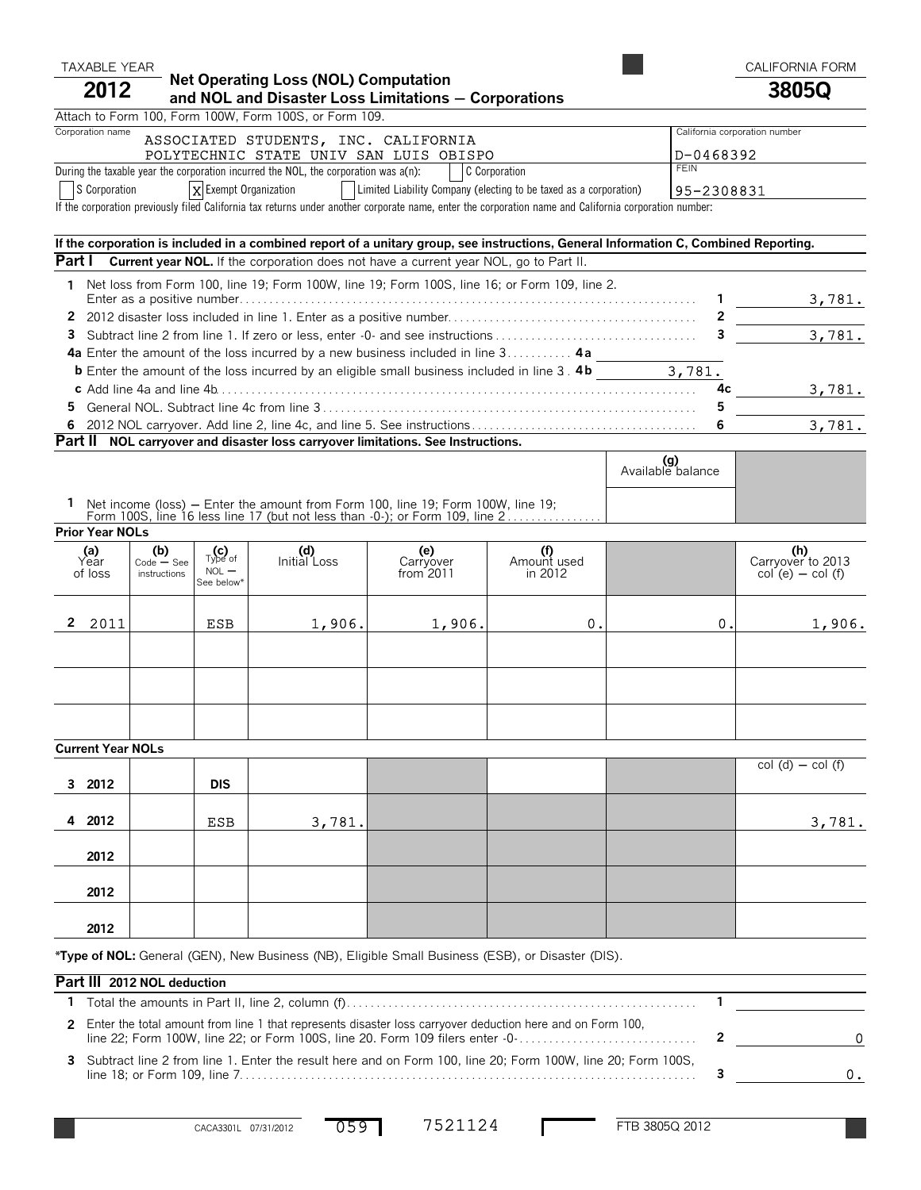# TAXABLE YEAR **Net Operating Loss (NOL) Computation TAXABLE YEAR** CALIFORNIA FORM<br> **CALIFORNIA FORM**

# **Net Operating Loss (NOL) Computation <sup>2012</sup> and NOL and Disaster Loss Limitations** ' **Corporations 3805Q**

Attach to Form 100, Form 100W, Form 100S, or Form 109.

| Corporation name<br>ASSOCIATED STUDENTS, INC. CALIFORNIA                                                                         | California corporation number |
|----------------------------------------------------------------------------------------------------------------------------------|-------------------------------|
| POLYTECHNIC STATE UNIV SAN LUIS OBISPO                                                                                           | ID-0468392                    |
| During the taxable year the corporation incurred the NOL, the corporation was $a(n)$ :<br>C Corporation                          | <b>FEIN</b>                   |
| $\bigcap_{n=1}^{\infty}$<br>I Lingua Liability Consegue (algebra to be tough as a conseguitor)<br><b>Lee Format Organization</b> | .                             |

S Corporation  $\vert x \vert$  Exempt Organization  $\vert$  Limited Liability Company (electing to be taxed as a corporation)  $\vert 95-2308831$ If the corporation previously filed California tax returns under another corporate name, enter the corporation name and California corporation number:

#### **If the corporation is included in a combined report of a unitary group, see instructions, General Information C, Combined Reporting. Part I Current year NOL.** If the corporation does not have a current year NOL, go to Part II. **1** Net loss from Form 100, line 19; Form 100W, line 19; Form 100S, line 16; or Form 109, line 2. Enter as a positive number. . . . . . . . . . . . . . . . . . . . . . . . . . . . . . . . . . . . . . . . . . . . . . . . . . . . . . . . . . . . . . . . . . . . . . . . . . . . . **1 2** 2012 disaster loss included in line 1. Enter as a positive number. . . . . . . . . . . . . . . . . . . . . . . . . . . . . . . . . . . . . . . . . . **2 3** Subtract line 2 from line 1. If zero or less, enter -0- and see instructions . . . . . . . . . . . . . . . . . . . . . . . . . . . . . . . . . . **3 4a** Enter the amount of the loss incurred by a new business included in line 3 . . . . . . . . . . . **4 a b** Enter the amount of the loss incurred by an eligible small business included in line 3. **4b c** Add line 4a and line 4b. . . . . . . . . . . . . . . . . . . . . . . . . . . . . . . . . . . . . . . . . . . . . . . . . . . . . . . . . . . . . . . . . . . . . . . . . . . . . . . . . **4c 5** General NOL. Subtract line 4c from line 3 . . . . . . . . . . . . . . . . . . . . . . . . . . . . . . . . . . . . . . . . . . . . . . . . . . . . . . . . . . . . . . . **5 6** 2012 NOL carryover. Add line 2, line 4c, and line 5. See instructions . . . . . . . . . . . . . . . . . . . . . . . . . . . . . . . . . . . . . . **6 Part II NOL carryover and disaster loss carryover limitations. See Instructions.** 3,781. 3,781. 3,781. 3,781. 3,781.

|                                                                                                                                                                                              | Available balance |  |
|----------------------------------------------------------------------------------------------------------------------------------------------------------------------------------------------|-------------------|--|
| Net income (loss) – Enter the amount from Form 100, line 19; Form 100W, line 19;<br>Form 100S, line 16 less line 17 (but not less than $-0$ ); or Form 109, line $2, \ldots, \ldots, \ldots$ |                   |  |
| $D_{\text{max}}$ $V_{\text{max}}$ MAL $\sim$                                                                                                                                                 |                   |  |

|  |  | <b>Prior Year NOLs</b> |
|--|--|------------------------|
|--|--|------------------------|

| (a)<br>Year<br>of loss | $(b)$<br>Code – See<br>instructions | $_{\text{Type of}}$<br>$NOL$ $-$<br>See below* | (d)<br>Initial Loss | (e)<br>Carryover<br>from 2011 | Amount used<br>in 2012 |    | $(h)$<br>Carryover to 2013<br>col (e) – col (f) |
|------------------------|-------------------------------------|------------------------------------------------|---------------------|-------------------------------|------------------------|----|-------------------------------------------------|
| $\mathbf{2}$<br>2011   |                                     | <b>ESB</b>                                     | 1,906.              | 1,906.                        | 0.                     | 0. | 1,906.                                          |
|                        |                                     |                                                |                     |                               |                        |    |                                                 |

| <b>VUITURE I VUI ITULS</b> |            |        |  |  |  |                   |
|----------------------------|------------|--------|--|--|--|-------------------|
| 3 2012                     | <b>DIS</b> |        |  |  |  | $col(d) - col(f)$ |
| 4 2012                     | ESB        | 3,781. |  |  |  | 3,781.            |
| 2012                       |            |        |  |  |  |                   |
| 2012                       |            |        |  |  |  |                   |
| 2012                       |            |        |  |  |  |                   |

**\*Type of NOL:** General (GEN), New Business (NB), Eligible Small Business (ESB), or Disaster (DIS).

#### **Part III 2012 NOL deduction**

| 2 Enter the total amount from line 1 that represents disaster loss carryover deduction here and on Form 100,  |  |
|---------------------------------------------------------------------------------------------------------------|--|
| 3 Subtract line 2 from line 1. Enter the result here and on Form 100, line 20; Form 100W, line 20; Form 100S, |  |